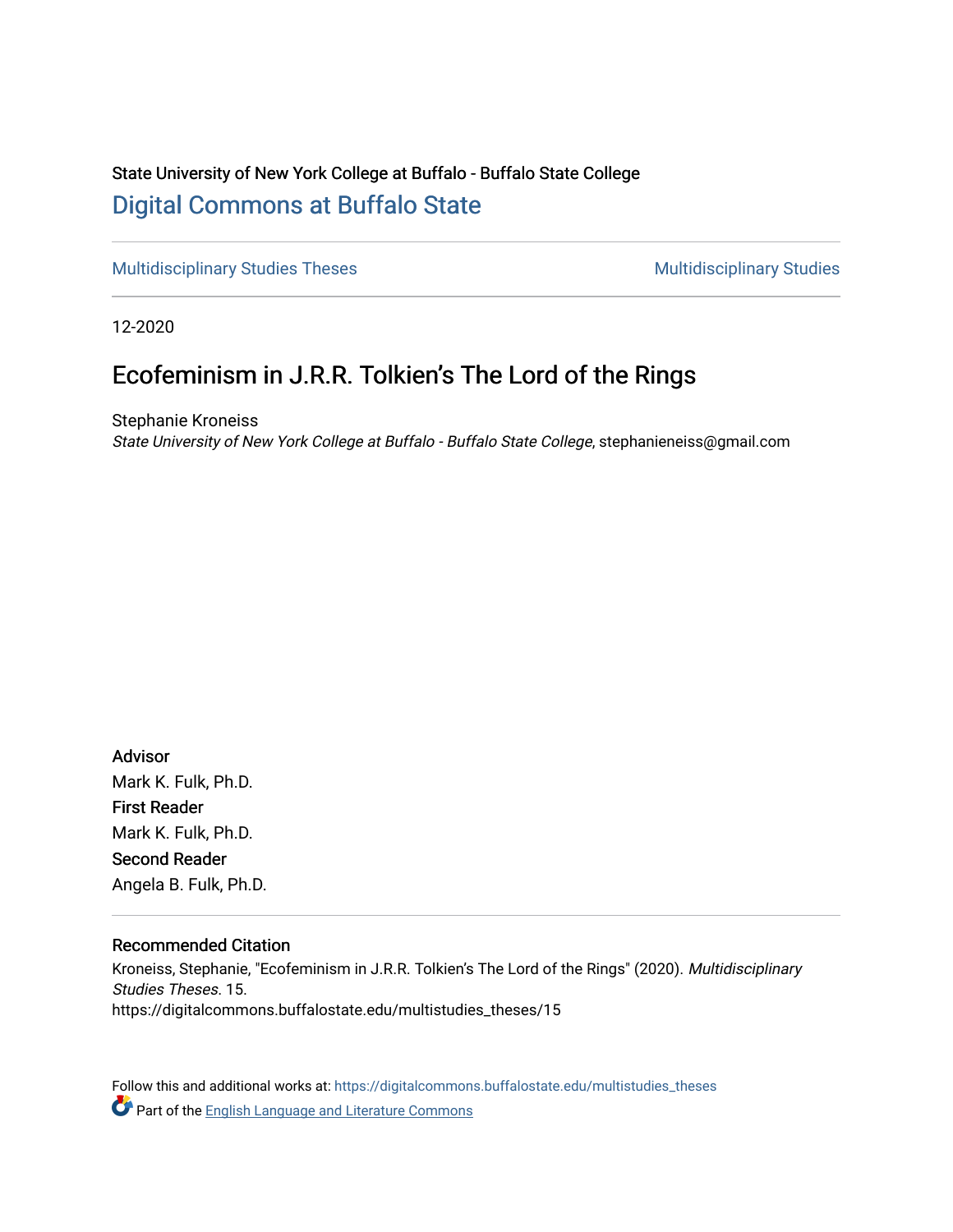## State University of New York College at Buffalo - Buffalo State College [Digital Commons at Buffalo State](https://digitalcommons.buffalostate.edu/)

[Multidisciplinary Studies Theses](https://digitalcommons.buffalostate.edu/multistudies_theses) Multidisciplinary Studies

12-2020

# Ecofeminism in J.R.R. Tolkien's The Lord of the Rings

Stephanie Kroneiss State University of New York College at Buffalo - Buffalo State College, stephanieneiss@gmail.com

Advisor Mark K. Fulk, Ph.D. First Reader Mark K. Fulk, Ph.D. Second Reader Angela B. Fulk, Ph.D.

#### Recommended Citation

Kroneiss, Stephanie, "Ecofeminism in J.R.R. Tolkien's The Lord of the Rings" (2020). Multidisciplinary Studies Theses. 15. https://digitalcommons.buffalostate.edu/multistudies\_theses/15

Follow this and additional works at: [https://digitalcommons.buffalostate.edu/multistudies\\_theses](https://digitalcommons.buffalostate.edu/multistudies_theses?utm_source=digitalcommons.buffalostate.edu%2Fmultistudies_theses%2F15&utm_medium=PDF&utm_campaign=PDFCoverPages)  **Part of the [English Language and Literature Commons](http://network.bepress.com/hgg/discipline/455?utm_source=digitalcommons.buffalostate.edu%2Fmultistudies_theses%2F15&utm_medium=PDF&utm_campaign=PDFCoverPages)**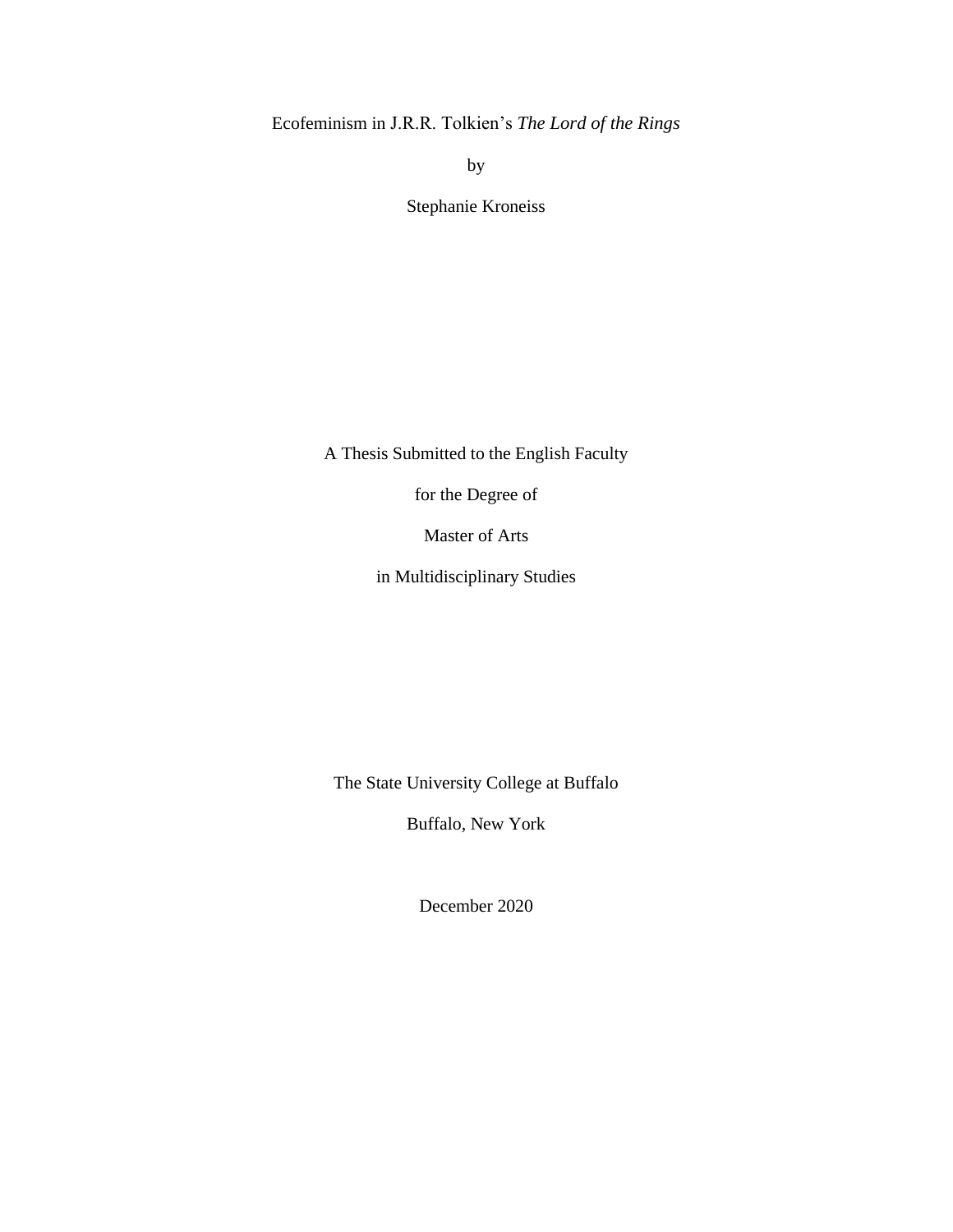Ecofeminism in J.R.R. Tolkien's *The Lord of the Rings*

by

Stephanie Kroneiss

A Thesis Submitted to the English Faculty

for the Degree of

Master of Arts

in Multidisciplinary Studies

The State University College at Buffalo

Buffalo, New York

December 2020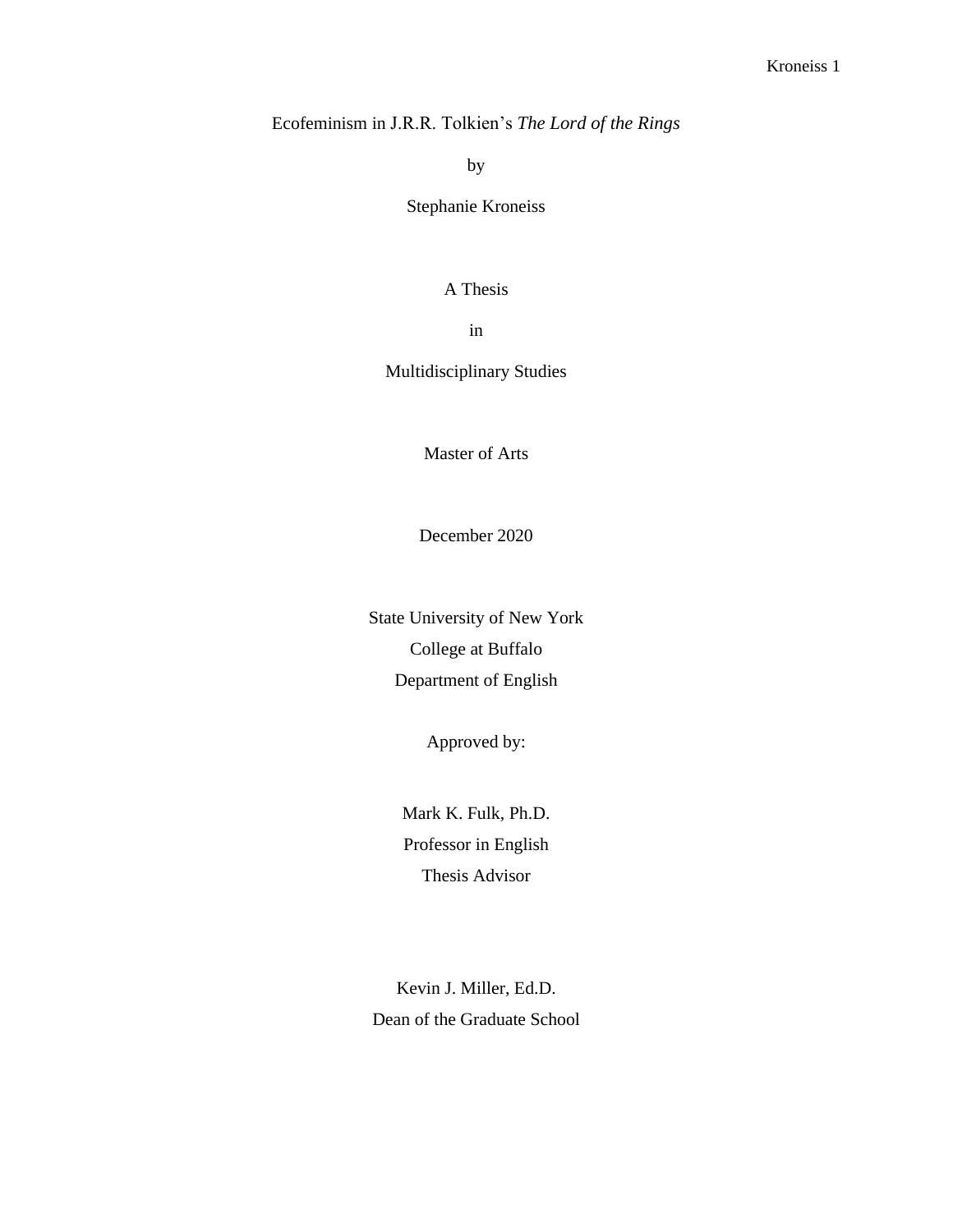Ecofeminism in J.R.R. Tolkien's *The Lord of the Rings*

by

Stephanie Kroneiss

#### A Thesis

in

Multidisciplinary Studies

Master of Arts

December 2020

State University of New York College at Buffalo Department of English

Approved by:

Mark K. Fulk, Ph.D. Professor in English Thesis Advisor

Kevin J. Miller, Ed.D. Dean of the Graduate School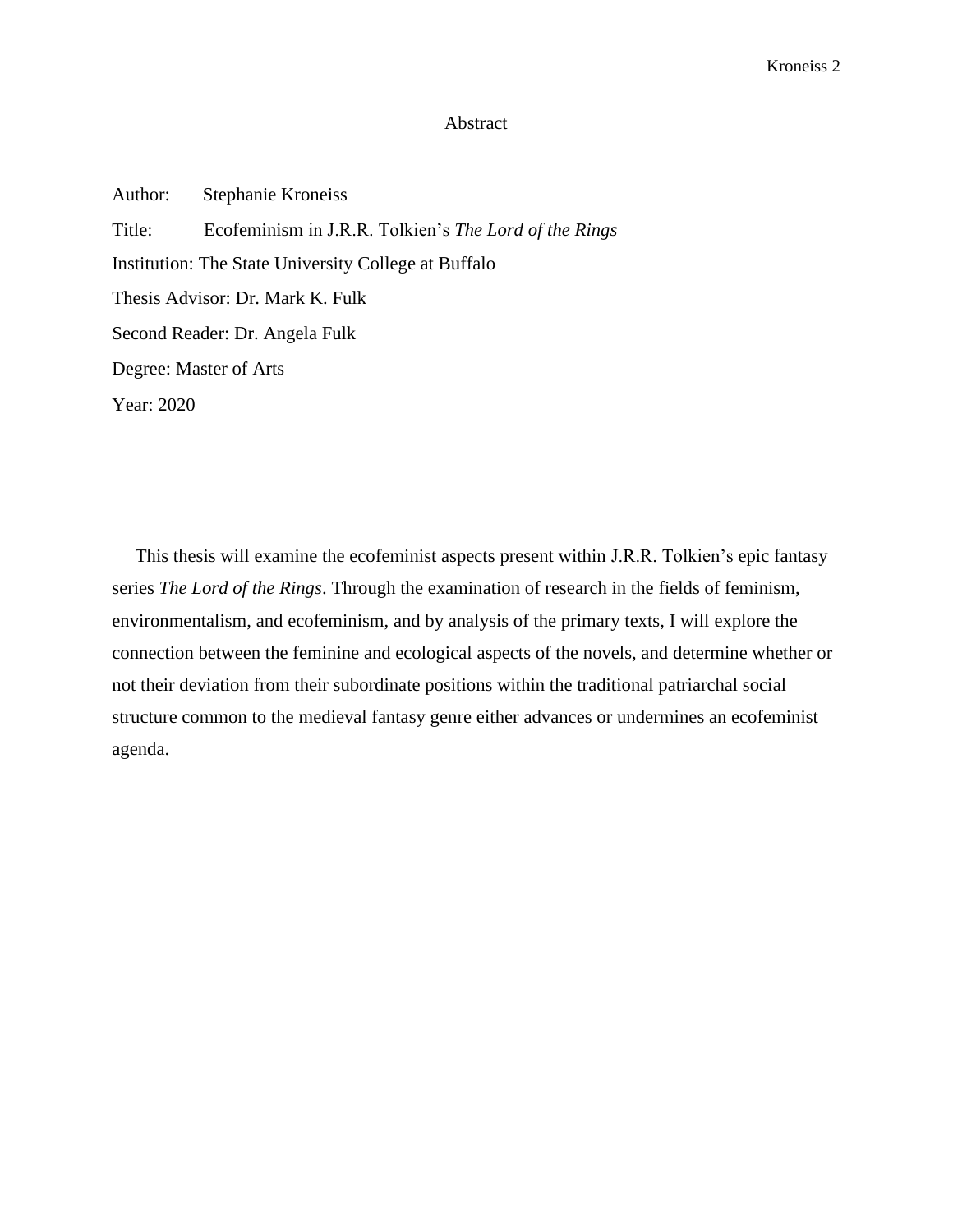#### Abstract

Author: Stephanie Kroneiss Title: Ecofeminism in J.R.R. Tolkien's *The Lord of the Rings*  Institution: The State University College at Buffalo Thesis Advisor: Dr. Mark K. Fulk Second Reader: Dr. Angela Fulk Degree: Master of Arts Year: 2020

 This thesis will examine the ecofeminist aspects present within J.R.R. Tolkien's epic fantasy series *The Lord of the Rings*. Through the examination of research in the fields of feminism, environmentalism, and ecofeminism, and by analysis of the primary texts, I will explore the connection between the feminine and ecological aspects of the novels, and determine whether or not their deviation from their subordinate positions within the traditional patriarchal social structure common to the medieval fantasy genre either advances or undermines an ecofeminist agenda.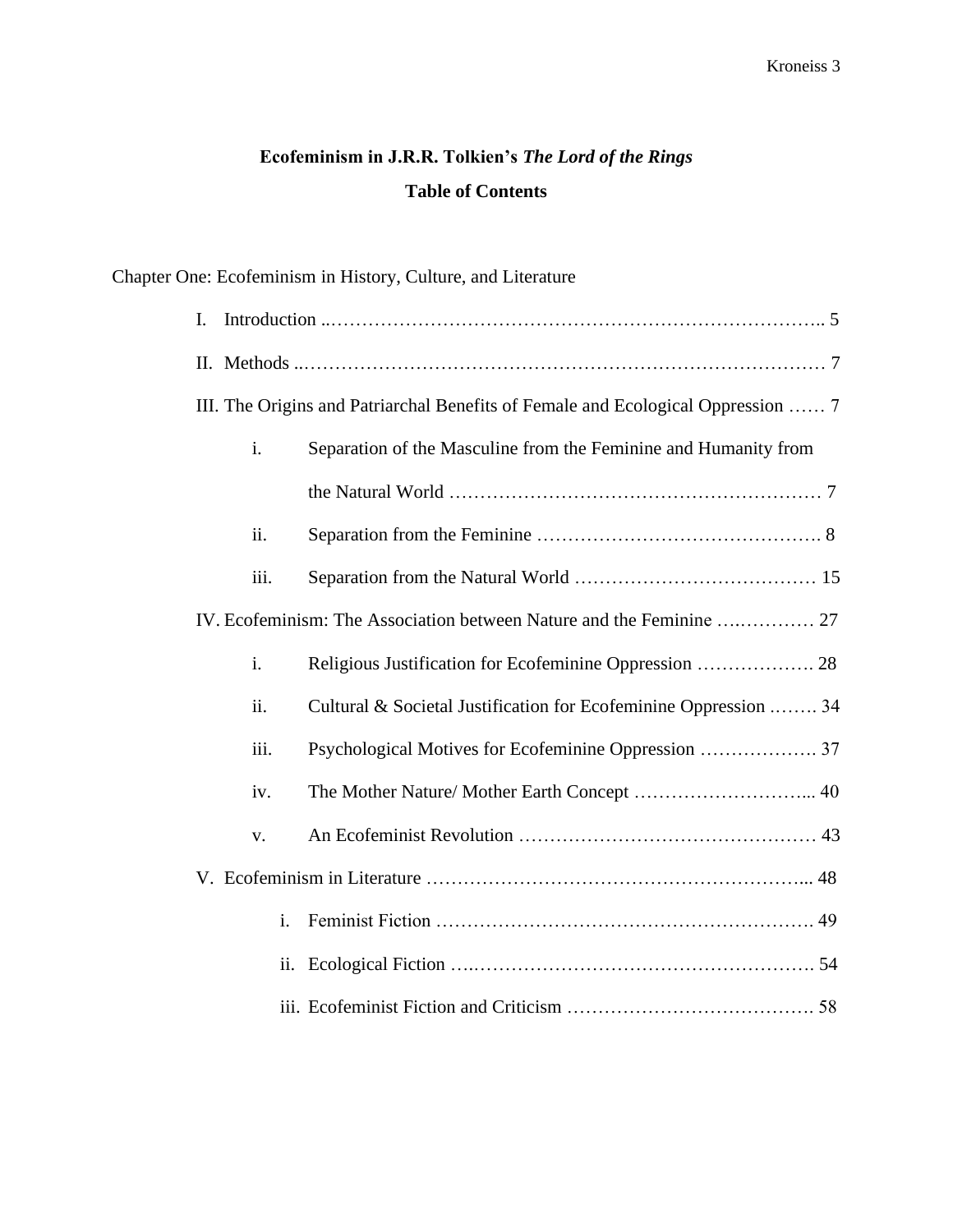# **Ecofeminism in J.R.R. Tolkien's** *The Lord of the Rings* **Table of Contents**

## Chapter One: Ecofeminism in History, Culture, and Literature

| I.                                                                               |                |                                                                  |  |  |  |  |  |
|----------------------------------------------------------------------------------|----------------|------------------------------------------------------------------|--|--|--|--|--|
|                                                                                  |                |                                                                  |  |  |  |  |  |
| III. The Origins and Patriarchal Benefits of Female and Ecological Oppression  7 |                |                                                                  |  |  |  |  |  |
|                                                                                  | i.             | Separation of the Masculine from the Feminine and Humanity from  |  |  |  |  |  |
|                                                                                  |                |                                                                  |  |  |  |  |  |
|                                                                                  | ii.            |                                                                  |  |  |  |  |  |
|                                                                                  | iii.           |                                                                  |  |  |  |  |  |
| IV. Ecofeminism: The Association between Nature and the Feminine  27             |                |                                                                  |  |  |  |  |  |
|                                                                                  | i.             |                                                                  |  |  |  |  |  |
|                                                                                  | ii.            | Cultural & Societal Justification for Ecofeminine Oppression  34 |  |  |  |  |  |
|                                                                                  | iii.           |                                                                  |  |  |  |  |  |
|                                                                                  | iv.            |                                                                  |  |  |  |  |  |
|                                                                                  | V.             |                                                                  |  |  |  |  |  |
|                                                                                  |                |                                                                  |  |  |  |  |  |
|                                                                                  | $\mathbf{i}$ . |                                                                  |  |  |  |  |  |
|                                                                                  | ii.            |                                                                  |  |  |  |  |  |
|                                                                                  |                |                                                                  |  |  |  |  |  |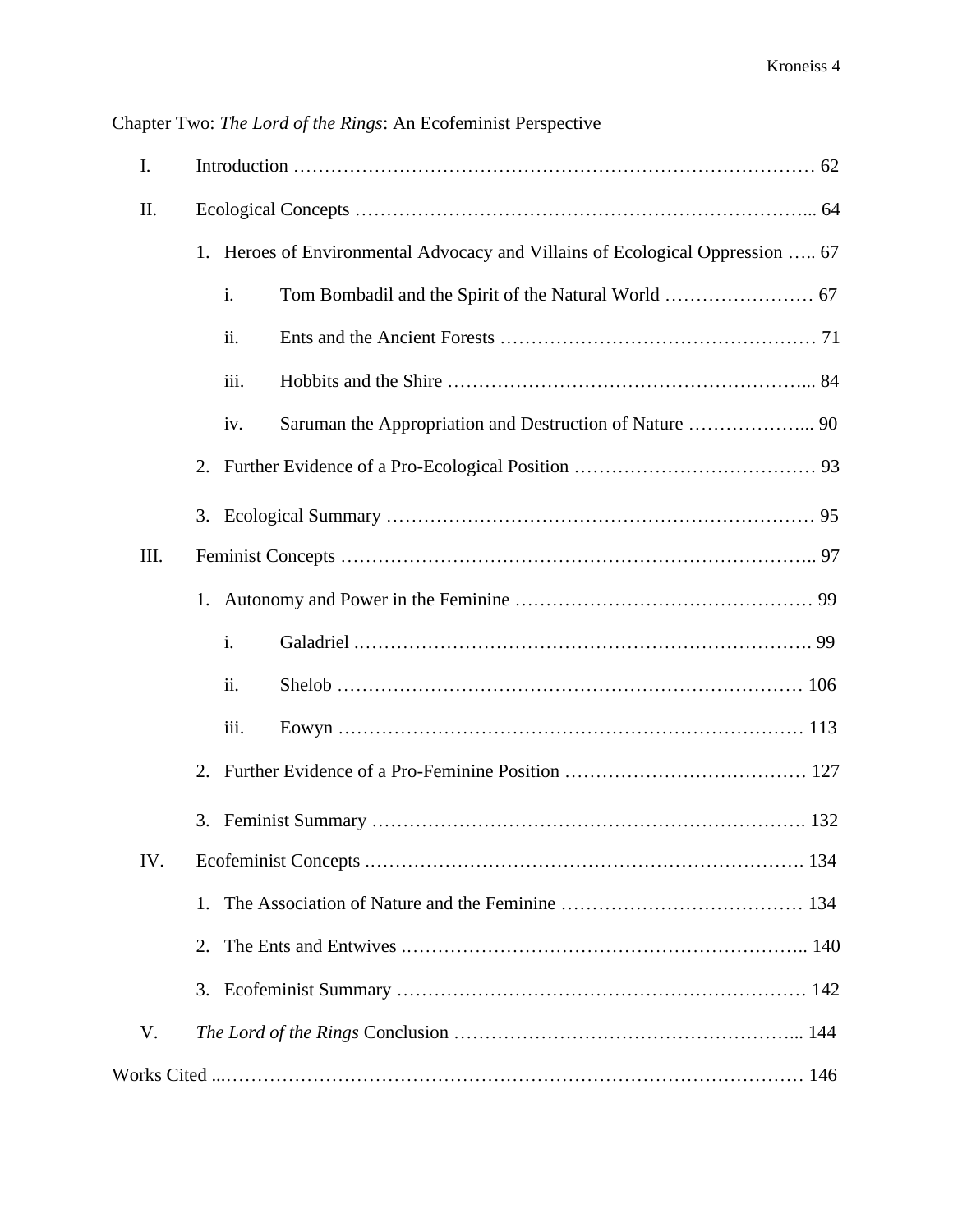| I.   |    |      |                                                                               |  |  |
|------|----|------|-------------------------------------------------------------------------------|--|--|
| Π.   |    |      |                                                                               |  |  |
|      |    |      | 1. Heroes of Environmental Advocacy and Villains of Ecological Oppression  67 |  |  |
|      |    | i.   |                                                                               |  |  |
|      |    | ii.  |                                                                               |  |  |
|      |    | iii. |                                                                               |  |  |
|      |    | iv.  |                                                                               |  |  |
|      |    |      |                                                                               |  |  |
|      |    |      |                                                                               |  |  |
| III. |    |      |                                                                               |  |  |
|      |    |      |                                                                               |  |  |
|      |    | i.   |                                                                               |  |  |
|      |    | ii.  |                                                                               |  |  |
|      |    | iii. |                                                                               |  |  |
|      |    |      |                                                                               |  |  |
|      |    |      |                                                                               |  |  |
| IV.  |    |      |                                                                               |  |  |
|      | 1. |      |                                                                               |  |  |
|      | 2. |      |                                                                               |  |  |
|      | 3. |      |                                                                               |  |  |
| V.   |    |      |                                                                               |  |  |
|      |    |      |                                                                               |  |  |

Chapter Two: *The Lord of the Rings*: An Ecofeminist Perspective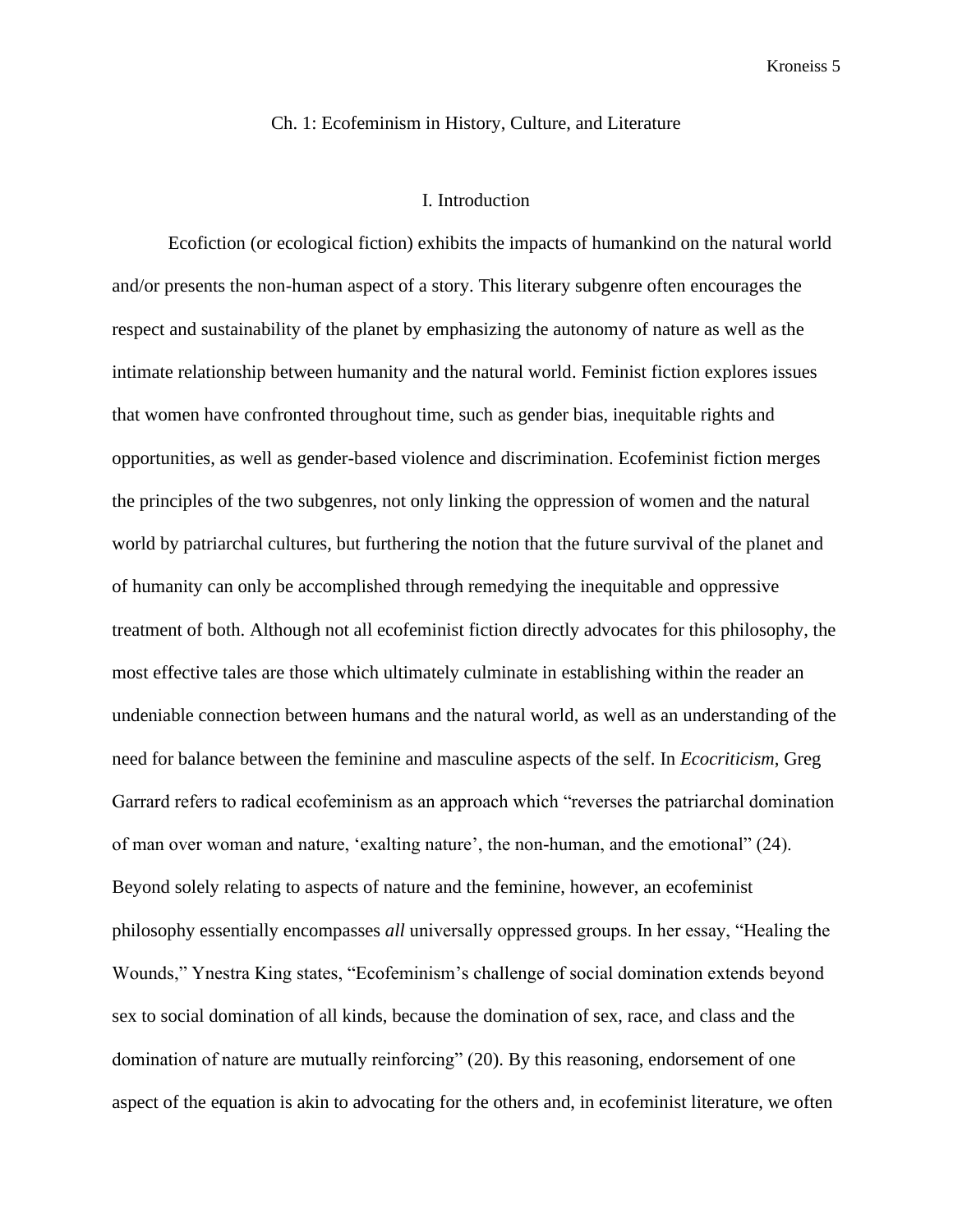#### Ch. 1: Ecofeminism in History, Culture, and Literature

#### I. Introduction

Ecofiction (or ecological fiction) exhibits the impacts of humankind on the natural world and/or presents the non-human aspect of a story. This literary subgenre often encourages the respect and sustainability of the planet by emphasizing the autonomy of nature as well as the intimate relationship between humanity and the natural world. Feminist fiction explores issues that women have confronted throughout time, such as gender bias, inequitable rights and opportunities, as well as gender-based violence and discrimination. Ecofeminist fiction merges the principles of the two subgenres, not only linking the oppression of women and the natural world by patriarchal cultures, but furthering the notion that the future survival of the planet and of humanity can only be accomplished through remedying the inequitable and oppressive treatment of both. Although not all ecofeminist fiction directly advocates for this philosophy, the most effective tales are those which ultimately culminate in establishing within the reader an undeniable connection between humans and the natural world, as well as an understanding of the need for balance between the feminine and masculine aspects of the self. In *Ecocriticism*, Greg Garrard refers to radical ecofeminism as an approach which "reverses the patriarchal domination of man over woman and nature, 'exalting nature', the non-human, and the emotional" (24). Beyond solely relating to aspects of nature and the feminine, however, an ecofeminist philosophy essentially encompasses *all* universally oppressed groups. In her essay, "Healing the Wounds," Ynestra King states, "Ecofeminism's challenge of social domination extends beyond sex to social domination of all kinds, because the domination of sex, race, and class and the domination of nature are mutually reinforcing" (20). By this reasoning, endorsement of one aspect of the equation is akin to advocating for the others and, in ecofeminist literature, we often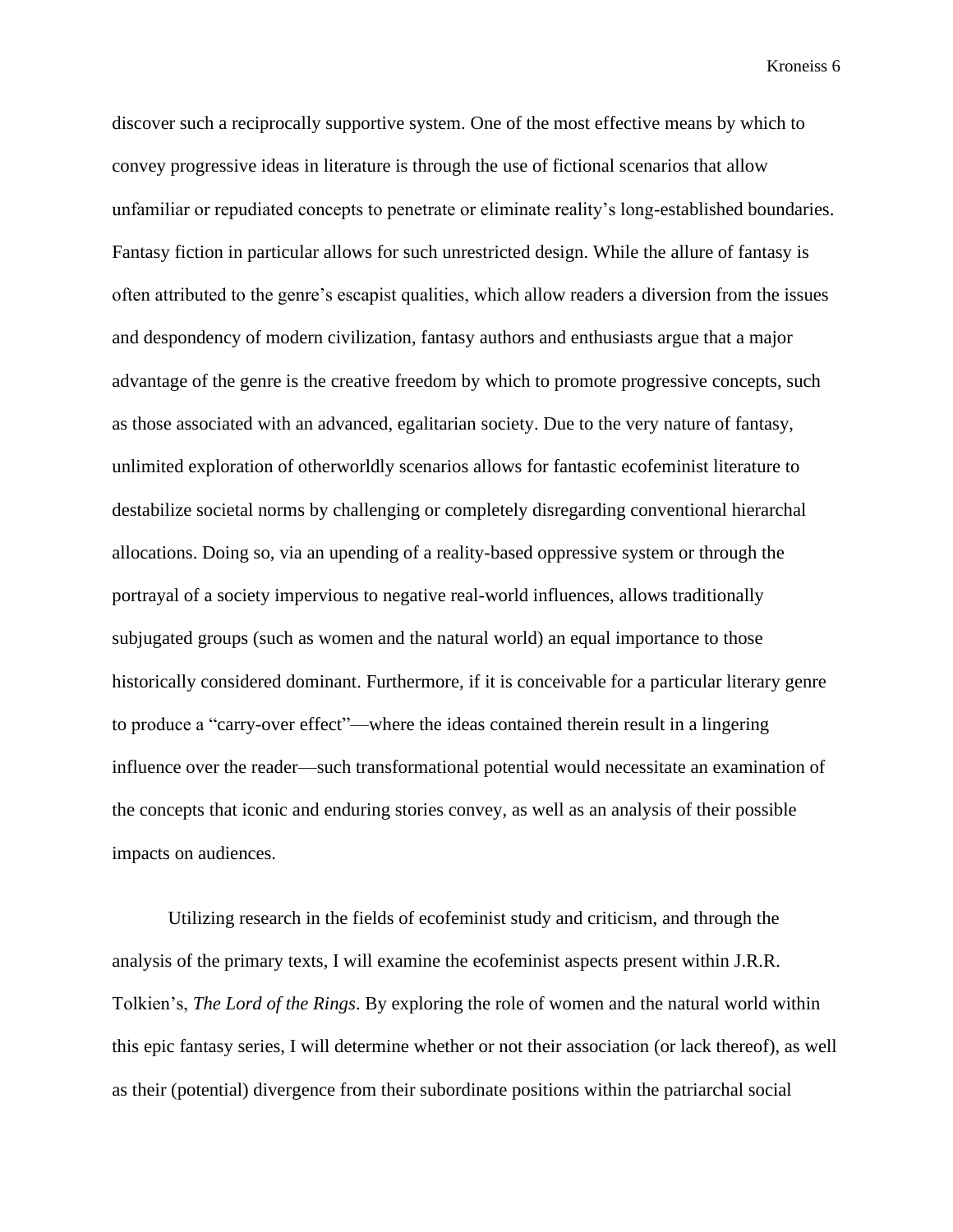discover such a reciprocally supportive system. One of the most effective means by which to convey progressive ideas in literature is through the use of fictional scenarios that allow unfamiliar or repudiated concepts to penetrate or eliminate reality's long-established boundaries. Fantasy fiction in particular allows for such unrestricted design. While the allure of fantasy is often attributed to the genre's escapist qualities, which allow readers a diversion from the issues and despondency of modern civilization, fantasy authors and enthusiasts argue that a major advantage of the genre is the creative freedom by which to promote progressive concepts, such as those associated with an advanced, egalitarian society. Due to the very nature of fantasy, unlimited exploration of otherworldly scenarios allows for fantastic ecofeminist literature to destabilize societal norms by challenging or completely disregarding conventional hierarchal allocations. Doing so, via an upending of a reality-based oppressive system or through the portrayal of a society impervious to negative real-world influences, allows traditionally subjugated groups (such as women and the natural world) an equal importance to those historically considered dominant. Furthermore, if it is conceivable for a particular literary genre to produce a "carry-over effect"—where the ideas contained therein result in a lingering influence over the reader—such transformational potential would necessitate an examination of the concepts that iconic and enduring stories convey, as well as an analysis of their possible impacts on audiences.

Utilizing research in the fields of ecofeminist study and criticism, and through the analysis of the primary texts, I will examine the ecofeminist aspects present within J.R.R. Tolkien's, *The Lord of the Rings*. By exploring the role of women and the natural world within this epic fantasy series, I will determine whether or not their association (or lack thereof), as well as their (potential) divergence from their subordinate positions within the patriarchal social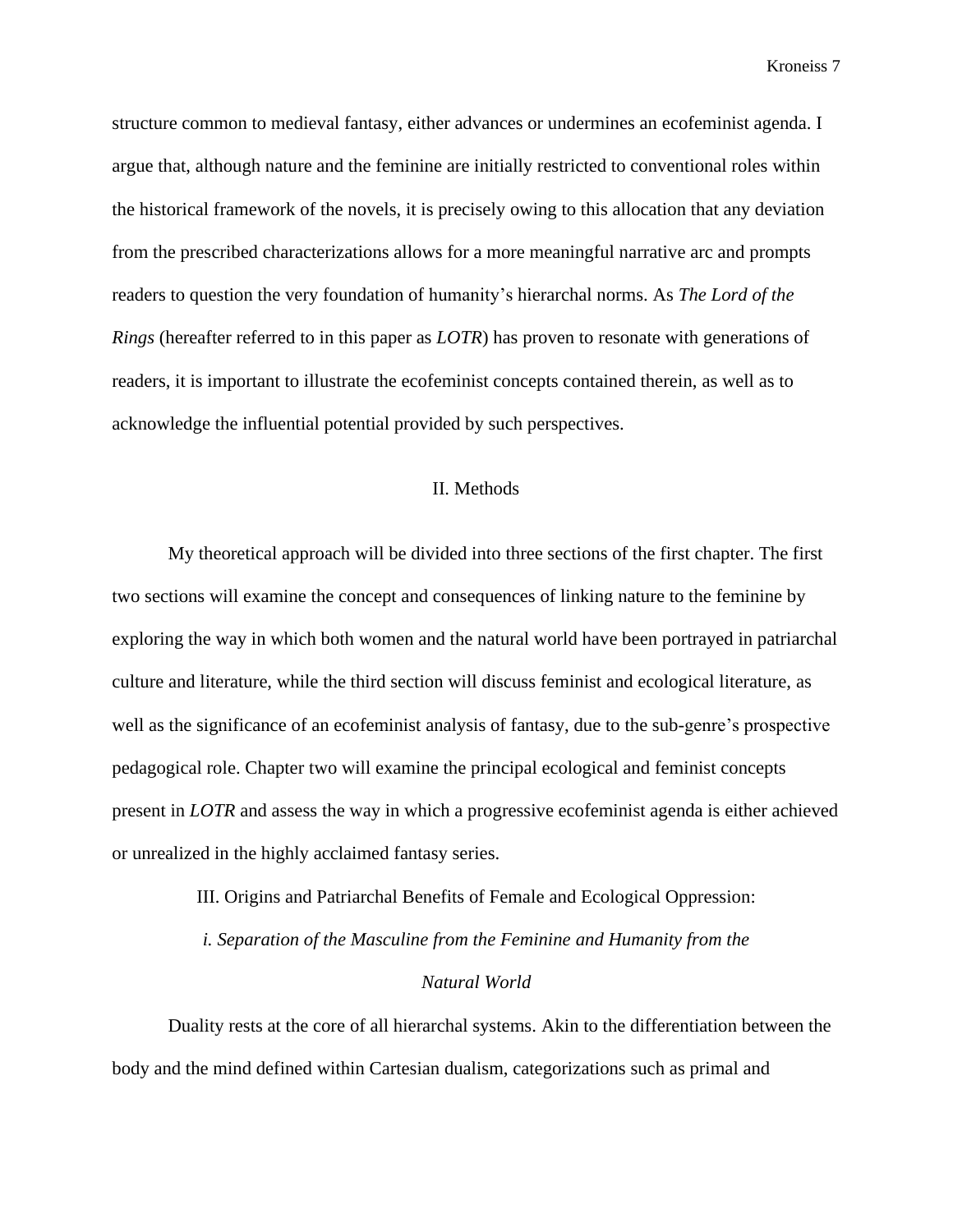structure common to medieval fantasy, either advances or undermines an ecofeminist agenda. I argue that, although nature and the feminine are initially restricted to conventional roles within the historical framework of the novels, it is precisely owing to this allocation that any deviation from the prescribed characterizations allows for a more meaningful narrative arc and prompts readers to question the very foundation of humanity's hierarchal norms. As *The Lord of the Rings* (hereafter referred to in this paper as *LOTR*) has proven to resonate with generations of readers, it is important to illustrate the ecofeminist concepts contained therein, as well as to acknowledge the influential potential provided by such perspectives.

#### II. Methods

My theoretical approach will be divided into three sections of the first chapter. The first two sections will examine the concept and consequences of linking nature to the feminine by exploring the way in which both women and the natural world have been portrayed in patriarchal culture and literature, while the third section will discuss feminist and ecological literature, as well as the significance of an ecofeminist analysis of fantasy, due to the sub-genre's prospective pedagogical role. Chapter two will examine the principal ecological and feminist concepts present in *LOTR* and assess the way in which a progressive ecofeminist agenda is either achieved or unrealized in the highly acclaimed fantasy series.

III. Origins and Patriarchal Benefits of Female and Ecological Oppression:

*i. Separation of the Masculine from the Feminine and Humanity from the* 

### *Natural World*

Duality rests at the core of all hierarchal systems. Akin to the differentiation between the body and the mind defined within Cartesian dualism, categorizations such as primal and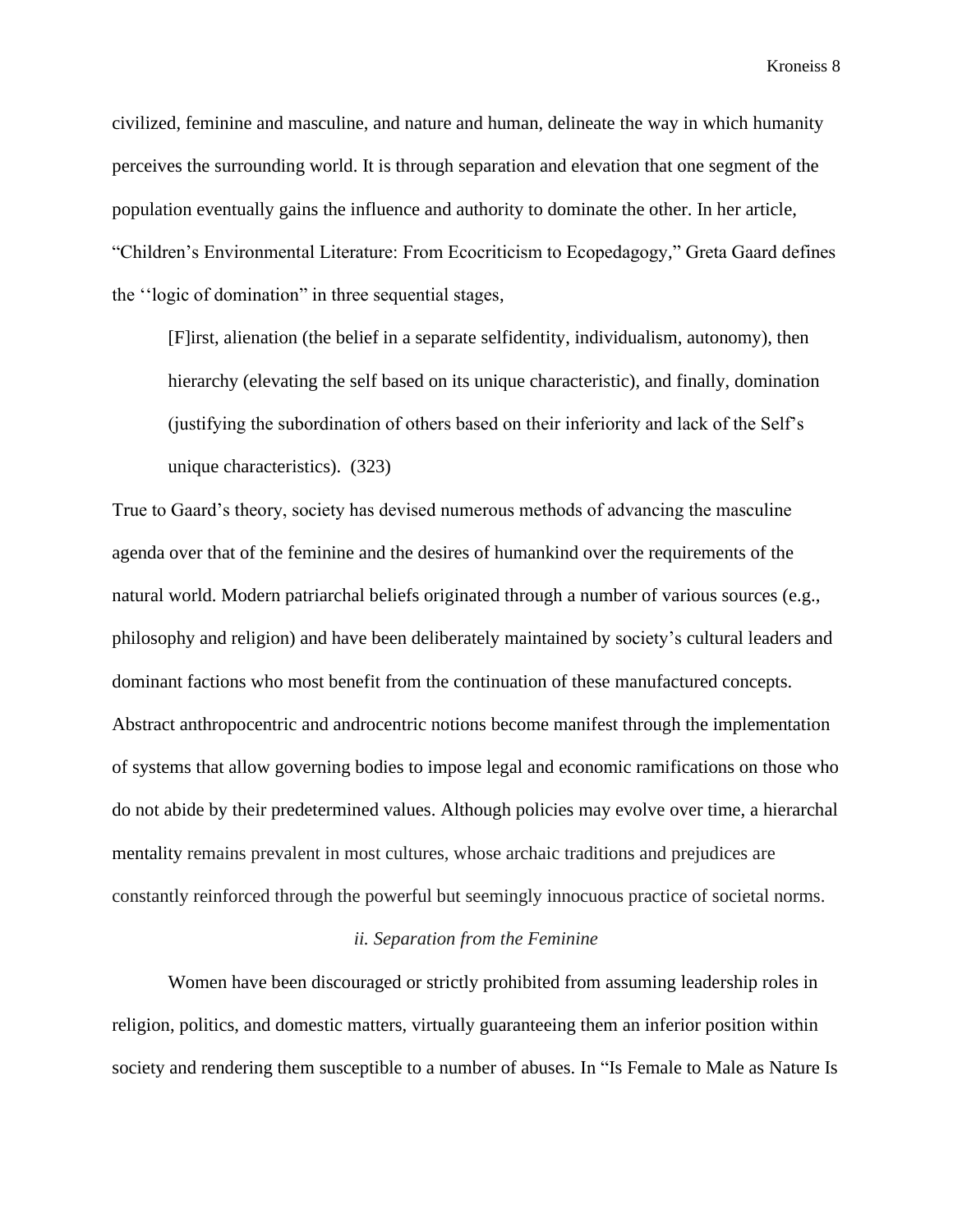civilized, feminine and masculine, and nature and human, delineate the way in which humanity perceives the surrounding world. It is through separation and elevation that one segment of the population eventually gains the influence and authority to dominate the other. In her article, "Children's Environmental Literature: From Ecocriticism to Ecopedagogy," Greta Gaard defines the ''logic of domination" in three sequential stages,

[F]irst, alienation (the belief in a separate selfidentity, individualism, autonomy), then hierarchy (elevating the self based on its unique characteristic), and finally, domination (justifying the subordination of others based on their inferiority and lack of the Self's unique characteristics). (323)

True to Gaard's theory, society has devised numerous methods of advancing the masculine agenda over that of the feminine and the desires of humankind over the requirements of the natural world. Modern patriarchal beliefs originated through a number of various sources (e.g., philosophy and religion) and have been deliberately maintained by society's cultural leaders and dominant factions who most benefit from the continuation of these manufactured concepts. Abstract anthropocentric and androcentric notions become manifest through the implementation of systems that allow governing bodies to impose legal and economic ramifications on those who do not abide by their predetermined values. Although policies may evolve over time, a hierarchal mentality remains prevalent in most cultures, whose archaic traditions and prejudices are constantly reinforced through the powerful but seemingly innocuous practice of societal norms.

### *ii. Separation from the Feminine*

Women have been discouraged or strictly prohibited from assuming leadership roles in religion, politics, and domestic matters, virtually guaranteeing them an inferior position within society and rendering them susceptible to a number of abuses. In "Is Female to Male as Nature Is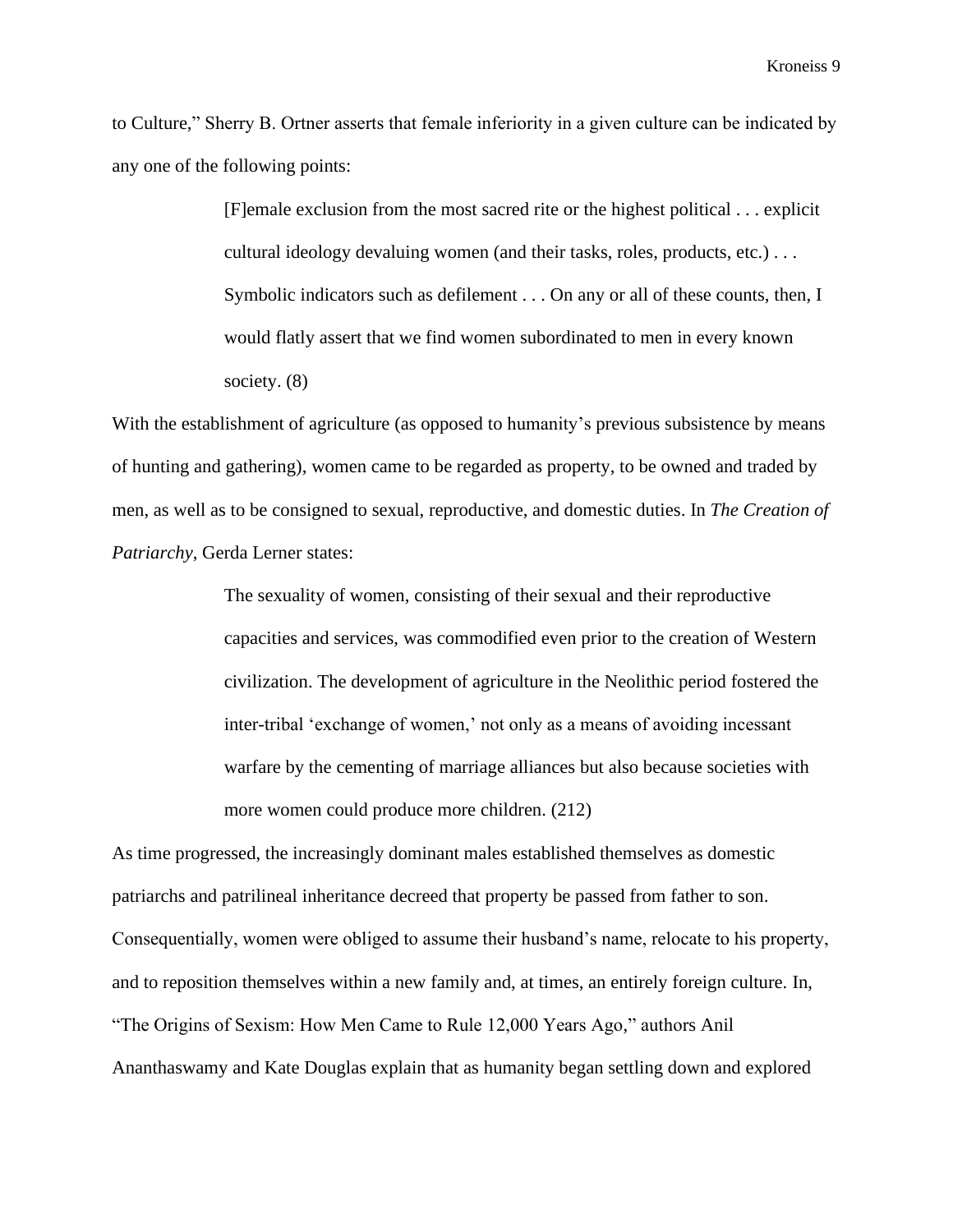to Culture," Sherry B. Ortner asserts that female inferiority in a given culture can be indicated by any one of the following points:

> [F]emale exclusion from the most sacred rite or the highest political . . . explicit cultural ideology devaluing women (and their tasks, roles, products, etc.) . . . Symbolic indicators such as defilement . . . On any or all of these counts, then, I would flatly assert that we find women subordinated to men in every known society. (8)

With the establishment of agriculture (as opposed to humanity's previous subsistence by means of hunting and gathering), women came to be regarded as property, to be owned and traded by men, as well as to be consigned to sexual, reproductive, and domestic duties. In *The Creation of Patriarchy*, Gerda Lerner states:

> The sexuality of women, consisting of their sexual and their reproductive capacities and services, was commodified even prior to the creation of Western civilization. The development of agriculture in the Neolithic period fostered the inter-tribal 'exchange of women,' not only as a means of avoiding incessant warfare by the cementing of marriage alliances but also because societies with more women could produce more children. (212)

As time progressed, the increasingly dominant males established themselves as domestic patriarchs and patrilineal inheritance decreed that property be passed from father to son. Consequentially, women were obliged to assume their husband's name, relocate to his property, and to reposition themselves within a new family and, at times, an entirely foreign culture. In, "The Origins of Sexism: How Men Came to Rule 12,000 Years Ago," authors Anil Ananthaswamy and Kate Douglas explain that as humanity began settling down and explored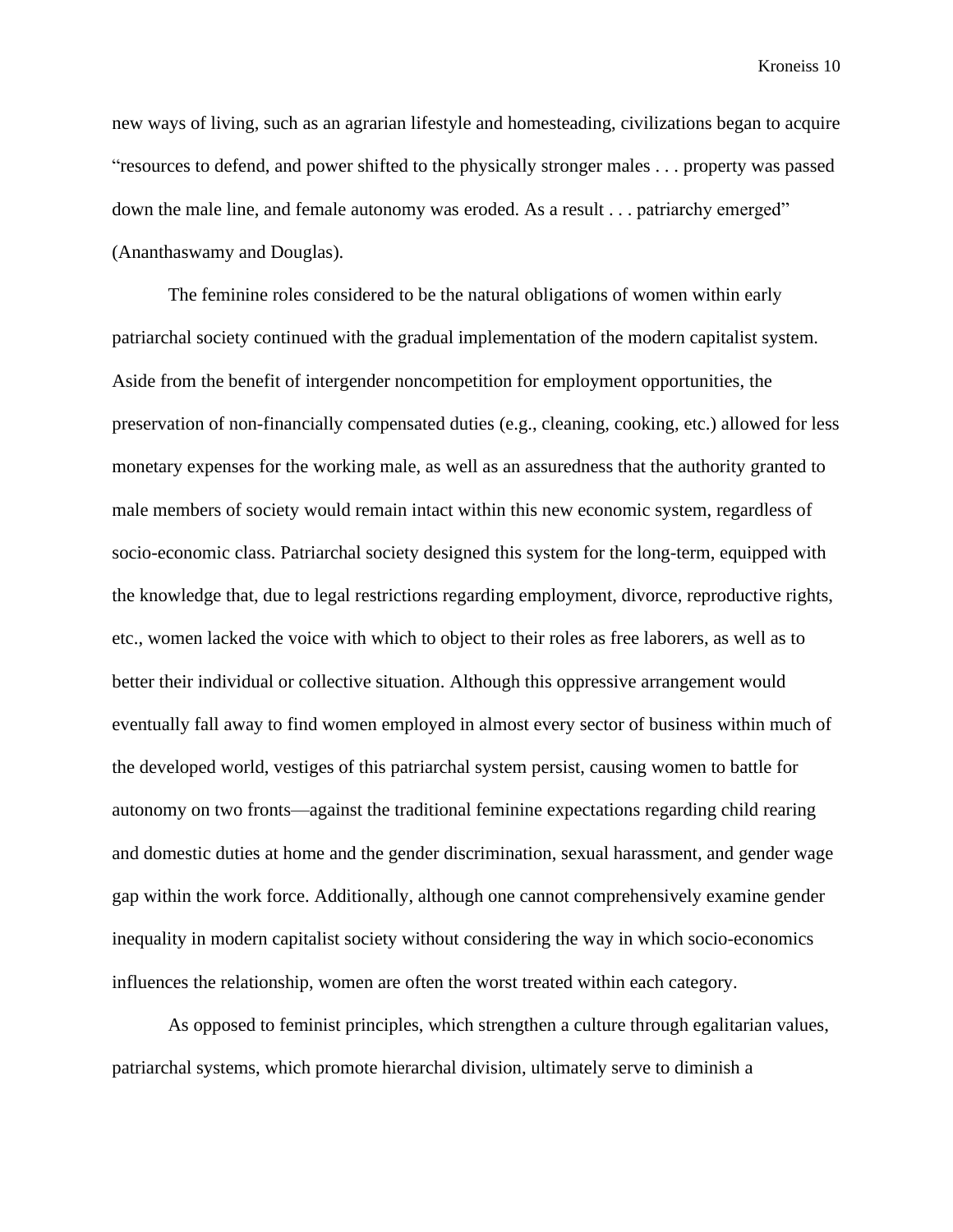new ways of living, such as an agrarian lifestyle and homesteading, civilizations began to acquire "resources to defend, and power shifted to the physically stronger males . . . property was passed down the male line, and female autonomy was eroded. As a result . . . patriarchy emerged" (Ananthaswamy and Douglas).

The feminine roles considered to be the natural obligations of women within early patriarchal society continued with the gradual implementation of the modern capitalist system. Aside from the benefit of intergender noncompetition for employment opportunities, the preservation of non-financially compensated duties (e.g., cleaning, cooking, etc.) allowed for less monetary expenses for the working male, as well as an assuredness that the authority granted to male members of society would remain intact within this new economic system, regardless of socio-economic class. Patriarchal society designed this system for the long-term, equipped with the knowledge that, due to legal restrictions regarding employment, divorce, reproductive rights, etc., women lacked the voice with which to object to their roles as free laborers, as well as to better their individual or collective situation. Although this oppressive arrangement would eventually fall away to find women employed in almost every sector of business within much of the developed world, vestiges of this patriarchal system persist, causing women to battle for autonomy on two fronts—against the traditional feminine expectations regarding child rearing and domestic duties at home and the gender discrimination, sexual harassment, and gender wage gap within the work force. Additionally, although one cannot comprehensively examine gender inequality in modern capitalist society without considering the way in which socio-economics influences the relationship, women are often the worst treated within each category.

As opposed to feminist principles, which strengthen a culture through egalitarian values, patriarchal systems, which promote hierarchal division, ultimately serve to diminish a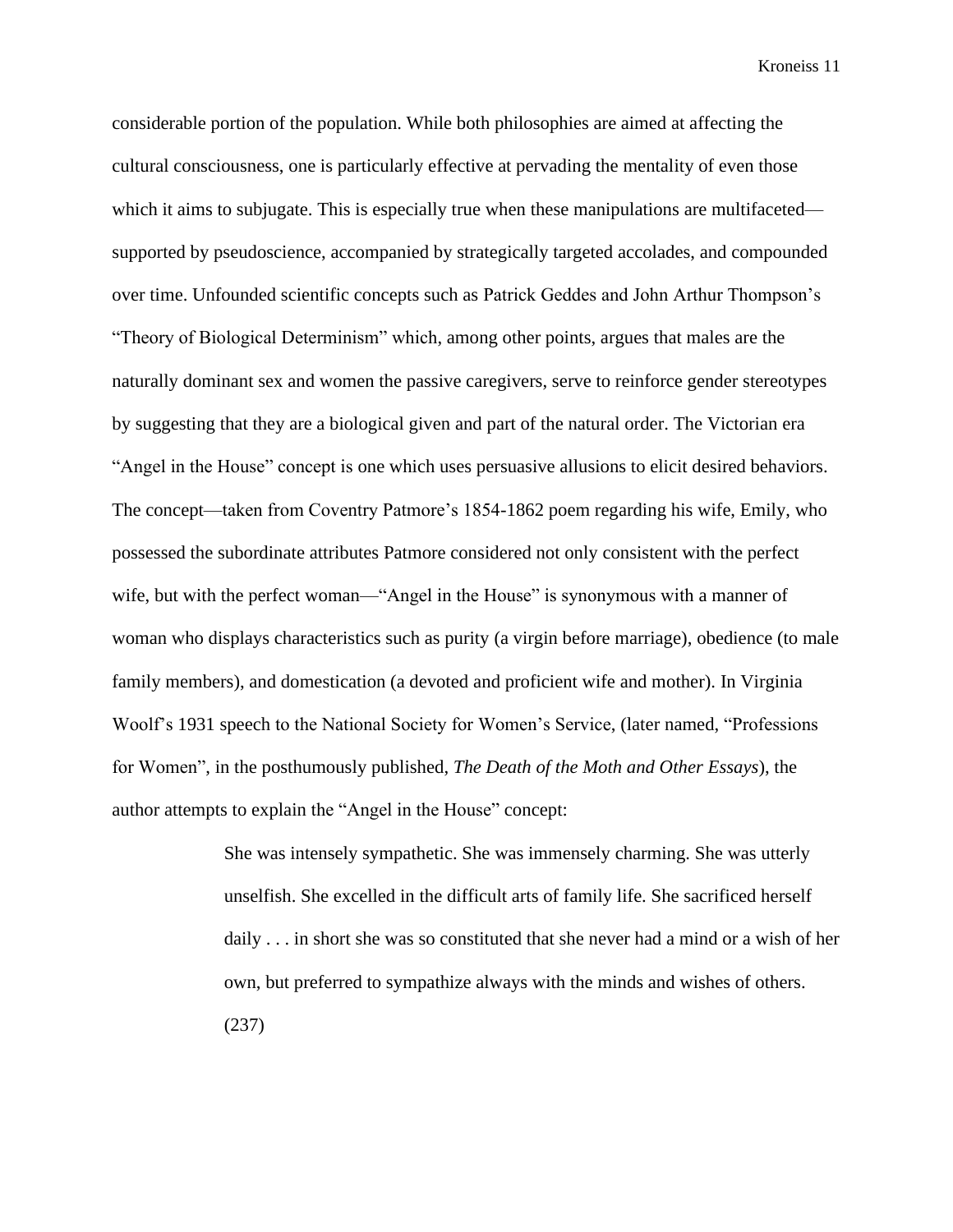considerable portion of the population. While both philosophies are aimed at affecting the cultural consciousness, one is particularly effective at pervading the mentality of even those which it aims to subjugate. This is especially true when these manipulations are multifaceted supported by pseudoscience, accompanied by strategically targeted accolades, and compounded over time. Unfounded scientific concepts such as Patrick Geddes and John Arthur Thompson's "Theory of Biological Determinism" which, among other points, argues that males are the naturally dominant sex and women the passive caregivers, serve to reinforce gender stereotypes by suggesting that they are a biological given and part of the natural order. The Victorian era "Angel in the House" concept is one which uses persuasive allusions to elicit desired behaviors. The concept—taken from Coventry Patmore's 1854-1862 poem regarding his wife, Emily, who possessed the subordinate attributes Patmore considered not only consistent with the perfect wife, but with the perfect woman—"Angel in the House" is synonymous with a manner of woman who displays characteristics such as purity (a virgin before marriage), obedience (to male family members), and domestication (a devoted and proficient wife and mother). In Virginia Woolf's 1931 speech to the National Society for Women's Service, (later named, "Professions for Women", in the posthumously published, *The Death of the Moth and Other Essays*), the author attempts to explain the "Angel in the House" concept:

> She was intensely sympathetic. She was immensely charming. She was utterly unselfish. She excelled in the difficult arts of family life. She sacrificed herself daily . . . in short she was so constituted that she never had a mind or a wish of her own, but preferred to sympathize always with the minds and wishes of others. (237)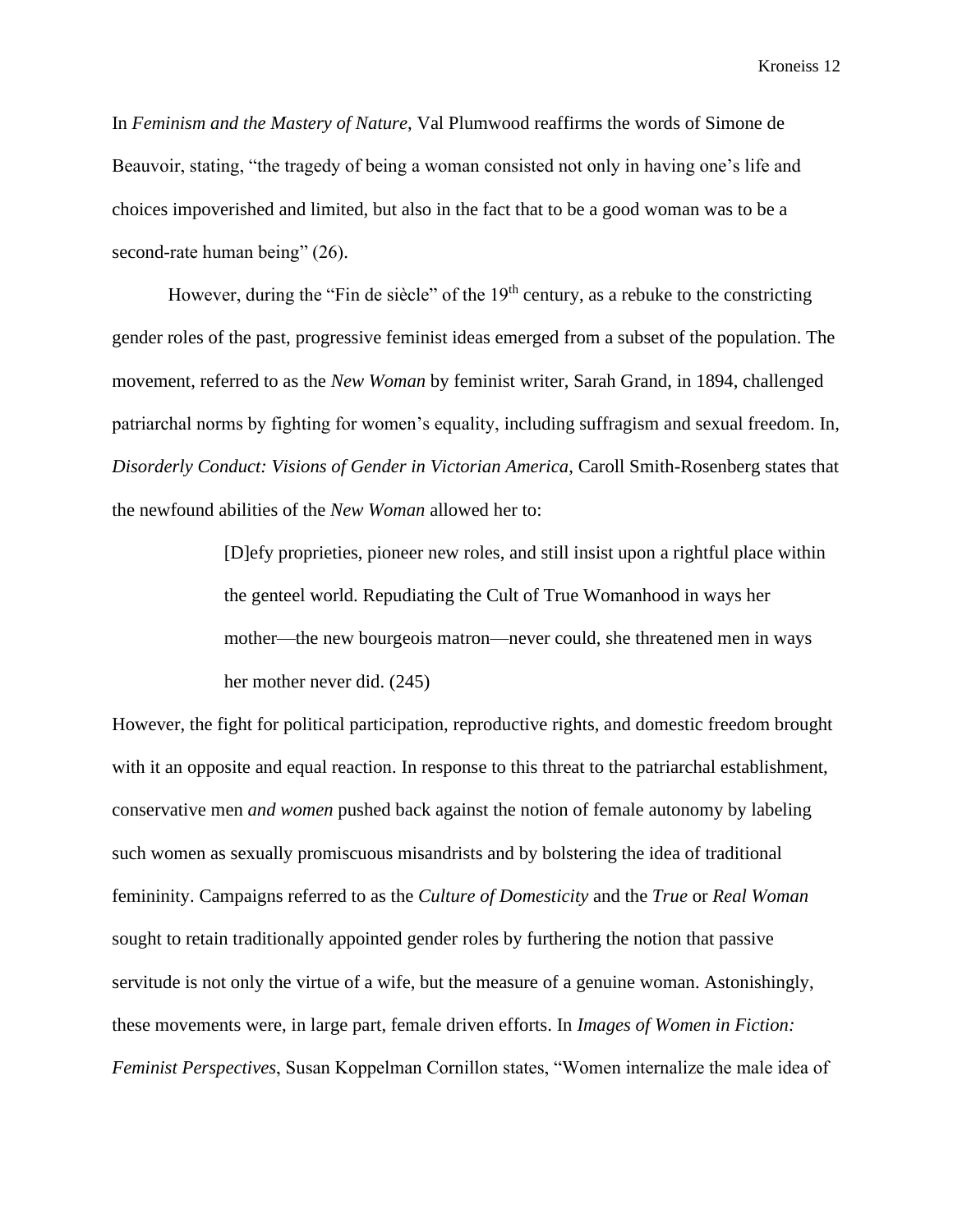In *Feminism and the Mastery of Nature*, Val Plumwood reaffirms the words of Simone de Beauvoir, stating, "the tragedy of being a woman consisted not only in having one's life and choices impoverished and limited, but also in the fact that to be a good woman was to be a second-rate human being" (26).

However, during the "Fin de siècle" of the 19<sup>th</sup> century, as a rebuke to the constricting gender roles of the past, progressive feminist ideas emerged from a subset of the population. The movement, referred to as the *New Woman* by feminist writer, Sarah Grand, in 1894, challenged patriarchal norms by fighting for women's equality, including suffragism and sexual freedom. In, *Disorderly Conduct: Visions of Gender in Victorian America*, Caroll Smith-Rosenberg states that the newfound abilities of the *New Woman* allowed her to:

> [D]efy proprieties, pioneer new roles, and still insist upon a rightful place within the genteel world. Repudiating the Cult of True Womanhood in ways her mother—the new bourgeois matron—never could, she threatened men in ways her mother never did. (245)

However, the fight for political participation, reproductive rights, and domestic freedom brought with it an opposite and equal reaction. In response to this threat to the patriarchal establishment, conservative men *and women* pushed back against the notion of female autonomy by labeling such women as sexually promiscuous misandrists and by bolstering the idea of traditional femininity. Campaigns referred to as the *Culture of Domesticity* and the *True* or *Real Woman* sought to retain traditionally appointed gender roles by furthering the notion that passive servitude is not only the virtue of a wife, but the measure of a genuine woman. Astonishingly, these movements were, in large part, female driven efforts. In *Images of Women in Fiction: Feminist Perspectives*, Susan Koppelman Cornillon states, "Women internalize the male idea of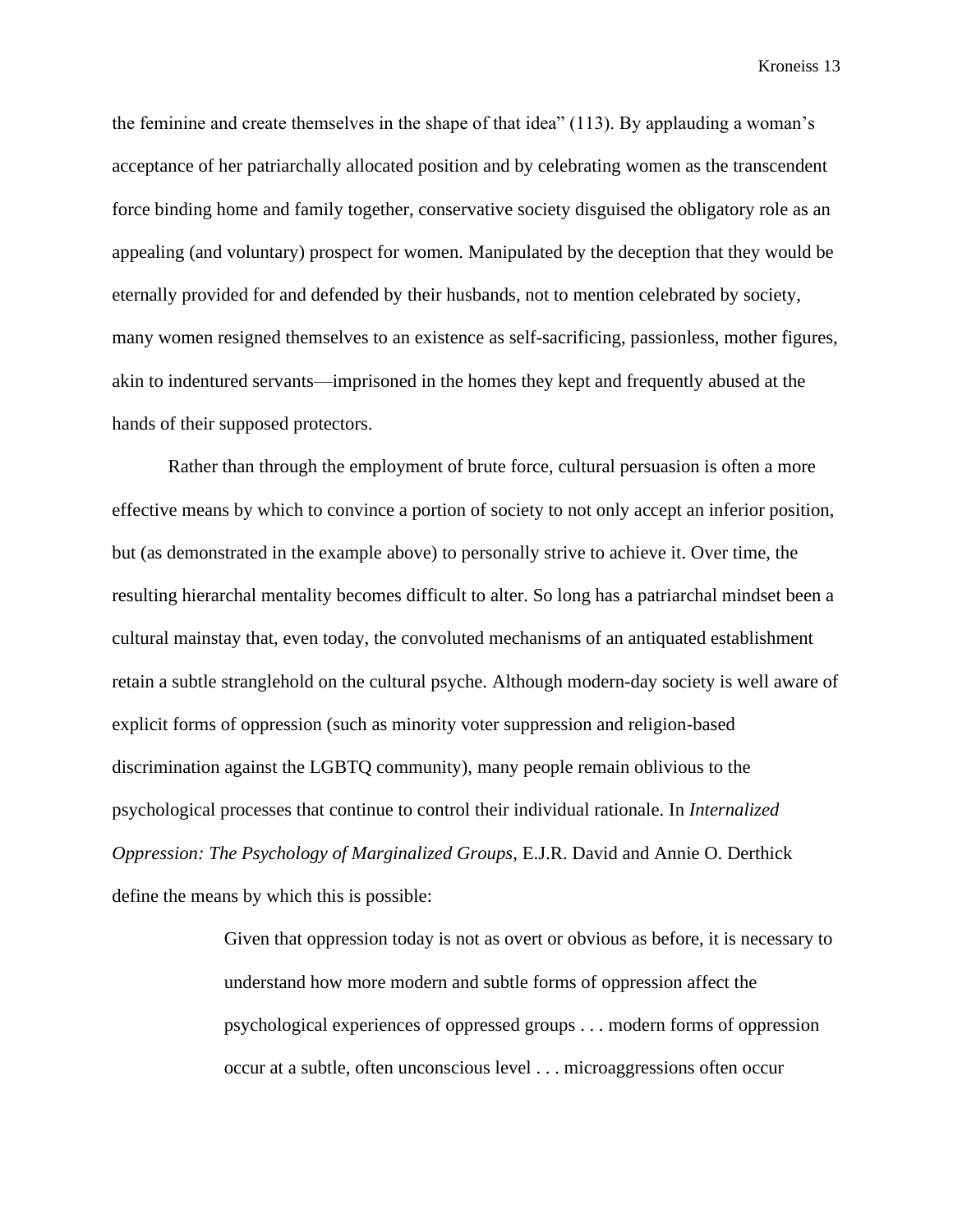the feminine and create themselves in the shape of that idea" (113). By applauding a woman's acceptance of her patriarchally allocated position and by celebrating women as the transcendent force binding home and family together, conservative society disguised the obligatory role as an appealing (and voluntary) prospect for women. Manipulated by the deception that they would be eternally provided for and defended by their husbands, not to mention celebrated by society, many women resigned themselves to an existence as self-sacrificing, passionless, mother figures, akin to indentured servants—imprisoned in the homes they kept and frequently abused at the hands of their supposed protectors.

Rather than through the employment of brute force, cultural persuasion is often a more effective means by which to convince a portion of society to not only accept an inferior position, but (as demonstrated in the example above) to personally strive to achieve it. Over time, the resulting hierarchal mentality becomes difficult to alter. So long has a patriarchal mindset been a cultural mainstay that, even today, the convoluted mechanisms of an antiquated establishment retain a subtle stranglehold on the cultural psyche. Although modern-day society is well aware of explicit forms of oppression (such as minority voter suppression and religion-based discrimination against the LGBTQ community), many people remain oblivious to the psychological processes that continue to control their individual rationale. In *Internalized Oppression: The Psychology of Marginalized Groups*, E.J.R. David and Annie O. Derthick define the means by which this is possible:

> Given that oppression today is not as overt or obvious as before, it is necessary to understand how more modern and subtle forms of oppression affect the psychological experiences of oppressed groups . . . modern forms of oppression occur at a subtle, often unconscious level . . . microaggressions often occur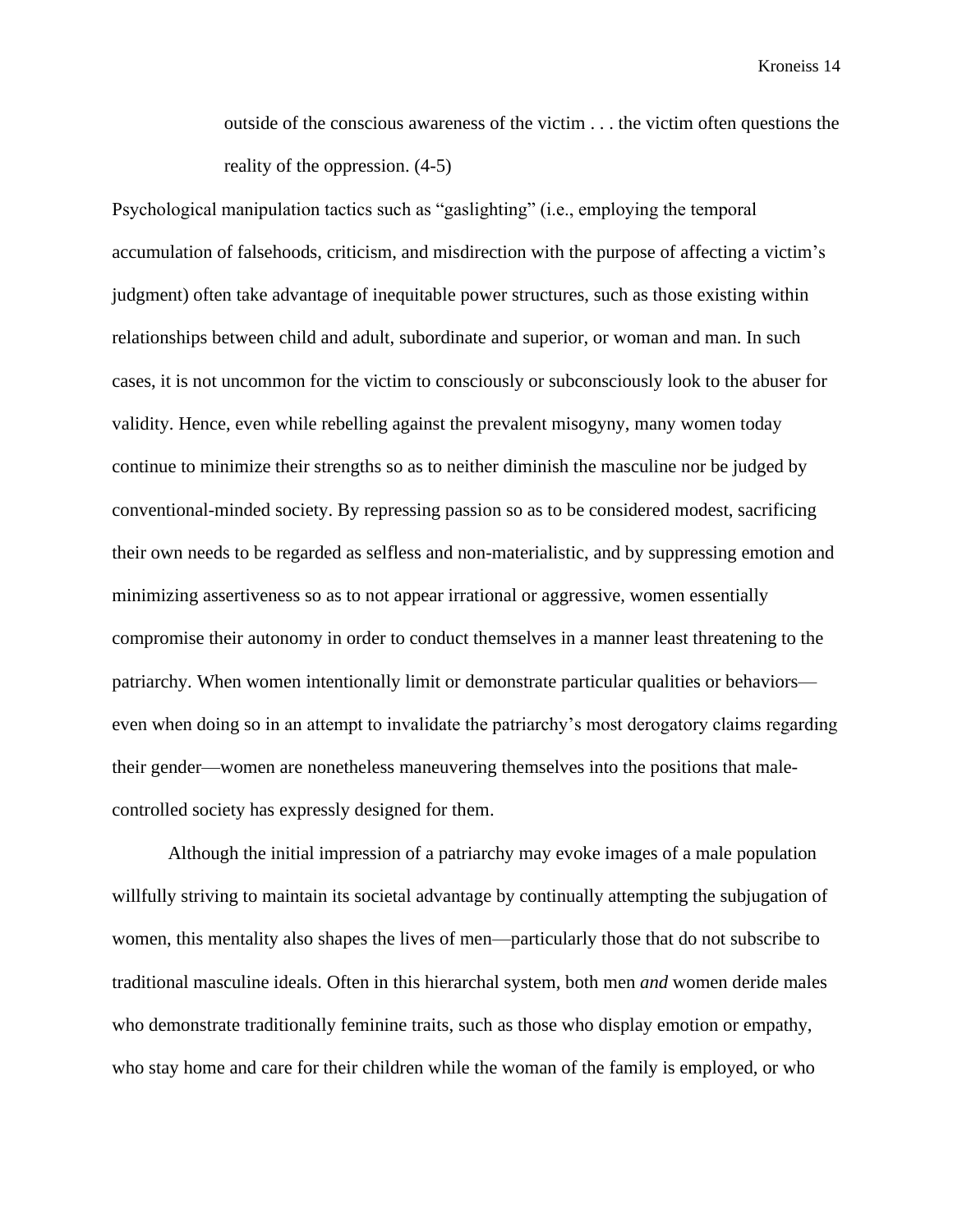outside of the conscious awareness of the victim . . . the victim often questions the reality of the oppression. (4-5)

Psychological manipulation tactics such as "gaslighting" (i.e., employing the temporal accumulation of falsehoods, criticism, and misdirection with the purpose of affecting a victim's judgment) often take advantage of inequitable power structures, such as those existing within relationships between child and adult, subordinate and superior, or woman and man. In such cases, it is not uncommon for the victim to consciously or subconsciously look to the abuser for validity. Hence, even while rebelling against the prevalent misogyny, many women today continue to minimize their strengths so as to neither diminish the masculine nor be judged by conventional-minded society. By repressing passion so as to be considered modest, sacrificing their own needs to be regarded as selfless and non-materialistic, and by suppressing emotion and minimizing assertiveness so as to not appear irrational or aggressive, women essentially compromise their autonomy in order to conduct themselves in a manner least threatening to the patriarchy. When women intentionally limit or demonstrate particular qualities or behaviors even when doing so in an attempt to invalidate the patriarchy's most derogatory claims regarding their gender—women are nonetheless maneuvering themselves into the positions that malecontrolled society has expressly designed for them.

Although the initial impression of a patriarchy may evoke images of a male population willfully striving to maintain its societal advantage by continually attempting the subjugation of women, this mentality also shapes the lives of men—particularly those that do not subscribe to traditional masculine ideals. Often in this hierarchal system, both men *and* women deride males who demonstrate traditionally feminine traits, such as those who display emotion or empathy, who stay home and care for their children while the woman of the family is employed, or who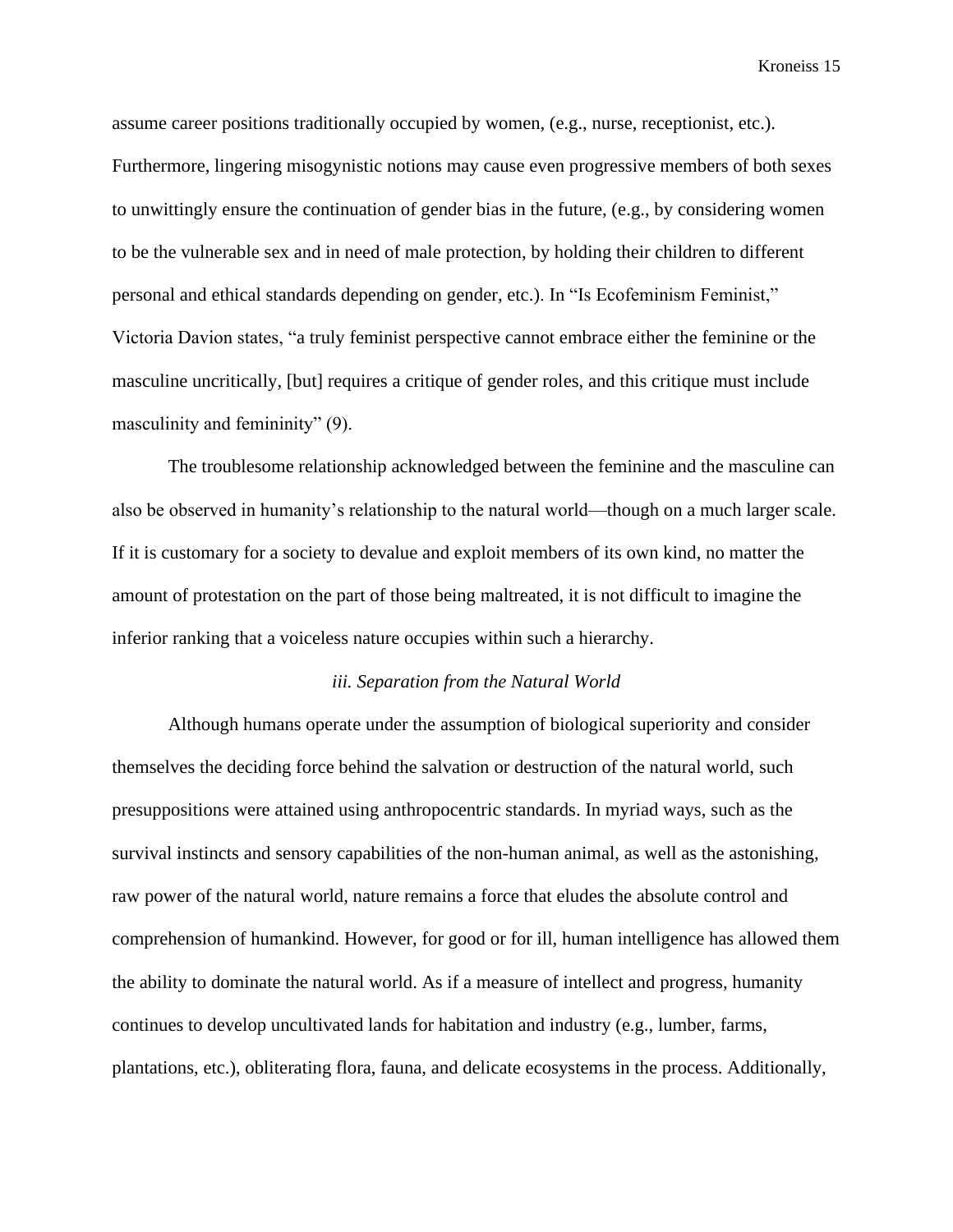assume career positions traditionally occupied by women, (e.g., nurse, receptionist, etc.). Furthermore, lingering misogynistic notions may cause even progressive members of both sexes to unwittingly ensure the continuation of gender bias in the future, (e.g., by considering women to be the vulnerable sex and in need of male protection, by holding their children to different personal and ethical standards depending on gender, etc.). In "Is Ecofeminism Feminist," Victoria Davion states, "a truly feminist perspective cannot embrace either the feminine or the masculine uncritically, [but] requires a critique of gender roles, and this critique must include masculinity and femininity" (9).

The troublesome relationship acknowledged between the feminine and the masculine can also be observed in humanity's relationship to the natural world—though on a much larger scale. If it is customary for a society to devalue and exploit members of its own kind, no matter the amount of protestation on the part of those being maltreated, it is not difficult to imagine the inferior ranking that a voiceless nature occupies within such a hierarchy.

#### *iii. Separation from the Natural World*

Although humans operate under the assumption of biological superiority and consider themselves the deciding force behind the salvation or destruction of the natural world, such presuppositions were attained using anthropocentric standards. In myriad ways, such as the survival instincts and sensory capabilities of the non-human animal, as well as the astonishing, raw power of the natural world, nature remains a force that eludes the absolute control and comprehension of humankind. However, for good or for ill, human intelligence has allowed them the ability to dominate the natural world. As if a measure of intellect and progress, humanity continues to develop uncultivated lands for habitation and industry (e.g., lumber, farms, plantations, etc.), obliterating flora, fauna, and delicate ecosystems in the process. Additionally,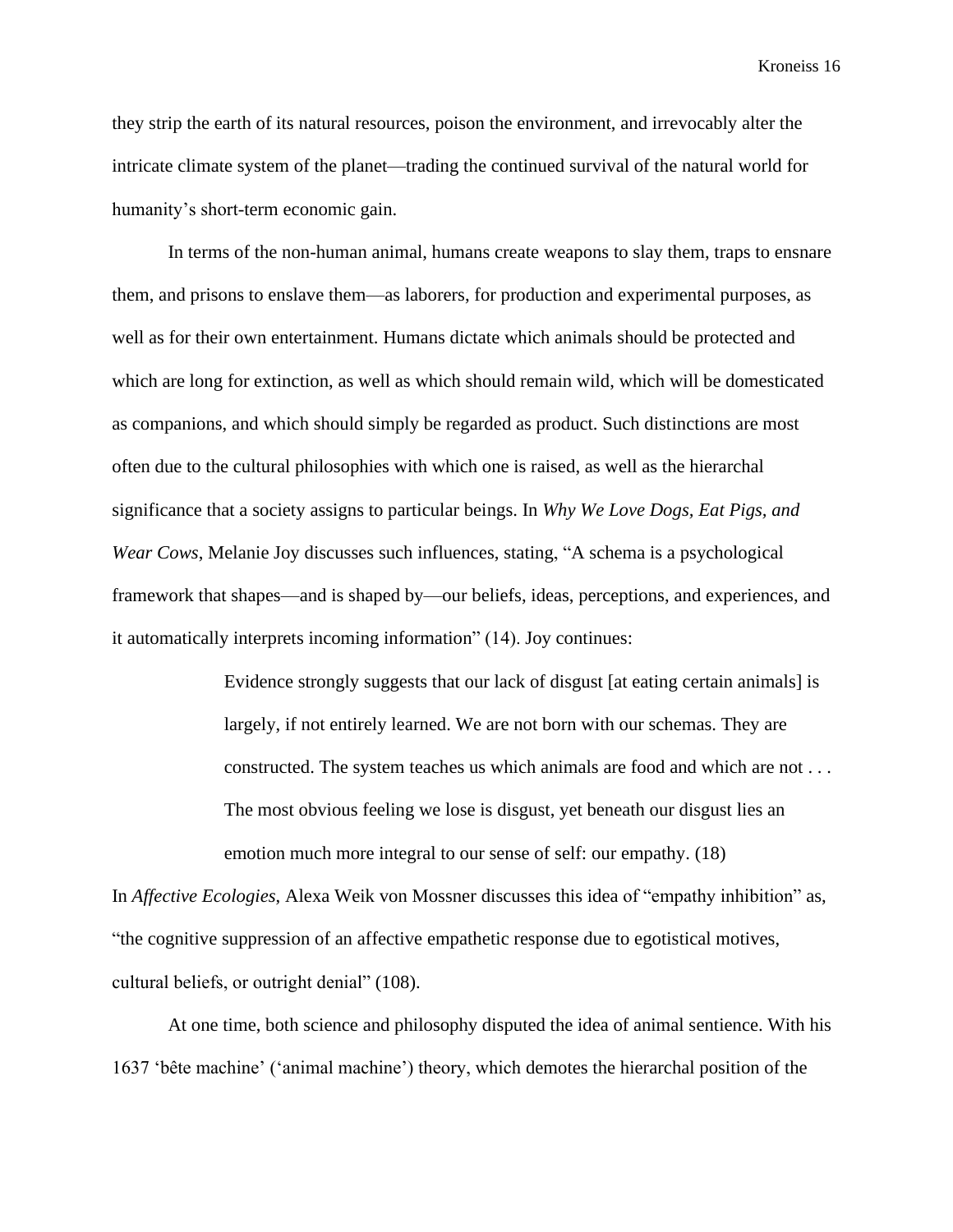they strip the earth of its natural resources, poison the environment, and irrevocably alter the intricate climate system of the planet—trading the continued survival of the natural world for humanity's short-term economic gain.

In terms of the non-human animal, humans create weapons to slay them, traps to ensnare them, and prisons to enslave them—as laborers, for production and experimental purposes, as well as for their own entertainment. Humans dictate which animals should be protected and which are long for extinction, as well as which should remain wild, which will be domesticated as companions, and which should simply be regarded as product. Such distinctions are most often due to the cultural philosophies with which one is raised, as well as the hierarchal significance that a society assigns to particular beings. In *Why We Love Dogs, Eat Pigs, and Wear Cows*, Melanie Joy discusses such influences, stating, "A schema is a psychological framework that shapes—and is shaped by—our beliefs, ideas, perceptions, and experiences, and it automatically interprets incoming information" (14). Joy continues:

> Evidence strongly suggests that our lack of disgust [at eating certain animals] is largely, if not entirely learned. We are not born with our schemas. They are constructed. The system teaches us which animals are food and which are not . . . The most obvious feeling we lose is disgust, yet beneath our disgust lies an emotion much more integral to our sense of self: our empathy. (18)

In *Affective Ecologies*, Alexa Weik von Mossner discusses this idea of "empathy inhibition" as, "the cognitive suppression of an affective empathetic response due to egotistical motives, cultural beliefs, or outright denial" (108).

At one time, both science and philosophy disputed the idea of animal sentience. With his 1637 'bête machine' ('animal machine') theory, which demotes the hierarchal position of the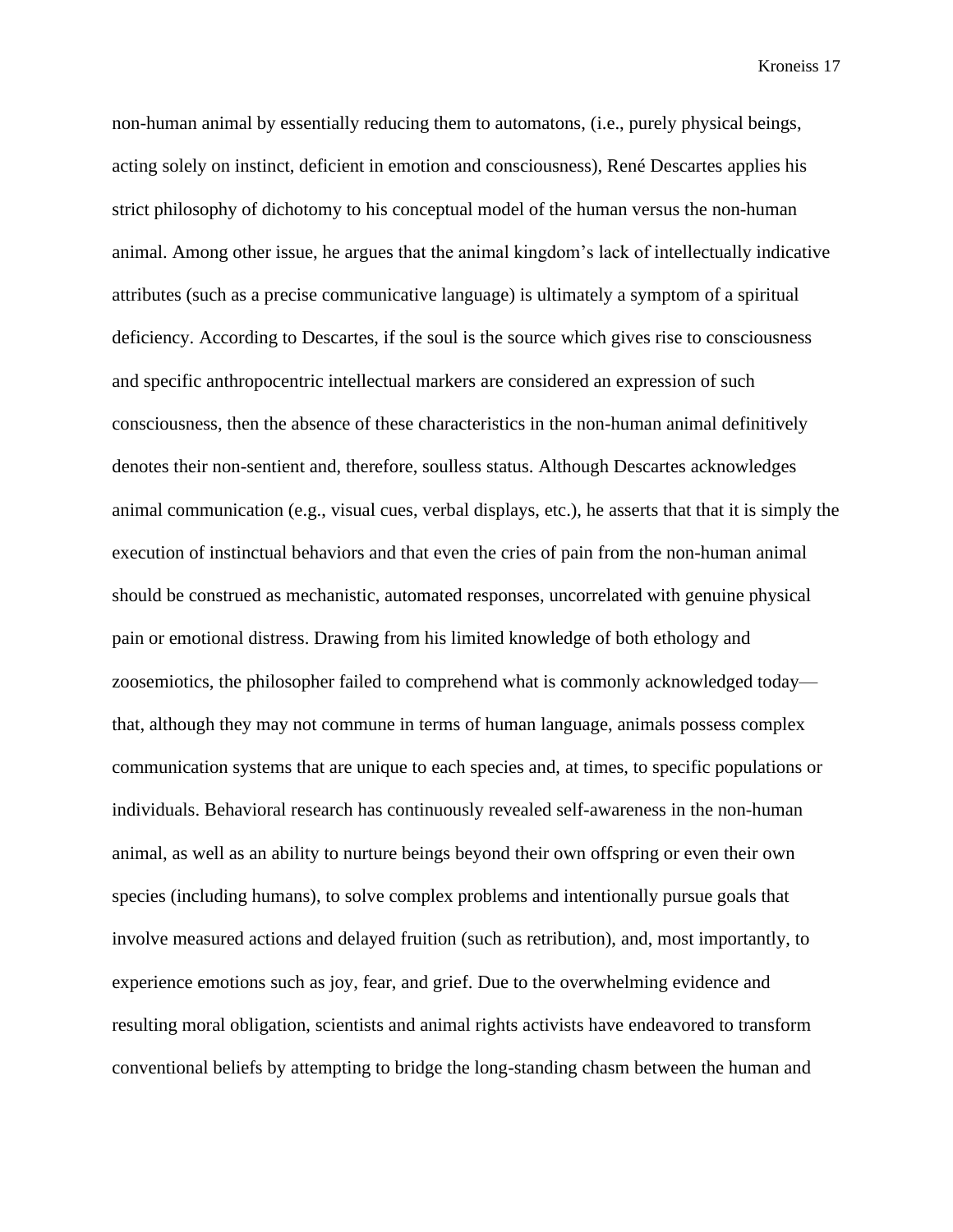non-human animal by essentially reducing them to automatons, (i.e., purely physical beings, acting solely on instinct, deficient in emotion and consciousness), René Descartes applies his strict philosophy of dichotomy to his conceptual model of the human versus the non-human animal. Among other issue, he argues that the animal kingdom's lack of intellectually indicative attributes (such as a precise communicative language) is ultimately a symptom of a spiritual deficiency. According to Descartes, if the soul is the source which gives rise to consciousness and specific anthropocentric intellectual markers are considered an expression of such consciousness, then the absence of these characteristics in the non-human animal definitively denotes their non-sentient and, therefore, soulless status. Although Descartes acknowledges animal communication (e.g., visual cues, verbal displays, etc.), he asserts that that it is simply the execution of instinctual behaviors and that even the cries of pain from the non-human animal should be construed as mechanistic, automated responses, uncorrelated with genuine physical pain or emotional distress. Drawing from his limited knowledge of both ethology and zoosemiotics, the philosopher failed to comprehend what is commonly acknowledged today that, although they may not commune in terms of human language, animals possess complex communication systems that are unique to each species and, at times, to specific populations or individuals. Behavioral research has continuously revealed self-awareness in the non-human animal, as well as an ability to nurture beings beyond their own offspring or even their own species (including humans), to solve complex problems and intentionally pursue goals that involve measured actions and delayed fruition (such as retribution), and, most importantly, to experience emotions such as joy, fear, and grief. Due to the overwhelming evidence and resulting moral obligation, scientists and animal rights activists have endeavored to transform conventional beliefs by attempting to bridge the long-standing chasm between the human and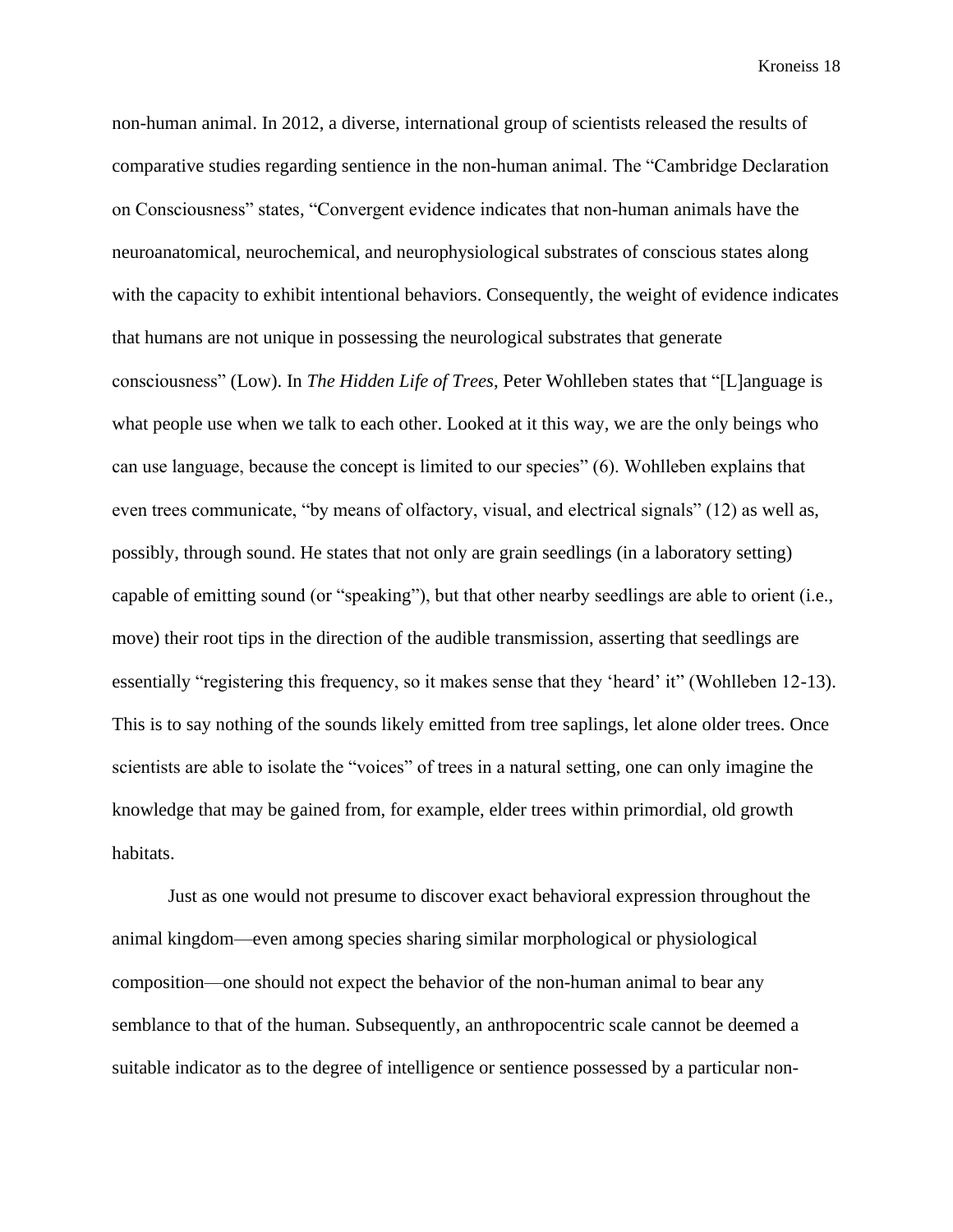non-human animal. In 2012, a diverse, international group of scientists released the results of comparative studies regarding sentience in the non-human animal. The "Cambridge Declaration on Consciousness" states, "Convergent evidence indicates that non-human animals have the neuroanatomical, neurochemical, and neurophysiological substrates of conscious states along with the capacity to exhibit intentional behaviors. Consequently, the weight of evidence indicates that humans are not unique in possessing the neurological substrates that generate consciousness" (Low). In *The Hidden Life of Trees*, Peter Wohlleben states that "[L]anguage is what people use when we talk to each other. Looked at it this way, we are the only beings who can use language, because the concept is limited to our species" (6). Wohlleben explains that even trees communicate, "by means of olfactory, visual, and electrical signals" (12) as well as, possibly, through sound. He states that not only are grain seedlings (in a laboratory setting) capable of emitting sound (or "speaking"), but that other nearby seedlings are able to orient (i.e., move) their root tips in the direction of the audible transmission, asserting that seedlings are essentially "registering this frequency, so it makes sense that they 'heard' it" (Wohlleben 12-13). This is to say nothing of the sounds likely emitted from tree saplings, let alone older trees. Once scientists are able to isolate the "voices" of trees in a natural setting, one can only imagine the knowledge that may be gained from, for example, elder trees within primordial, old growth habitats.

Just as one would not presume to discover exact behavioral expression throughout the animal kingdom—even among species sharing similar morphological or physiological composition—one should not expect the behavior of the non-human animal to bear any semblance to that of the human. Subsequently, an anthropocentric scale cannot be deemed a suitable indicator as to the degree of intelligence or sentience possessed by a particular non-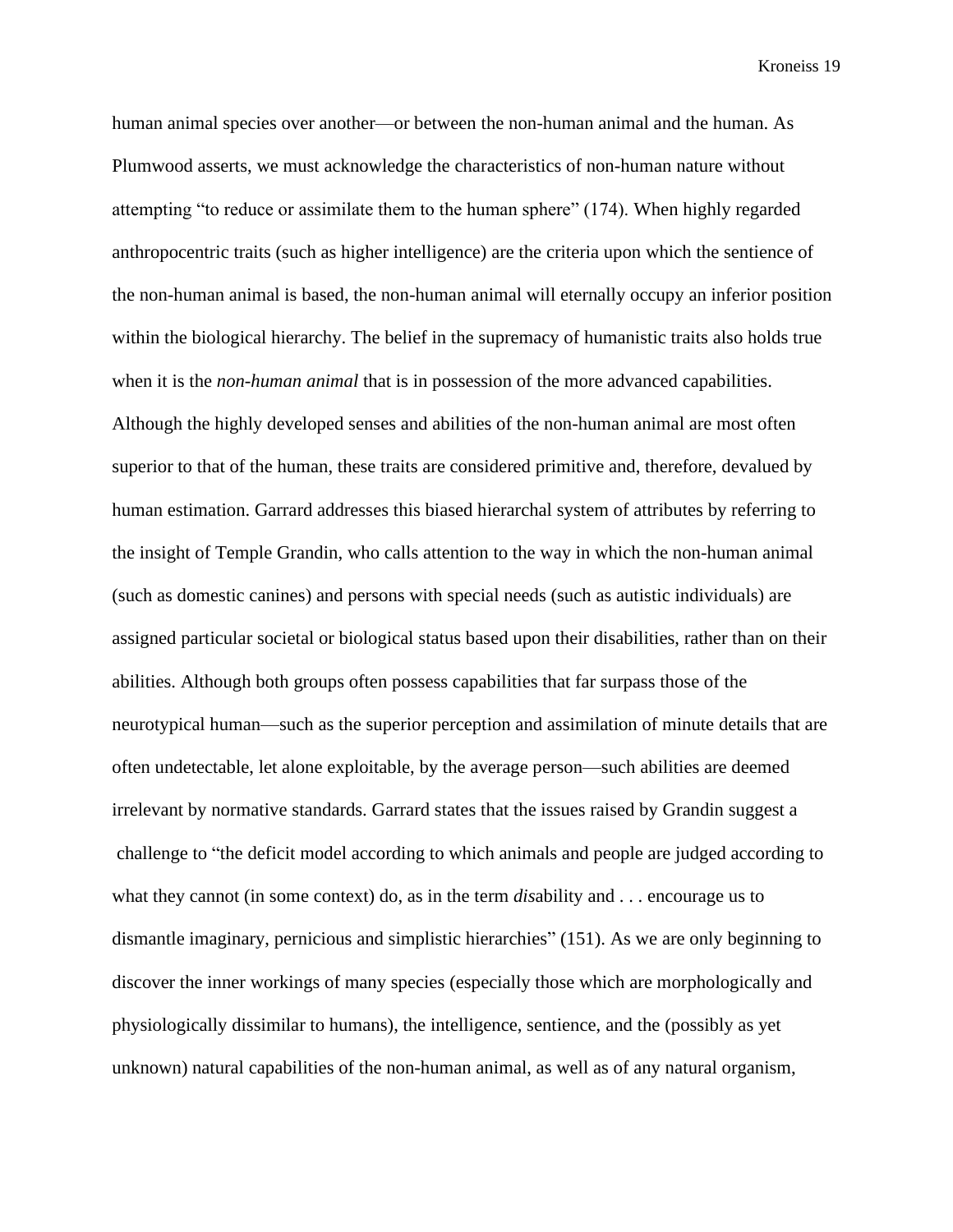human animal species over another—or between the non-human animal and the human. As Plumwood asserts, we must acknowledge the characteristics of non-human nature without attempting "to reduce or assimilate them to the human sphere" (174). When highly regarded anthropocentric traits (such as higher intelligence) are the criteria upon which the sentience of the non-human animal is based, the non-human animal will eternally occupy an inferior position within the biological hierarchy. The belief in the supremacy of humanistic traits also holds true when it is the *non-human animal* that is in possession of the more advanced capabilities. Although the highly developed senses and abilities of the non-human animal are most often superior to that of the human, these traits are considered primitive and, therefore, devalued by human estimation. Garrard addresses this biased hierarchal system of attributes by referring to the insight of Temple Grandin, who calls attention to the way in which the non-human animal (such as domestic canines) and persons with special needs (such as autistic individuals) are assigned particular societal or biological status based upon their disabilities, rather than on their abilities. Although both groups often possess capabilities that far surpass those of the neurotypical human—such as the superior perception and assimilation of minute details that are often undetectable, let alone exploitable, by the average person—such abilities are deemed irrelevant by normative standards. Garrard states that the issues raised by Grandin suggest a challenge to "the deficit model according to which animals and people are judged according to what they cannot (in some context) do, as in the term *dis*ability and . . . encourage us to dismantle imaginary, pernicious and simplistic hierarchies" (151). As we are only beginning to discover the inner workings of many species (especially those which are morphologically and physiologically dissimilar to humans), the intelligence, sentience, and the (possibly as yet unknown) natural capabilities of the non-human animal, as well as of any natural organism,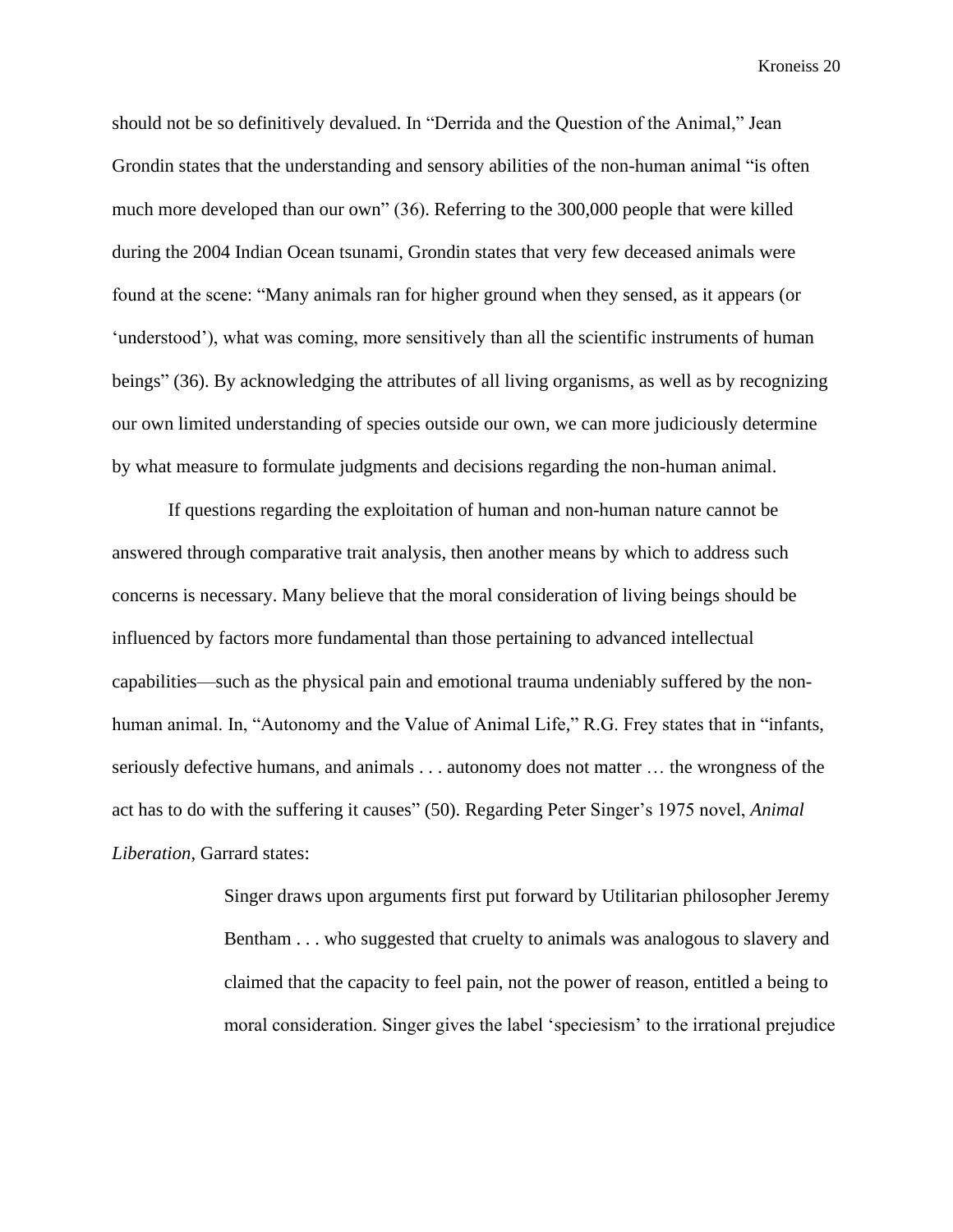should not be so definitively devalued. In "Derrida and the Question of the Animal," Jean Grondin states that the understanding and sensory abilities of the non-human animal "is often much more developed than our own" (36). Referring to the 300,000 people that were killed during the 2004 Indian Ocean tsunami, Grondin states that very few deceased animals were found at the scene: "Many animals ran for higher ground when they sensed, as it appears (or 'understood'), what was coming, more sensitively than all the scientific instruments of human beings" (36). By acknowledging the attributes of all living organisms, as well as by recognizing our own limited understanding of species outside our own, we can more judiciously determine by what measure to formulate judgments and decisions regarding the non-human animal.

If questions regarding the exploitation of human and non-human nature cannot be answered through comparative trait analysis, then another means by which to address such concerns is necessary. Many believe that the moral consideration of living beings should be influenced by factors more fundamental than those pertaining to advanced intellectual capabilities—such as the physical pain and emotional trauma undeniably suffered by the nonhuman animal. In, "Autonomy and the Value of Animal Life," R.G. Frey states that in "infants, seriously defective humans, and animals . . . autonomy does not matter … the wrongness of the act has to do with the suffering it causes" (50). Regarding Peter Singer's 1975 novel, *Animal Liberation*, Garrard states:

> Singer draws upon arguments first put forward by Utilitarian philosopher Jeremy Bentham . . . who suggested that cruelty to animals was analogous to slavery and claimed that the capacity to feel pain, not the power of reason, entitled a being to moral consideration. Singer gives the label 'speciesism' to the irrational prejudice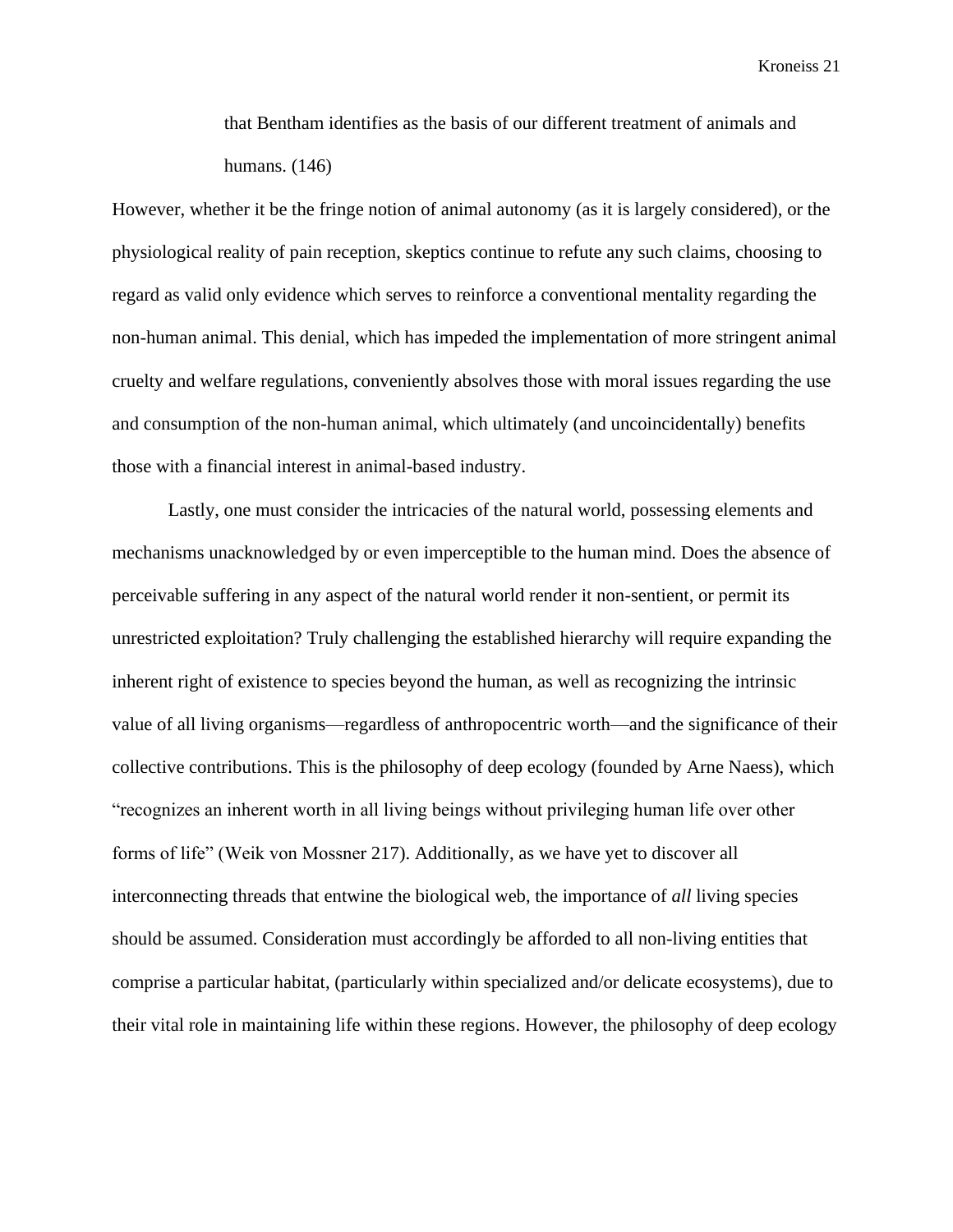that Bentham identifies as the basis of our different treatment of animals and humans. (146)

However, whether it be the fringe notion of animal autonomy (as it is largely considered), or the physiological reality of pain reception, skeptics continue to refute any such claims, choosing to regard as valid only evidence which serves to reinforce a conventional mentality regarding the non-human animal. This denial, which has impeded the implementation of more stringent animal cruelty and welfare regulations, conveniently absolves those with moral issues regarding the use and consumption of the non-human animal, which ultimately (and uncoincidentally) benefits those with a financial interest in animal-based industry.

Lastly, one must consider the intricacies of the natural world, possessing elements and mechanisms unacknowledged by or even imperceptible to the human mind. Does the absence of perceivable suffering in any aspect of the natural world render it non-sentient, or permit its unrestricted exploitation? Truly challenging the established hierarchy will require expanding the inherent right of existence to species beyond the human, as well as recognizing the intrinsic value of all living organisms—regardless of anthropocentric worth—and the significance of their collective contributions. This is the philosophy of deep ecology (founded by Arne Naess), which "recognizes an inherent worth in all living beings without privileging human life over other forms of life" (Weik von Mossner 217). Additionally, as we have yet to discover all interconnecting threads that entwine the biological web, the importance of *all* living species should be assumed. Consideration must accordingly be afforded to all non-living entities that comprise a particular habitat, (particularly within specialized and/or delicate ecosystems), due to their vital role in maintaining life within these regions. However, the philosophy of deep ecology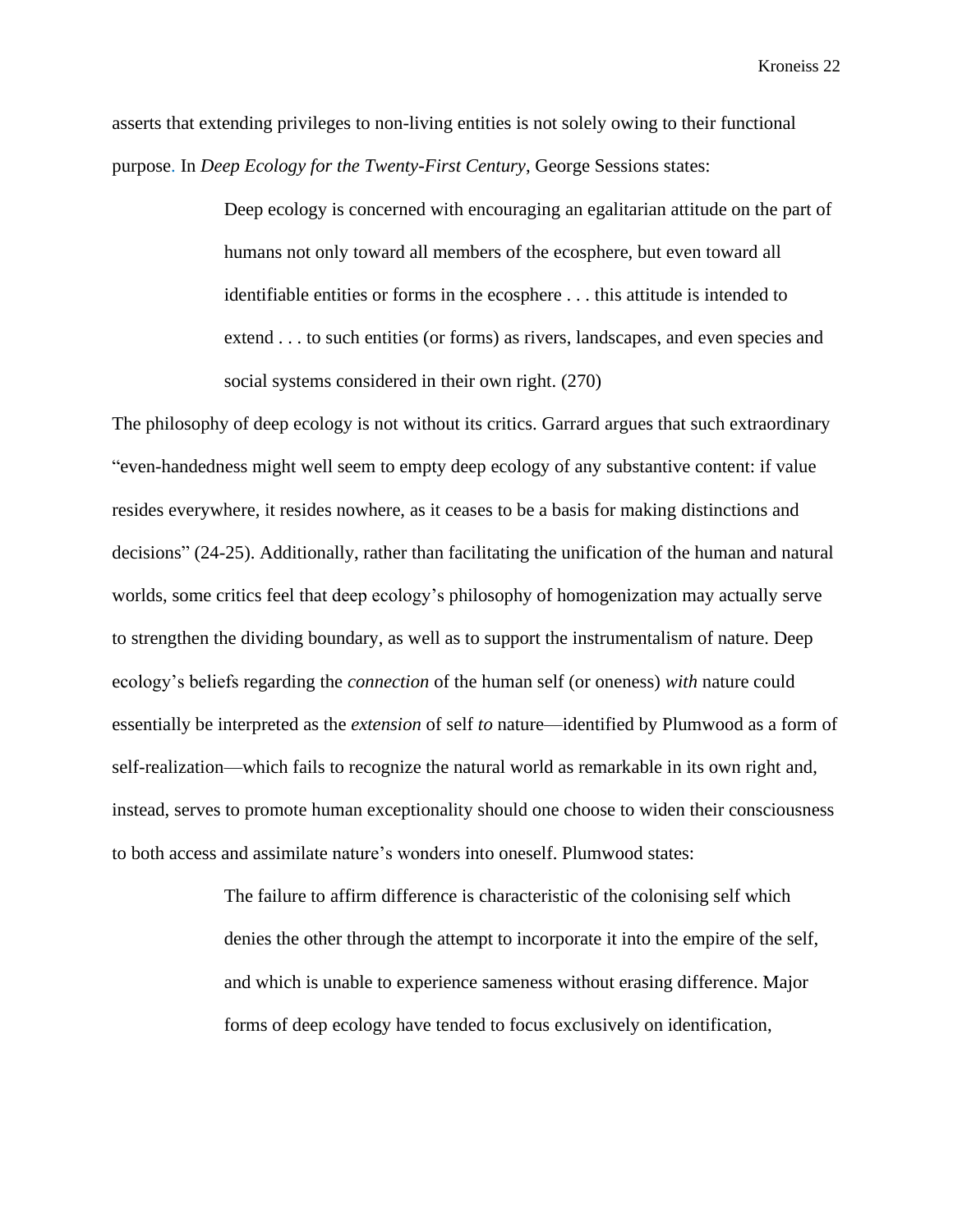asserts that extending privileges to non-living entities is not solely owing to their functional purpose. In *Deep Ecology for the Twenty-First Century*, George Sessions states:

> Deep ecology is concerned with encouraging an egalitarian attitude on the part of humans not only toward all members of the ecosphere, but even toward all identifiable entities or forms in the ecosphere . . . this attitude is intended to extend . . . to such entities (or forms) as rivers, landscapes, and even species and social systems considered in their own right. (270)

The philosophy of deep ecology is not without its critics. Garrard argues that such extraordinary "even-handedness might well seem to empty deep ecology of any substantive content: if value resides everywhere, it resides nowhere, as it ceases to be a basis for making distinctions and decisions" (24-25). Additionally, rather than facilitating the unification of the human and natural worlds, some critics feel that deep ecology's philosophy of homogenization may actually serve to strengthen the dividing boundary, as well as to support the instrumentalism of nature. Deep ecology's beliefs regarding the *connection* of the human self (or oneness) *with* nature could essentially be interpreted as the *extension* of self *to* nature—identified by Plumwood as a form of self-realization—which fails to recognize the natural world as remarkable in its own right and, instead, serves to promote human exceptionality should one choose to widen their consciousness to both access and assimilate nature's wonders into oneself. Plumwood states:

> The failure to affirm difference is characteristic of the colonising self which denies the other through the attempt to incorporate it into the empire of the self, and which is unable to experience sameness without erasing difference. Major forms of deep ecology have tended to focus exclusively on identification,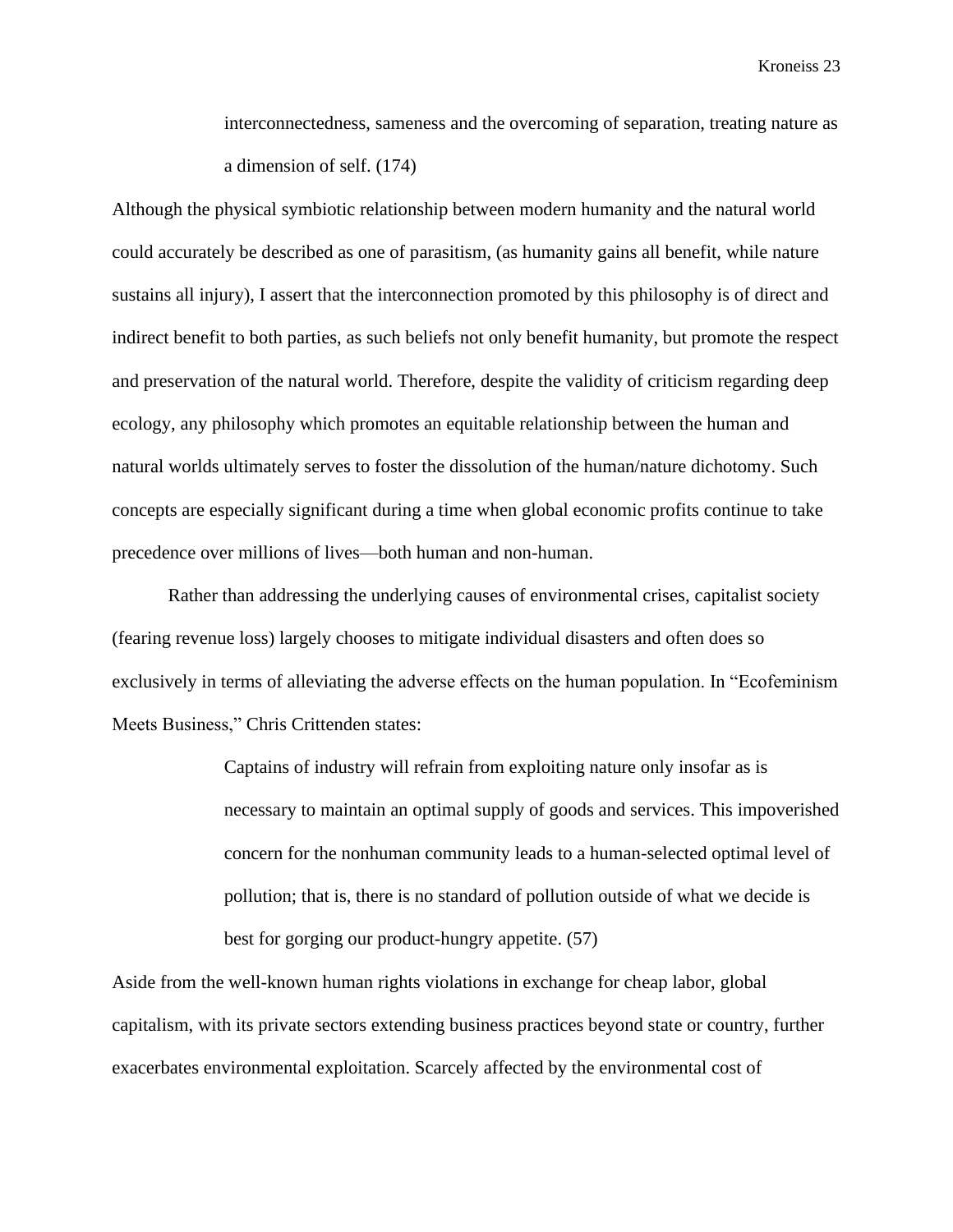interconnectedness, sameness and the overcoming of separation, treating nature as a dimension of self. (174)

Although the physical symbiotic relationship between modern humanity and the natural world could accurately be described as one of parasitism, (as humanity gains all benefit, while nature sustains all injury), I assert that the interconnection promoted by this philosophy is of direct and indirect benefit to both parties, as such beliefs not only benefit humanity, but promote the respect and preservation of the natural world. Therefore, despite the validity of criticism regarding deep ecology, any philosophy which promotes an equitable relationship between the human and natural worlds ultimately serves to foster the dissolution of the human/nature dichotomy. Such concepts are especially significant during a time when global economic profits continue to take precedence over millions of lives—both human and non-human.

Rather than addressing the underlying causes of environmental crises, capitalist society (fearing revenue loss) largely chooses to mitigate individual disasters and often does so exclusively in terms of alleviating the adverse effects on the human population. In "Ecofeminism Meets Business," Chris Crittenden states:

> Captains of industry will refrain from exploiting nature only insofar as is necessary to maintain an optimal supply of goods and services. This impoverished concern for the nonhuman community leads to a human-selected optimal level of pollution; that is, there is no standard of pollution outside of what we decide is best for gorging our product-hungry appetite. (57)

Aside from the well-known human rights violations in exchange for cheap labor, global capitalism, with its private sectors extending business practices beyond state or country, further exacerbates environmental exploitation. Scarcely affected by the environmental cost of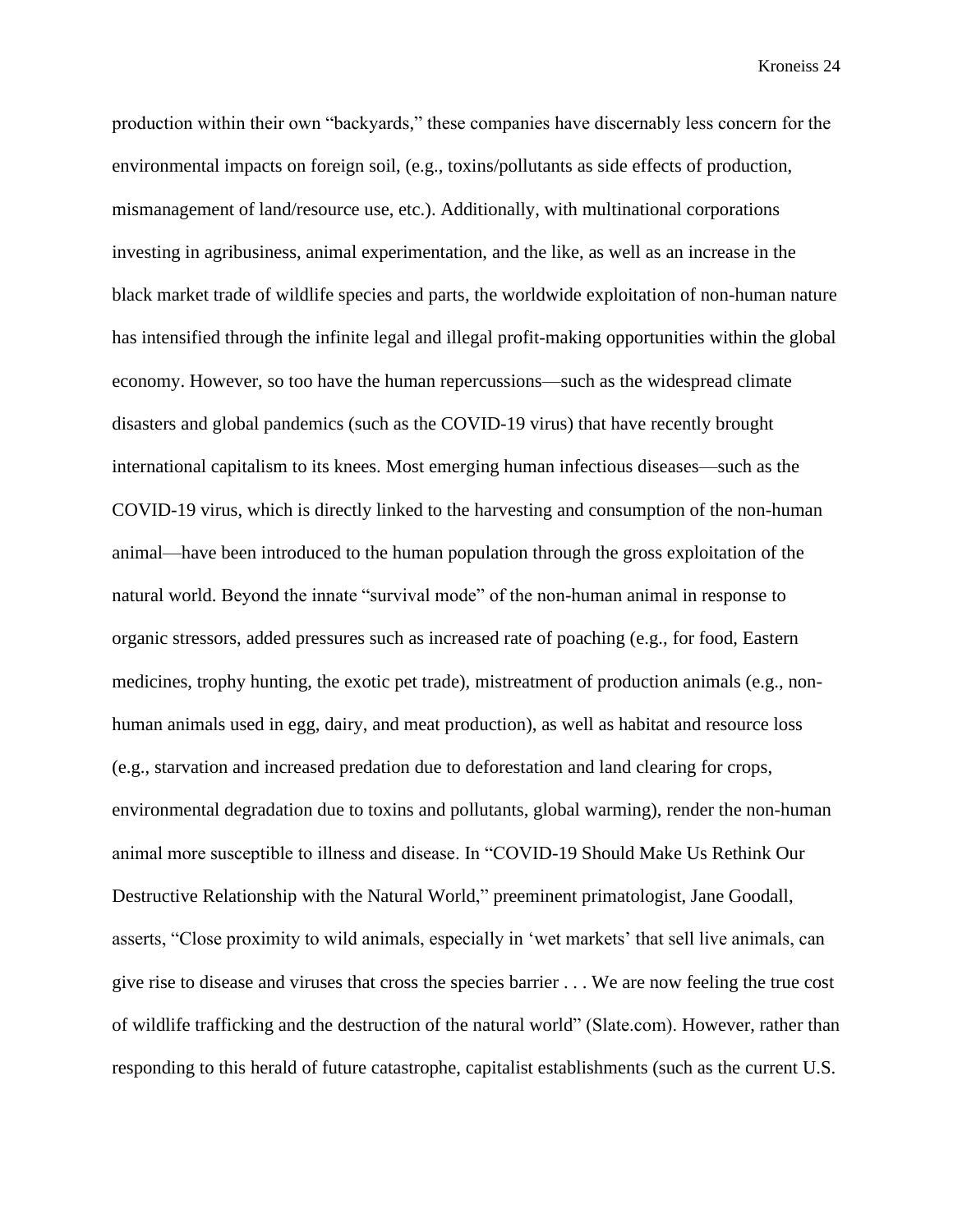production within their own "backyards," these companies have discernably less concern for the environmental impacts on foreign soil, (e.g., toxins/pollutants as side effects of production, mismanagement of land/resource use, etc.). Additionally, with multinational corporations investing in agribusiness, animal experimentation, and the like, as well as an increase in the black market trade of wildlife species and parts, the worldwide exploitation of non-human nature has intensified through the infinite legal and illegal profit-making opportunities within the global economy. However, so too have the human repercussions—such as the widespread climate disasters and global pandemics (such as the COVID-19 virus) that have recently brought international capitalism to its knees. Most emerging human infectious diseases—such as the COVID-19 virus, which is directly linked to the harvesting and consumption of the non-human animal—have been introduced to the human population through the gross exploitation of the natural world. Beyond the innate "survival mode" of the non-human animal in response to organic stressors, added pressures such as increased rate of poaching (e.g., for food, Eastern medicines, trophy hunting, the exotic pet trade), mistreatment of production animals (e.g., nonhuman animals used in egg, dairy, and meat production), as well as habitat and resource loss (e.g., starvation and increased predation due to deforestation and land clearing for crops, environmental degradation due to toxins and pollutants, global warming), render the non-human animal more susceptible to illness and disease. In "COVID-19 Should Make Us Rethink Our Destructive Relationship with the Natural World," preeminent primatologist, Jane Goodall, asserts, "Close proximity to wild animals, especially in 'wet markets' that sell live animals, can give rise to disease and viruses that cross the species barrier . . . We are now feeling the true cost of wildlife trafficking and the destruction of the natural world" (Slate.com). However, rather than responding to this herald of future catastrophe, capitalist establishments (such as the current U.S.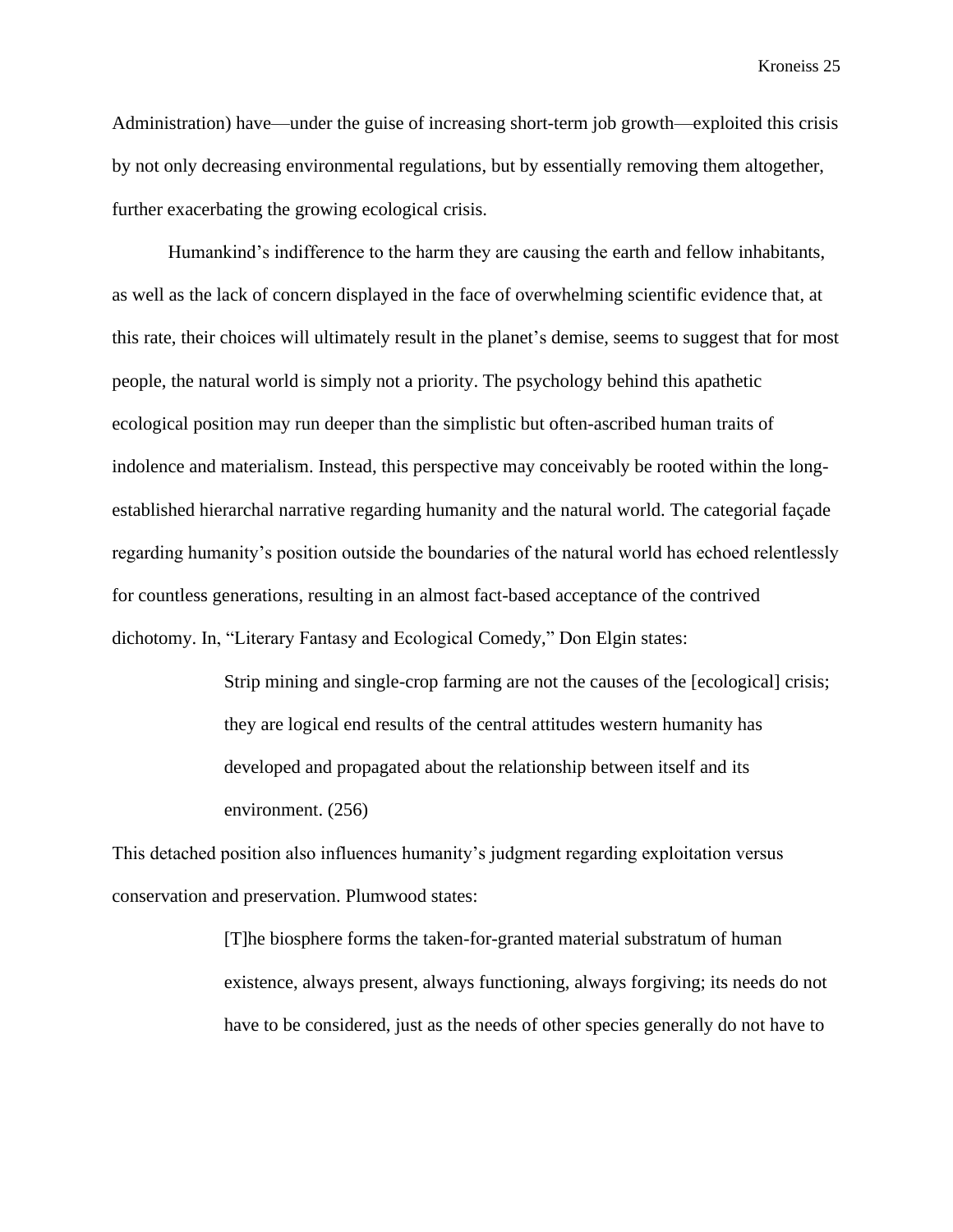Administration) have—under the guise of increasing short-term job growth—exploited this crisis by not only decreasing environmental regulations, but by essentially removing them altogether, further exacerbating the growing ecological crisis.

Humankind's indifference to the harm they are causing the earth and fellow inhabitants, as well as the lack of concern displayed in the face of overwhelming scientific evidence that, at this rate, their choices will ultimately result in the planet's demise, seems to suggest that for most people, the natural world is simply not a priority. The psychology behind this apathetic ecological position may run deeper than the simplistic but often-ascribed human traits of indolence and materialism. Instead, this perspective may conceivably be rooted within the longestablished hierarchal narrative regarding humanity and the natural world. The categorial façade regarding humanity's position outside the boundaries of the natural world has echoed relentlessly for countless generations, resulting in an almost fact-based acceptance of the contrived dichotomy. In, "Literary Fantasy and Ecological Comedy," Don Elgin states:

> Strip mining and single-crop farming are not the causes of the [ecological] crisis; they are logical end results of the central attitudes western humanity has developed and propagated about the relationship between itself and its environment. (256)

This detached position also influences humanity's judgment regarding exploitation versus conservation and preservation. Plumwood states:

> [T]he biosphere forms the taken-for-granted material substratum of human existence, always present, always functioning, always forgiving; its needs do not have to be considered, just as the needs of other species generally do not have to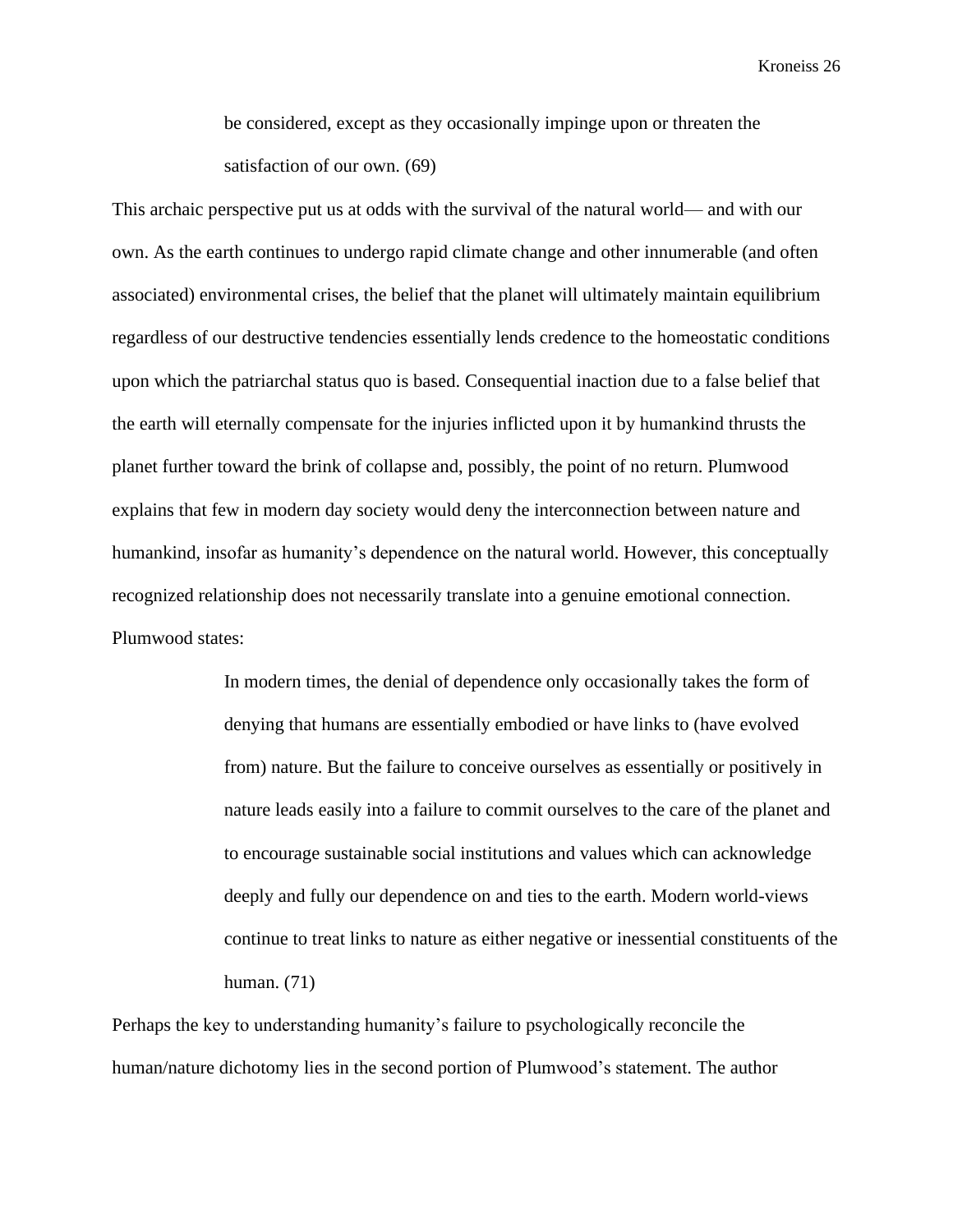be considered, except as they occasionally impinge upon or threaten the satisfaction of our own. (69)

This archaic perspective put us at odds with the survival of the natural world— and with our own. As the earth continues to undergo rapid climate change and other innumerable (and often associated) environmental crises, the belief that the planet will ultimately maintain equilibrium regardless of our destructive tendencies essentially lends credence to the homeostatic conditions upon which the patriarchal status quo is based. Consequential inaction due to a false belief that the earth will eternally compensate for the injuries inflicted upon it by humankind thrusts the planet further toward the brink of collapse and, possibly, the point of no return. Plumwood explains that few in modern day society would deny the interconnection between nature and humankind, insofar as humanity's dependence on the natural world. However, this conceptually recognized relationship does not necessarily translate into a genuine emotional connection. Plumwood states:

> In modern times, the denial of dependence only occasionally takes the form of denying that humans are essentially embodied or have links to (have evolved from) nature. But the failure to conceive ourselves as essentially or positively in nature leads easily into a failure to commit ourselves to the care of the planet and to encourage sustainable social institutions and values which can acknowledge deeply and fully our dependence on and ties to the earth. Modern world-views continue to treat links to nature as either negative or inessential constituents of the human. (71)

Perhaps the key to understanding humanity's failure to psychologically reconcile the human/nature dichotomy lies in the second portion of Plumwood's statement. The author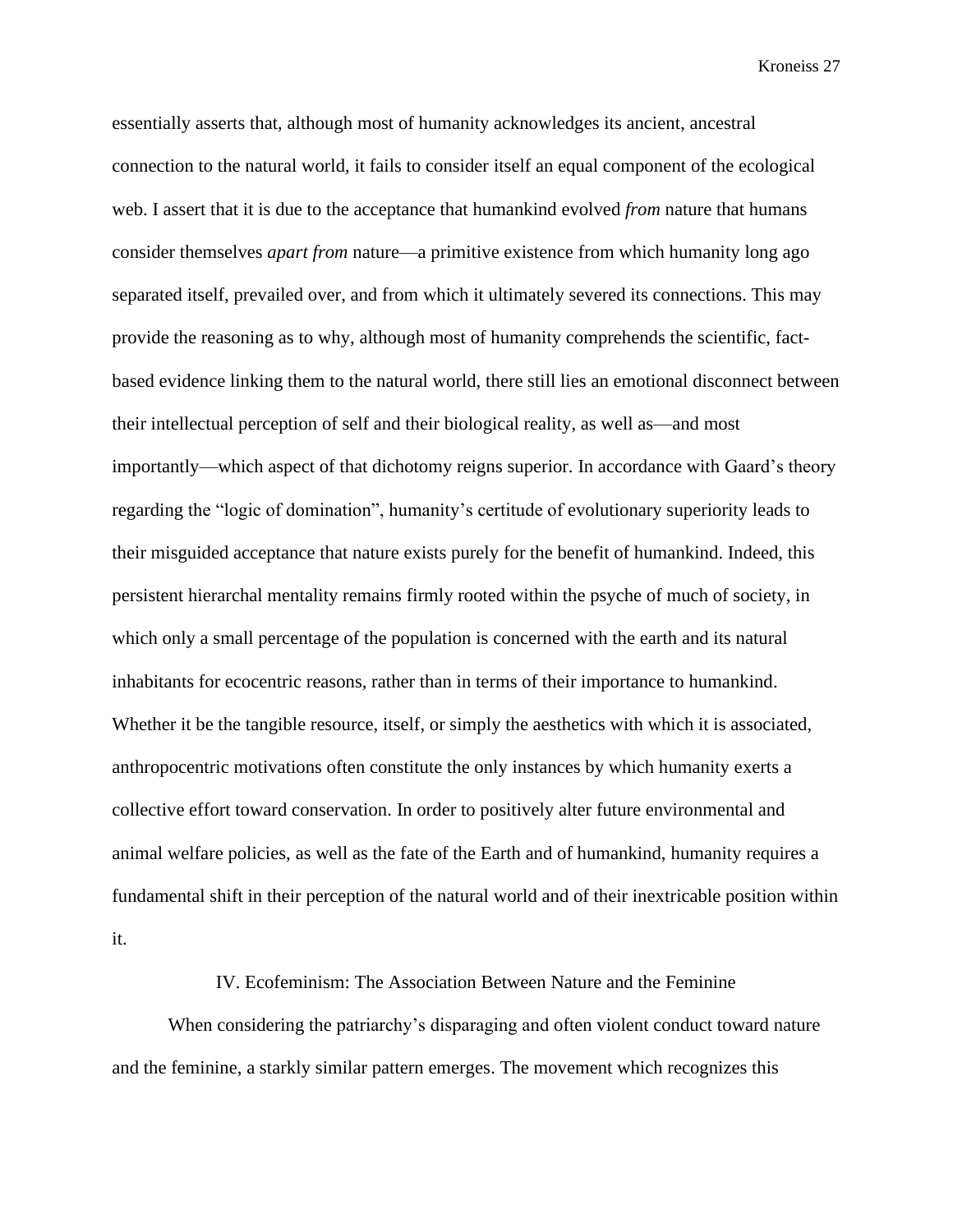essentially asserts that, although most of humanity acknowledges its ancient, ancestral connection to the natural world, it fails to consider itself an equal component of the ecological web. I assert that it is due to the acceptance that humankind evolved *from* nature that humans consider themselves *apart from* nature—a primitive existence from which humanity long ago separated itself, prevailed over, and from which it ultimately severed its connections. This may provide the reasoning as to why, although most of humanity comprehends the scientific, factbased evidence linking them to the natural world, there still lies an emotional disconnect between their intellectual perception of self and their biological reality, as well as—and most importantly—which aspect of that dichotomy reigns superior. In accordance with Gaard's theory regarding the "logic of domination", humanity's certitude of evolutionary superiority leads to their misguided acceptance that nature exists purely for the benefit of humankind. Indeed, this persistent hierarchal mentality remains firmly rooted within the psyche of much of society, in which only a small percentage of the population is concerned with the earth and its natural inhabitants for ecocentric reasons, rather than in terms of their importance to humankind. Whether it be the tangible resource, itself, or simply the aesthetics with which it is associated, anthropocentric motivations often constitute the only instances by which humanity exerts a collective effort toward conservation. In order to positively alter future environmental and animal welfare policies, as well as the fate of the Earth and of humankind, humanity requires a fundamental shift in their perception of the natural world and of their inextricable position within it.

#### IV. Ecofeminism: The Association Between Nature and the Feminine

When considering the patriarchy's disparaging and often violent conduct toward nature and the feminine, a starkly similar pattern emerges. The movement which recognizes this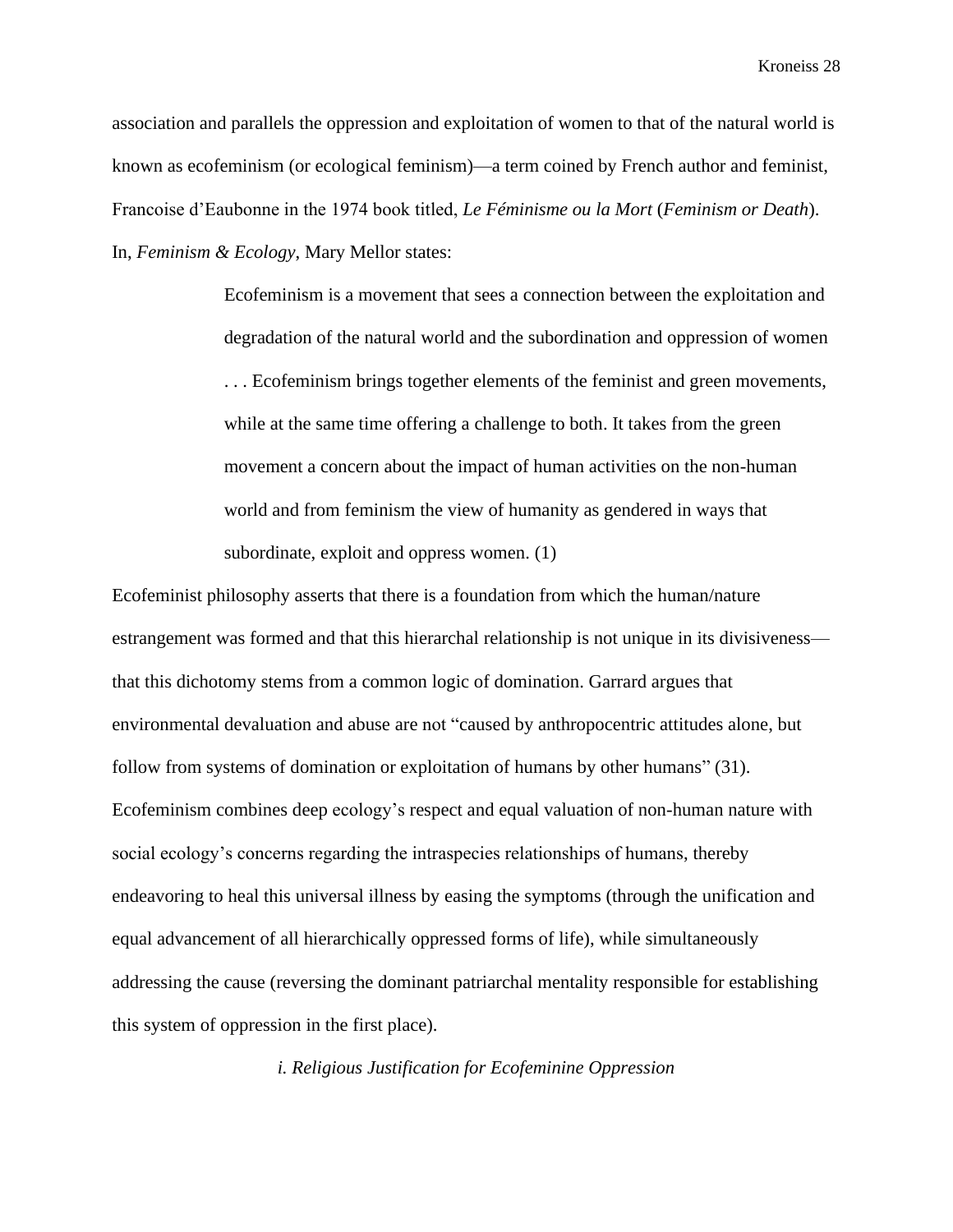association and parallels the oppression and exploitation of women to that of the natural world is known as ecofeminism (or ecological feminism)—a term coined by French author and feminist, Francoise d'Eaubonne in the 1974 book titled, *Le Féminisme ou la Mort* (*Feminism or Death*). In, *Feminism & Ecology*, Mary Mellor states:

> Ecofeminism is a movement that sees a connection between the exploitation and degradation of the natural world and the subordination and oppression of women . . . Ecofeminism brings together elements of the feminist and green movements, while at the same time offering a challenge to both. It takes from the green movement a concern about the impact of human activities on the non-human world and from feminism the view of humanity as gendered in ways that subordinate, exploit and oppress women. (1)

Ecofeminist philosophy asserts that there is a foundation from which the human/nature estrangement was formed and that this hierarchal relationship is not unique in its divisiveness that this dichotomy stems from a common logic of domination. Garrard argues that environmental devaluation and abuse are not "caused by anthropocentric attitudes alone, but follow from systems of domination or exploitation of humans by other humans" (31). Ecofeminism combines deep ecology's respect and equal valuation of non-human nature with social ecology's concerns regarding the intraspecies relationships of humans, thereby endeavoring to heal this universal illness by easing the symptoms (through the unification and equal advancement of all hierarchically oppressed forms of life), while simultaneously addressing the cause (reversing the dominant patriarchal mentality responsible for establishing this system of oppression in the first place).

*i. Religious Justification for Ecofeminine Oppression*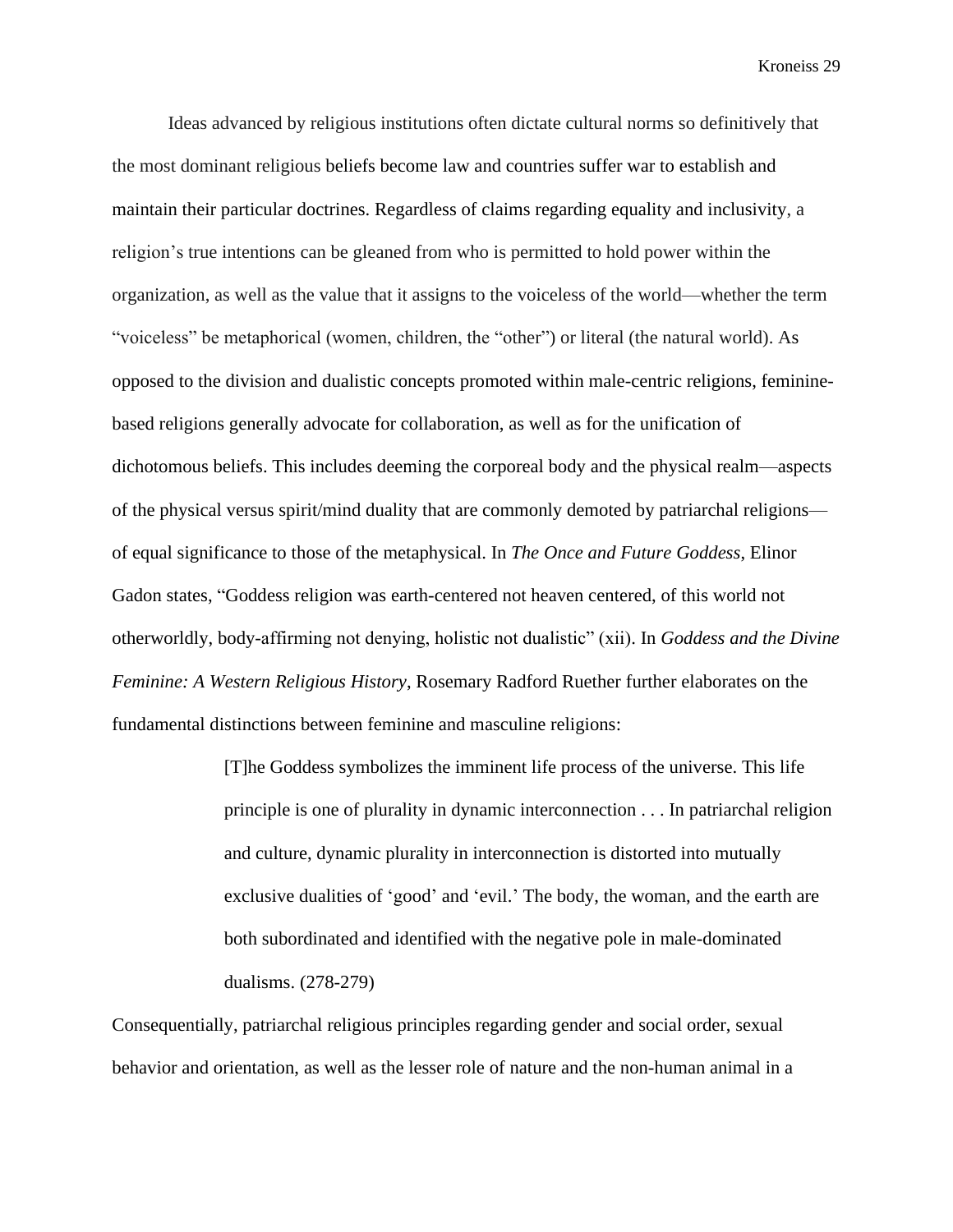Ideas advanced by religious institutions often dictate cultural norms so definitively that the most dominant religious beliefs become law and countries suffer war to establish and maintain their particular doctrines. Regardless of claims regarding equality and inclusivity, a religion's true intentions can be gleaned from who is permitted to hold power within the organization, as well as the value that it assigns to the voiceless of the world—whether the term "voiceless" be metaphorical (women, children, the "other") or literal (the natural world). As opposed to the division and dualistic concepts promoted within male-centric religions, femininebased religions generally advocate for collaboration, as well as for the unification of dichotomous beliefs. This includes deeming the corporeal body and the physical realm—aspects of the physical versus spirit/mind duality that are commonly demoted by patriarchal religions of equal significance to those of the metaphysical. In *The Once and Future Goddess*, Elinor Gadon states, "Goddess religion was earth-centered not heaven centered, of this world not otherworldly, body-affirming not denying, holistic not dualistic" (xii). In *Goddess and the Divine Feminine: A Western Religious History*, Rosemary Radford Ruether further elaborates on the fundamental distinctions between feminine and masculine religions:

> [T]he Goddess symbolizes the imminent life process of the universe. This life principle is one of plurality in dynamic interconnection . . . In patriarchal religion and culture, dynamic plurality in interconnection is distorted into mutually exclusive dualities of 'good' and 'evil.' The body, the woman, and the earth are both subordinated and identified with the negative pole in male-dominated dualisms. (278-279)

Consequentially, patriarchal religious principles regarding gender and social order, sexual behavior and orientation, as well as the lesser role of nature and the non-human animal in a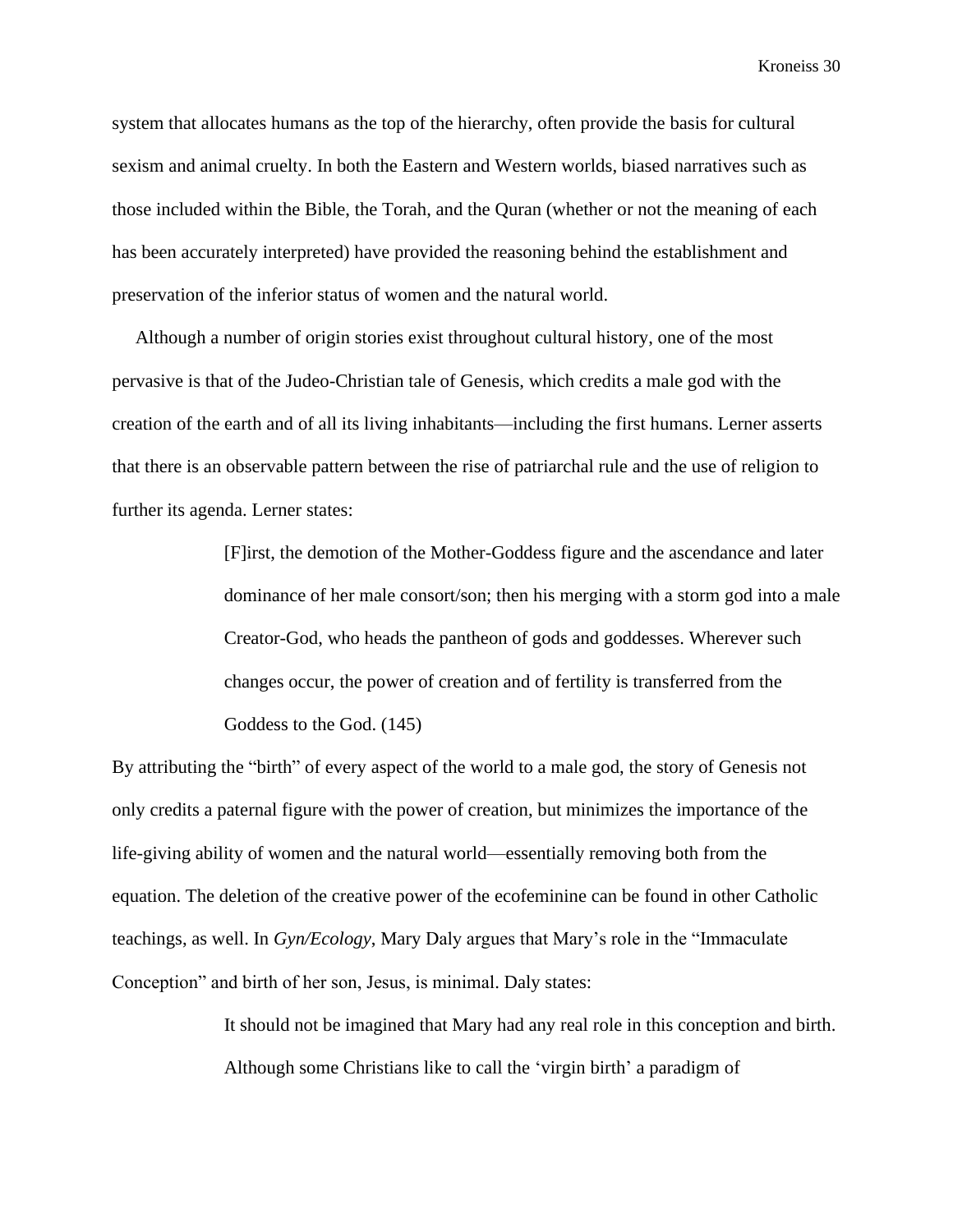system that allocates humans as the top of the hierarchy, often provide the basis for cultural sexism and animal cruelty. In both the Eastern and Western worlds, biased narratives such as those included within the Bible, the Torah, and the Quran (whether or not the meaning of each has been accurately interpreted) have provided the reasoning behind the establishment and preservation of the inferior status of women and the natural world.

 Although a number of origin stories exist throughout cultural history, one of the most pervasive is that of the Judeo-Christian tale of Genesis, which credits a male god with the creation of the earth and of all its living inhabitants—including the first humans. Lerner asserts that there is an observable pattern between the rise of patriarchal rule and the use of religion to further its agenda. Lerner states:

> [F]irst, the demotion of the Mother-Goddess figure and the ascendance and later dominance of her male consort/son; then his merging with a storm god into a male Creator-God, who heads the pantheon of gods and goddesses. Wherever such changes occur, the power of creation and of fertility is transferred from the Goddess to the God. (145)

By attributing the "birth" of every aspect of the world to a male god, the story of Genesis not only credits a paternal figure with the power of creation, but minimizes the importance of the life-giving ability of women and the natural world—essentially removing both from the equation. The deletion of the creative power of the ecofeminine can be found in other Catholic teachings, as well. In *Gyn/Ecology*, Mary Daly argues that Mary's role in the "Immaculate Conception" and birth of her son, Jesus, is minimal. Daly states:

> It should not be imagined that Mary had any real role in this conception and birth. Although some Christians like to call the 'virgin birth' a paradigm of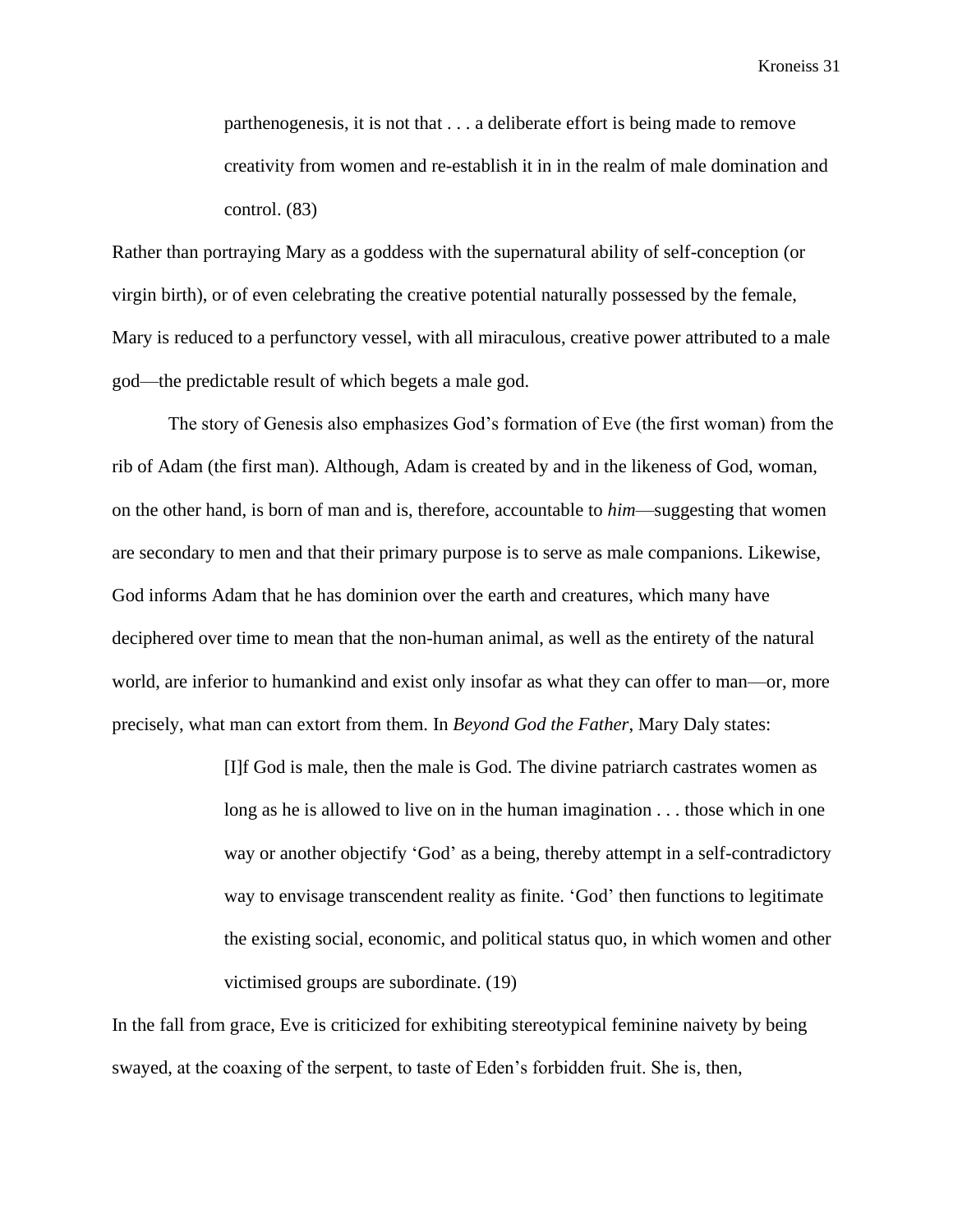parthenogenesis, it is not that . . . a deliberate effort is being made to remove creativity from women and re-establish it in in the realm of male domination and control. (83)

Rather than portraying Mary as a goddess with the supernatural ability of self-conception (or virgin birth), or of even celebrating the creative potential naturally possessed by the female, Mary is reduced to a perfunctory vessel, with all miraculous, creative power attributed to a male god—the predictable result of which begets a male god.

The story of Genesis also emphasizes God's formation of Eve (the first woman) from the rib of Adam (the first man). Although, Adam is created by and in the likeness of God, woman, on the other hand, is born of man and is, therefore, accountable to *him*—suggesting that women are secondary to men and that their primary purpose is to serve as male companions. Likewise, God informs Adam that he has dominion over the earth and creatures, which many have deciphered over time to mean that the non-human animal, as well as the entirety of the natural world, are inferior to humankind and exist only insofar as what they can offer to man—or, more precisely, what man can extort from them. In *Beyond God the Father*, Mary Daly states:

> [I]f God is male, then the male is God. The divine patriarch castrates women as long as he is allowed to live on in the human imagination . . . those which in one way or another objectify 'God' as a being, thereby attempt in a self-contradictory way to envisage transcendent reality as finite. 'God' then functions to legitimate the existing social, economic, and political status quo, in which women and other victimised groups are subordinate. (19)

In the fall from grace, Eve is criticized for exhibiting stereotypical feminine naivety by being swayed, at the coaxing of the serpent, to taste of Eden's forbidden fruit. She is, then,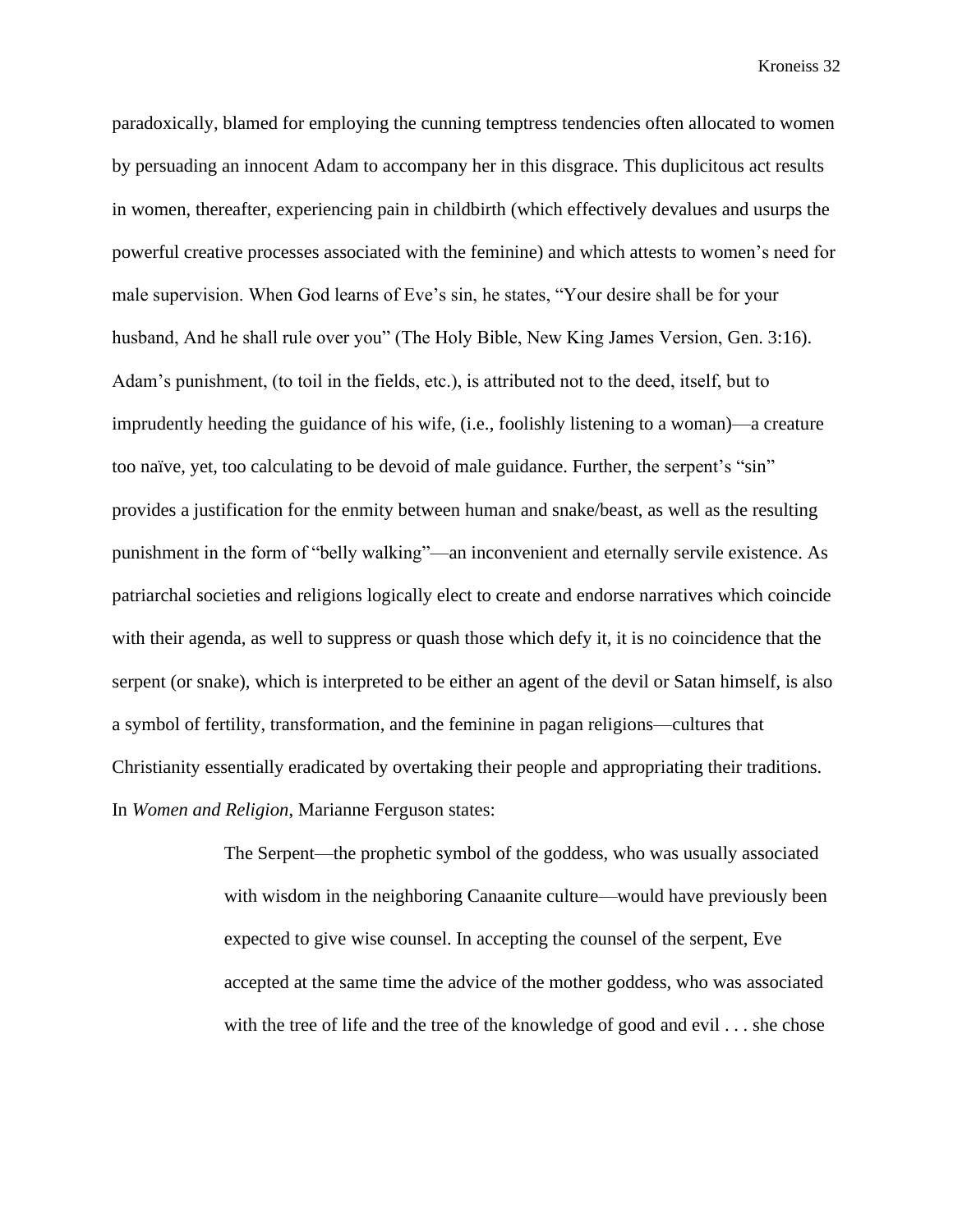paradoxically, blamed for employing the cunning temptress tendencies often allocated to women by persuading an innocent Adam to accompany her in this disgrace. This duplicitous act results in women, thereafter, experiencing pain in childbirth (which effectively devalues and usurps the powerful creative processes associated with the feminine) and which attests to women's need for male supervision. When God learns of Eve's sin, he states, "Your desire shall be for your husband, And he shall rule over you" (The Holy Bible, New King James Version, Gen. 3:16). Adam's punishment, (to toil in the fields, etc.), is attributed not to the deed, itself, but to imprudently heeding the guidance of his wife, (i.e., foolishly listening to a woman)—a creature too naïve, yet, too calculating to be devoid of male guidance. Further, the serpent's "sin" provides a justification for the enmity between human and snake/beast, as well as the resulting punishment in the form of "belly walking"—an inconvenient and eternally servile existence. As patriarchal societies and religions logically elect to create and endorse narratives which coincide with their agenda, as well to suppress or quash those which defy it, it is no coincidence that the serpent (or snake), which is interpreted to be either an agent of the devil or Satan himself, is also a symbol of fertility, transformation, and the feminine in pagan religions—cultures that Christianity essentially eradicated by overtaking their people and appropriating their traditions. In *Women and Religion*, Marianne Ferguson states:

> The Serpent—the prophetic symbol of the goddess, who was usually associated with wisdom in the neighboring Canaanite culture—would have previously been expected to give wise counsel. In accepting the counsel of the serpent, Eve accepted at the same time the advice of the mother goddess, who was associated with the tree of life and the tree of the knowledge of good and evil . . . she chose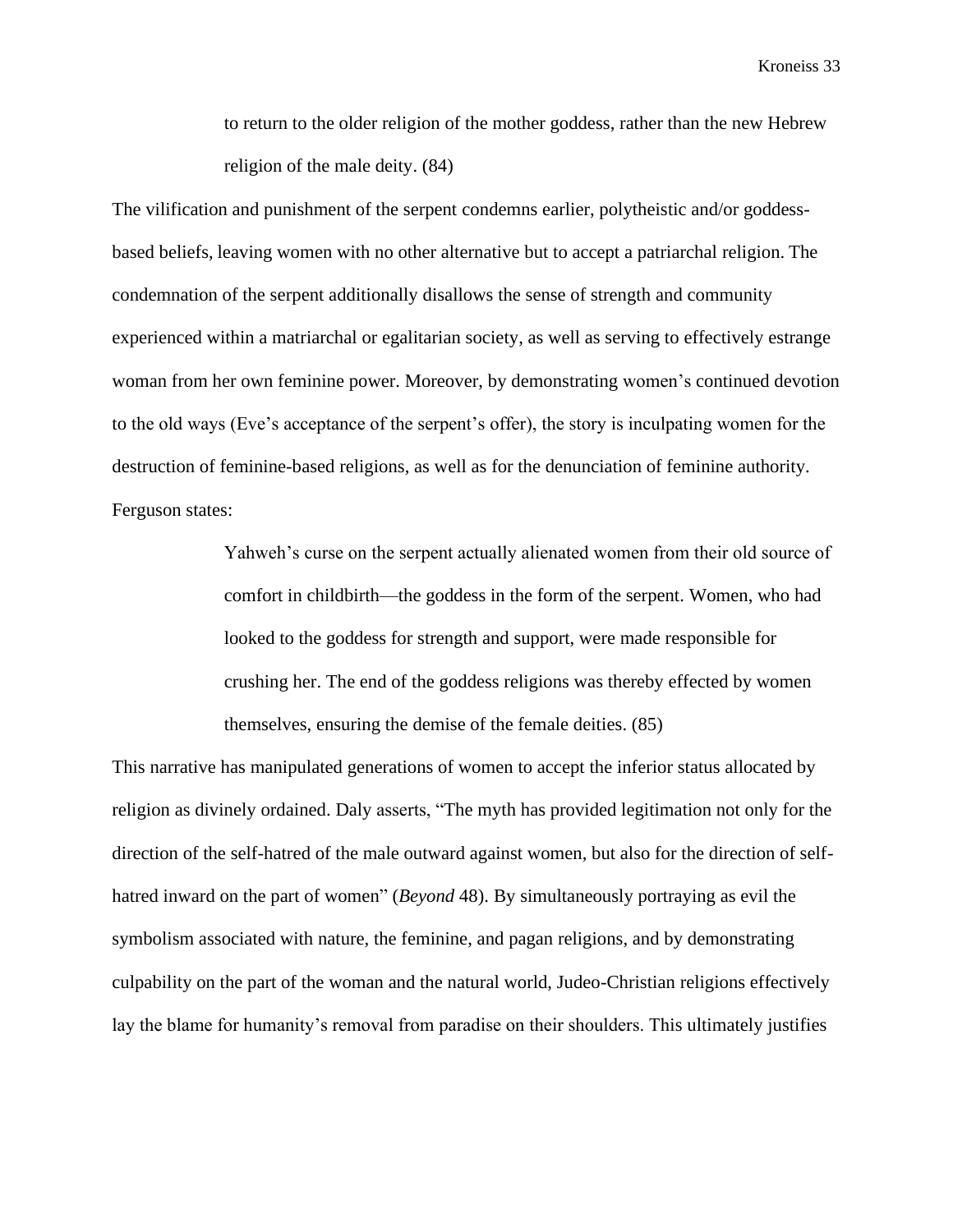to return to the older religion of the mother goddess, rather than the new Hebrew religion of the male deity. (84)

The vilification and punishment of the serpent condemns earlier, polytheistic and/or goddessbased beliefs, leaving women with no other alternative but to accept a patriarchal religion. The condemnation of the serpent additionally disallows the sense of strength and community experienced within a matriarchal or egalitarian society, as well as serving to effectively estrange woman from her own feminine power. Moreover, by demonstrating women's continued devotion to the old ways (Eve's acceptance of the serpent's offer), the story is inculpating women for the destruction of feminine-based religions, as well as for the denunciation of feminine authority. Ferguson states:

> Yahweh's curse on the serpent actually alienated women from their old source of comfort in childbirth—the goddess in the form of the serpent. Women, who had looked to the goddess for strength and support, were made responsible for crushing her. The end of the goddess religions was thereby effected by women themselves, ensuring the demise of the female deities. (85)

This narrative has manipulated generations of women to accept the inferior status allocated by religion as divinely ordained. Daly asserts, "The myth has provided legitimation not only for the direction of the self-hatred of the male outward against women, but also for the direction of selfhatred inward on the part of women" (*Beyond* 48). By simultaneously portraying as evil the symbolism associated with nature, the feminine, and pagan religions, and by demonstrating culpability on the part of the woman and the natural world, Judeo-Christian religions effectively lay the blame for humanity's removal from paradise on their shoulders. This ultimately justifies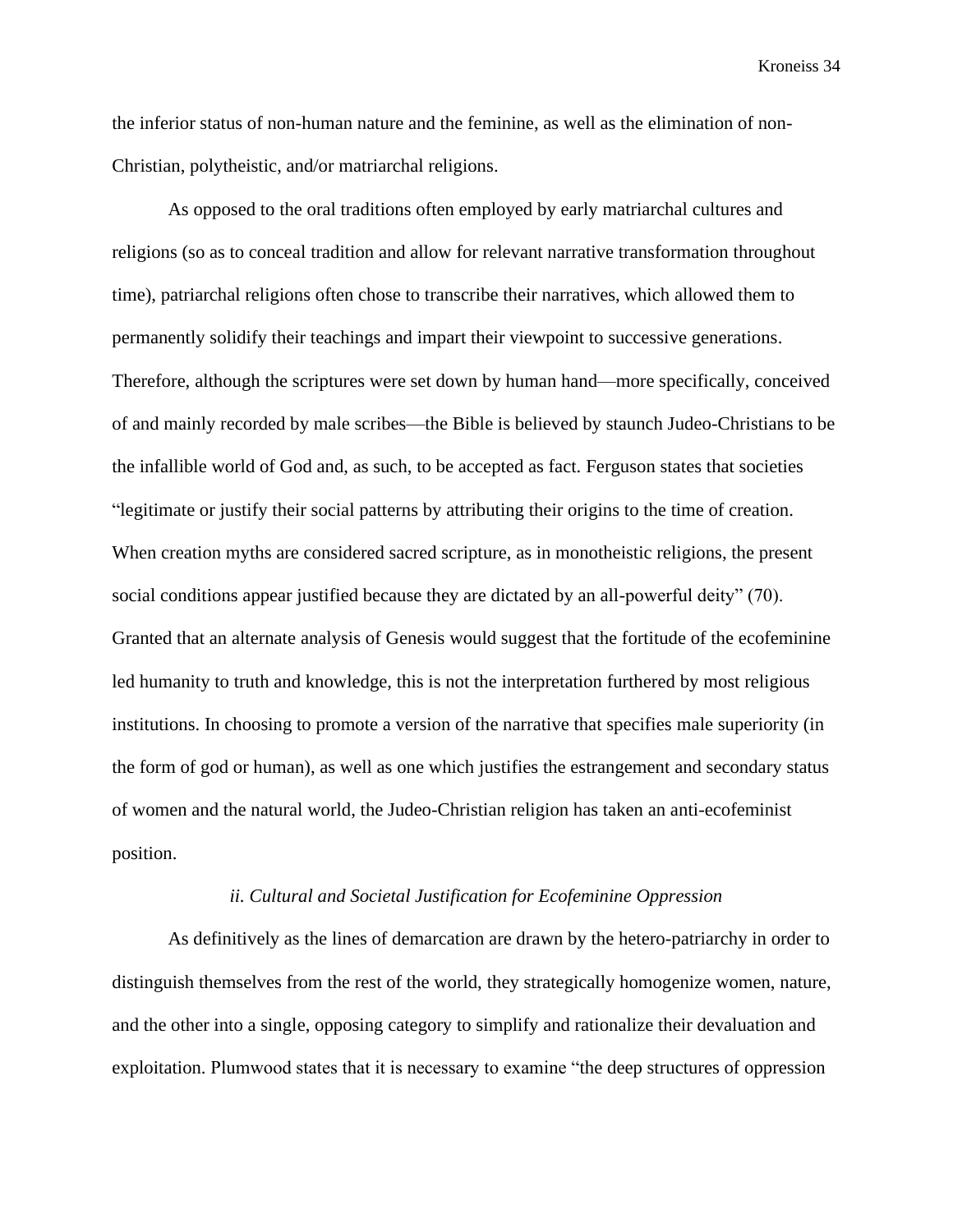the inferior status of non-human nature and the feminine, as well as the elimination of non-Christian, polytheistic, and/or matriarchal religions.

As opposed to the oral traditions often employed by early matriarchal cultures and religions (so as to conceal tradition and allow for relevant narrative transformation throughout time), patriarchal religions often chose to transcribe their narratives, which allowed them to permanently solidify their teachings and impart their viewpoint to successive generations. Therefore, although the scriptures were set down by human hand—more specifically, conceived of and mainly recorded by male scribes—the Bible is believed by staunch Judeo-Christians to be the infallible world of God and, as such, to be accepted as fact. Ferguson states that societies "legitimate or justify their social patterns by attributing their origins to the time of creation. When creation myths are considered sacred scripture, as in monotheistic religions, the present social conditions appear justified because they are dictated by an all-powerful deity" (70). Granted that an alternate analysis of Genesis would suggest that the fortitude of the ecofeminine led humanity to truth and knowledge, this is not the interpretation furthered by most religious institutions. In choosing to promote a version of the narrative that specifies male superiority (in the form of god or human), as well as one which justifies the estrangement and secondary status of women and the natural world, the Judeo-Christian religion has taken an anti-ecofeminist position.

#### *ii. Cultural and Societal Justification for Ecofeminine Oppression*

As definitively as the lines of demarcation are drawn by the hetero-patriarchy in order to distinguish themselves from the rest of the world, they strategically homogenize women, nature, and the other into a single, opposing category to simplify and rationalize their devaluation and exploitation. Plumwood states that it is necessary to examine "the deep structures of oppression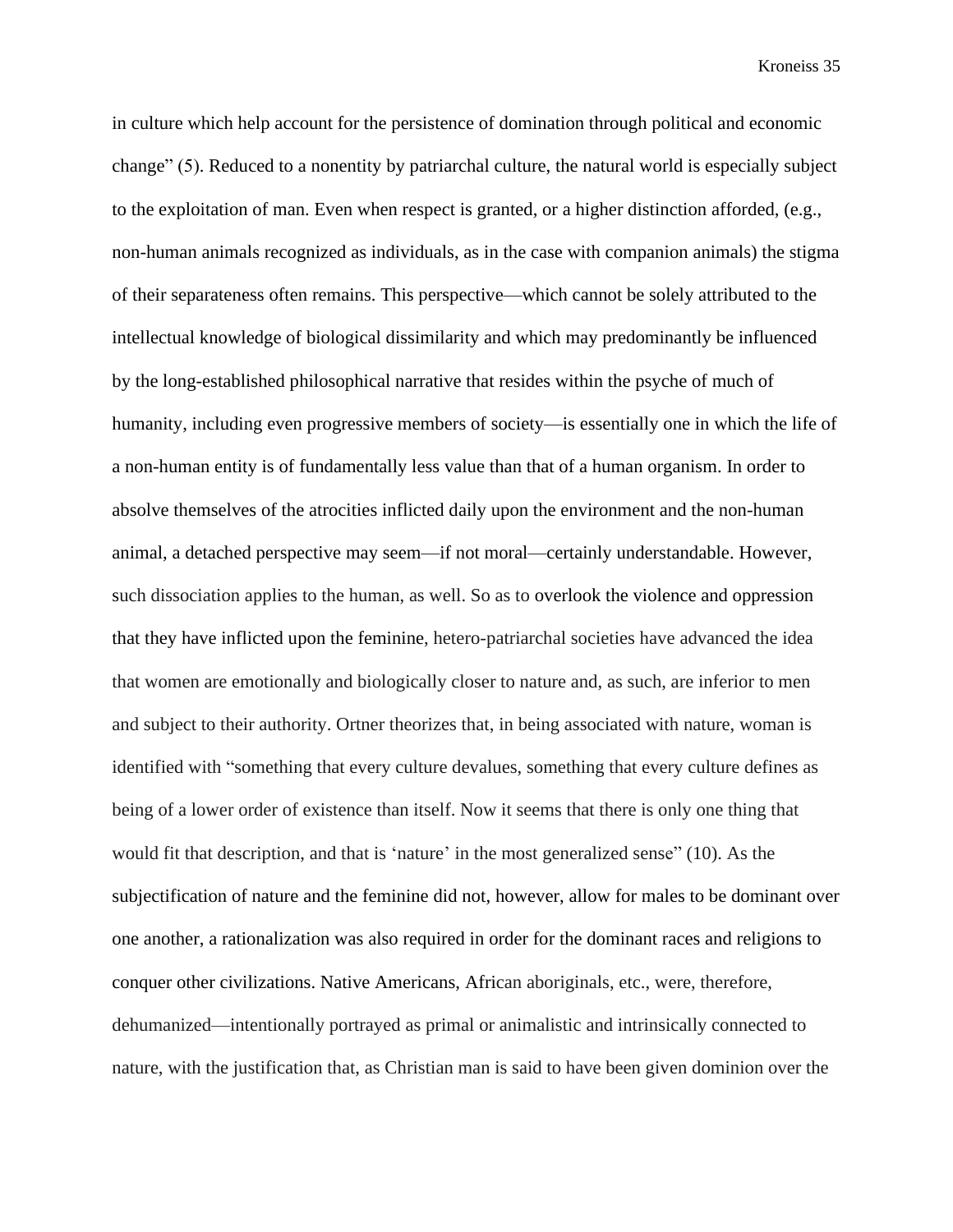in culture which help account for the persistence of domination through political and economic change" (5). Reduced to a nonentity by patriarchal culture, the natural world is especially subject to the exploitation of man. Even when respect is granted, or a higher distinction afforded, (e.g., non-human animals recognized as individuals, as in the case with companion animals) the stigma of their separateness often remains. This perspective—which cannot be solely attributed to the intellectual knowledge of biological dissimilarity and which may predominantly be influenced by the long-established philosophical narrative that resides within the psyche of much of humanity, including even progressive members of society—is essentially one in which the life of a non-human entity is of fundamentally less value than that of a human organism. In order to absolve themselves of the atrocities inflicted daily upon the environment and the non-human animal, a detached perspective may seem—if not moral—certainly understandable. However, such dissociation applies to the human, as well. So as to overlook the violence and oppression that they have inflicted upon the feminine, hetero-patriarchal societies have advanced the idea that women are emotionally and biologically closer to nature and, as such, are inferior to men and subject to their authority. Ortner theorizes that, in being associated with nature, woman is identified with "something that every culture devalues, something that every culture defines as being of a lower order of existence than itself. Now it seems that there is only one thing that would fit that description, and that is 'nature' in the most generalized sense" (10). As the subjectification of nature and the feminine did not, however, allow for males to be dominant over one another, a rationalization was also required in order for the dominant races and religions to conquer other civilizations. Native Americans, African aboriginals, etc., were, therefore, dehumanized—intentionally portrayed as primal or animalistic and intrinsically connected to nature, with the justification that, as Christian man is said to have been given dominion over the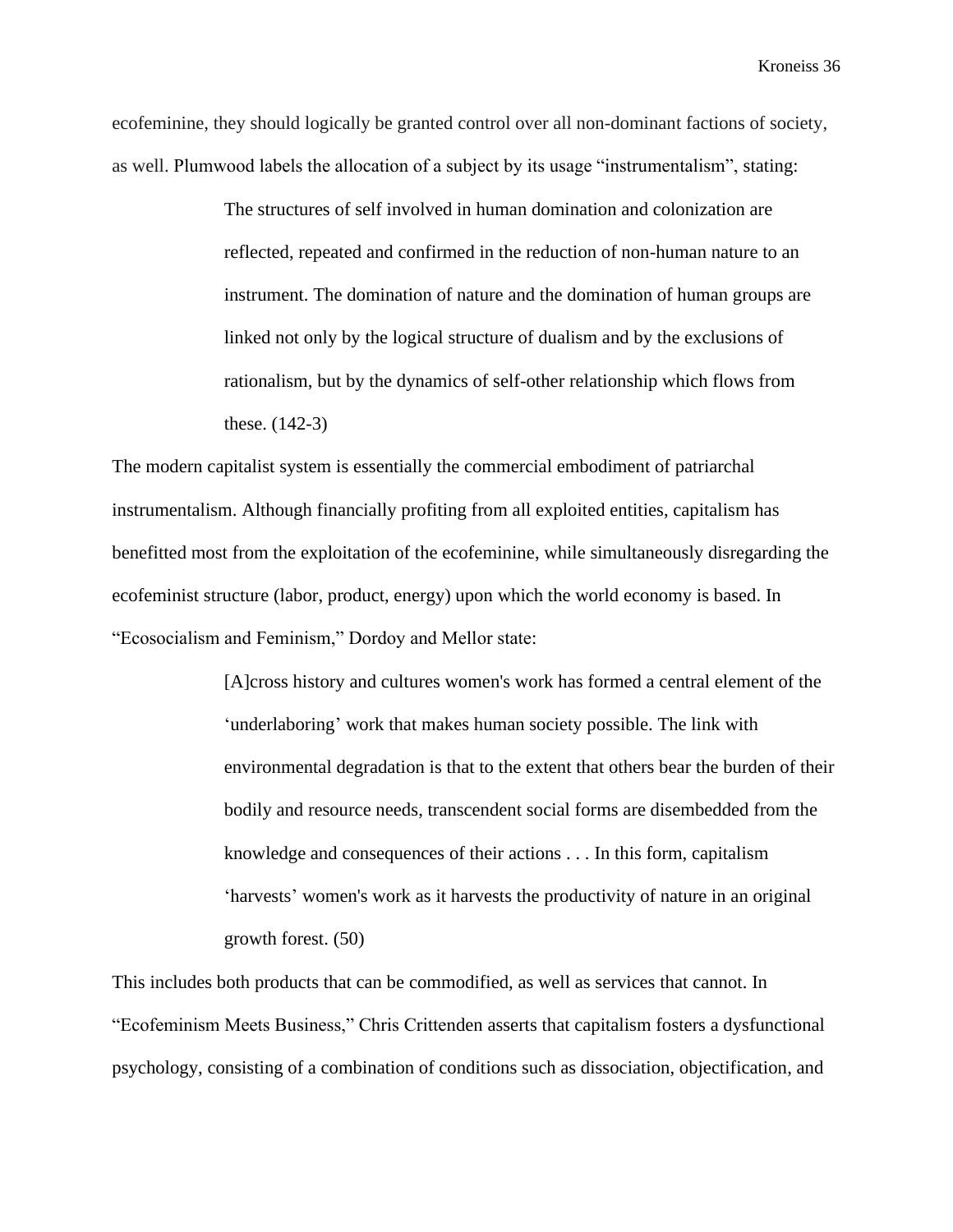ecofeminine, they should logically be granted control over all non-dominant factions of society, as well. Plumwood labels the allocation of a subject by its usage "instrumentalism", stating:

> The structures of self involved in human domination and colonization are reflected, repeated and confirmed in the reduction of non-human nature to an instrument. The domination of nature and the domination of human groups are linked not only by the logical structure of dualism and by the exclusions of rationalism, but by the dynamics of self-other relationship which flows from these. (142-3)

The modern capitalist system is essentially the commercial embodiment of patriarchal instrumentalism. Although financially profiting from all exploited entities, capitalism has benefitted most from the exploitation of the ecofeminine, while simultaneously disregarding the ecofeminist structure (labor, product, energy) upon which the world economy is based. In "Ecosocialism and Feminism," Dordoy and Mellor state:

> [A]cross history and cultures women's work has formed a central element of the 'underlaboring' work that makes human society possible. The link with environmental degradation is that to the extent that others bear the burden of their bodily and resource needs, transcendent social forms are disembedded from the knowledge and consequences of their actions . . . In this form, capitalism 'harvests' women's work as it harvests the productivity of nature in an original growth forest. (50)

This includes both products that can be commodified, as well as services that cannot. In "Ecofeminism Meets Business," Chris Crittenden asserts that capitalism fosters a dysfunctional psychology, consisting of a combination of conditions such as dissociation, objectification, and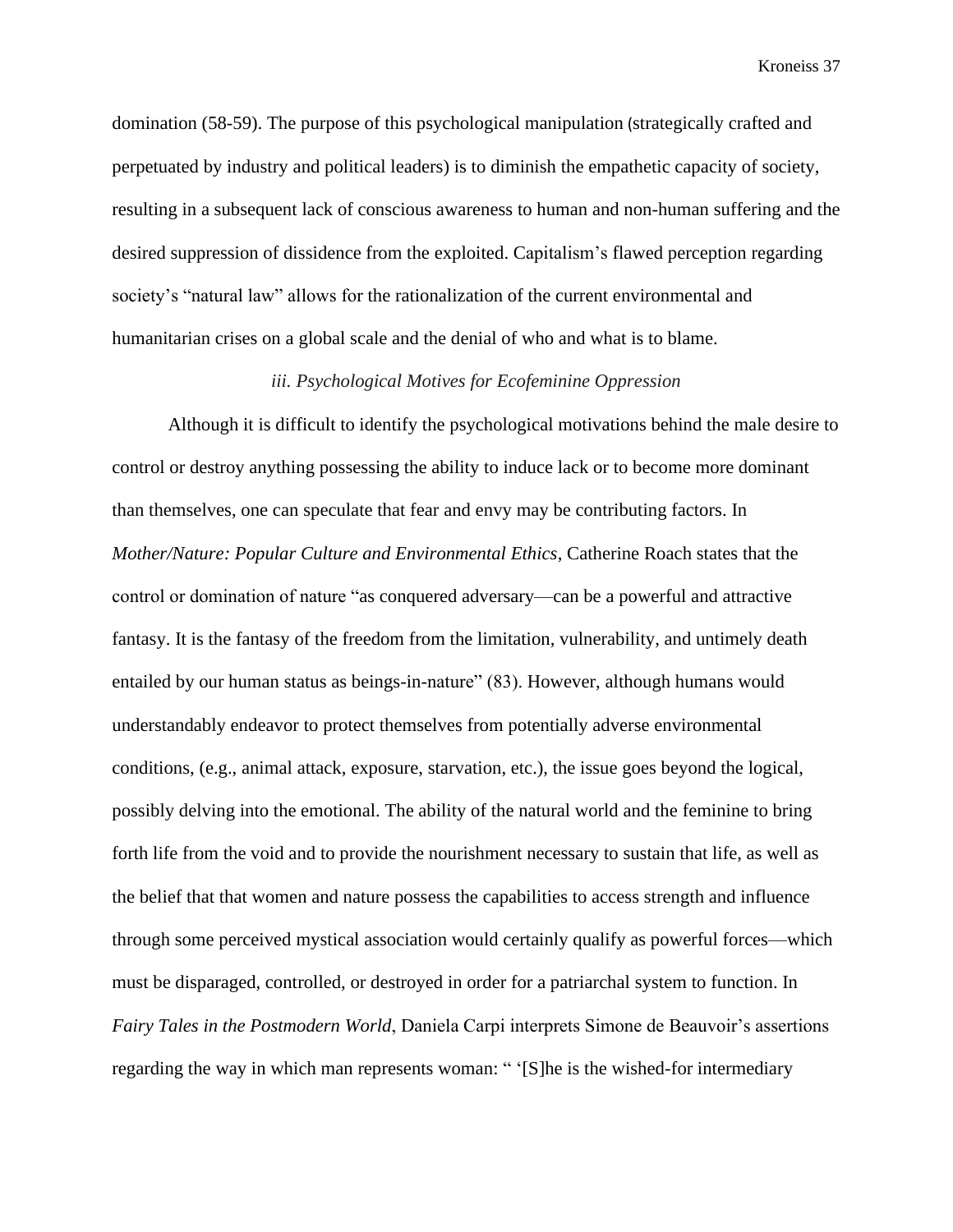domination (58-59). The purpose of this psychological manipulation (strategically crafted and perpetuated by industry and political leaders) is to diminish the empathetic capacity of society, resulting in a subsequent lack of conscious awareness to human and non-human suffering and the desired suppression of dissidence from the exploited. Capitalism's flawed perception regarding society's "natural law" allows for the rationalization of the current environmental and humanitarian crises on a global scale and the denial of who and what is to blame.

## *iii. Psychological Motives for Ecofeminine Oppression*

Although it is difficult to identify the psychological motivations behind the male desire to control or destroy anything possessing the ability to induce lack or to become more dominant than themselves, one can speculate that fear and envy may be contributing factors. In *Mother/Nature: Popular Culture and Environmental Ethics*, Catherine Roach states that the control or domination of nature "as conquered adversary—can be a powerful and attractive fantasy. It is the fantasy of the freedom from the limitation, vulnerability, and untimely death entailed by our human status as beings-in-nature" (83). However, although humans would understandably endeavor to protect themselves from potentially adverse environmental conditions, (e.g., animal attack, exposure, starvation, etc.), the issue goes beyond the logical, possibly delving into the emotional. The ability of the natural world and the feminine to bring forth life from the void and to provide the nourishment necessary to sustain that life, as well as the belief that that women and nature possess the capabilities to access strength and influence through some perceived mystical association would certainly qualify as powerful forces—which must be disparaged, controlled, or destroyed in order for a patriarchal system to function. In *Fairy Tales in the Postmodern World*, Daniela Carpi interprets Simone de Beauvoir's assertions regarding the way in which man represents woman: " '[S]he is the wished-for intermediary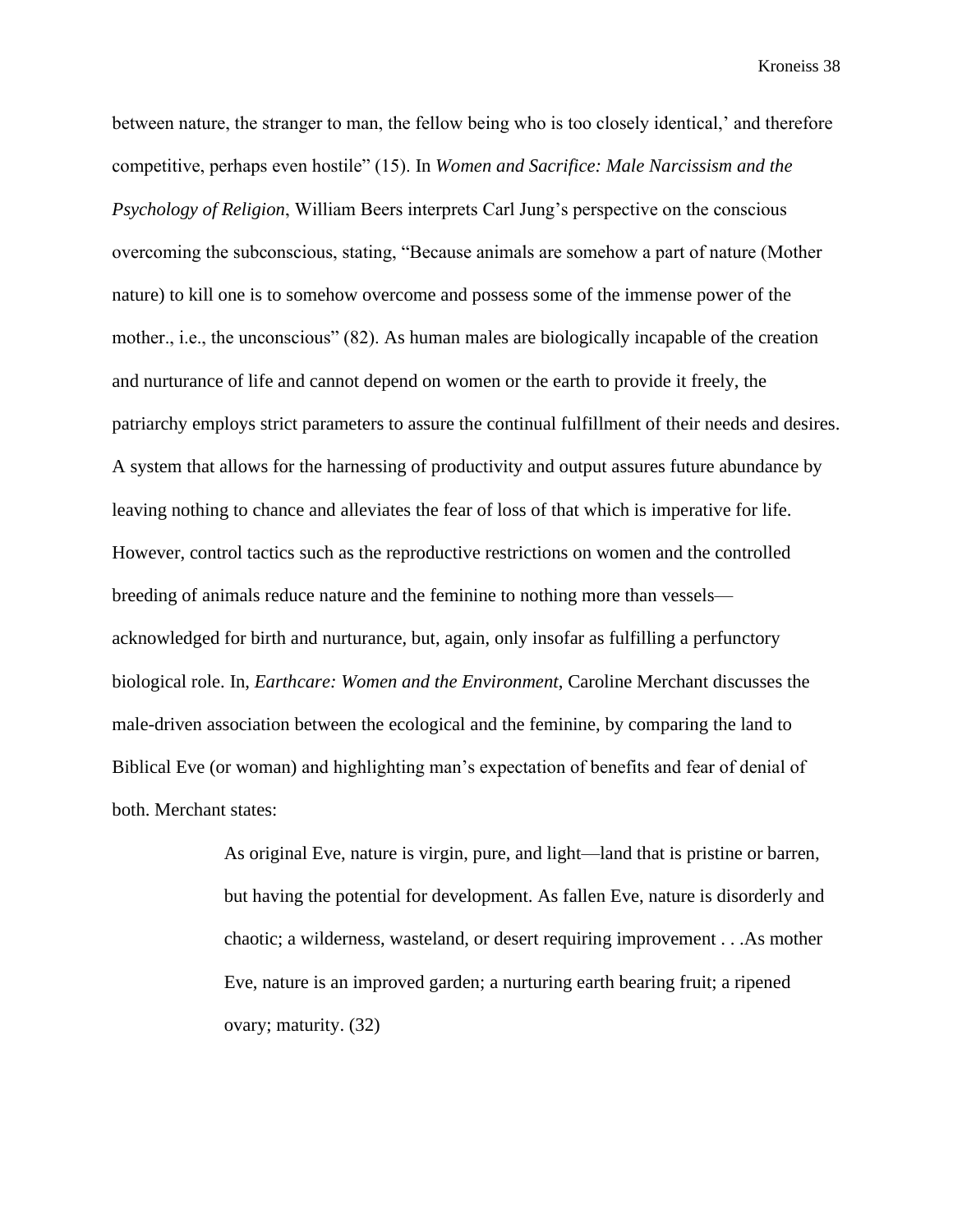between nature, the stranger to man, the fellow being who is too closely identical,' and therefore competitive, perhaps even hostile" (15). In *Women and Sacrifice: Male Narcissism and the Psychology of Religion*, William Beers interprets Carl Jung's perspective on the conscious overcoming the subconscious, stating, "Because animals are somehow a part of nature (Mother nature) to kill one is to somehow overcome and possess some of the immense power of the mother., i.e., the unconscious" (82). As human males are biologically incapable of the creation and nurturance of life and cannot depend on women or the earth to provide it freely, the patriarchy employs strict parameters to assure the continual fulfillment of their needs and desires. A system that allows for the harnessing of productivity and output assures future abundance by leaving nothing to chance and alleviates the fear of loss of that which is imperative for life. However, control tactics such as the reproductive restrictions on women and the controlled breeding of animals reduce nature and the feminine to nothing more than vessels acknowledged for birth and nurturance, but, again, only insofar as fulfilling a perfunctory biological role. In, *Earthcare: Women and the Environment*, Caroline Merchant discusses the male-driven association between the ecological and the feminine, by comparing the land to Biblical Eve (or woman) and highlighting man's expectation of benefits and fear of denial of both. Merchant states:

> As original Eve, nature is virgin, pure, and light—land that is pristine or barren, but having the potential for development. As fallen Eve, nature is disorderly and chaotic; a wilderness, wasteland, or desert requiring improvement . . .As mother Eve, nature is an improved garden; a nurturing earth bearing fruit; a ripened ovary; maturity. (32)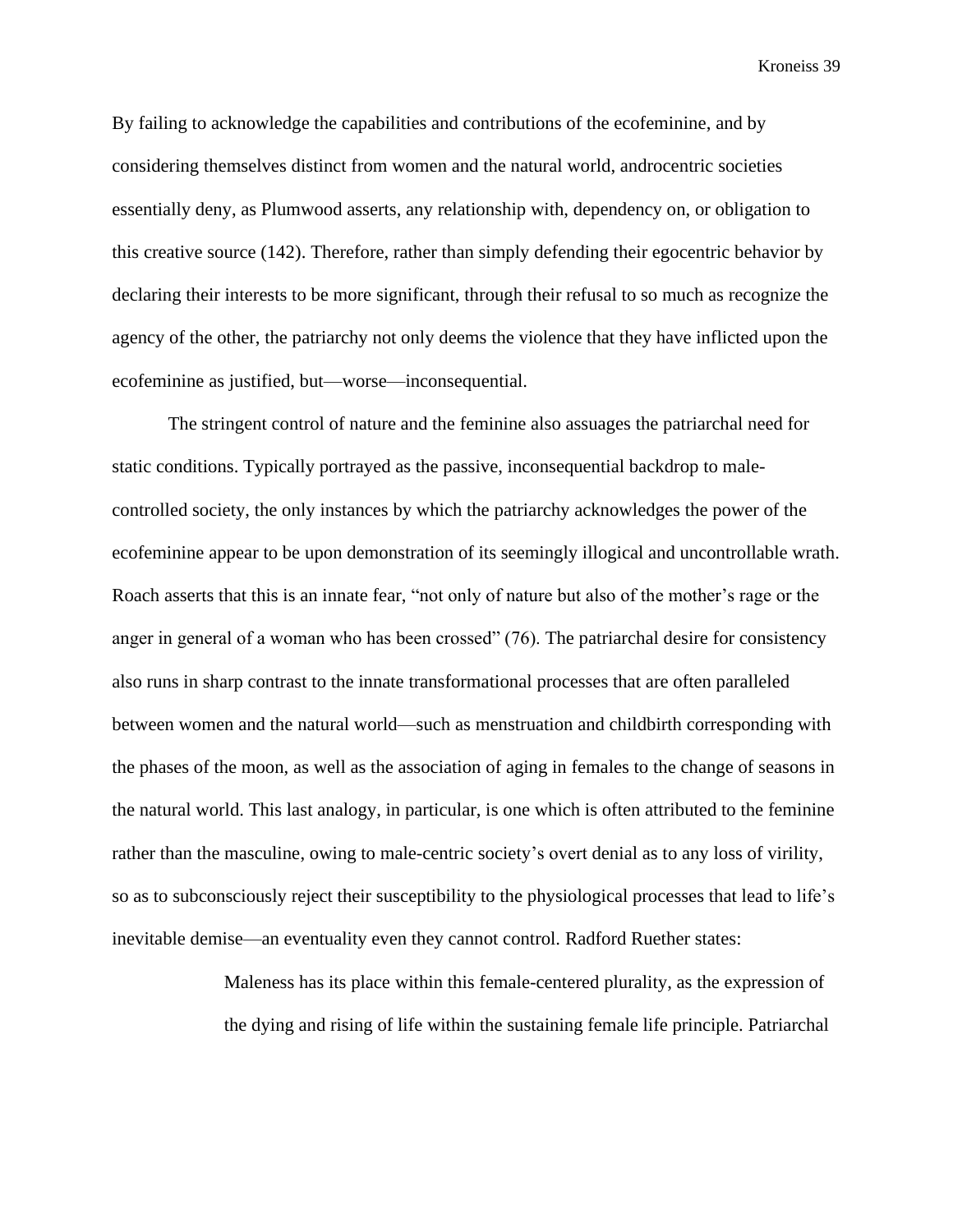By failing to acknowledge the capabilities and contributions of the ecofeminine, and by considering themselves distinct from women and the natural world, androcentric societies essentially deny, as Plumwood asserts, any relationship with, dependency on, or obligation to this creative source (142). Therefore, rather than simply defending their egocentric behavior by declaring their interests to be more significant, through their refusal to so much as recognize the agency of the other, the patriarchy not only deems the violence that they have inflicted upon the ecofeminine as justified, but—worse—inconsequential.

The stringent control of nature and the feminine also assuages the patriarchal need for static conditions. Typically portrayed as the passive, inconsequential backdrop to malecontrolled society, the only instances by which the patriarchy acknowledges the power of the ecofeminine appear to be upon demonstration of its seemingly illogical and uncontrollable wrath. Roach asserts that this is an innate fear, "not only of nature but also of the mother's rage or the anger in general of a woman who has been crossed" (76). The patriarchal desire for consistency also runs in sharp contrast to the innate transformational processes that are often paralleled between women and the natural world—such as menstruation and childbirth corresponding with the phases of the moon, as well as the association of aging in females to the change of seasons in the natural world. This last analogy, in particular, is one which is often attributed to the feminine rather than the masculine, owing to male-centric society's overt denial as to any loss of virility, so as to subconsciously reject their susceptibility to the physiological processes that lead to life's inevitable demise—an eventuality even they cannot control. Radford Ruether states:

> Maleness has its place within this female-centered plurality, as the expression of the dying and rising of life within the sustaining female life principle. Patriarchal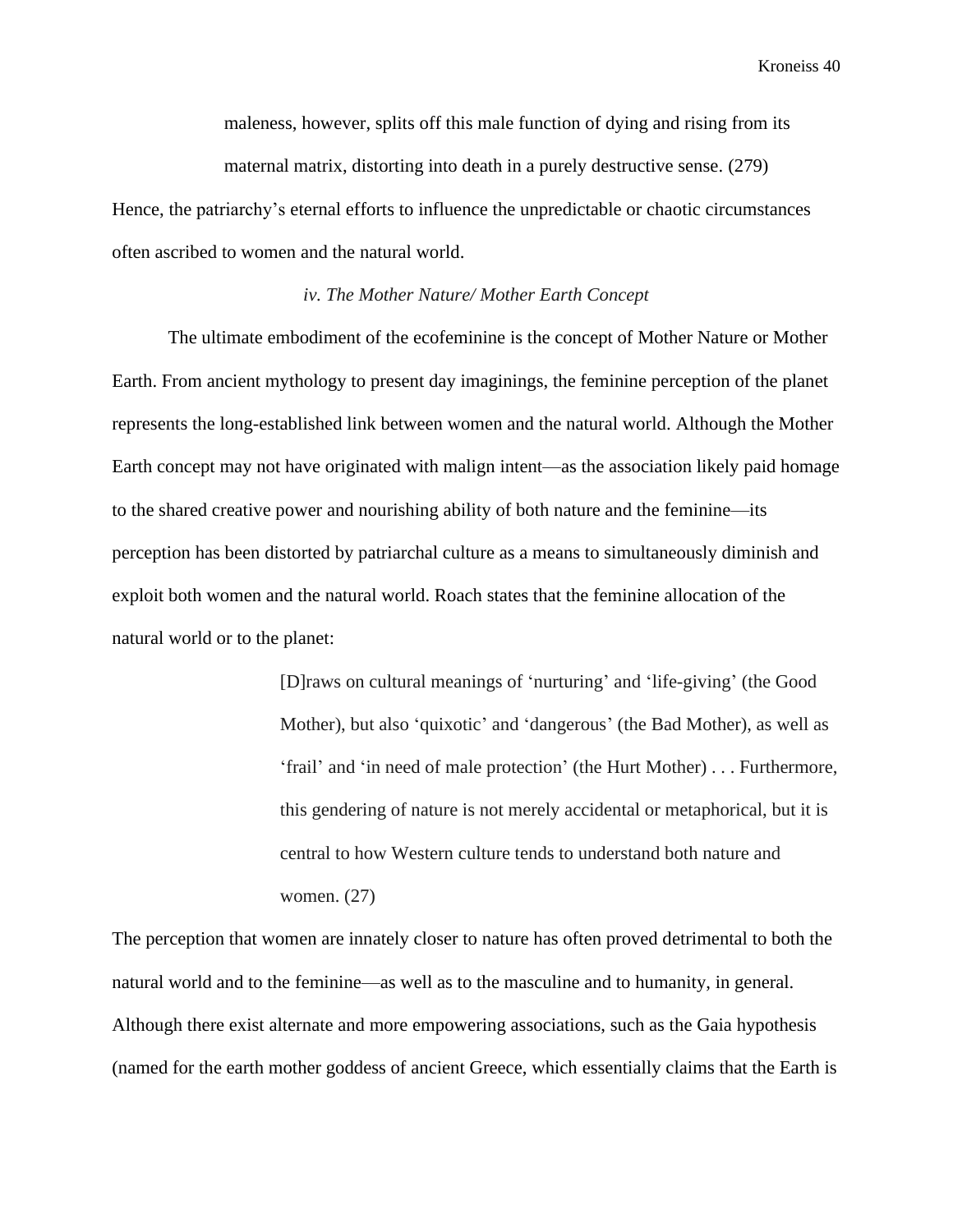maleness, however, splits off this male function of dying and rising from its maternal matrix, distorting into death in a purely destructive sense. (279)

Hence, the patriarchy's eternal efforts to influence the unpredictable or chaotic circumstances often ascribed to women and the natural world.

#### *iv. The Mother Nature/ Mother Earth Concept*

The ultimate embodiment of the ecofeminine is the concept of Mother Nature or Mother Earth. From ancient mythology to present day imaginings, the feminine perception of the planet represents the long-established link between women and the natural world. Although the Mother Earth concept may not have originated with malign intent—as the association likely paid homage to the shared creative power and nourishing ability of both nature and the feminine—its perception has been distorted by patriarchal culture as a means to simultaneously diminish and exploit both women and the natural world. Roach states that the feminine allocation of the natural world or to the planet:

> [D]raws on cultural meanings of 'nurturing' and 'life-giving' (the Good Mother), but also 'quixotic' and 'dangerous' (the Bad Mother), as well as 'frail' and 'in need of male protection' (the Hurt Mother) . . . Furthermore, this gendering of nature is not merely accidental or metaphorical, but it is central to how Western culture tends to understand both nature and women. (27)

The perception that women are innately closer to nature has often proved detrimental to both the natural world and to the feminine—as well as to the masculine and to humanity, in general. Although there exist alternate and more empowering associations, such as the Gaia hypothesis (named for the earth mother goddess of ancient Greece, which essentially claims that the Earth is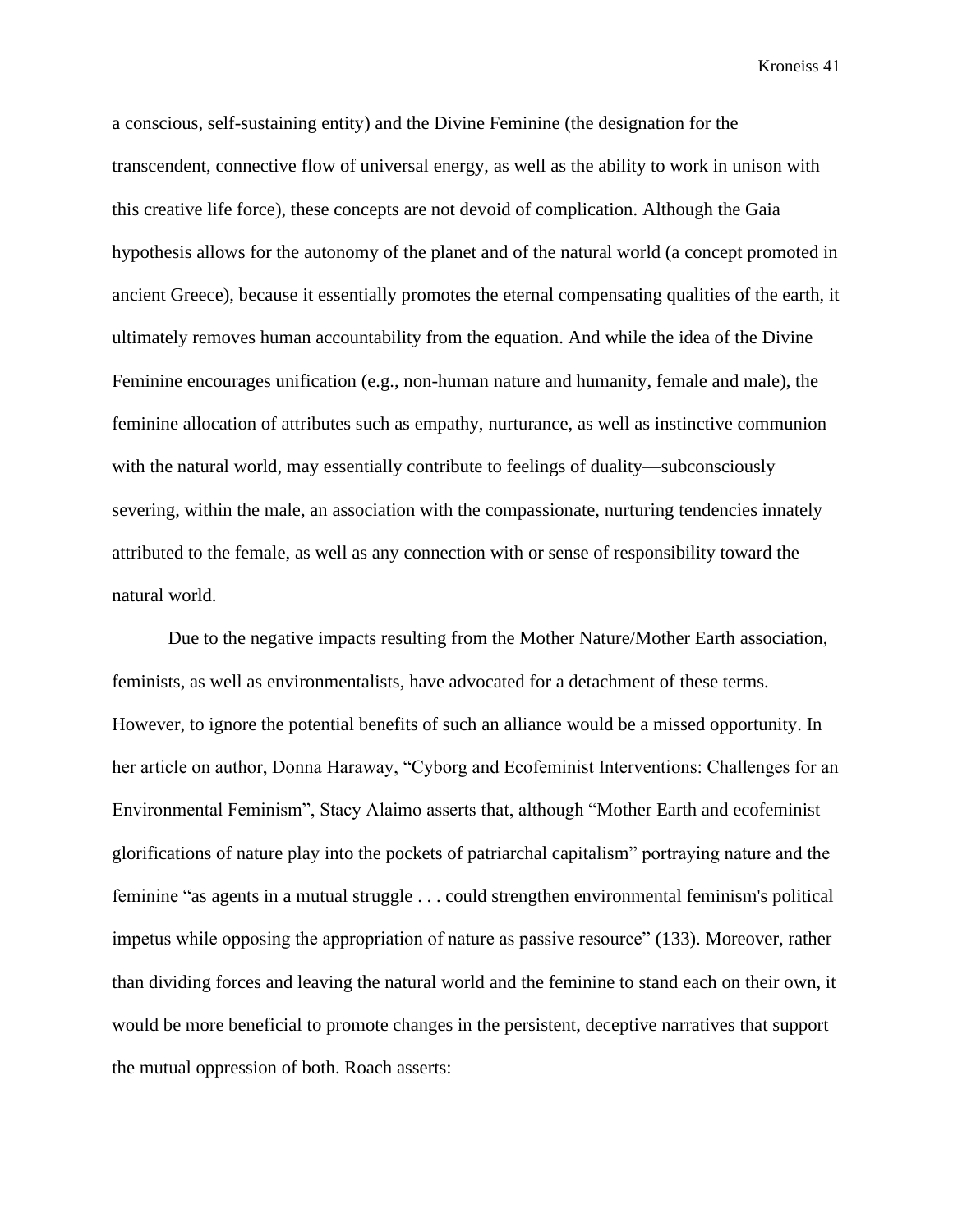a conscious, self-sustaining entity) and the Divine Feminine (the designation for the transcendent, connective flow of universal energy, as well as the ability to work in unison with this creative life force), these concepts are not devoid of complication. Although the Gaia hypothesis allows for the autonomy of the planet and of the natural world (a concept promoted in ancient Greece), because it essentially promotes the eternal compensating qualities of the earth, it ultimately removes human accountability from the equation. And while the idea of the Divine Feminine encourages unification (e.g., non-human nature and humanity, female and male), the feminine allocation of attributes such as empathy, nurturance, as well as instinctive communion with the natural world, may essentially contribute to feelings of duality—subconsciously severing, within the male, an association with the compassionate, nurturing tendencies innately attributed to the female, as well as any connection with or sense of responsibility toward the natural world.

Due to the negative impacts resulting from the Mother Nature/Mother Earth association, feminists, as well as environmentalists, have advocated for a detachment of these terms. However, to ignore the potential benefits of such an alliance would be a missed opportunity. In her article on author, Donna Haraway, "Cyborg and Ecofeminist Interventions: Challenges for an Environmental Feminism", Stacy Alaimo asserts that, although "Mother Earth and ecofeminist glorifications of nature play into the pockets of patriarchal capitalism" portraying nature and the feminine "as agents in a mutual struggle . . . could strengthen environmental feminism's political impetus while opposing the appropriation of nature as passive resource" (133). Moreover, rather than dividing forces and leaving the natural world and the feminine to stand each on their own, it would be more beneficial to promote changes in the persistent, deceptive narratives that support the mutual oppression of both. Roach asserts: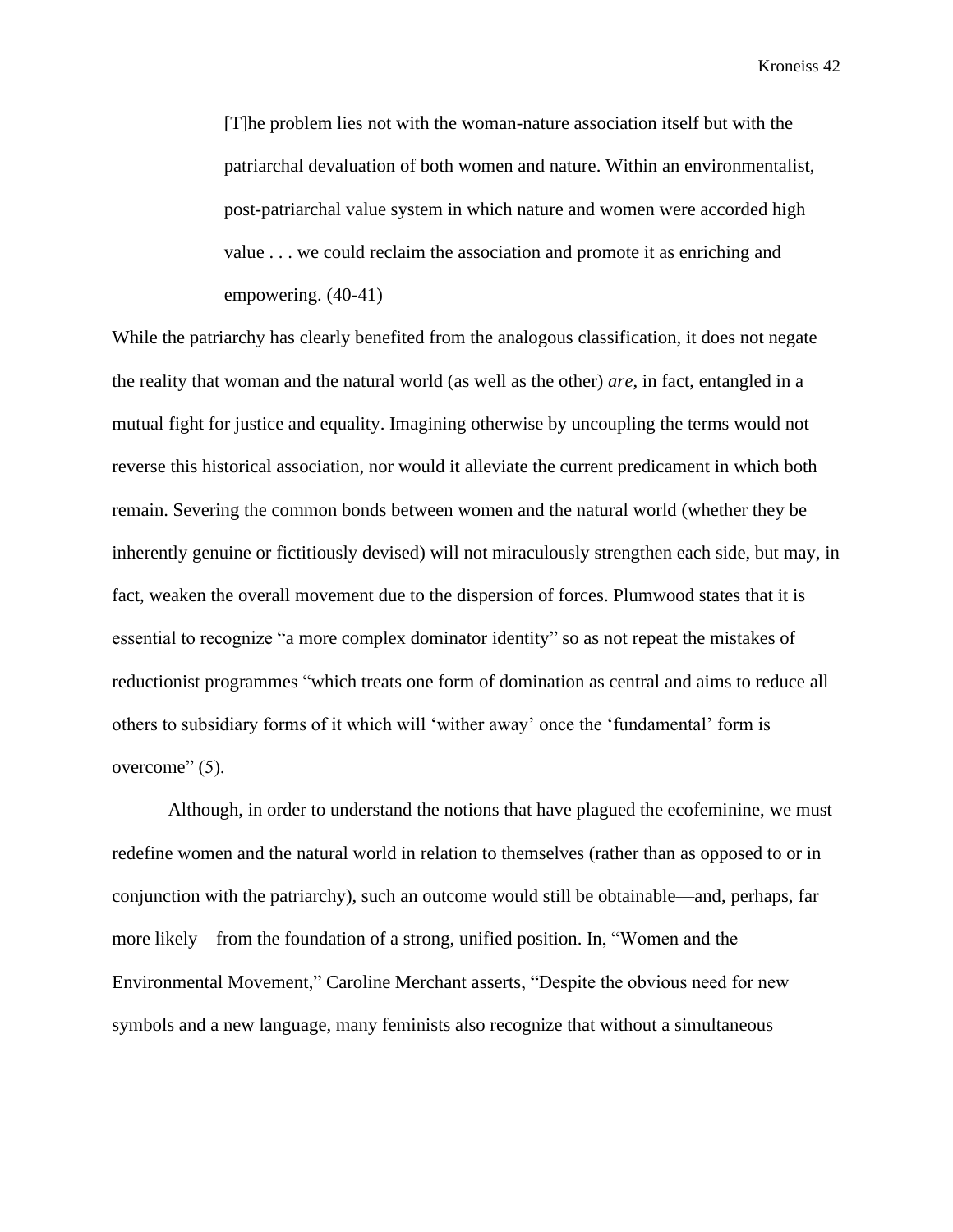[T]he problem lies not with the woman-nature association itself but with the patriarchal devaluation of both women and nature. Within an environmentalist, post-patriarchal value system in which nature and women were accorded high value . . . we could reclaim the association and promote it as enriching and empowering. (40-41)

While the patriarchy has clearly benefited from the analogous classification, it does not negate the reality that woman and the natural world (as well as the other) *are*, in fact, entangled in a mutual fight for justice and equality. Imagining otherwise by uncoupling the terms would not reverse this historical association, nor would it alleviate the current predicament in which both remain. Severing the common bonds between women and the natural world (whether they be inherently genuine or fictitiously devised) will not miraculously strengthen each side, but may, in fact, weaken the overall movement due to the dispersion of forces. Plumwood states that it is essential to recognize "a more complex dominator identity" so as not repeat the mistakes of reductionist programmes "which treats one form of domination as central and aims to reduce all others to subsidiary forms of it which will 'wither away' once the 'fundamental' form is overcome" (5).

Although, in order to understand the notions that have plagued the ecofeminine, we must redefine women and the natural world in relation to themselves (rather than as opposed to or in conjunction with the patriarchy), such an outcome would still be obtainable—and, perhaps, far more likely—from the foundation of a strong, unified position. In, "Women and the Environmental Movement," Caroline Merchant asserts, "Despite the obvious need for new symbols and a new language, many feminists also recognize that without a simultaneous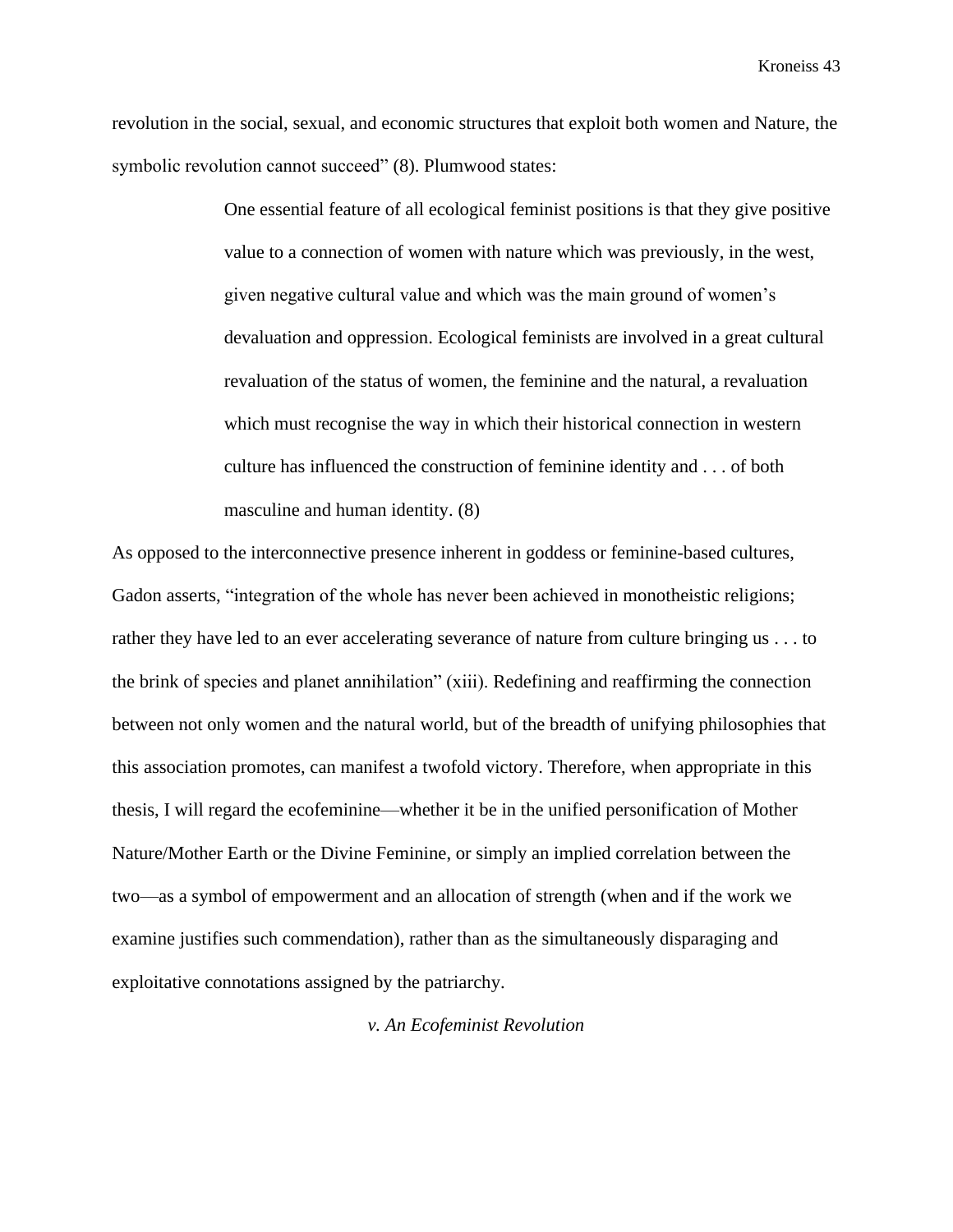revolution in the social, sexual, and economic structures that exploit both women and Nature, the symbolic revolution cannot succeed" (8). Plumwood states:

> One essential feature of all ecological feminist positions is that they give positive value to a connection of women with nature which was previously, in the west, given negative cultural value and which was the main ground of women's devaluation and oppression. Ecological feminists are involved in a great cultural revaluation of the status of women, the feminine and the natural, a revaluation which must recognise the way in which their historical connection in western culture has influenced the construction of feminine identity and . . . of both masculine and human identity. (8)

As opposed to the interconnective presence inherent in goddess or feminine-based cultures, Gadon asserts, "integration of the whole has never been achieved in monotheistic religions; rather they have led to an ever accelerating severance of nature from culture bringing us . . . to the brink of species and planet annihilation" (xiii). Redefining and reaffirming the connection between not only women and the natural world, but of the breadth of unifying philosophies that this association promotes, can manifest a twofold victory. Therefore, when appropriate in this thesis, I will regard the ecofeminine—whether it be in the unified personification of Mother Nature/Mother Earth or the Divine Feminine, or simply an implied correlation between the two—as a symbol of empowerment and an allocation of strength (when and if the work we examine justifies such commendation), rather than as the simultaneously disparaging and exploitative connotations assigned by the patriarchy.

*v. An Ecofeminist Revolution*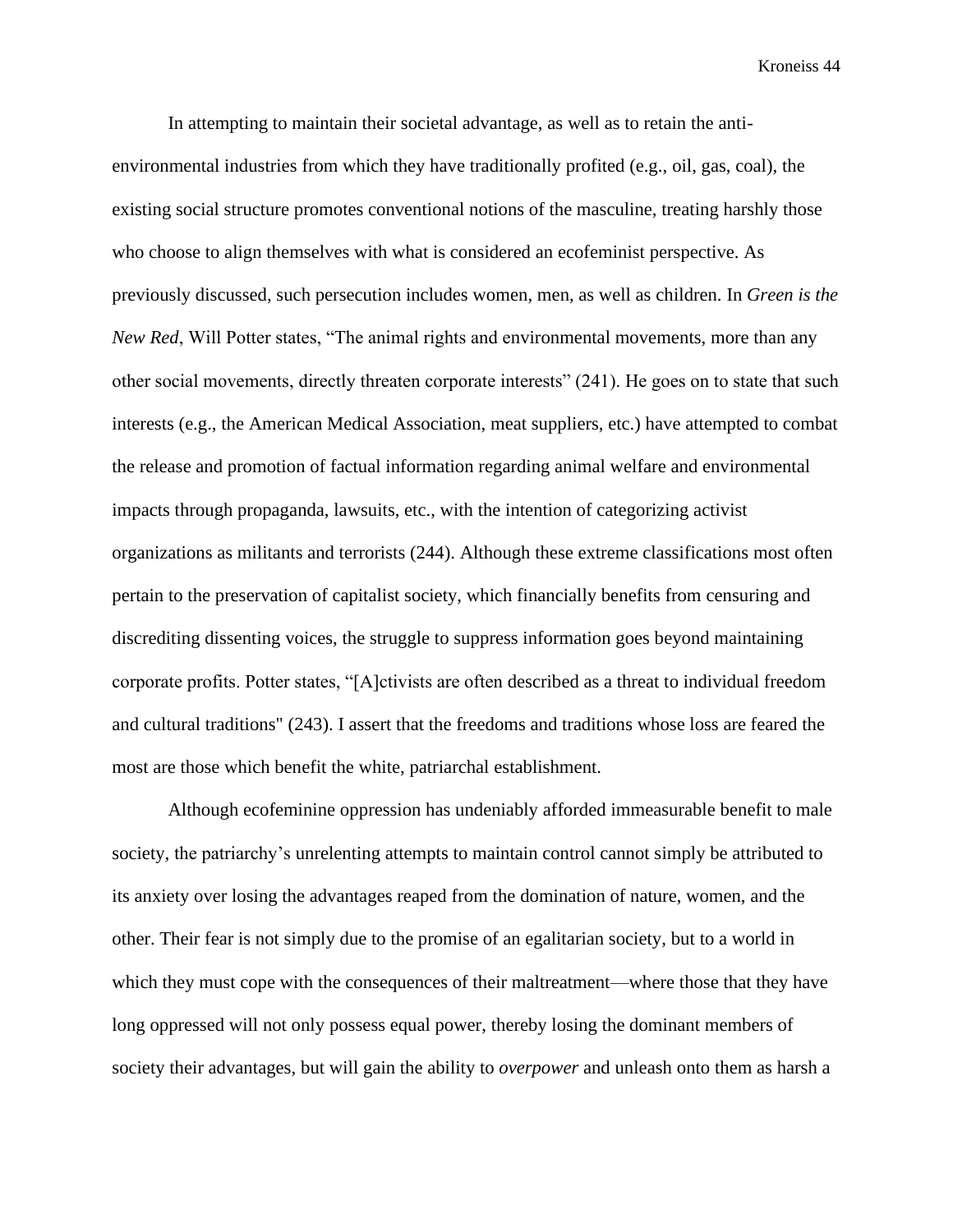In attempting to maintain their societal advantage, as well as to retain the antienvironmental industries from which they have traditionally profited (e.g., oil, gas, coal), the existing social structure promotes conventional notions of the masculine, treating harshly those who choose to align themselves with what is considered an ecofeminist perspective. As previously discussed, such persecution includes women, men, as well as children. In *Green is the New Red*, Will Potter states, "The animal rights and environmental movements, more than any other social movements, directly threaten corporate interests" (241). He goes on to state that such interests (e.g., the American Medical Association, meat suppliers, etc.) have attempted to combat the release and promotion of factual information regarding animal welfare and environmental impacts through propaganda, lawsuits, etc., with the intention of categorizing activist organizations as militants and terrorists (244). Although these extreme classifications most often pertain to the preservation of capitalist society, which financially benefits from censuring and discrediting dissenting voices, the struggle to suppress information goes beyond maintaining corporate profits. Potter states, "[A]ctivists are often described as a threat to individual freedom and cultural traditions" (243). I assert that the freedoms and traditions whose loss are feared the most are those which benefit the white, patriarchal establishment.

Although ecofeminine oppression has undeniably afforded immeasurable benefit to male society, the patriarchy's unrelenting attempts to maintain control cannot simply be attributed to its anxiety over losing the advantages reaped from the domination of nature, women, and the other. Their fear is not simply due to the promise of an egalitarian society, but to a world in which they must cope with the consequences of their maltreatment—where those that they have long oppressed will not only possess equal power, thereby losing the dominant members of society their advantages, but will gain the ability to *overpower* and unleash onto them as harsh a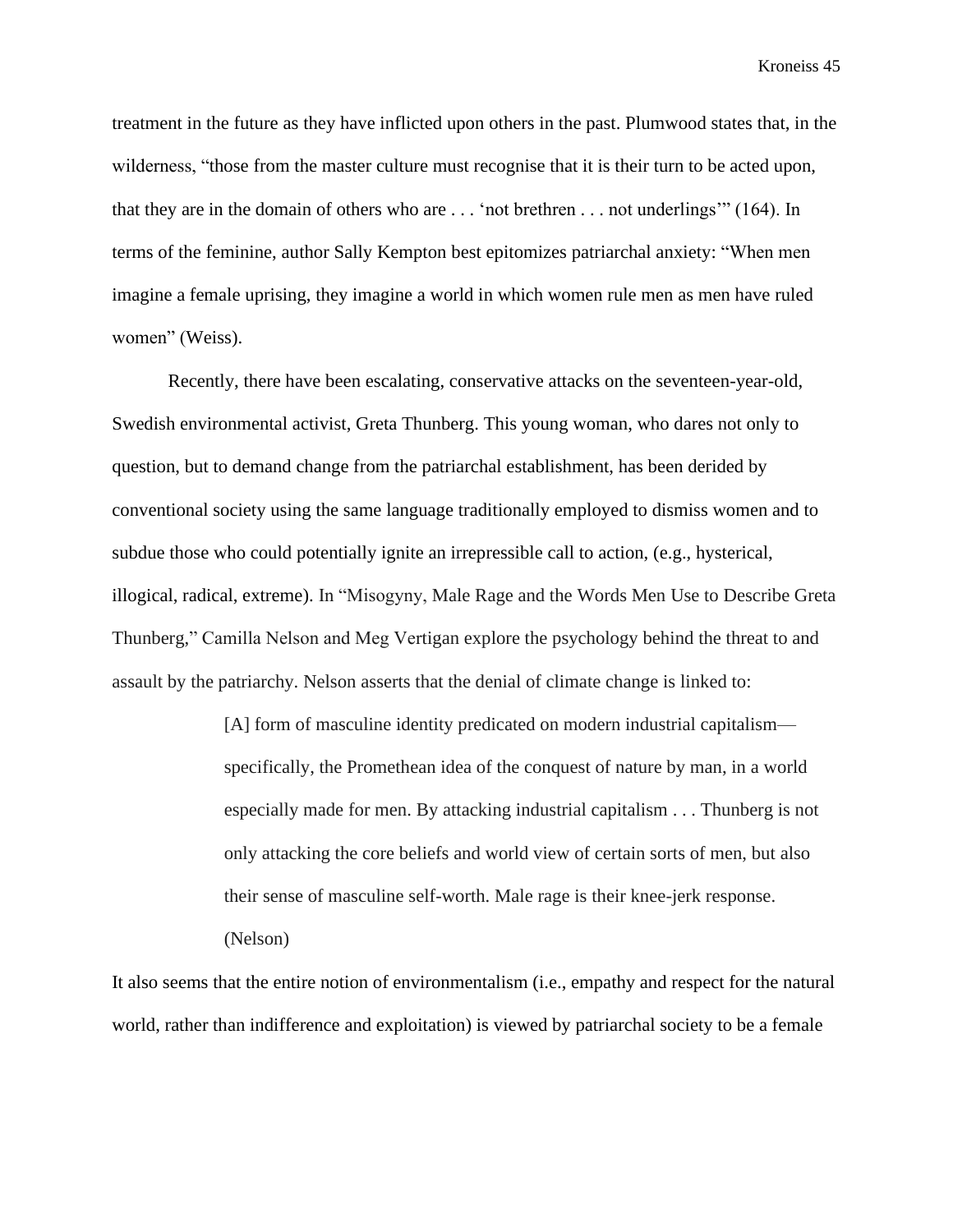treatment in the future as they have inflicted upon others in the past. Plumwood states that, in the wilderness, "those from the master culture must recognise that it is their turn to be acted upon, that they are in the domain of others who are . . . 'not brethren . . . not underlings'" (164). In terms of the feminine, author Sally Kempton best epitomizes patriarchal anxiety: "When men imagine a female uprising, they imagine a world in which women rule men as men have ruled women" (Weiss).

Recently, there have been escalating, conservative attacks on the seventeen-year-old, Swedish environmental activist, Greta Thunberg. This young woman, who dares not only to question, but to demand change from the patriarchal establishment, has been derided by conventional society using the same language traditionally employed to dismiss women and to subdue those who could potentially ignite an irrepressible call to action, (e.g., hysterical, illogical, radical, extreme). In "Misogyny, Male Rage and the Words Men Use to Describe Greta Thunberg," Camilla Nelson and Meg Vertigan explore the psychology behind the threat to and assault by the patriarchy. Nelson asserts that the denial of climate change is linked to:

> [A] form of masculine identity predicated on modern industrial capitalism specifically, the Promethean idea of the conquest of nature by man, in a world especially made for men. By attacking industrial capitalism . . . Thunberg is not only attacking the core beliefs and world view of certain sorts of men, but also their sense of masculine self-worth. Male rage is their knee-jerk response.

(Nelson)

It also seems that the entire notion of environmentalism (i.e., empathy and respect for the natural world, rather than indifference and exploitation) is viewed by patriarchal society to be a female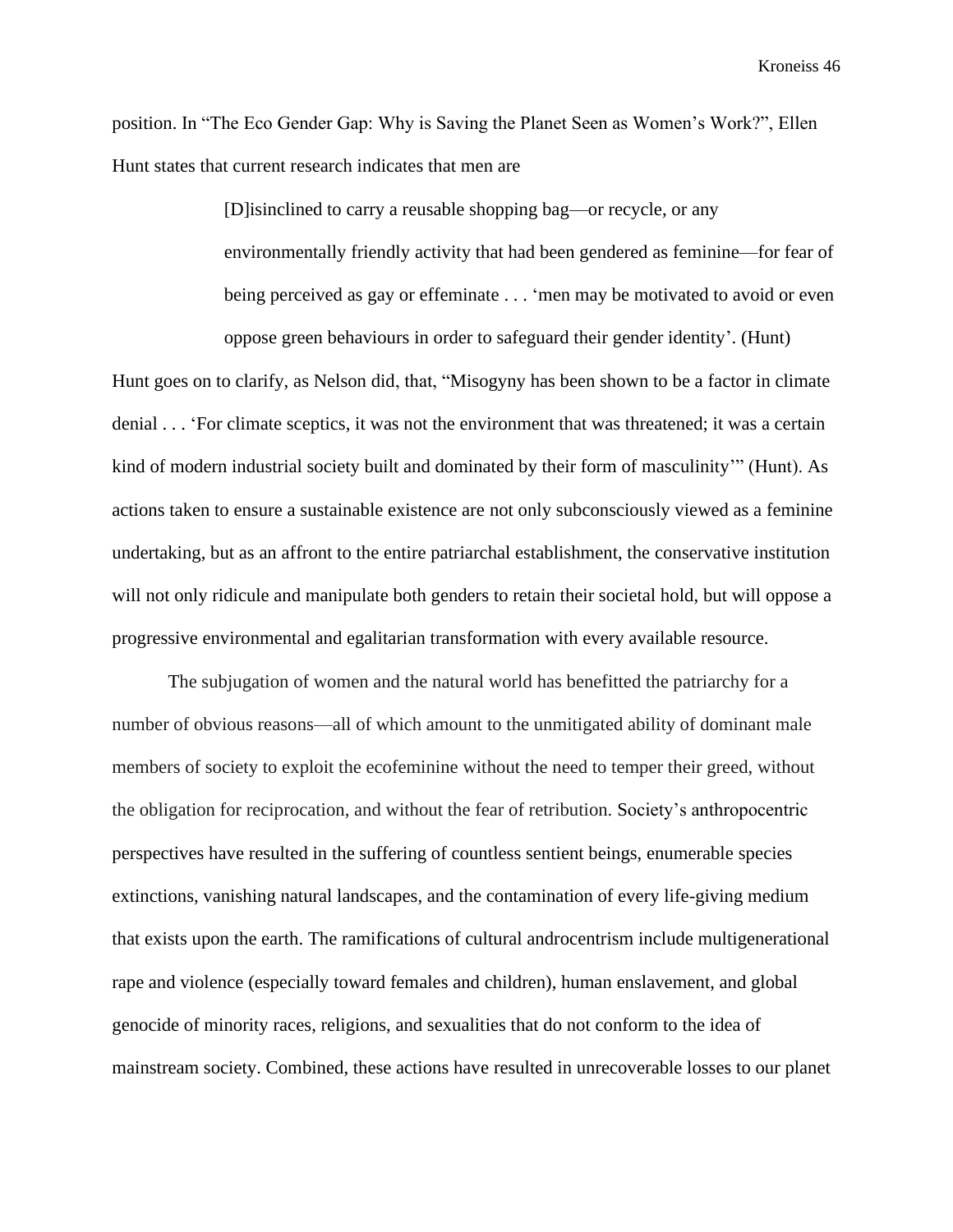position. In "The Eco Gender Gap: Why is Saving the Planet Seen as Women's Work?", Ellen Hunt states that current research indicates that men are

> [D]isinclined to carry a reusable shopping bag—or recycle, or any environmentally friendly activity that had been gendered as feminine—for fear of being perceived as gay or effeminate . . . 'men may be motivated to avoid or even oppose green behaviours in order to safeguard their gender identity'. (Hunt)

Hunt goes on to clarify, as Nelson did, that, "Misogyny has been shown to be a factor in climate denial . . . 'For climate sceptics, it was not the environment that was threatened; it was a certain kind of modern industrial society built and dominated by their form of masculinity'" (Hunt). As actions taken to ensure a sustainable existence are not only subconsciously viewed as a feminine undertaking, but as an affront to the entire patriarchal establishment, the conservative institution will not only ridicule and manipulate both genders to retain their societal hold, but will oppose a progressive environmental and egalitarian transformation with every available resource.

The subjugation of women and the natural world has benefitted the patriarchy for a number of obvious reasons—all of which amount to the unmitigated ability of dominant male members of society to exploit the ecofeminine without the need to temper their greed, without the obligation for reciprocation, and without the fear of retribution. Society's anthropocentric perspectives have resulted in the suffering of countless sentient beings, enumerable species extinctions, vanishing natural landscapes, and the contamination of every life-giving medium that exists upon the earth. The ramifications of cultural androcentrism include multigenerational rape and violence (especially toward females and children), human enslavement, and global genocide of minority races, religions, and sexualities that do not conform to the idea of mainstream society. Combined, these actions have resulted in unrecoverable losses to our planet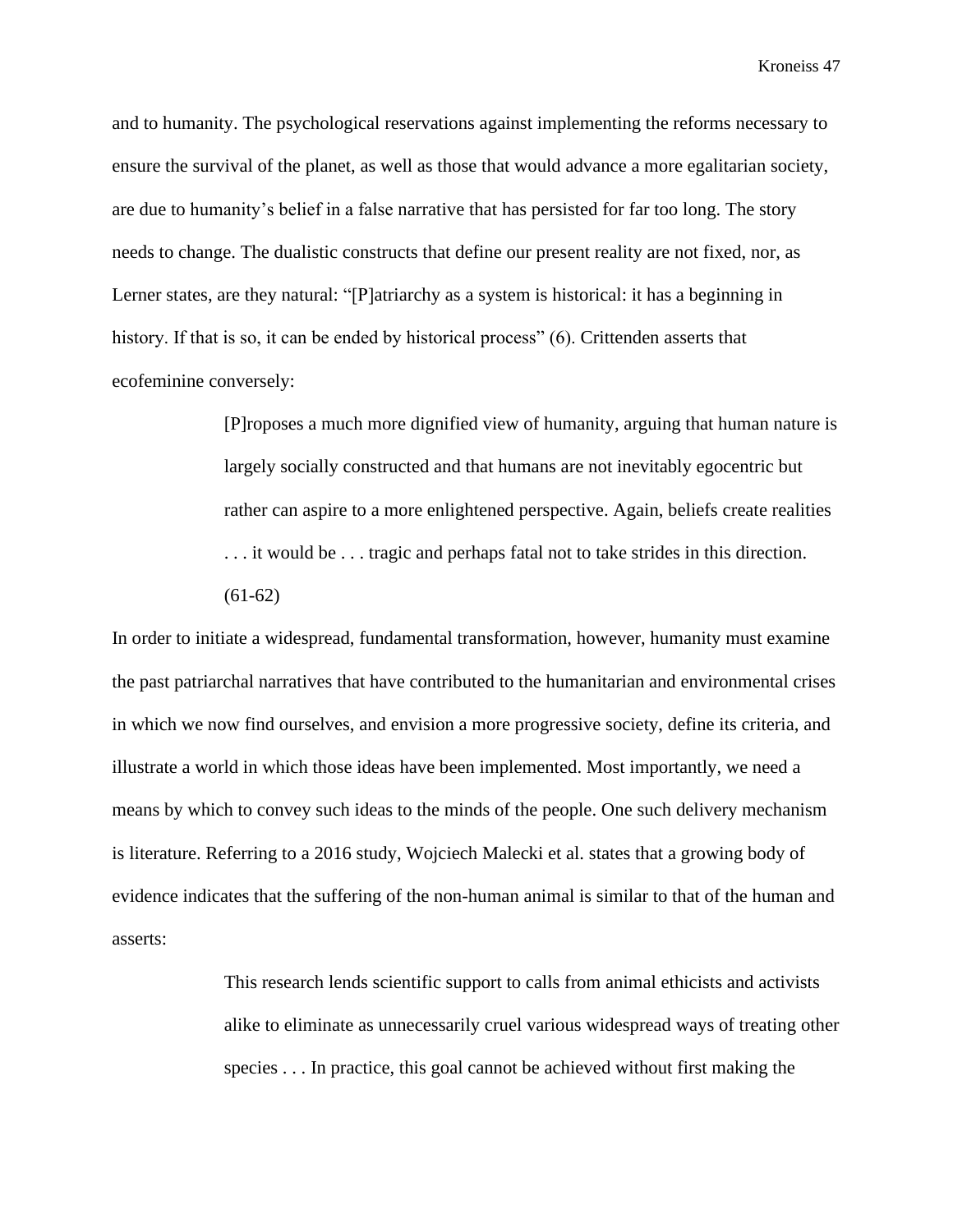and to humanity. The psychological reservations against implementing the reforms necessary to ensure the survival of the planet, as well as those that would advance a more egalitarian society, are due to humanity's belief in a false narrative that has persisted for far too long. The story needs to change. The dualistic constructs that define our present reality are not fixed, nor, as Lerner states, are they natural: "[P]atriarchy as a system is historical: it has a beginning in history. If that is so, it can be ended by historical process" (6). Crittenden asserts that ecofeminine conversely:

> [P]roposes a much more dignified view of humanity, arguing that human nature is largely socially constructed and that humans are not inevitably egocentric but rather can aspire to a more enlightened perspective. Again, beliefs create realities . . . it would be . . . tragic and perhaps fatal not to take strides in this direction. (61-62)

In order to initiate a widespread, fundamental transformation, however, humanity must examine the past patriarchal narratives that have contributed to the humanitarian and environmental crises in which we now find ourselves, and envision a more progressive society, define its criteria, and illustrate a world in which those ideas have been implemented. Most importantly, we need a means by which to convey such ideas to the minds of the people. One such delivery mechanism is literature. Referring to a 2016 study, Wojciech Malecki et al. states that a growing body of evidence indicates that the suffering of the non-human animal is similar to that of the human and asserts:

> This research lends scientific support to calls from animal ethicists and activists alike to eliminate as unnecessarily cruel various widespread ways of treating other species . . . In practice, this goal cannot be achieved without first making the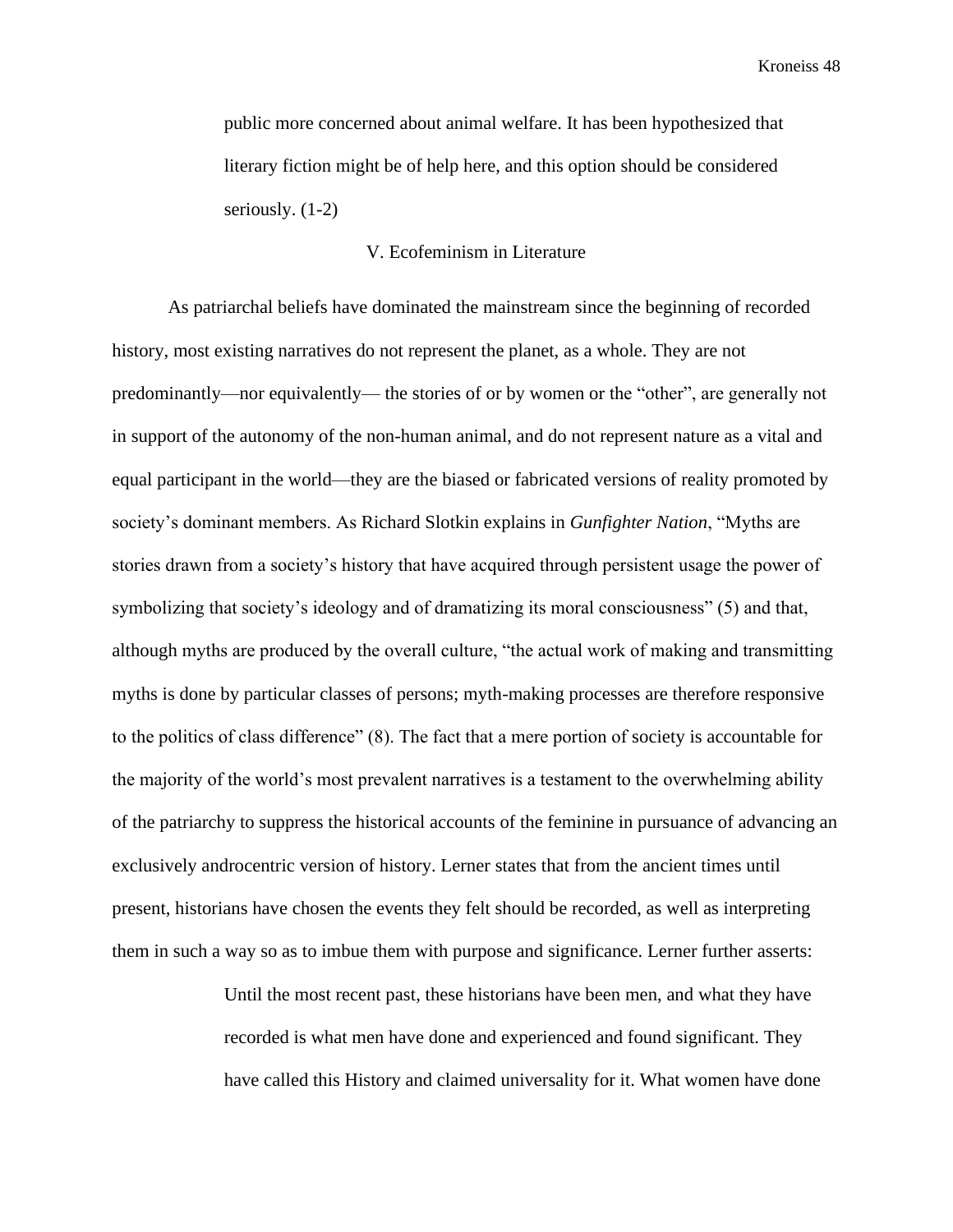public more concerned about animal welfare. It has been hypothesized that literary fiction might be of help here, and this option should be considered seriously. (1-2)

## V. Ecofeminism in Literature

As patriarchal beliefs have dominated the mainstream since the beginning of recorded history, most existing narratives do not represent the planet, as a whole. They are not predominantly—nor equivalently— the stories of or by women or the "other", are generally not in support of the autonomy of the non-human animal, and do not represent nature as a vital and equal participant in the world—they are the biased or fabricated versions of reality promoted by society's dominant members. As Richard Slotkin explains in *Gunfighter Nation*, "Myths are stories drawn from a society's history that have acquired through persistent usage the power of symbolizing that society's ideology and of dramatizing its moral consciousness" (5) and that, although myths are produced by the overall culture, "the actual work of making and transmitting myths is done by particular classes of persons; myth-making processes are therefore responsive to the politics of class difference" (8). The fact that a mere portion of society is accountable for the majority of the world's most prevalent narratives is a testament to the overwhelming ability of the patriarchy to suppress the historical accounts of the feminine in pursuance of advancing an exclusively androcentric version of history. Lerner states that from the ancient times until present, historians have chosen the events they felt should be recorded, as well as interpreting them in such a way so as to imbue them with purpose and significance. Lerner further asserts:

> Until the most recent past, these historians have been men, and what they have recorded is what men have done and experienced and found significant. They have called this History and claimed universality for it. What women have done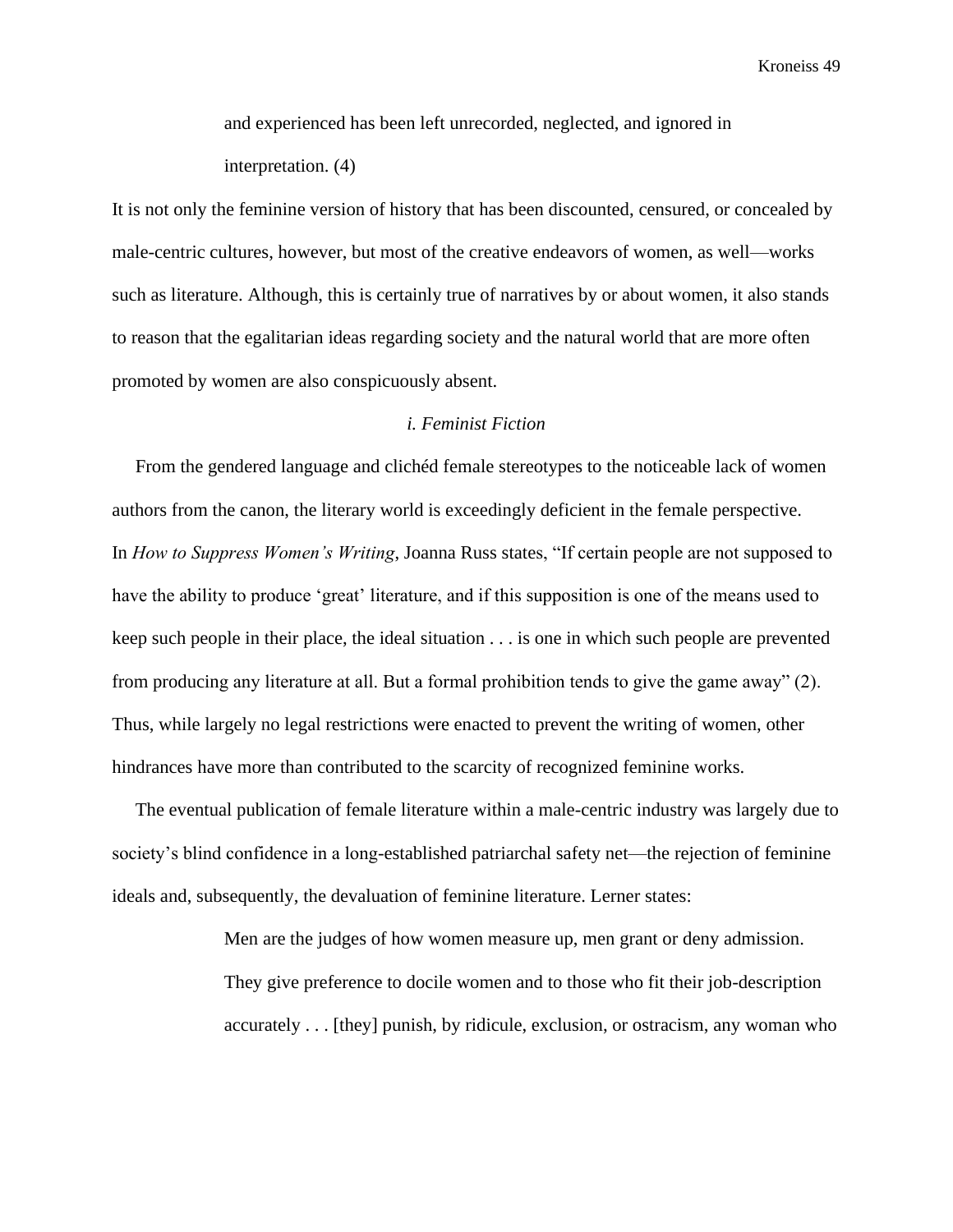and experienced has been left unrecorded, neglected, and ignored in interpretation. (4)

It is not only the feminine version of history that has been discounted, censured, or concealed by male-centric cultures, however, but most of the creative endeavors of women, as well—works such as literature. Although, this is certainly true of narratives by or about women, it also stands to reason that the egalitarian ideas regarding society and the natural world that are more often promoted by women are also conspicuously absent.

## *i. Feminist Fiction*

 From the gendered language and clichéd female stereotypes to the noticeable lack of women authors from the canon, the literary world is exceedingly deficient in the female perspective. In *How to Suppress Women's Writing*, Joanna Russ states, "If certain people are not supposed to have the ability to produce 'great' literature, and if this supposition is one of the means used to keep such people in their place, the ideal situation . . . is one in which such people are prevented from producing any literature at all. But a formal prohibition tends to give the game away" (2). Thus, while largely no legal restrictions were enacted to prevent the writing of women, other hindrances have more than contributed to the scarcity of recognized feminine works.

 The eventual publication of female literature within a male-centric industry was largely due to society's blind confidence in a long-established patriarchal safety net—the rejection of feminine ideals and, subsequently, the devaluation of feminine literature. Lerner states:

> Men are the judges of how women measure up, men grant or deny admission. They give preference to docile women and to those who fit their job-description accurately . . . [they] punish, by ridicule, exclusion, or ostracism, any woman who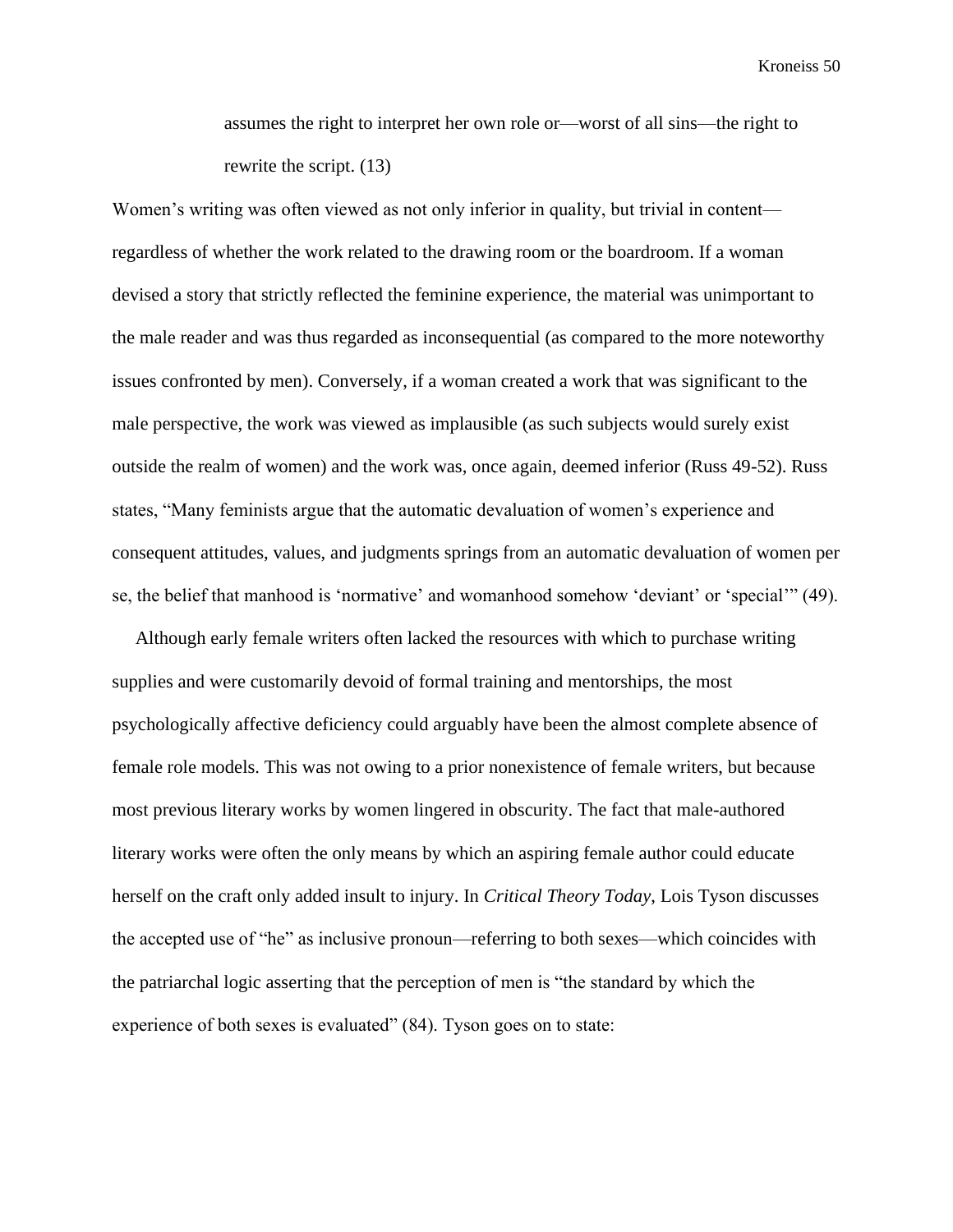assumes the right to interpret her own role or—worst of all sins—the right to rewrite the script. (13)

Women's writing was often viewed as not only inferior in quality, but trivial in content regardless of whether the work related to the drawing room or the boardroom. If a woman devised a story that strictly reflected the feminine experience, the material was unimportant to the male reader and was thus regarded as inconsequential (as compared to the more noteworthy issues confronted by men). Conversely, if a woman created a work that was significant to the male perspective, the work was viewed as implausible (as such subjects would surely exist outside the realm of women) and the work was, once again, deemed inferior (Russ 49-52). Russ states, "Many feminists argue that the automatic devaluation of women's experience and consequent attitudes, values, and judgments springs from an automatic devaluation of women per se, the belief that manhood is 'normative' and womanhood somehow 'deviant' or 'special'" (49).

 Although early female writers often lacked the resources with which to purchase writing supplies and were customarily devoid of formal training and mentorships, the most psychologically affective deficiency could arguably have been the almost complete absence of female role models. This was not owing to a prior nonexistence of female writers, but because most previous literary works by women lingered in obscurity. The fact that male-authored literary works were often the only means by which an aspiring female author could educate herself on the craft only added insult to injury. In *Critical Theory Today*, Lois Tyson discusses the accepted use of "he" as inclusive pronoun—referring to both sexes—which coincides with the patriarchal logic asserting that the perception of men is "the standard by which the experience of both sexes is evaluated" (84). Tyson goes on to state: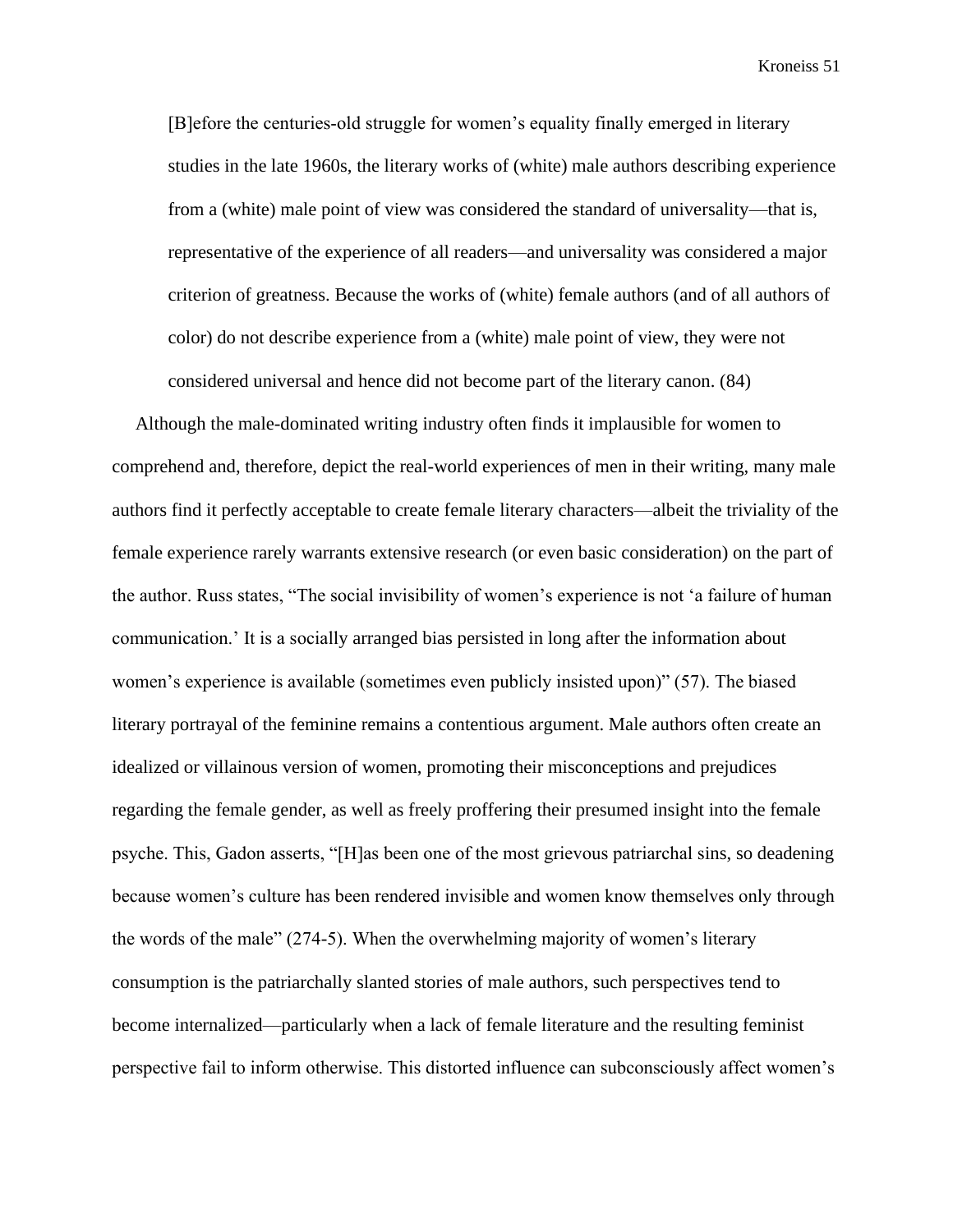[B]efore the centuries‑old struggle for women's equality finally emerged in literary studies in the late 1960s, the literary works of (white) male authors describing experience from a (white) male point of view was considered the standard of universality—that is, representative of the experience of all readers—and universality was considered a major criterion of greatness. Because the works of (white) female authors (and of all authors of color) do not describe experience from a (white) male point of view, they were not considered universal and hence did not become part of the literary canon. (84)

 Although the male-dominated writing industry often finds it implausible for women to comprehend and, therefore, depict the real-world experiences of men in their writing, many male authors find it perfectly acceptable to create female literary characters—albeit the triviality of the female experience rarely warrants extensive research (or even basic consideration) on the part of the author. Russ states, "The social invisibility of women's experience is not 'a failure of human communication.' It is a socially arranged bias persisted in long after the information about women's experience is available (sometimes even publicly insisted upon)" (57). The biased literary portrayal of the feminine remains a contentious argument. Male authors often create an idealized or villainous version of women, promoting their misconceptions and prejudices regarding the female gender, as well as freely proffering their presumed insight into the female psyche. This, Gadon asserts, "[H]as been one of the most grievous patriarchal sins, so deadening because women's culture has been rendered invisible and women know themselves only through the words of the male" (274-5). When the overwhelming majority of women's literary consumption is the patriarchally slanted stories of male authors, such perspectives tend to become internalized—particularly when a lack of female literature and the resulting feminist perspective fail to inform otherwise. This distorted influence can subconsciously affect women's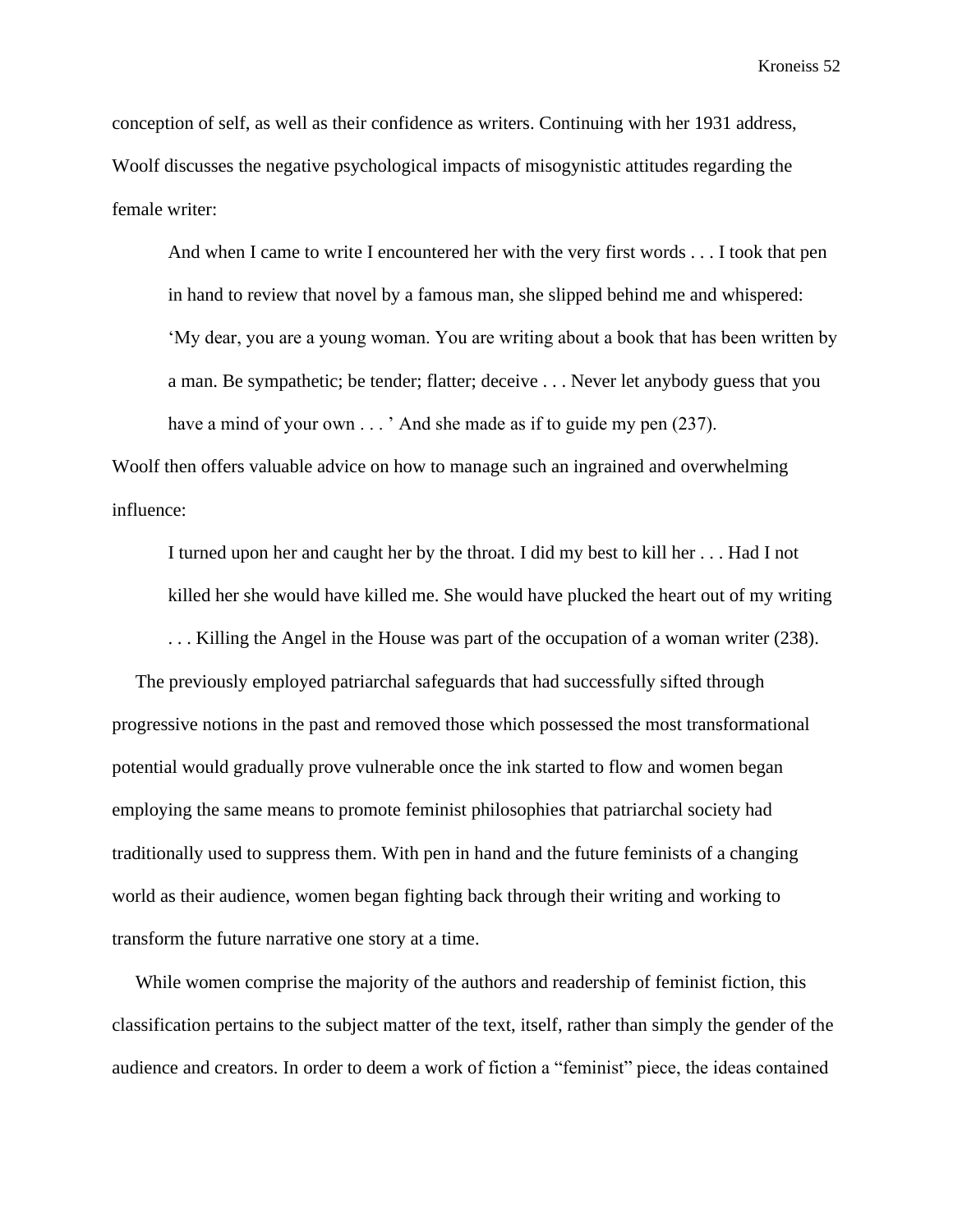conception of self, as well as their confidence as writers. Continuing with her 1931 address, Woolf discusses the negative psychological impacts of misogynistic attitudes regarding the female writer:

And when I came to write I encountered her with the very first words . . . I took that pen in hand to review that novel by a famous man, she slipped behind me and whispered: 'My dear, you are a young woman. You are writing about a book that has been written by a man. Be sympathetic; be tender; flatter; deceive . . . Never let anybody guess that you have a mind of your own . . . ' And she made as if to guide my pen (237).

Woolf then offers valuable advice on how to manage such an ingrained and overwhelming influence:

I turned upon her and caught her by the throat. I did my best to kill her . . . Had I not killed her she would have killed me. She would have plucked the heart out of my writing

. . . Killing the Angel in the House was part of the occupation of a woman writer (238).

 The previously employed patriarchal safeguards that had successfully sifted through progressive notions in the past and removed those which possessed the most transformational potential would gradually prove vulnerable once the ink started to flow and women began employing the same means to promote feminist philosophies that patriarchal society had traditionally used to suppress them. With pen in hand and the future feminists of a changing world as their audience, women began fighting back through their writing and working to transform the future narrative one story at a time.

 While women comprise the majority of the authors and readership of feminist fiction, this classification pertains to the subject matter of the text, itself, rather than simply the gender of the audience and creators. In order to deem a work of fiction a "feminist" piece, the ideas contained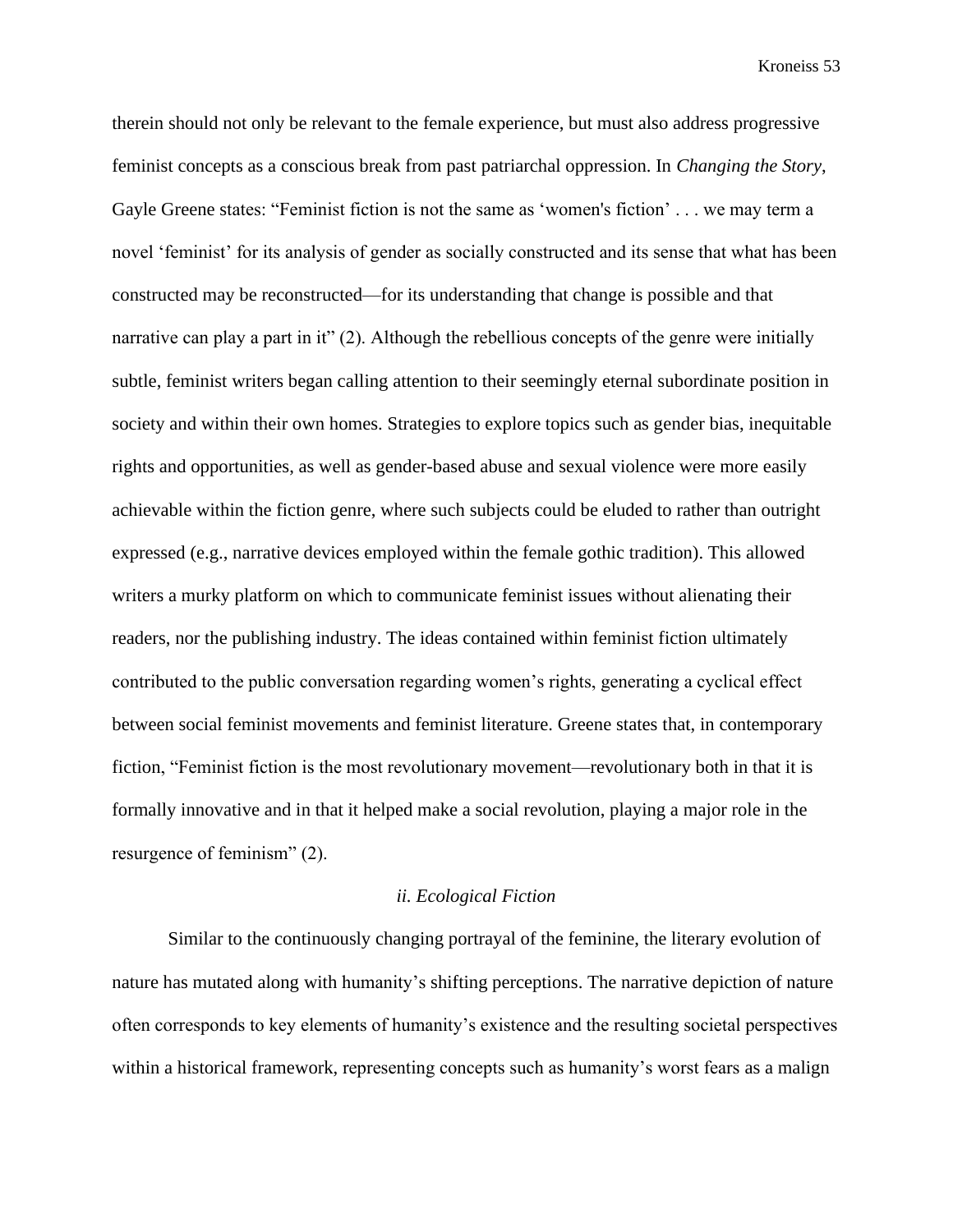therein should not only be relevant to the female experience, but must also address progressive feminist concepts as a conscious break from past patriarchal oppression. In *Changing the Story*, Gayle Greene states: "Feminist fiction is not the same as 'women's fiction' . . . we may term a novel 'feminist' for its analysis of gender as socially constructed and its sense that what has been constructed may be reconstructed—for its understanding that change is possible and that narrative can play a part in it" (2). Although the rebellious concepts of the genre were initially subtle, feminist writers began calling attention to their seemingly eternal subordinate position in society and within their own homes. Strategies to explore topics such as gender bias, inequitable rights and opportunities, as well as gender-based abuse and sexual violence were more easily achievable within the fiction genre, where such subjects could be eluded to rather than outright expressed (e.g., narrative devices employed within the female gothic tradition). This allowed writers a murky platform on which to communicate feminist issues without alienating their readers, nor the publishing industry. The ideas contained within feminist fiction ultimately contributed to the public conversation regarding women's rights, generating a cyclical effect between social feminist movements and feminist literature. Greene states that, in contemporary fiction, "Feminist fiction is the most revolutionary movement—revolutionary both in that it is formally innovative and in that it helped make a social revolution, playing a major role in the resurgence of feminism" (2).

#### *ii. Ecological Fiction*

Similar to the continuously changing portrayal of the feminine, the literary evolution of nature has mutated along with humanity's shifting perceptions. The narrative depiction of nature often corresponds to key elements of humanity's existence and the resulting societal perspectives within a historical framework, representing concepts such as humanity's worst fears as a malign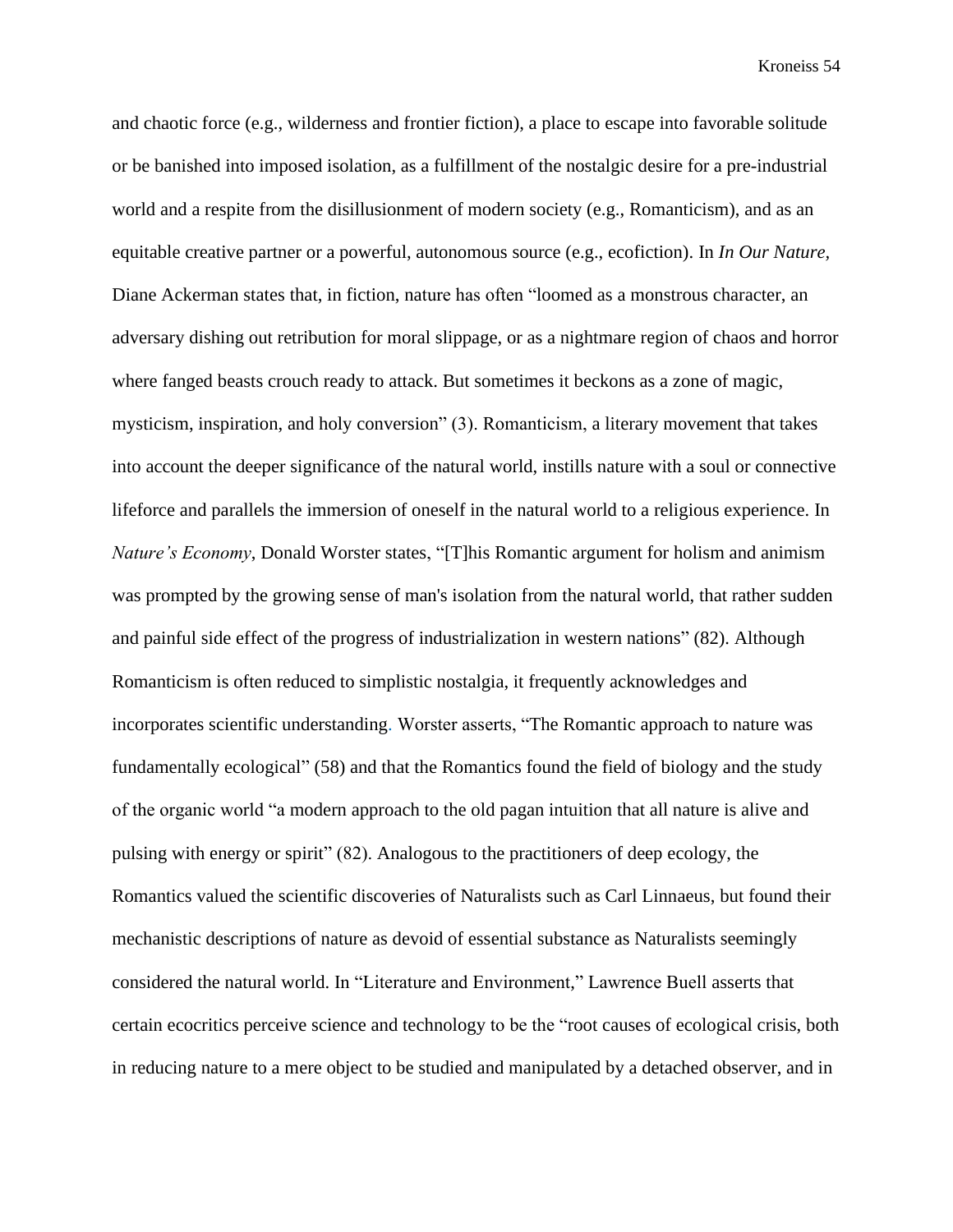and chaotic force (e.g., wilderness and frontier fiction), a place to escape into favorable solitude or be banished into imposed isolation, as a fulfillment of the nostalgic desire for a pre-industrial world and a respite from the disillusionment of modern society (e.g., Romanticism), and as an equitable creative partner or a powerful, autonomous source (e.g., ecofiction). In *In Our Nature,* Diane Ackerman states that, in fiction, nature has often "loomed as a monstrous character, an adversary dishing out retribution for moral slippage, or as a nightmare region of chaos and horror where fanged beasts crouch ready to attack. But sometimes it beckons as a zone of magic, mysticism, inspiration, and holy conversion" (3). Romanticism, a literary movement that takes into account the deeper significance of the natural world, instills nature with a soul or connective lifeforce and parallels the immersion of oneself in the natural world to a religious experience. In *Nature's Economy*, Donald Worster states, "[T]his Romantic argument for holism and animism was prompted by the growing sense of man's isolation from the natural world, that rather sudden and painful side effect of the progress of industrialization in western nations" (82). Although Romanticism is often reduced to simplistic nostalgia, it frequently acknowledges and incorporates scientific understanding. Worster asserts, "The Romantic approach to nature was fundamentally ecological" (58) and that the Romantics found the field of biology and the study of the organic world "a modern approach to the old pagan intuition that all nature is alive and pulsing with energy or spirit" (82). Analogous to the practitioners of deep ecology, the Romantics valued the scientific discoveries of Naturalists such as Carl Linnaeus, but found their mechanistic descriptions of nature as devoid of essential substance as Naturalists seemingly considered the natural world. In "Literature and Environment," Lawrence Buell asserts that certain ecocritics perceive science and technology to be the "root causes of ecological crisis, both in reducing nature to a mere object to be studied and manipulated by a detached observer, and in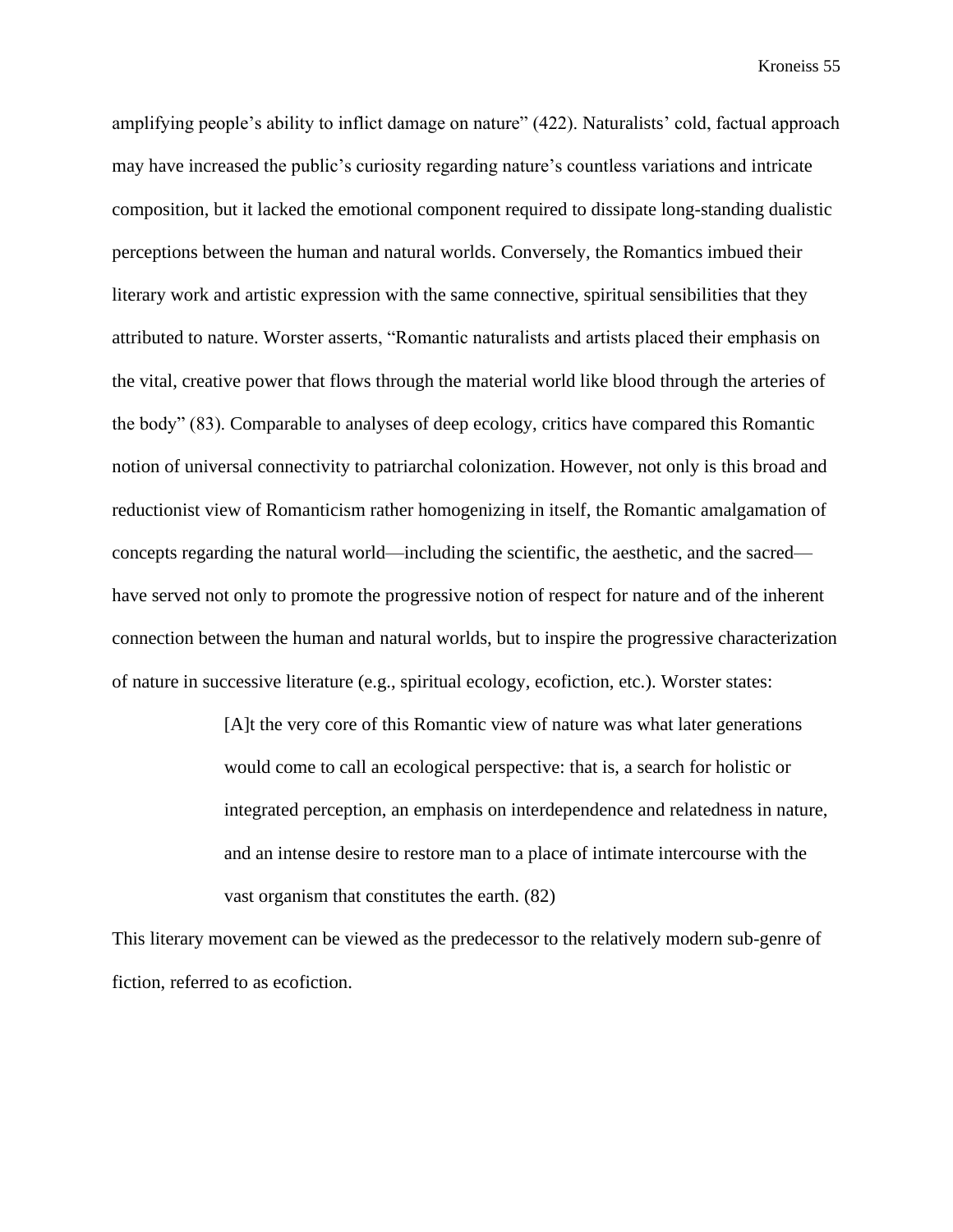amplifying people's ability to inflict damage on nature" (422). Naturalists' cold, factual approach may have increased the public's curiosity regarding nature's countless variations and intricate composition, but it lacked the emotional component required to dissipate long-standing dualistic perceptions between the human and natural worlds. Conversely, the Romantics imbued their literary work and artistic expression with the same connective, spiritual sensibilities that they attributed to nature. Worster asserts, "Romantic naturalists and artists placed their emphasis on the vital, creative power that flows through the material world like blood through the arteries of the body" (83). Comparable to analyses of deep ecology, critics have compared this Romantic notion of universal connectivity to patriarchal colonization. However, not only is this broad and reductionist view of Romanticism rather homogenizing in itself, the Romantic amalgamation of concepts regarding the natural world—including the scientific, the aesthetic, and the sacred have served not only to promote the progressive notion of respect for nature and of the inherent connection between the human and natural worlds, but to inspire the progressive characterization of nature in successive literature (e.g., spiritual ecology, ecofiction, etc.). Worster states:

> [A]t the very core of this Romantic view of nature was what later generations would come to call an ecological perspective: that is, a search for holistic or integrated perception, an emphasis on interdependence and relatedness in nature, and an intense desire to restore man to a place of intimate intercourse with the vast organism that constitutes the earth. (82)

This literary movement can be viewed as the predecessor to the relatively modern sub-genre of fiction, referred to as ecofiction.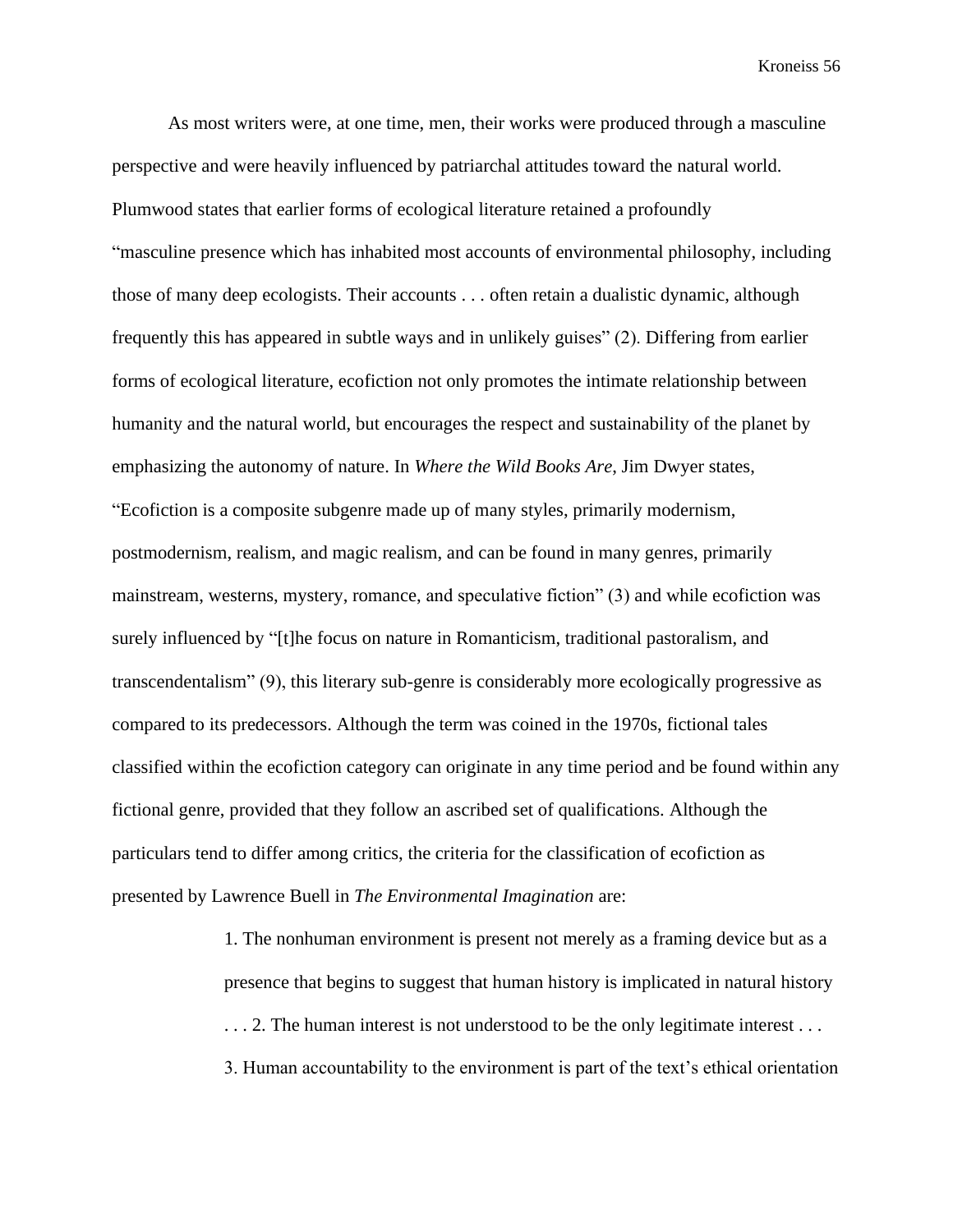As most writers were, at one time, men, their works were produced through a masculine perspective and were heavily influenced by patriarchal attitudes toward the natural world. Plumwood states that earlier forms of ecological literature retained a profoundly "masculine presence which has inhabited most accounts of environmental philosophy, including those of many deep ecologists. Their accounts . . . often retain a dualistic dynamic, although frequently this has appeared in subtle ways and in unlikely guises" (2). Differing from earlier forms of ecological literature, ecofiction not only promotes the intimate relationship between humanity and the natural world, but encourages the respect and sustainability of the planet by emphasizing the autonomy of nature. In *Where the Wild Books Are*, Jim Dwyer states, "Ecofiction is a composite subgenre made up of many styles, primarily modernism, postmodernism, realism, and magic realism, and can be found in many genres, primarily mainstream, westerns, mystery, romance, and speculative fiction" (3) and while ecofiction was surely influenced by "[t]he focus on nature in Romanticism, traditional pastoralism, and transcendentalism" (9), this literary sub-genre is considerably more ecologically progressive as compared to its predecessors. Although the term was coined in the 1970s, fictional tales classified within the ecofiction category can originate in any time period and be found within any fictional genre, provided that they follow an ascribed set of qualifications. Although the particulars tend to differ among critics, the criteria for the classification of ecofiction as presented by Lawrence Buell in *The Environmental Imagination* are:

> 1. The nonhuman environment is present not merely as a framing device but as a presence that begins to suggest that human history is implicated in natural history . . . 2. The human interest is not understood to be the only legitimate interest . . . 3. Human accountability to the environment is part of the text's ethical orientation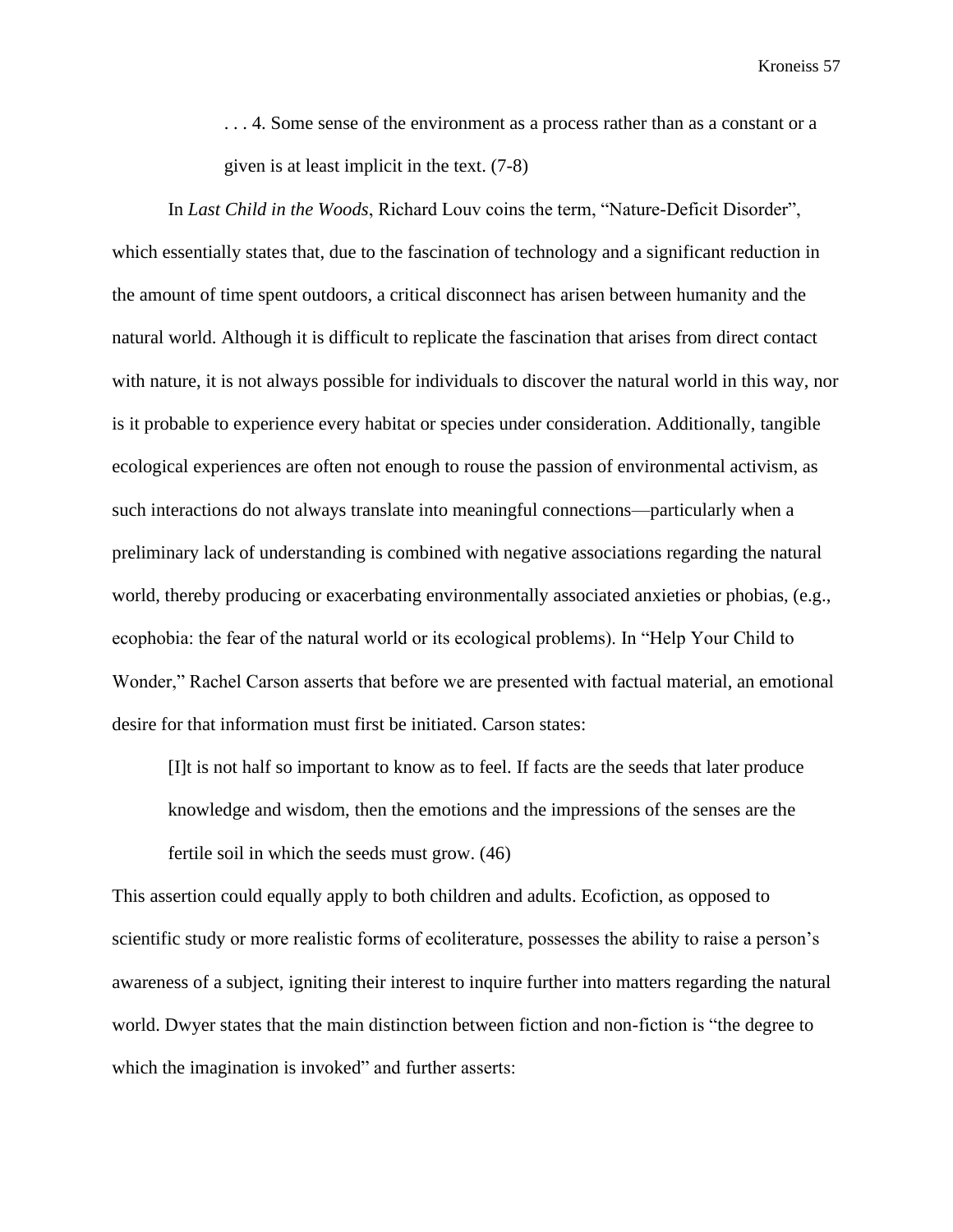. . . 4. Some sense of the environment as a process rather than as a constant or a given is at least implicit in the text. (7-8)

In *Last Child in the Woods*, Richard Louv coins the term, "Nature-Deficit Disorder", which essentially states that, due to the fascination of technology and a significant reduction in the amount of time spent outdoors, a critical disconnect has arisen between humanity and the natural world. Although it is difficult to replicate the fascination that arises from direct contact with nature, it is not always possible for individuals to discover the natural world in this way, nor is it probable to experience every habitat or species under consideration. Additionally, tangible ecological experiences are often not enough to rouse the passion of environmental activism, as such interactions do not always translate into meaningful connections—particularly when a preliminary lack of understanding is combined with negative associations regarding the natural world, thereby producing or exacerbating environmentally associated anxieties or phobias, (e.g., ecophobia: the fear of the natural world or its ecological problems). In "Help Your Child to Wonder," Rachel Carson asserts that before we are presented with factual material, an emotional desire for that information must first be initiated. Carson states:

[I]t is not half so important to know as to feel. If facts are the seeds that later produce knowledge and wisdom, then the emotions and the impressions of the senses are the fertile soil in which the seeds must grow. (46)

This assertion could equally apply to both children and adults. Ecofiction, as opposed to scientific study or more realistic forms of ecoliterature, possesses the ability to raise a person's awareness of a subject, igniting their interest to inquire further into matters regarding the natural world. Dwyer states that the main distinction between fiction and non-fiction is "the degree to which the imagination is invoked" and further asserts: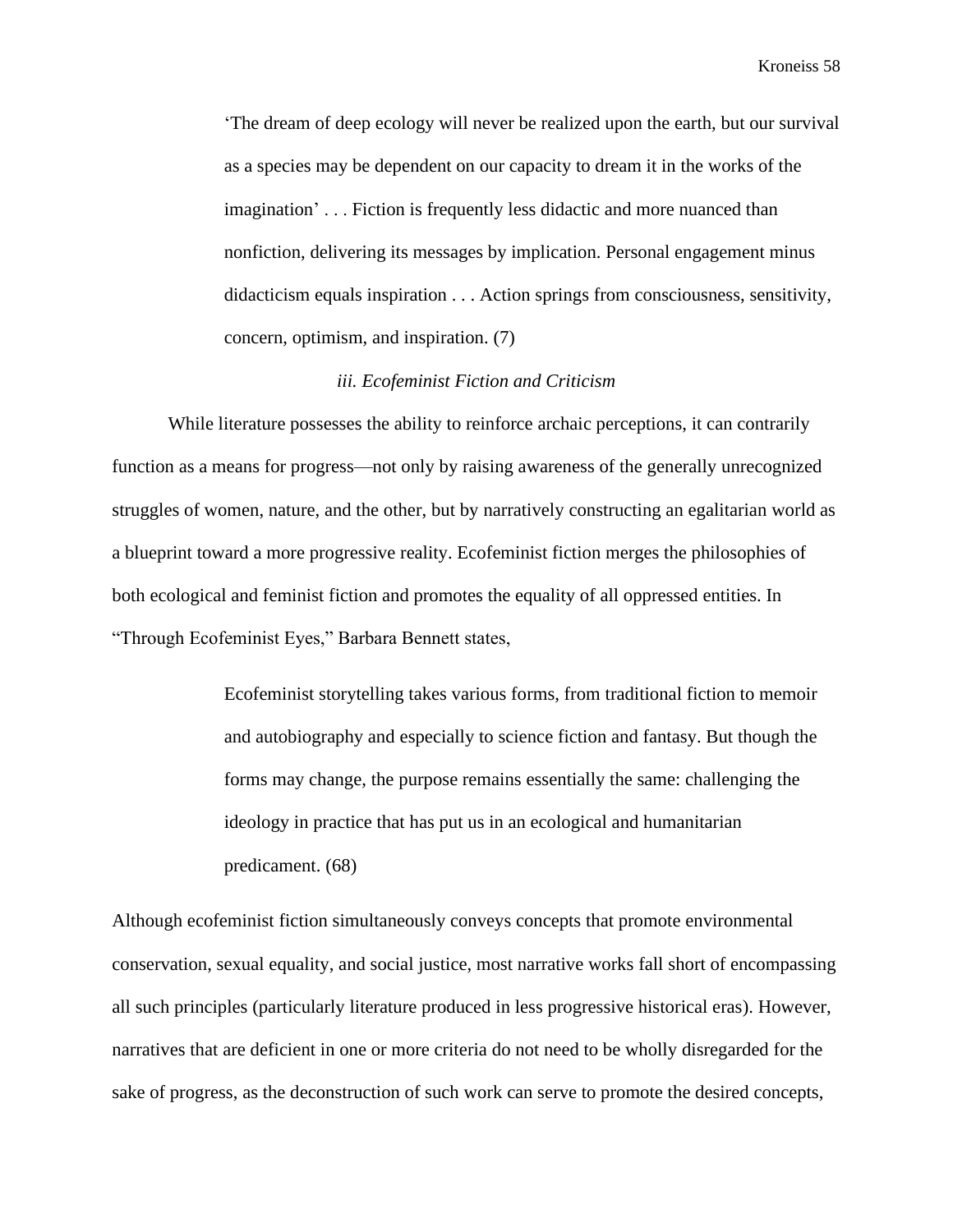'The dream of deep ecology will never be realized upon the earth, but our survival as a species may be dependent on our capacity to dream it in the works of the imagination' . . . Fiction is frequently less didactic and more nuanced than nonfiction, delivering its messages by implication. Personal engagement minus didacticism equals inspiration . . . Action springs from consciousness, sensitivity, concern, optimism, and inspiration. (7)

# *iii. Ecofeminist Fiction and Criticism*

While literature possesses the ability to reinforce archaic perceptions, it can contrarily function as a means for progress—not only by raising awareness of the generally unrecognized struggles of women, nature, and the other, but by narratively constructing an egalitarian world as a blueprint toward a more progressive reality. Ecofeminist fiction merges the philosophies of both ecological and feminist fiction and promotes the equality of all oppressed entities. In "Through Ecofeminist Eyes," Barbara Bennett states,

> Ecofeminist storytelling takes various forms, from traditional fiction to memoir and autobiography and especially to science fiction and fantasy. But though the forms may change, the purpose remains essentially the same: challenging the ideology in practice that has put us in an ecological and humanitarian predicament. (68)

Although ecofeminist fiction simultaneously conveys concepts that promote environmental conservation, sexual equality, and social justice, most narrative works fall short of encompassing all such principles (particularly literature produced in less progressive historical eras). However, narratives that are deficient in one or more criteria do not need to be wholly disregarded for the sake of progress, as the deconstruction of such work can serve to promote the desired concepts,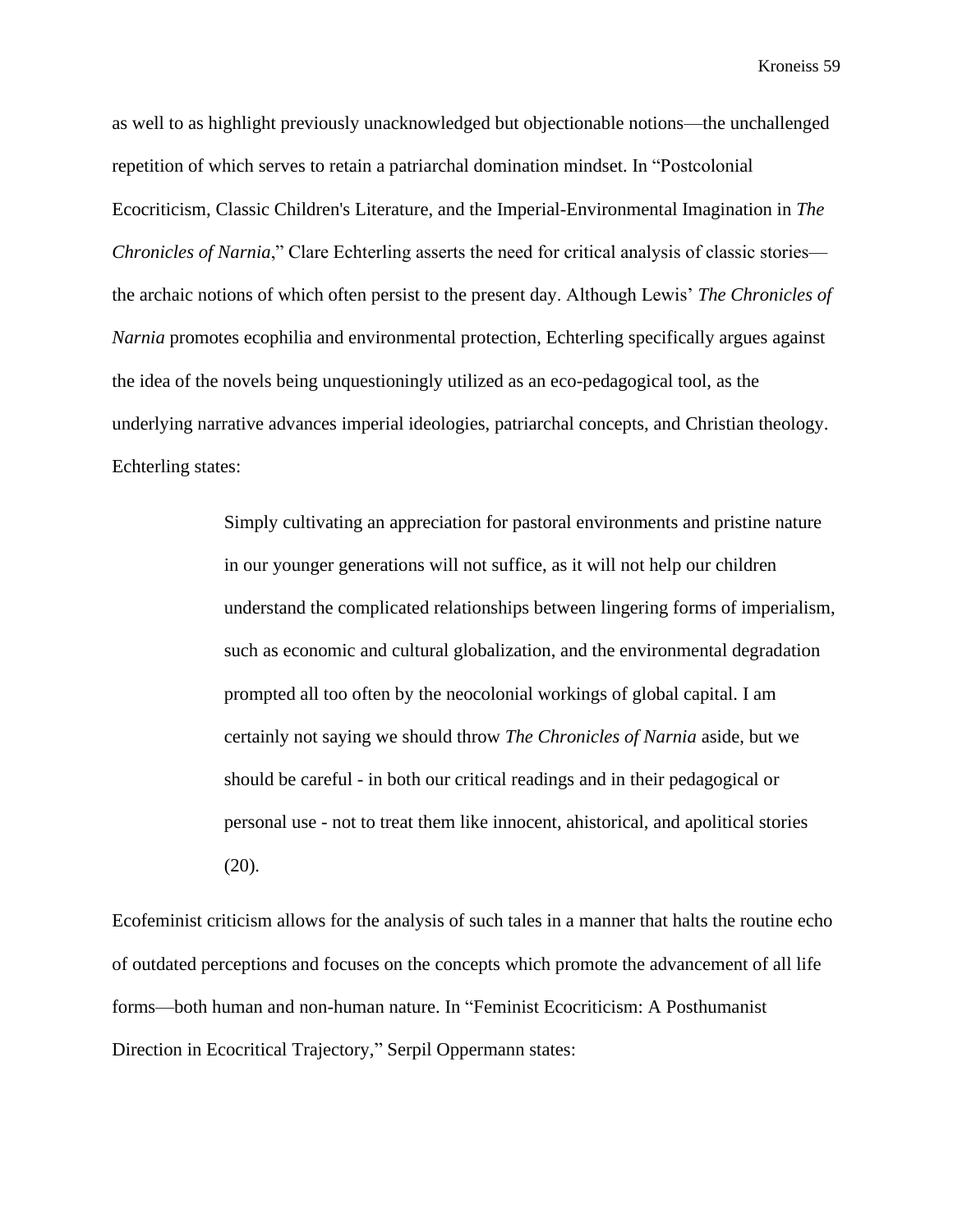as well to as highlight previously unacknowledged but objectionable notions—the unchallenged repetition of which serves to retain a patriarchal domination mindset. In "Postcolonial Ecocriticism, Classic Children's Literature, and the Imperial-Environmental Imagination in *The Chronicles of Narnia*," Clare Echterling asserts the need for critical analysis of classic stories the archaic notions of which often persist to the present day. Although Lewis' *The Chronicles of Narnia* promotes ecophilia and environmental protection, Echterling specifically argues against the idea of the novels being unquestioningly utilized as an eco-pedagogical tool, as the underlying narrative advances imperial ideologies, patriarchal concepts, and Christian theology. Echterling states:

> Simply cultivating an appreciation for pastoral environments and pristine nature in our younger generations will not suffice, as it will not help our children understand the complicated relationships between lingering forms of imperialism, such as economic and cultural globalization, and the environmental degradation prompted all too often by the neocolonial workings of global capital. I am certainly not saying we should throw *The Chronicles of Narnia* aside, but we should be careful - in both our critical readings and in their pedagogical or personal use - not to treat them like innocent, ahistorical, and apolitical stories (20).

Ecofeminist criticism allows for the analysis of such tales in a manner that halts the routine echo of outdated perceptions and focuses on the concepts which promote the advancement of all life forms—both human and non-human nature. In "Feminist Ecocriticism: A Posthumanist Direction in Ecocritical Trajectory," Serpil Oppermann states: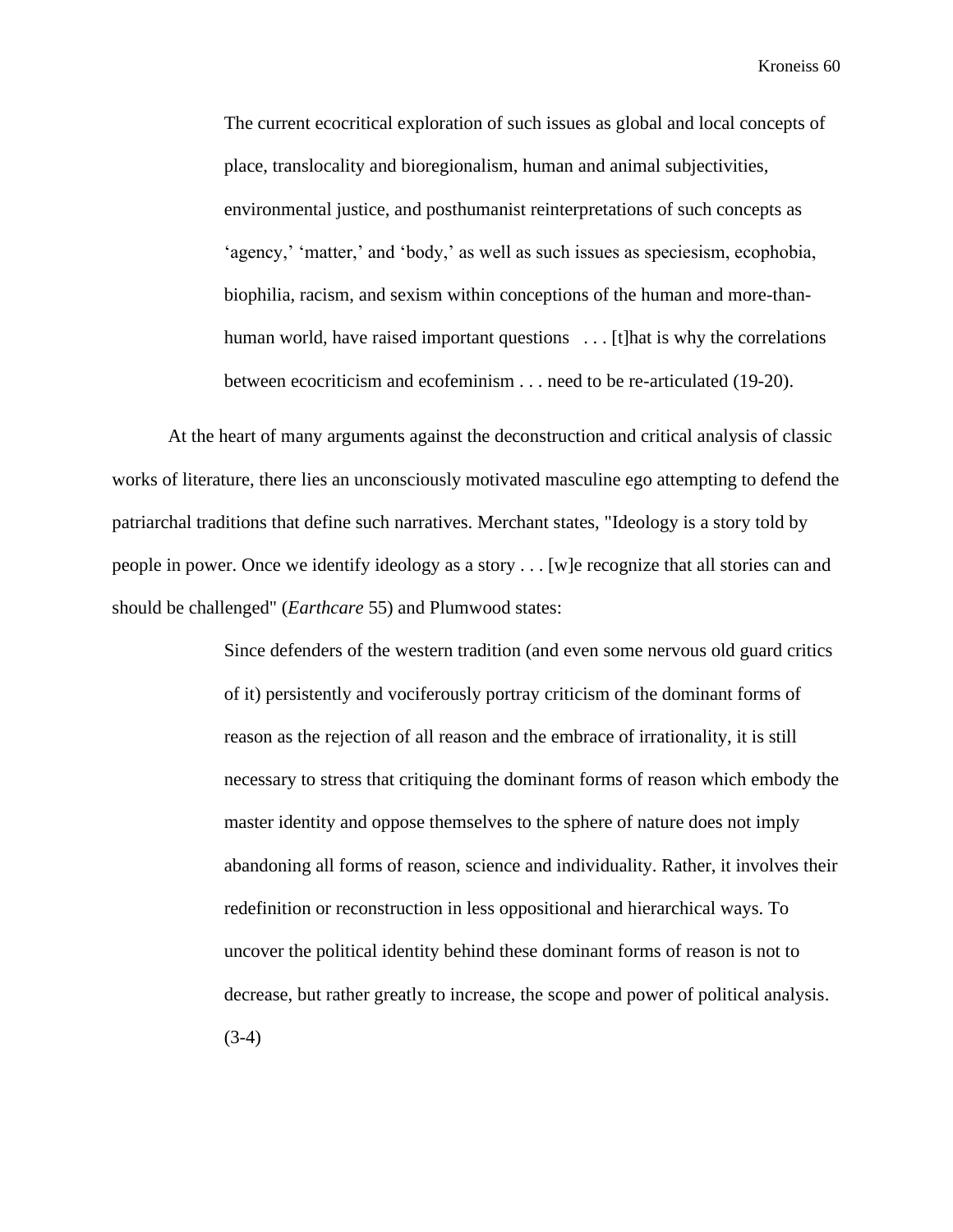The current ecocritical exploration of such issues as global and local concepts of place, translocality and bioregionalism, human and animal subjectivities, environmental justice, and posthumanist reinterpretations of such concepts as 'agency,' 'matter,' and 'body,' as well as such issues as speciesism, ecophobia, biophilia, racism, and sexism within conceptions of the human and more-thanhuman world, have raised important questions ... [t] hat is why the correlations between ecocriticism and ecofeminism . . . need to be re-articulated (19-20).

At the heart of many arguments against the deconstruction and critical analysis of classic works of literature, there lies an unconsciously motivated masculine ego attempting to defend the patriarchal traditions that define such narratives. Merchant states, "Ideology is a story told by people in power. Once we identify ideology as a story . . . [w]e recognize that all stories can and should be challenged" (*Earthcare* 55) and Plumwood states:

> Since defenders of the western tradition (and even some nervous old guard critics of it) persistently and vociferously portray criticism of the dominant forms of reason as the rejection of all reason and the embrace of irrationality, it is still necessary to stress that critiquing the dominant forms of reason which embody the master identity and oppose themselves to the sphere of nature does not imply abandoning all forms of reason, science and individuality. Rather, it involves their redefinition or reconstruction in less oppositional and hierarchical ways. To uncover the political identity behind these dominant forms of reason is not to decrease, but rather greatly to increase, the scope and power of political analysis.  $(3-4)$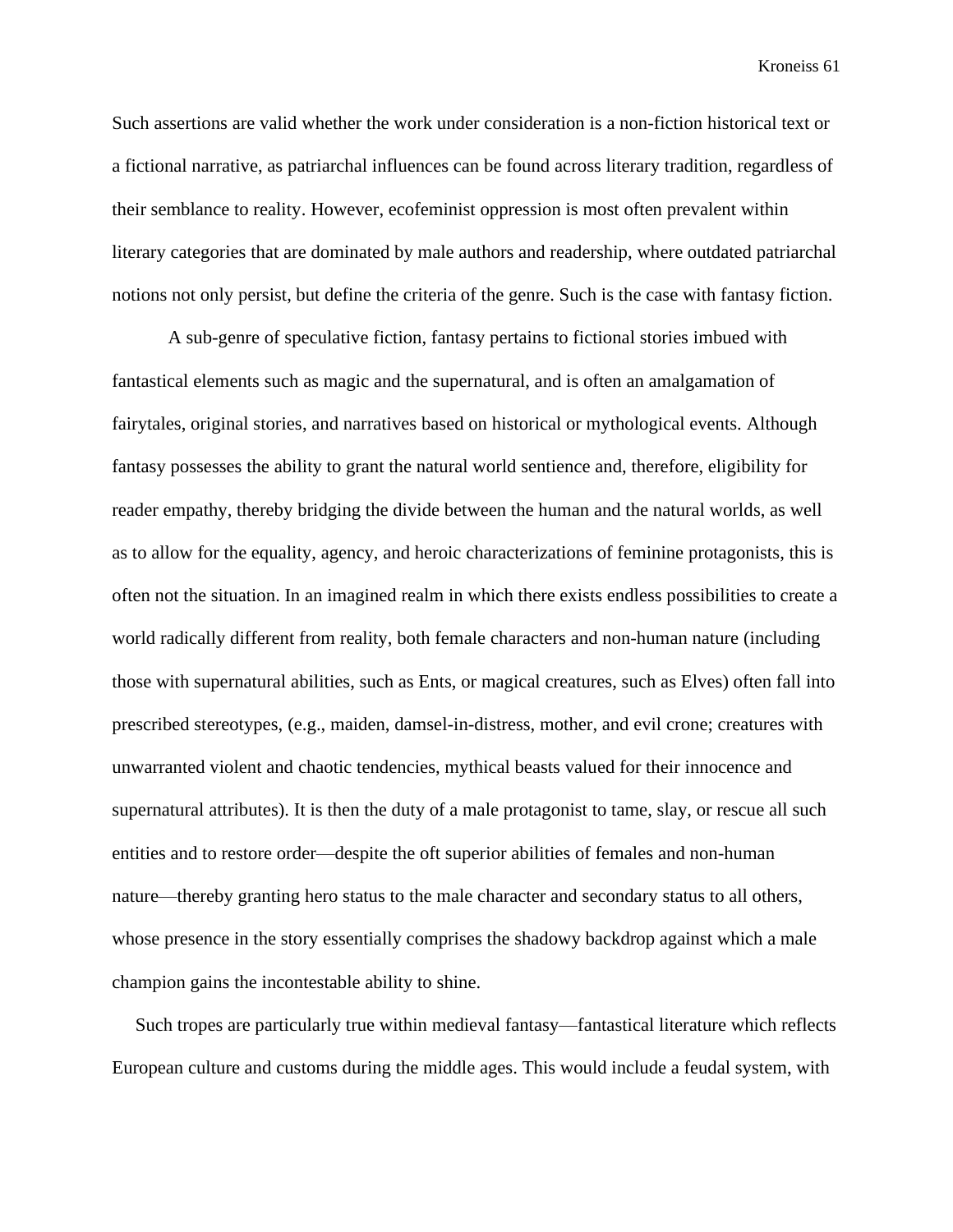Such assertions are valid whether the work under consideration is a non-fiction historical text or a fictional narrative, as patriarchal influences can be found across literary tradition, regardless of their semblance to reality. However, ecofeminist oppression is most often prevalent within literary categories that are dominated by male authors and readership, where outdated patriarchal notions not only persist, but define the criteria of the genre. Such is the case with fantasy fiction.

A sub-genre of speculative fiction, fantasy pertains to fictional stories imbued with fantastical elements such as magic and the supernatural, and is often an amalgamation of fairytales, original stories, and narratives based on historical or mythological events. Although fantasy possesses the ability to grant the natural world sentience and, therefore, eligibility for reader empathy, thereby bridging the divide between the human and the natural worlds, as well as to allow for the equality, agency, and heroic characterizations of feminine protagonists, this is often not the situation. In an imagined realm in which there exists endless possibilities to create a world radically different from reality, both female characters and non-human nature (including those with supernatural abilities, such as Ents, or magical creatures, such as Elves) often fall into prescribed stereotypes, (e.g., maiden, damsel-in-distress, mother, and evil crone; creatures with unwarranted violent and chaotic tendencies, mythical beasts valued for their innocence and supernatural attributes). It is then the duty of a male protagonist to tame, slay, or rescue all such entities and to restore order—despite the oft superior abilities of females and non-human nature—thereby granting hero status to the male character and secondary status to all others, whose presence in the story essentially comprises the shadowy backdrop against which a male champion gains the incontestable ability to shine.

 Such tropes are particularly true within medieval fantasy—fantastical literature which reflects European culture and customs during the middle ages. This would include a feudal system, with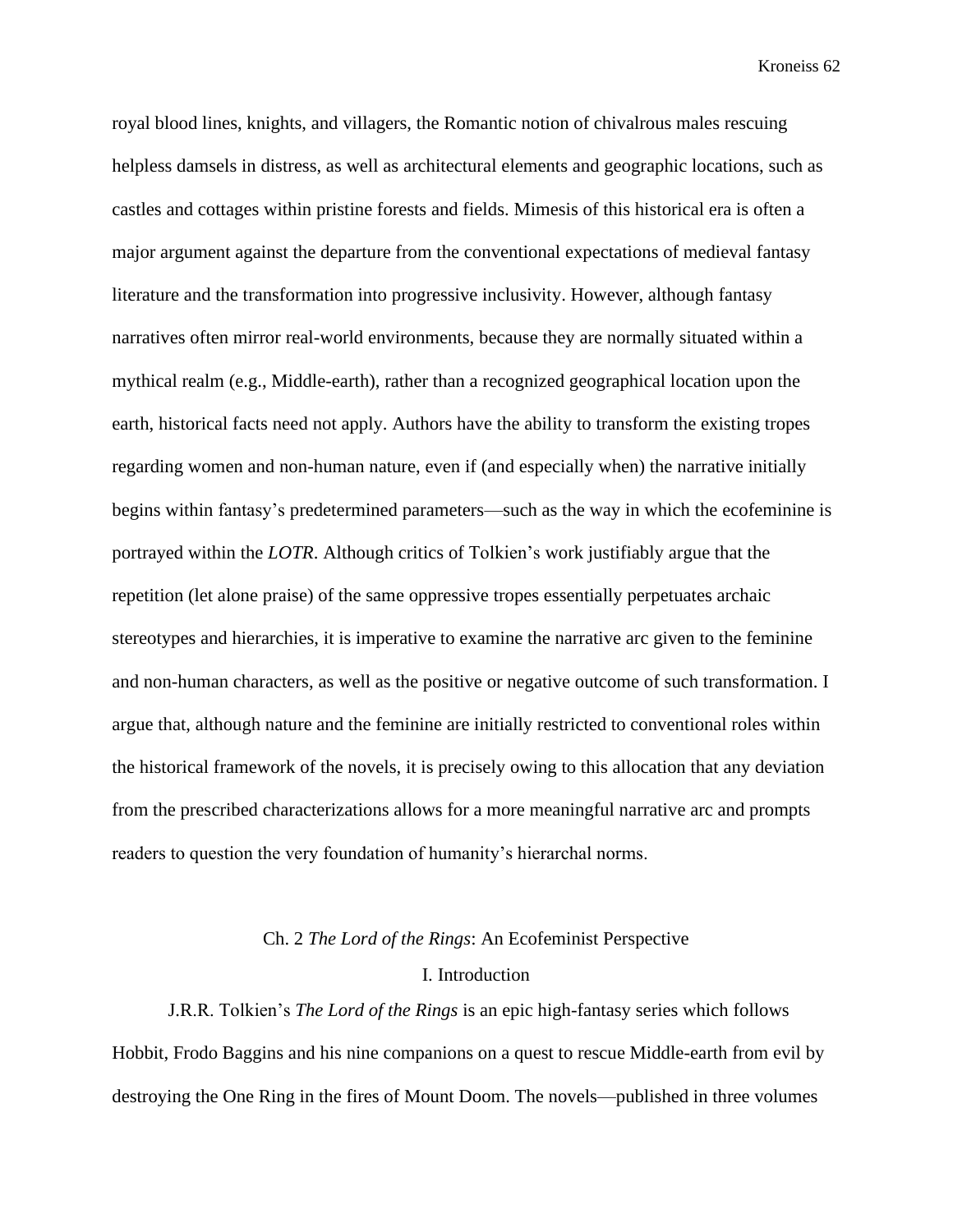royal blood lines, knights, and villagers, the Romantic notion of chivalrous males rescuing helpless damsels in distress, as well as architectural elements and geographic locations, such as castles and cottages within pristine forests and fields. Mimesis of this historical era is often a major argument against the departure from the conventional expectations of medieval fantasy literature and the transformation into progressive inclusivity. However, although fantasy narratives often mirror real-world environments, because they are normally situated within a mythical realm (e.g., Middle-earth), rather than a recognized geographical location upon the earth, historical facts need not apply. Authors have the ability to transform the existing tropes regarding women and non-human nature, even if (and especially when) the narrative initially begins within fantasy's predetermined parameters—such as the way in which the ecofeminine is portrayed within the *LOTR*. Although critics of Tolkien's work justifiably argue that the repetition (let alone praise) of the same oppressive tropes essentially perpetuates archaic stereotypes and hierarchies, it is imperative to examine the narrative arc given to the feminine and non-human characters, as well as the positive or negative outcome of such transformation. I argue that, although nature and the feminine are initially restricted to conventional roles within the historical framework of the novels, it is precisely owing to this allocation that any deviation from the prescribed characterizations allows for a more meaningful narrative arc and prompts readers to question the very foundation of humanity's hierarchal norms.

## Ch. 2 *The Lord of the Rings*: An Ecofeminist Perspective

#### I. Introduction

J.R.R. Tolkien's *The Lord of the Rings* is an epic high-fantasy series which follows Hobbit, Frodo Baggins and his nine companions on a quest to rescue Middle-earth from evil by destroying the One Ring in the fires of Mount Doom. The novels—published in three volumes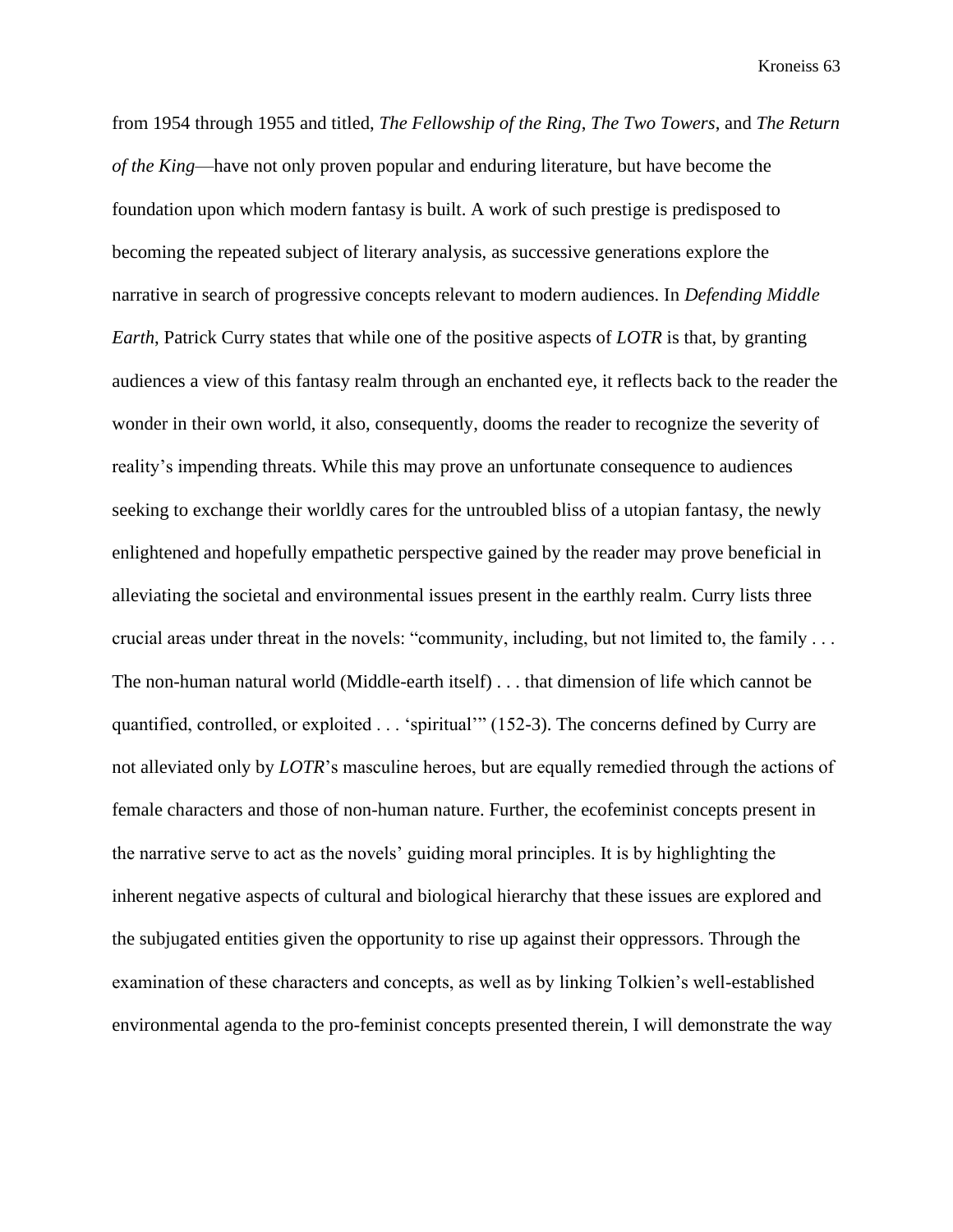from 1954 through 1955 and titled, *The Fellowship of the Ring*, *The Two Towers*, and *The Return of the King*—have not only proven popular and enduring literature, but have become the foundation upon which modern fantasy is built. A work of such prestige is predisposed to becoming the repeated subject of literary analysis, as successive generations explore the narrative in search of progressive concepts relevant to modern audiences. In *Defending Middle Earth*, Patrick Curry states that while one of the positive aspects of *LOTR* is that, by granting audiences a view of this fantasy realm through an enchanted eye, it reflects back to the reader the wonder in their own world, it also, consequently, dooms the reader to recognize the severity of reality's impending threats. While this may prove an unfortunate consequence to audiences seeking to exchange their worldly cares for the untroubled bliss of a utopian fantasy, the newly enlightened and hopefully empathetic perspective gained by the reader may prove beneficial in alleviating the societal and environmental issues present in the earthly realm. Curry lists three crucial areas under threat in the novels: "community, including, but not limited to, the family . . . The non-human natural world (Middle-earth itself) . . . that dimension of life which cannot be quantified, controlled, or exploited . . . 'spiritual'" (152-3). The concerns defined by Curry are not alleviated only by *LOTR*'s masculine heroes, but are equally remedied through the actions of female characters and those of non-human nature. Further, the ecofeminist concepts present in the narrative serve to act as the novels' guiding moral principles. It is by highlighting the inherent negative aspects of cultural and biological hierarchy that these issues are explored and the subjugated entities given the opportunity to rise up against their oppressors. Through the examination of these characters and concepts, as well as by linking Tolkien's well-established environmental agenda to the pro-feminist concepts presented therein, I will demonstrate the way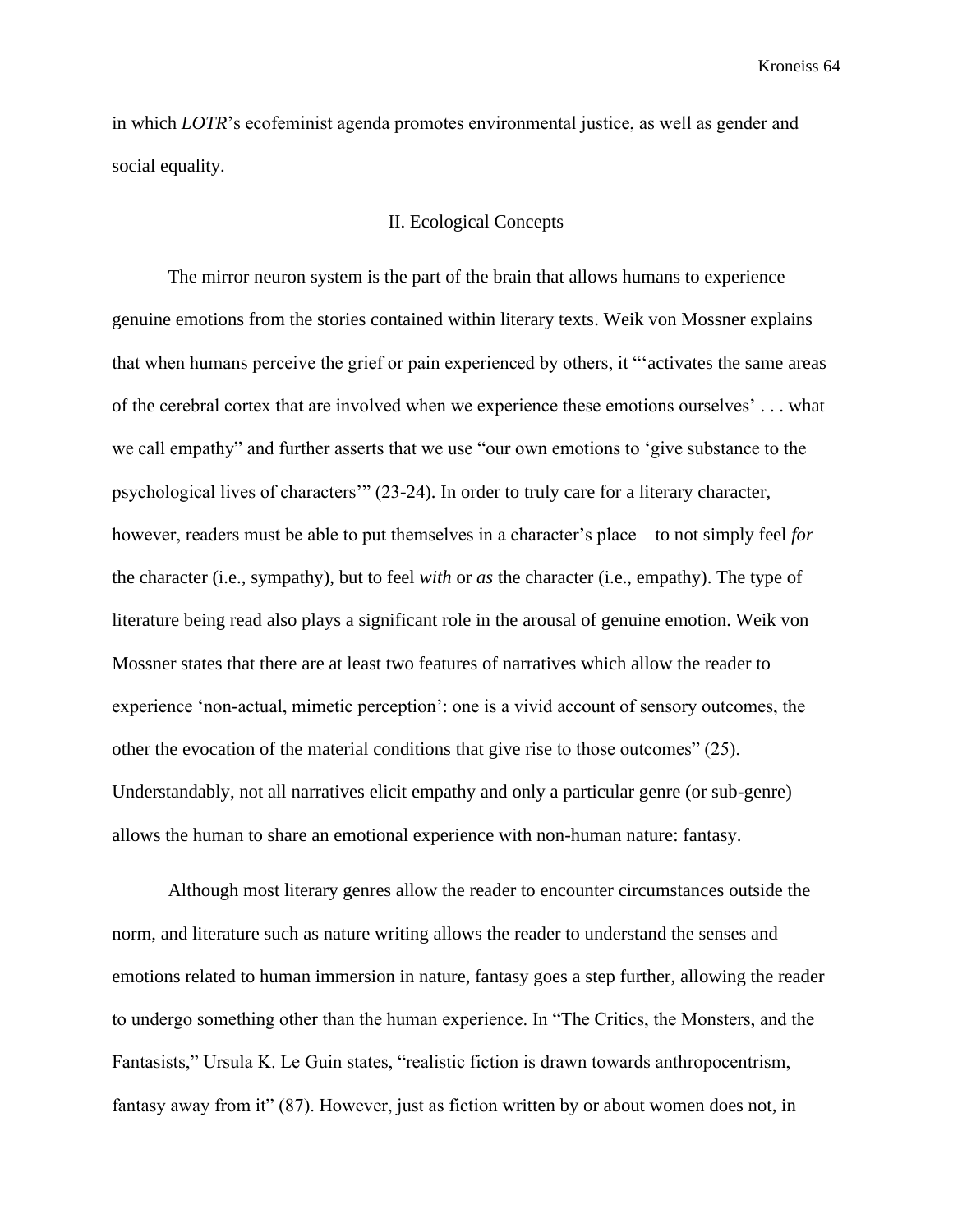in which *LOTR*'s ecofeminist agenda promotes environmental justice, as well as gender and social equality.

## II. Ecological Concepts

The mirror neuron system is the part of the brain that allows humans to experience genuine emotions from the stories contained within literary texts. Weik von Mossner explains that when humans perceive the grief or pain experienced by others, it "'activates the same areas of the cerebral cortex that are involved when we experience these emotions ourselves' . . . what we call empathy" and further asserts that we use "our own emotions to 'give substance to the psychological lives of characters'" (23-24). In order to truly care for a literary character, however, readers must be able to put themselves in a character's place—to not simply feel *for* the character (i.e., sympathy), but to feel *with* or *as* the character (i.e., empathy). The type of literature being read also plays a significant role in the arousal of genuine emotion. Weik von Mossner states that there are at least two features of narratives which allow the reader to experience 'non-actual, mimetic perception': one is a vivid account of sensory outcomes, the other the evocation of the material conditions that give rise to those outcomes" (25). Understandably, not all narratives elicit empathy and only a particular genre (or sub-genre) allows the human to share an emotional experience with non-human nature: fantasy.

Although most literary genres allow the reader to encounter circumstances outside the norm, and literature such as nature writing allows the reader to understand the senses and emotions related to human immersion in nature, fantasy goes a step further, allowing the reader to undergo something other than the human experience. In "The Critics, the Monsters, and the Fantasists," Ursula K. Le Guin states, "realistic fiction is drawn towards anthropocentrism, fantasy away from it" (87). However, just as fiction written by or about women does not, in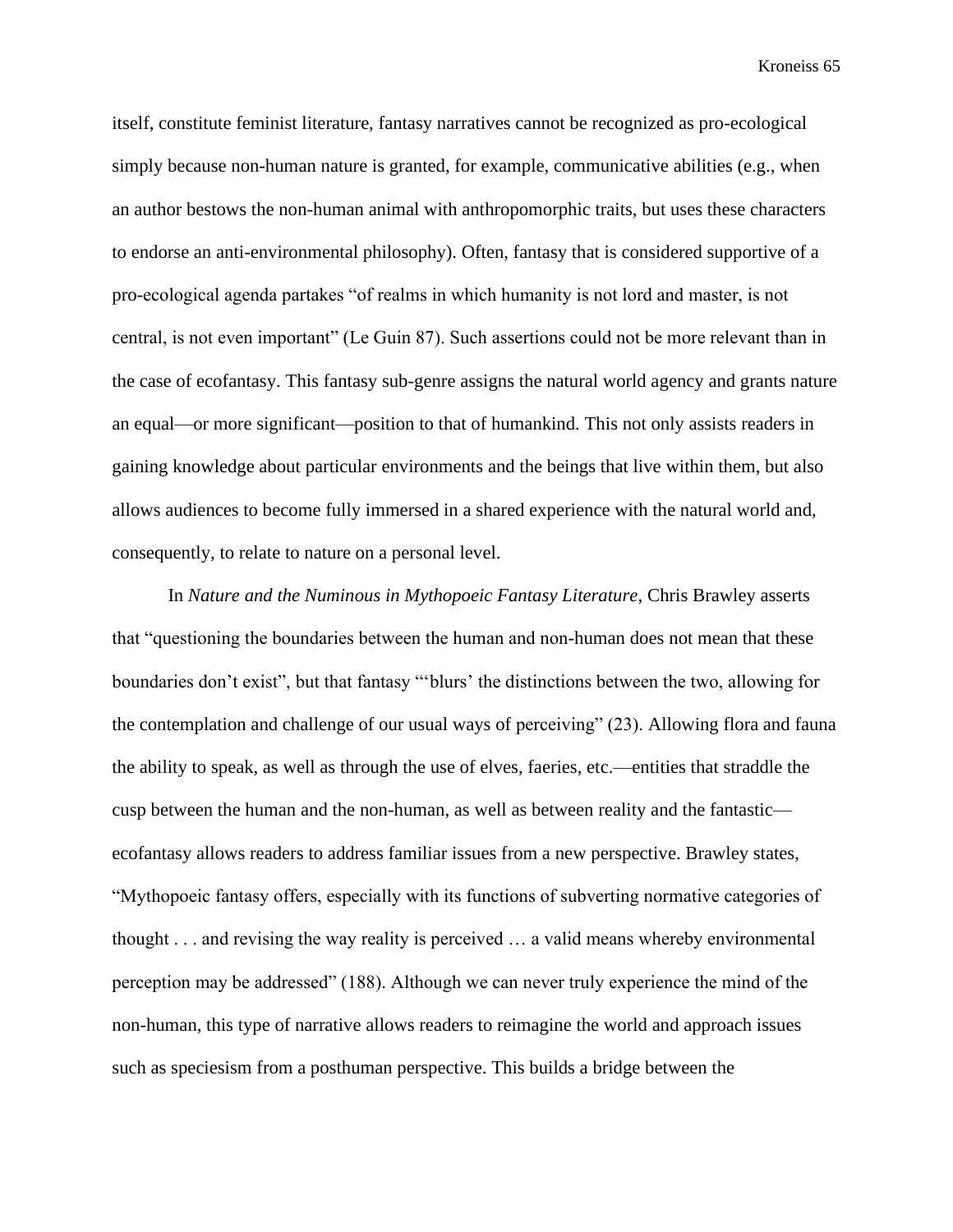itself, constitute feminist literature, fantasy narratives cannot be recognized as pro-ecological simply because non-human nature is granted, for example, communicative abilities (e.g., when an author bestows the non-human animal with anthropomorphic traits, but uses these characters to endorse an anti-environmental philosophy). Often, fantasy that is considered supportive of a pro-ecological agenda partakes "of realms in which humanity is not lord and master, is not central, is not even important" (Le Guin 87). Such assertions could not be more relevant than in the case of ecofantasy. This fantasy sub-genre assigns the natural world agency and grants nature an equal—or more significant—position to that of humankind. This not only assists readers in gaining knowledge about particular environments and the beings that live within them, but also allows audiences to become fully immersed in a shared experience with the natural world and, consequently, to relate to nature on a personal level.

In *Nature and the Numinous in Mythopoeic Fantasy Literature*, Chris Brawley asserts that "questioning the boundaries between the human and non-human does not mean that these boundaries don't exist", but that fantasy "'blurs' the distinctions between the two, allowing for the contemplation and challenge of our usual ways of perceiving" (23). Allowing flora and fauna the ability to speak, as well as through the use of elves, faeries, etc.—entities that straddle the cusp between the human and the non-human, as well as between reality and the fantastic ecofantasy allows readers to address familiar issues from a new perspective. Brawley states, "Mythopoeic fantasy offers, especially with its functions of subverting normative categories of thought . . . and revising the way reality is perceived … a valid means whereby environmental perception may be addressed" (188). Although we can never truly experience the mind of the non-human, this type of narrative allows readers to reimagine the world and approach issues such as speciesism from a posthuman perspective. This builds a bridge between the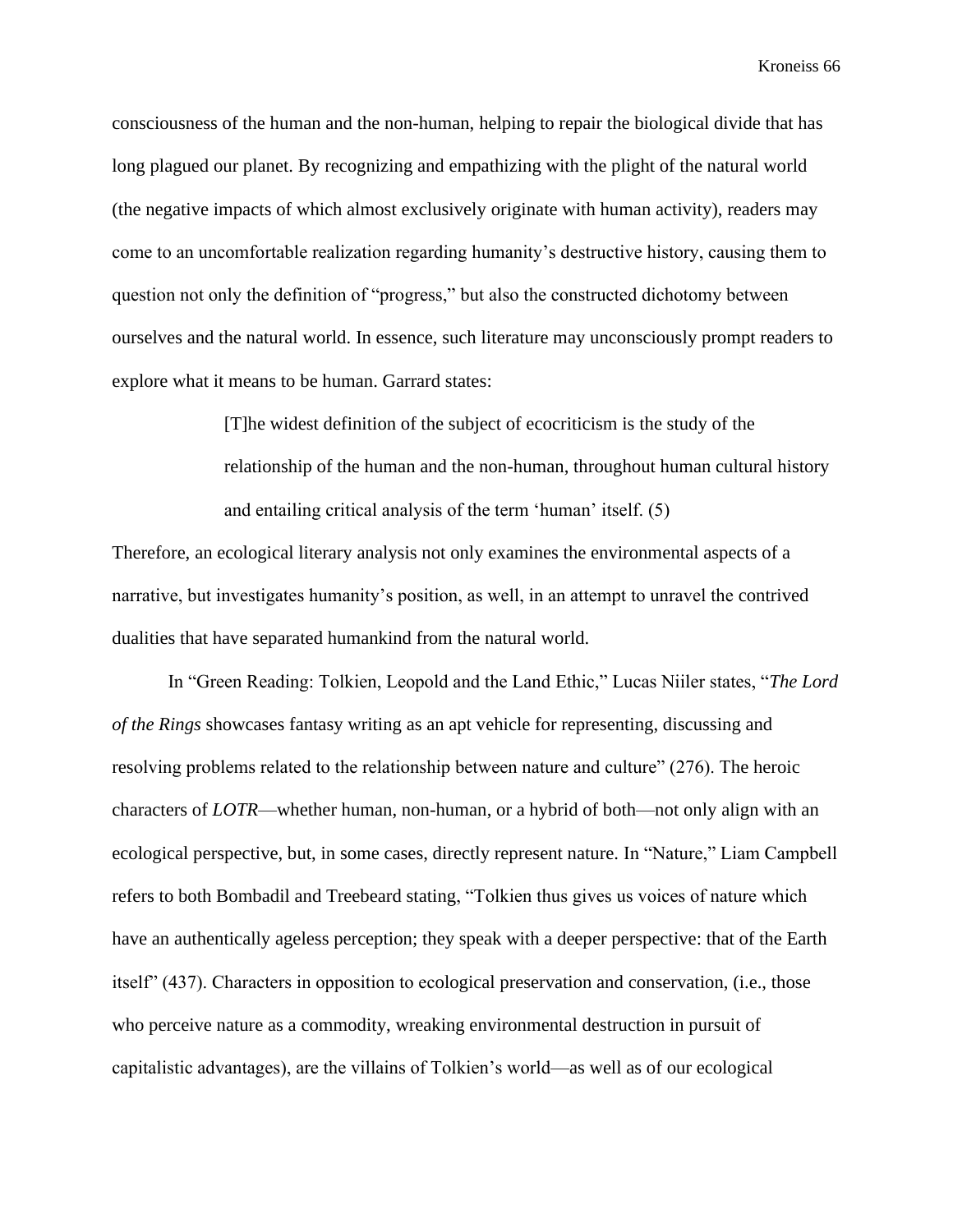consciousness of the human and the non-human, helping to repair the biological divide that has long plagued our planet. By recognizing and empathizing with the plight of the natural world (the negative impacts of which almost exclusively originate with human activity), readers may come to an uncomfortable realization regarding humanity's destructive history, causing them to question not only the definition of "progress," but also the constructed dichotomy between ourselves and the natural world. In essence, such literature may unconsciously prompt readers to explore what it means to be human. Garrard states:

> [T]he widest definition of the subject of ecocriticism is the study of the relationship of the human and the non-human, throughout human cultural history and entailing critical analysis of the term 'human' itself. (5)

Therefore, an ecological literary analysis not only examines the environmental aspects of a narrative, but investigates humanity's position, as well, in an attempt to unravel the contrived dualities that have separated humankind from the natural world.

In "Green Reading: Tolkien, Leopold and the Land Ethic," Lucas Niiler states, "*The Lord of the Rings* showcases fantasy writing as an apt vehicle for representing, discussing and resolving problems related to the relationship between nature and culture" (276). The heroic characters of *LOTR*—whether human, non-human, or a hybrid of both—not only align with an ecological perspective, but, in some cases, directly represent nature. In "Nature," Liam Campbell refers to both Bombadil and Treebeard stating, "Tolkien thus gives us voices of nature which have an authentically ageless perception; they speak with a deeper perspective: that of the Earth itself" (437). Characters in opposition to ecological preservation and conservation, (i.e., those who perceive nature as a commodity, wreaking environmental destruction in pursuit of capitalistic advantages), are the villains of Tolkien's world—as well as of our ecological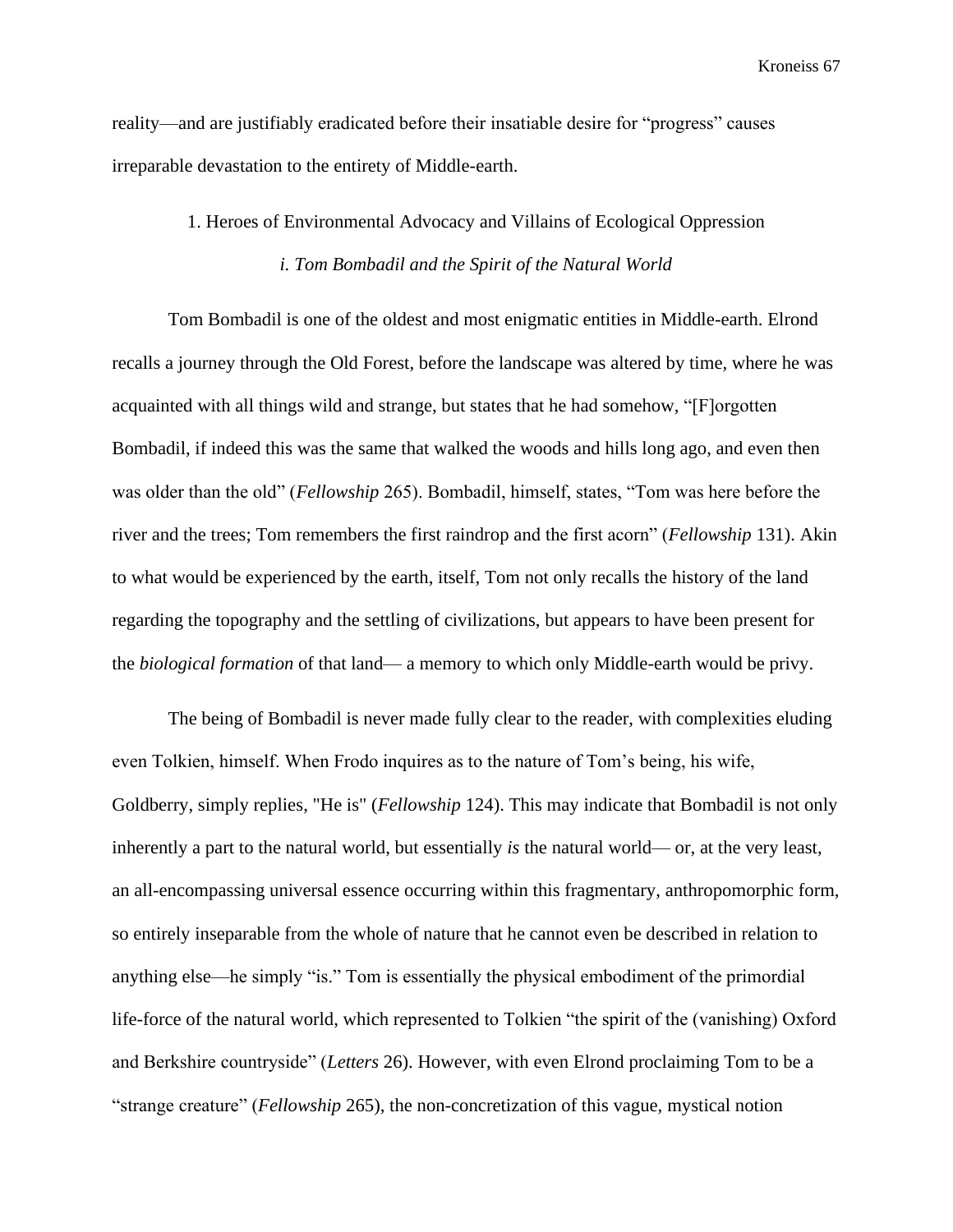reality—and are justifiably eradicated before their insatiable desire for "progress" causes irreparable devastation to the entirety of Middle-earth.

## 1. Heroes of Environmental Advocacy and Villains of Ecological Oppression

## *i. Tom Bombadil and the Spirit of the Natural World*

Tom Bombadil is one of the oldest and most enigmatic entities in Middle-earth. Elrond recalls a journey through the Old Forest, before the landscape was altered by time, where he was acquainted with all things wild and strange, but states that he had somehow, "[F]orgotten Bombadil, if indeed this was the same that walked the woods and hills long ago, and even then was older than the old" (*Fellowship* 265). Bombadil, himself, states, "Tom was here before the river and the trees; Tom remembers the first raindrop and the first acorn" (*Fellowship* 131). Akin to what would be experienced by the earth, itself, Tom not only recalls the history of the land regarding the topography and the settling of civilizations, but appears to have been present for the *biological formation* of that land— a memory to which only Middle-earth would be privy.

The being of Bombadil is never made fully clear to the reader, with complexities eluding even Tolkien, himself. When Frodo inquires as to the nature of Tom's being, his wife, Goldberry, simply replies, "He is" (*Fellowship* 124). This may indicate that Bombadil is not only inherently a part to the natural world, but essentially *is* the natural world— or, at the very least, an all-encompassing universal essence occurring within this fragmentary, anthropomorphic form, so entirely inseparable from the whole of nature that he cannot even be described in relation to anything else—he simply "is." Tom is essentially the physical embodiment of the primordial life-force of the natural world, which represented to Tolkien "the spirit of the (vanishing) Oxford and Berkshire countryside" (*Letters* 26). However, with even Elrond proclaiming Tom to be a "strange creature" (*Fellowship* 265), the non-concretization of this vague, mystical notion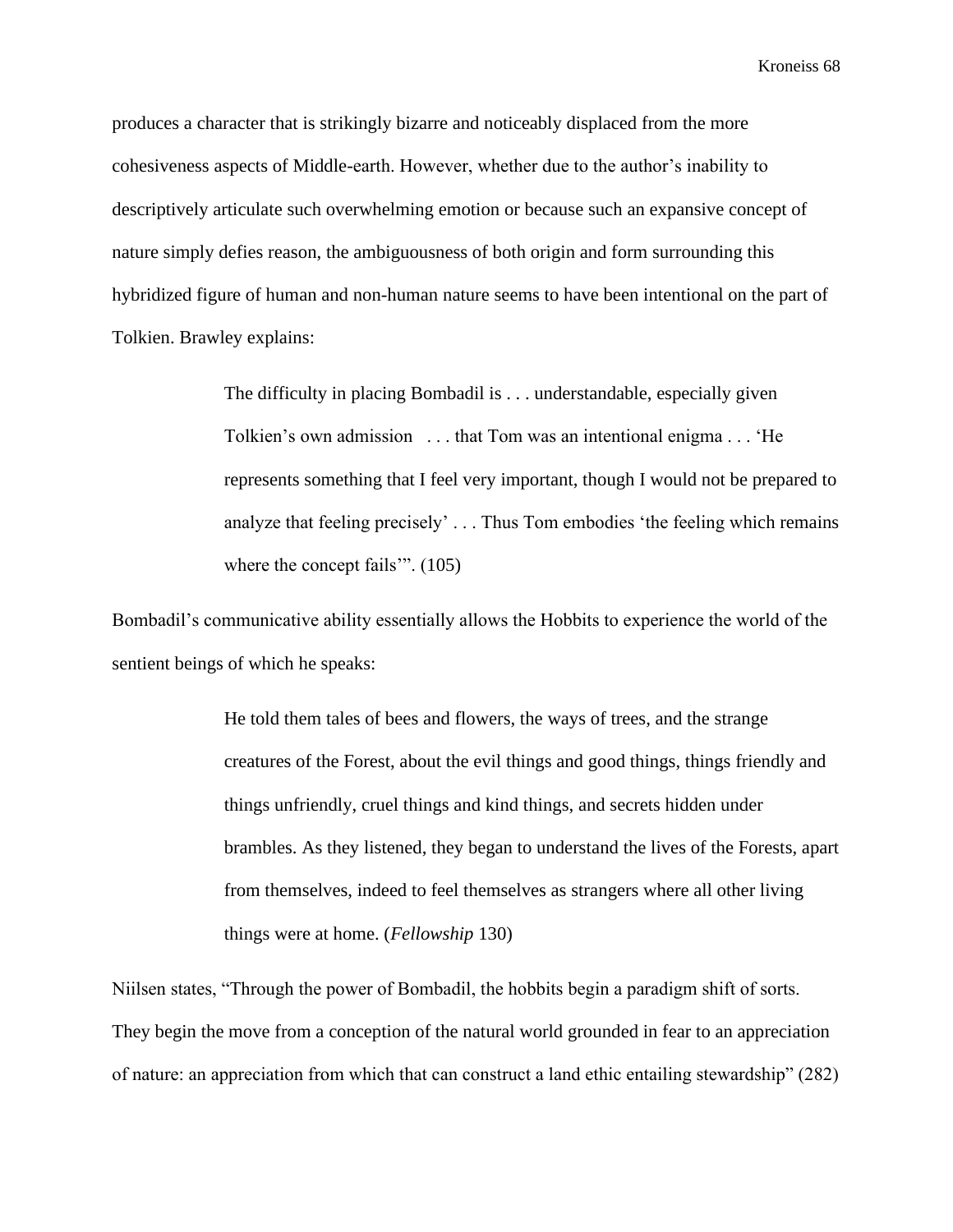produces a character that is strikingly bizarre and noticeably displaced from the more cohesiveness aspects of Middle-earth. However, whether due to the author's inability to descriptively articulate such overwhelming emotion or because such an expansive concept of nature simply defies reason, the ambiguousness of both origin and form surrounding this hybridized figure of human and non-human nature seems to have been intentional on the part of Tolkien. Brawley explains:

> The difficulty in placing Bombadil is . . . understandable, especially given Tolkien's own admission . . . that Tom was an intentional enigma . . . 'He represents something that I feel very important, though I would not be prepared to analyze that feeling precisely' . . . Thus Tom embodies 'the feeling which remains where the concept fails'". (105)

Bombadil's communicative ability essentially allows the Hobbits to experience the world of the sentient beings of which he speaks:

> He told them tales of bees and flowers, the ways of trees, and the strange creatures of the Forest, about the evil things and good things, things friendly and things unfriendly, cruel things and kind things, and secrets hidden under brambles. As they listened, they began to understand the lives of the Forests, apart from themselves, indeed to feel themselves as strangers where all other living things were at home. (*Fellowship* 130)

Niilsen states, "Through the power of Bombadil, the hobbits begin a paradigm shift of sorts. They begin the move from a conception of the natural world grounded in fear to an appreciation of nature: an appreciation from which that can construct a land ethic entailing stewardship" (282)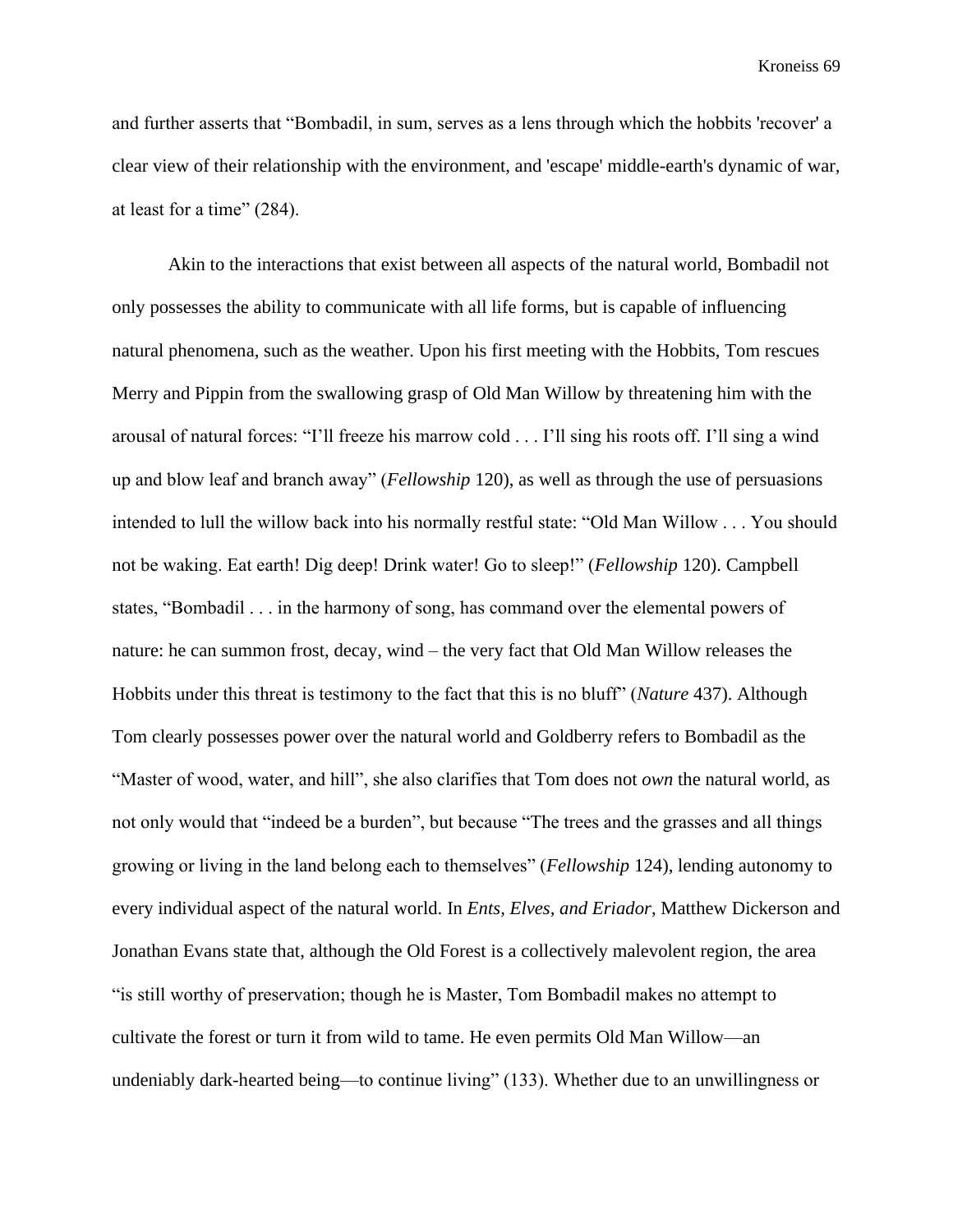and further asserts that "Bombadil, in sum, serves as a lens through which the hobbits 'recover' a clear view of their relationship with the environment, and 'escape' middle-earth's dynamic of war, at least for a time" (284).

Akin to the interactions that exist between all aspects of the natural world, Bombadil not only possesses the ability to communicate with all life forms, but is capable of influencing natural phenomena, such as the weather. Upon his first meeting with the Hobbits, Tom rescues Merry and Pippin from the swallowing grasp of Old Man Willow by threatening him with the arousal of natural forces: "I'll freeze his marrow cold . . . I'll sing his roots off. I'll sing a wind up and blow leaf and branch away" (*Fellowship* 120), as well as through the use of persuasions intended to lull the willow back into his normally restful state: "Old Man Willow . . . You should not be waking. Eat earth! Dig deep! Drink water! Go to sleep!" (*Fellowship* 120). Campbell states, "Bombadil . . . in the harmony of song, has command over the elemental powers of nature: he can summon frost, decay, wind – the very fact that Old Man Willow releases the Hobbits under this threat is testimony to the fact that this is no bluff" (*Nature* 437). Although Tom clearly possesses power over the natural world and Goldberry refers to Bombadil as the "Master of wood, water, and hill", she also clarifies that Tom does not *own* the natural world, as not only would that "indeed be a burden", but because "The trees and the grasses and all things growing or living in the land belong each to themselves" (*Fellowship* 124), lending autonomy to every individual aspect of the natural world. In *Ents, Elves, and Eriador*, Matthew Dickerson and Jonathan Evans state that, although the Old Forest is a collectively malevolent region, the area "is still worthy of preservation; though he is Master, Tom Bombadil makes no attempt to cultivate the forest or turn it from wild to tame. He even permits Old Man Willow—an undeniably dark-hearted being—to continue living" (133). Whether due to an unwillingness or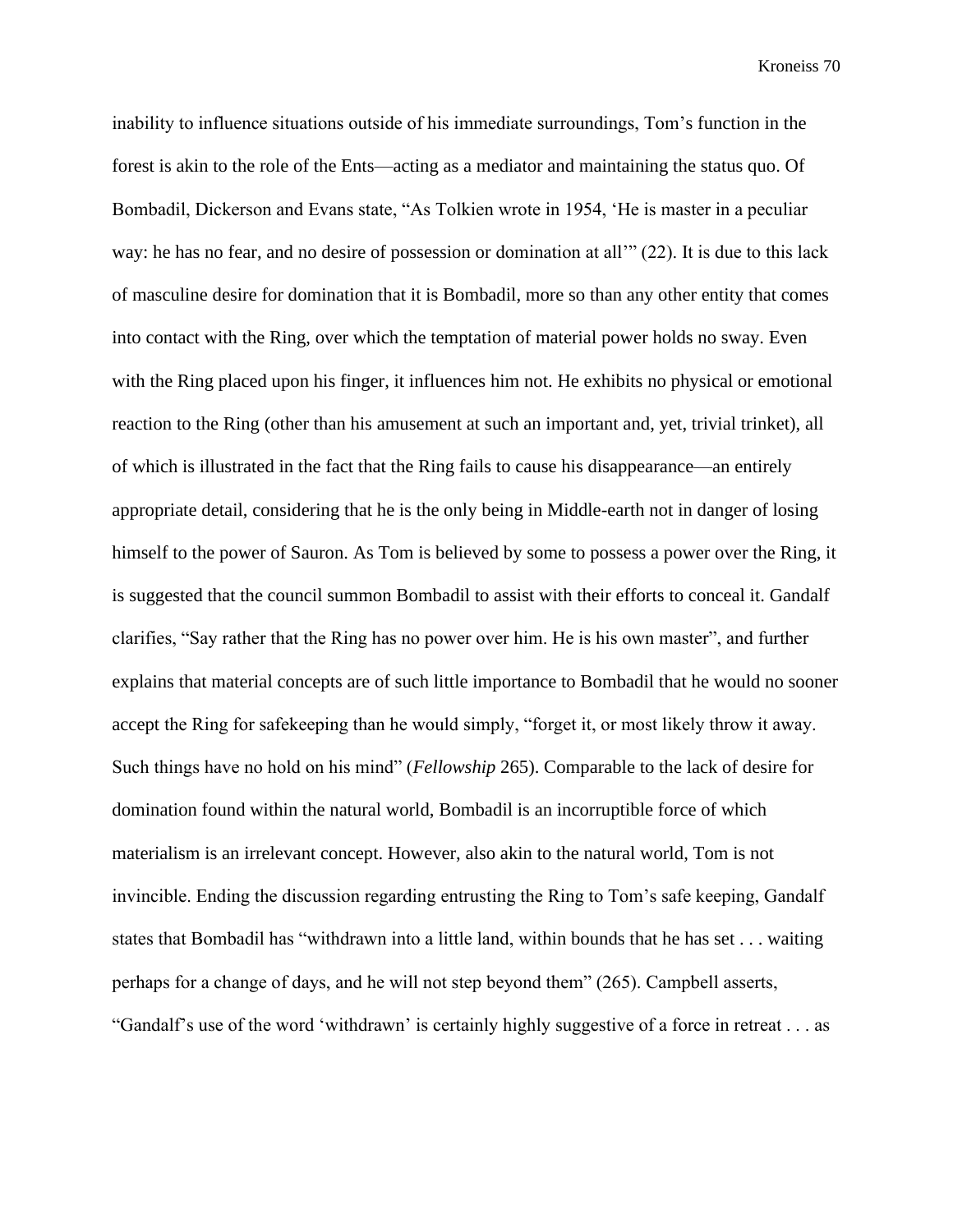inability to influence situations outside of his immediate surroundings, Tom's function in the forest is akin to the role of the Ents—acting as a mediator and maintaining the status quo. Of Bombadil, Dickerson and Evans state, "As Tolkien wrote in 1954, 'He is master in a peculiar way: he has no fear, and no desire of possession or domination at all'" (22). It is due to this lack of masculine desire for domination that it is Bombadil, more so than any other entity that comes into contact with the Ring, over which the temptation of material power holds no sway. Even with the Ring placed upon his finger, it influences him not. He exhibits no physical or emotional reaction to the Ring (other than his amusement at such an important and, yet, trivial trinket), all of which is illustrated in the fact that the Ring fails to cause his disappearance—an entirely appropriate detail, considering that he is the only being in Middle-earth not in danger of losing himself to the power of Sauron. As Tom is believed by some to possess a power over the Ring, it is suggested that the council summon Bombadil to assist with their efforts to conceal it. Gandalf clarifies, "Say rather that the Ring has no power over him. He is his own master", and further explains that material concepts are of such little importance to Bombadil that he would no sooner accept the Ring for safekeeping than he would simply, "forget it, or most likely throw it away. Such things have no hold on his mind" (*Fellowship* 265). Comparable to the lack of desire for domination found within the natural world, Bombadil is an incorruptible force of which materialism is an irrelevant concept. However, also akin to the natural world, Tom is not invincible. Ending the discussion regarding entrusting the Ring to Tom's safe keeping, Gandalf states that Bombadil has "withdrawn into a little land, within bounds that he has set . . . waiting perhaps for a change of days, and he will not step beyond them" (265). Campbell asserts, "Gandalf's use of the word 'withdrawn' is certainly highly suggestive of a force in retreat . . . as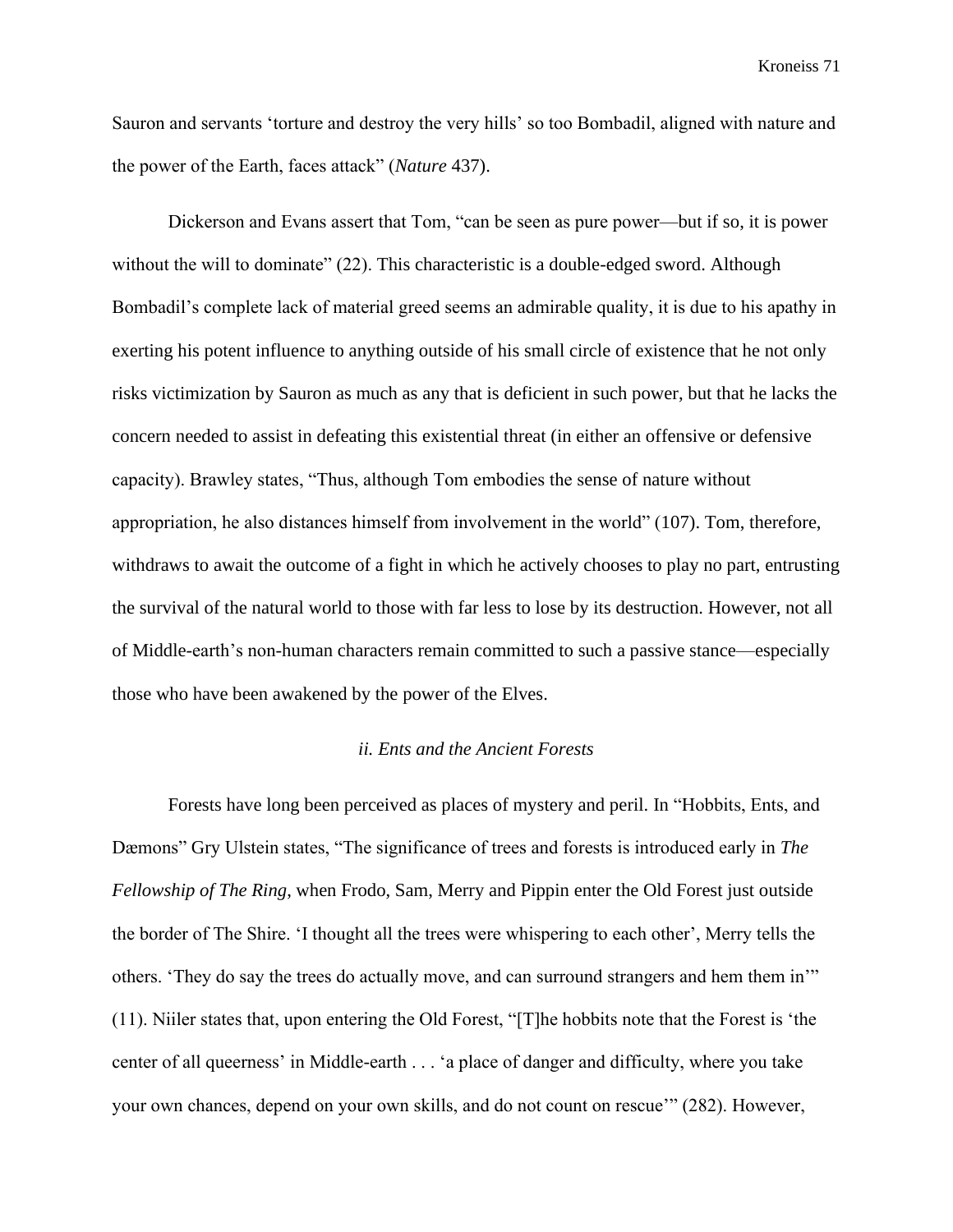Sauron and servants 'torture and destroy the very hills' so too Bombadil, aligned with nature and the power of the Earth, faces attack" (*Nature* 437).

Dickerson and Evans assert that Tom, "can be seen as pure power—but if so, it is power without the will to dominate" (22). This characteristic is a double-edged sword. Although Bombadil's complete lack of material greed seems an admirable quality, it is due to his apathy in exerting his potent influence to anything outside of his small circle of existence that he not only risks victimization by Sauron as much as any that is deficient in such power, but that he lacks the concern needed to assist in defeating this existential threat (in either an offensive or defensive capacity). Brawley states, "Thus, although Tom embodies the sense of nature without appropriation, he also distances himself from involvement in the world" (107). Tom, therefore, withdraws to await the outcome of a fight in which he actively chooses to play no part, entrusting the survival of the natural world to those with far less to lose by its destruction. However, not all of Middle-earth's non-human characters remain committed to such a passive stance—especially those who have been awakened by the power of the Elves.

## *ii. Ents and the Ancient Forests*

Forests have long been perceived as places of mystery and peril. In "Hobbits, Ents, and Dæmons" Gry Ulstein states, "The significance of trees and forests is introduced early in *The Fellowship of The Ring*, when Frodo, Sam, Merry and Pippin enter the Old Forest just outside the border of The Shire. 'I thought all the trees were whispering to each other', Merry tells the others. 'They do say the trees do actually move, and can surround strangers and hem them in'" (11). Niiler states that, upon entering the Old Forest, "[T]he hobbits note that the Forest is 'the center of all queerness' in Middle-earth . . . 'a place of danger and difficulty, where you take your own chances, depend on your own skills, and do not count on rescue'" (282). However,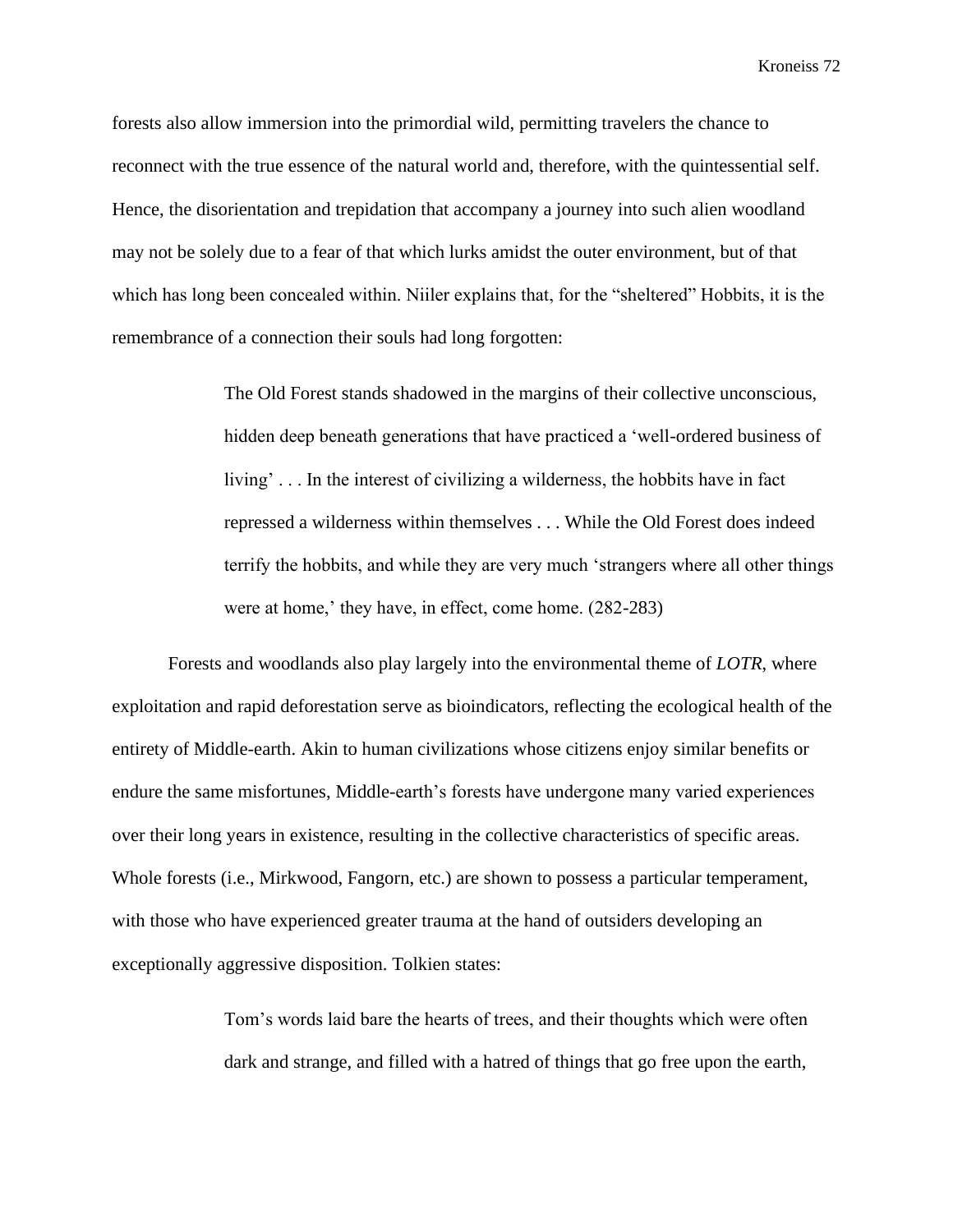forests also allow immersion into the primordial wild, permitting travelers the chance to reconnect with the true essence of the natural world and, therefore, with the quintessential self. Hence, the disorientation and trepidation that accompany a journey into such alien woodland may not be solely due to a fear of that which lurks amidst the outer environment, but of that which has long been concealed within. Niiler explains that, for the "sheltered" Hobbits, it is the remembrance of a connection their souls had long forgotten:

> The Old Forest stands shadowed in the margins of their collective unconscious, hidden deep beneath generations that have practiced a 'well-ordered business of living' . . . In the interest of civilizing a wilderness, the hobbits have in fact repressed a wilderness within themselves . . . While the Old Forest does indeed terrify the hobbits, and while they are very much 'strangers where all other things were at home,' they have, in effect, come home. (282-283)

Forests and woodlands also play largely into the environmental theme of *LOTR*, where exploitation and rapid deforestation serve as bioindicators, reflecting the ecological health of the entirety of Middle-earth. Akin to human civilizations whose citizens enjoy similar benefits or endure the same misfortunes, Middle-earth's forests have undergone many varied experiences over their long years in existence, resulting in the collective characteristics of specific areas. Whole forests (i.e., Mirkwood, Fangorn, etc.) are shown to possess a particular temperament, with those who have experienced greater trauma at the hand of outsiders developing an exceptionally aggressive disposition. Tolkien states:

> Tom's words laid bare the hearts of trees, and their thoughts which were often dark and strange, and filled with a hatred of things that go free upon the earth,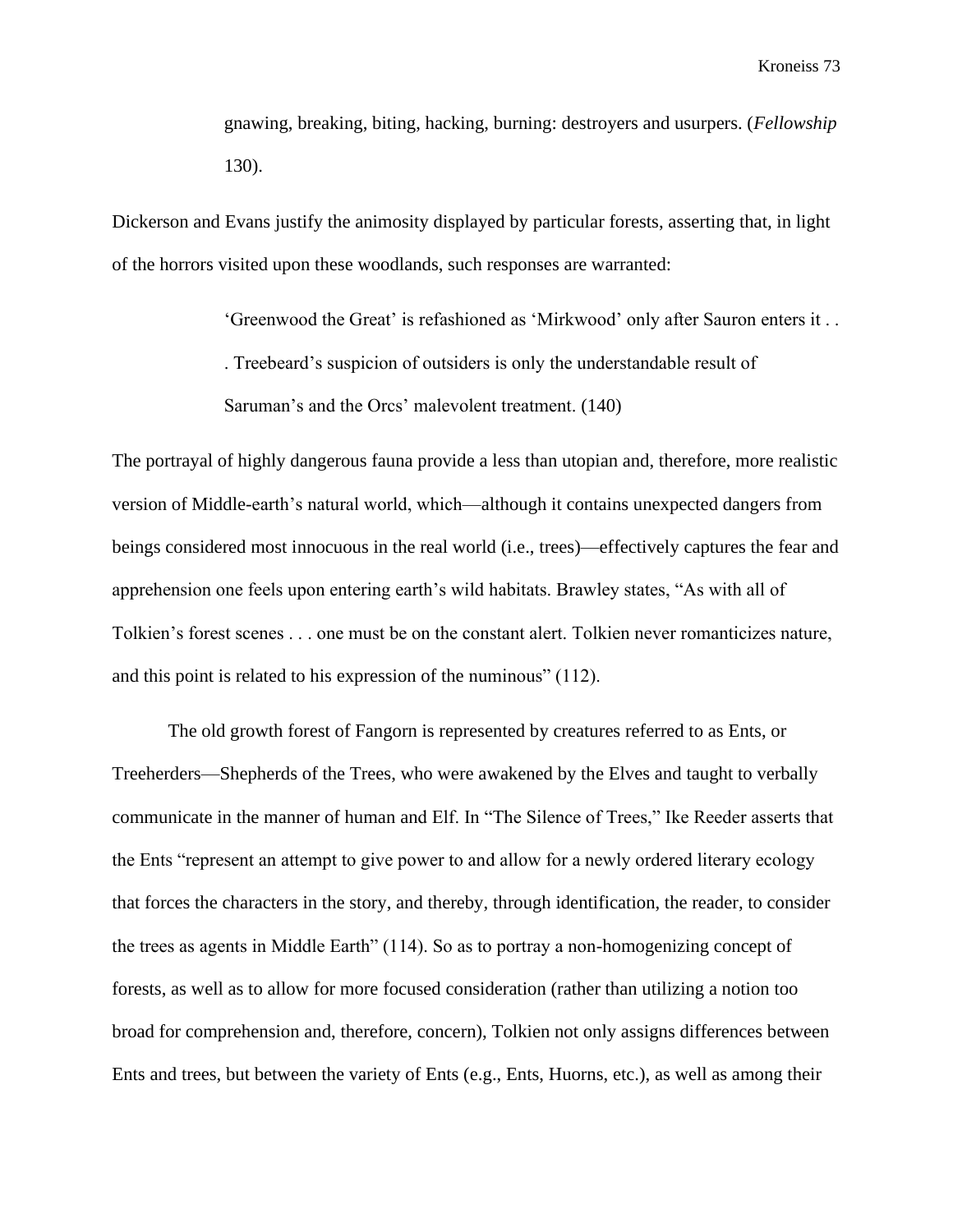gnawing, breaking, biting, hacking, burning: destroyers and usurpers. (*Fellowship* 130).

Dickerson and Evans justify the animosity displayed by particular forests, asserting that, in light of the horrors visited upon these woodlands, such responses are warranted:

> 'Greenwood the Great' is refashioned as 'Mirkwood' only after Sauron enters it . . . Treebeard's suspicion of outsiders is only the understandable result of Saruman's and the Orcs' malevolent treatment. (140)

The portrayal of highly dangerous fauna provide a less than utopian and, therefore, more realistic version of Middle-earth's natural world, which—although it contains unexpected dangers from beings considered most innocuous in the real world (i.e., trees)—effectively captures the fear and apprehension one feels upon entering earth's wild habitats. Brawley states, "As with all of Tolkien's forest scenes . . . one must be on the constant alert. Tolkien never romanticizes nature, and this point is related to his expression of the numinous" (112).

The old growth forest of Fangorn is represented by creatures referred to as Ents, or Treeherders—Shepherds of the Trees, who were awakened by the Elves and taught to verbally communicate in the manner of human and Elf. In "The Silence of Trees," Ike Reeder asserts that the Ents "represent an attempt to give power to and allow for a newly ordered literary ecology that forces the characters in the story, and thereby, through identification, the reader, to consider the trees as agents in Middle Earth" (114). So as to portray a non-homogenizing concept of forests, as well as to allow for more focused consideration (rather than utilizing a notion too broad for comprehension and, therefore, concern), Tolkien not only assigns differences between Ents and trees, but between the variety of Ents (e.g., Ents, Huorns, etc.), as well as among their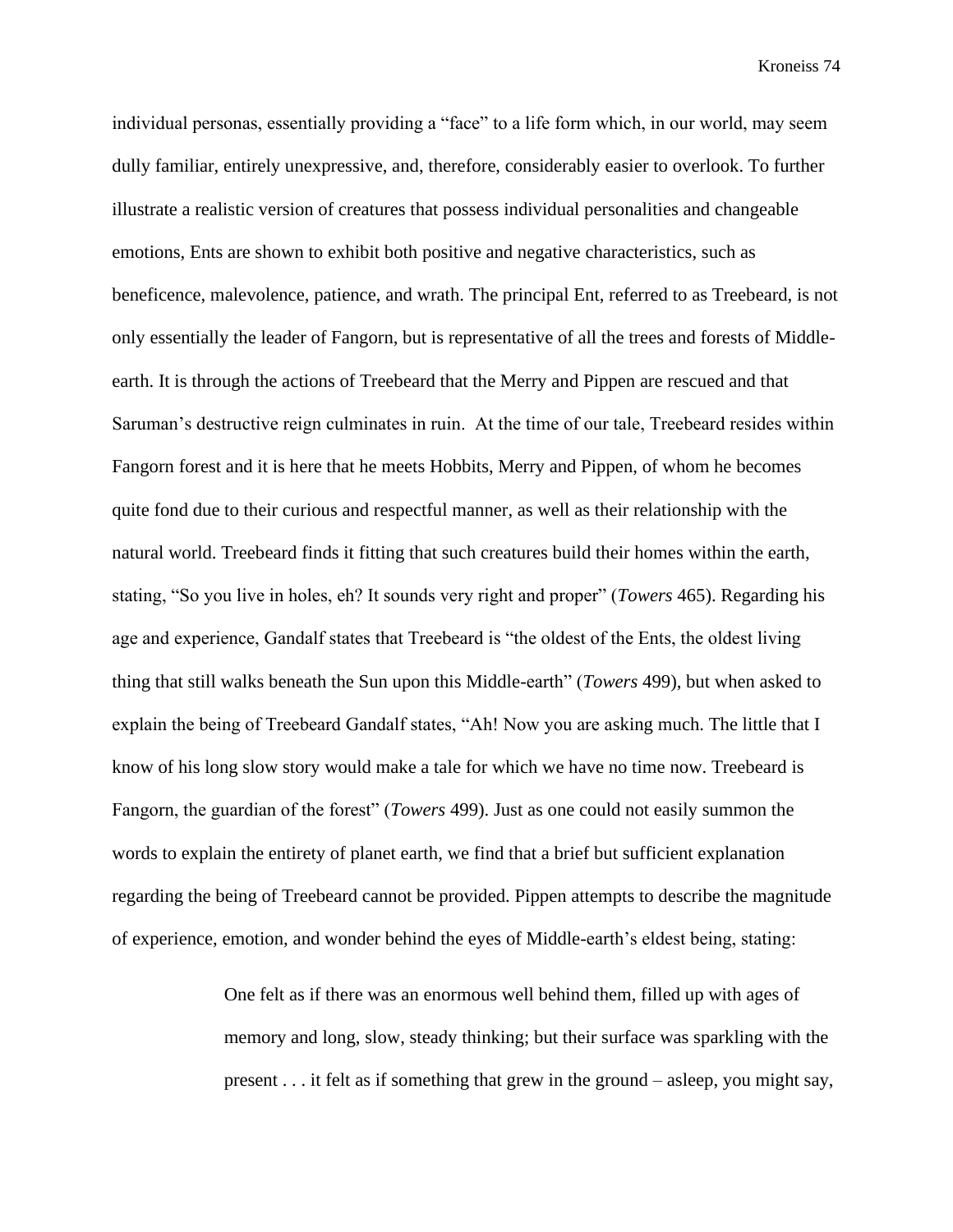individual personas, essentially providing a "face" to a life form which, in our world, may seem dully familiar, entirely unexpressive, and, therefore, considerably easier to overlook. To further illustrate a realistic version of creatures that possess individual personalities and changeable emotions, Ents are shown to exhibit both positive and negative characteristics, such as beneficence, malevolence, patience, and wrath. The principal Ent, referred to as Treebeard, is not only essentially the leader of Fangorn, but is representative of all the trees and forests of Middleearth. It is through the actions of Treebeard that the Merry and Pippen are rescued and that Saruman's destructive reign culminates in ruin. At the time of our tale, Treebeard resides within Fangorn forest and it is here that he meets Hobbits, Merry and Pippen, of whom he becomes quite fond due to their curious and respectful manner, as well as their relationship with the natural world. Treebeard finds it fitting that such creatures build their homes within the earth, stating, "So you live in holes, eh? It sounds very right and proper" (*Towers* 465). Regarding his age and experience, Gandalf states that Treebeard is "the oldest of the Ents, the oldest living thing that still walks beneath the Sun upon this Middle-earth" (*Towers* 499), but when asked to explain the being of Treebeard Gandalf states, "Ah! Now you are asking much. The little that I know of his long slow story would make a tale for which we have no time now. Treebeard is Fangorn, the guardian of the forest" (*Towers* 499). Just as one could not easily summon the words to explain the entirety of planet earth, we find that a brief but sufficient explanation regarding the being of Treebeard cannot be provided. Pippen attempts to describe the magnitude of experience, emotion, and wonder behind the eyes of Middle-earth's eldest being, stating:

> One felt as if there was an enormous well behind them, filled up with ages of memory and long, slow, steady thinking; but their surface was sparkling with the present . . . it felt as if something that grew in the ground – asleep, you might say,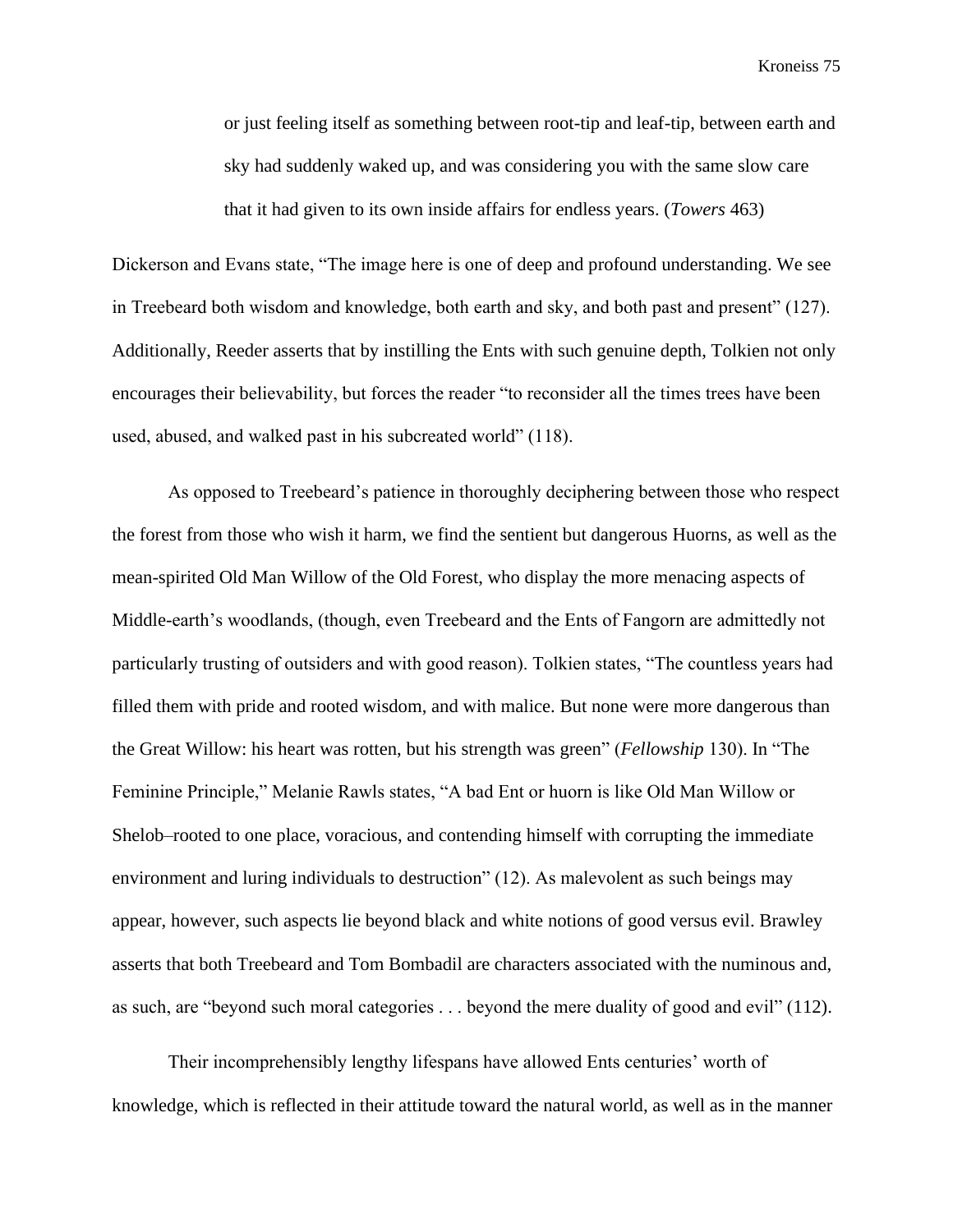or just feeling itself as something between root-tip and leaf-tip, between earth and sky had suddenly waked up, and was considering you with the same slow care that it had given to its own inside affairs for endless years. (*Towers* 463)

Dickerson and Evans state, "The image here is one of deep and profound understanding. We see in Treebeard both wisdom and knowledge, both earth and sky, and both past and present" (127). Additionally, Reeder asserts that by instilling the Ents with such genuine depth, Tolkien not only encourages their believability, but forces the reader "to reconsider all the times trees have been used, abused, and walked past in his subcreated world" (118).

As opposed to Treebeard's patience in thoroughly deciphering between those who respect the forest from those who wish it harm, we find the sentient but dangerous Huorns, as well as the mean-spirited Old Man Willow of the Old Forest, who display the more menacing aspects of Middle-earth's woodlands, (though, even Treebeard and the Ents of Fangorn are admittedly not particularly trusting of outsiders and with good reason). Tolkien states, "The countless years had filled them with pride and rooted wisdom, and with malice. But none were more dangerous than the Great Willow: his heart was rotten, but his strength was green" (*Fellowship* 130). In "The Feminine Principle," Melanie Rawls states, "A bad Ent or huorn is like Old Man Willow or Shelob–rooted to one place, voracious, and contending himself with corrupting the immediate environment and luring individuals to destruction" (12). As malevolent as such beings may appear, however, such aspects lie beyond black and white notions of good versus evil. Brawley asserts that both Treebeard and Tom Bombadil are characters associated with the numinous and, as such, are "beyond such moral categories . . . beyond the mere duality of good and evil" (112).

Their incomprehensibly lengthy lifespans have allowed Ents centuries' worth of knowledge, which is reflected in their attitude toward the natural world, as well as in the manner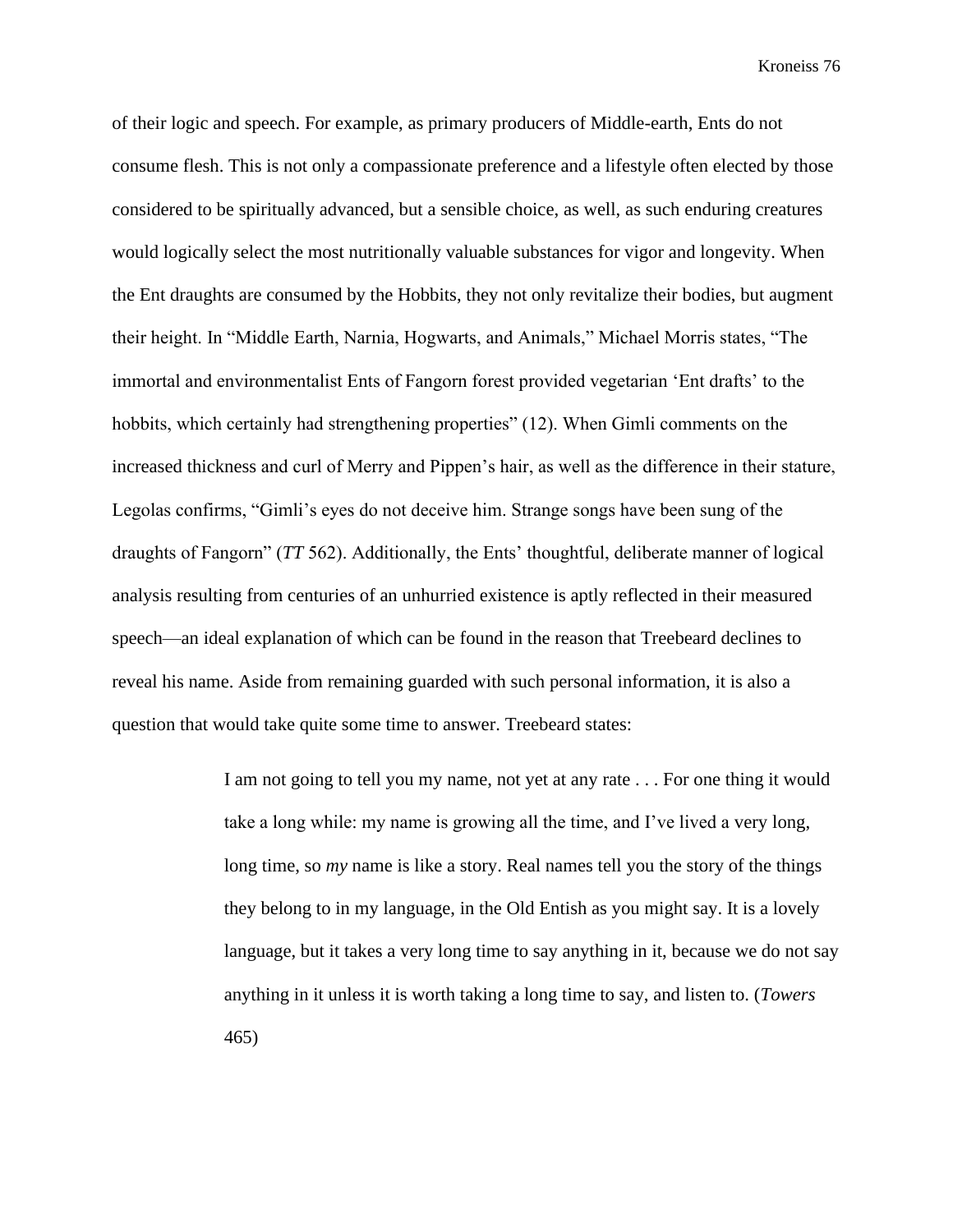of their logic and speech. For example, as primary producers of Middle-earth, Ents do not consume flesh. This is not only a compassionate preference and a lifestyle often elected by those considered to be spiritually advanced, but a sensible choice, as well, as such enduring creatures would logically select the most nutritionally valuable substances for vigor and longevity. When the Ent draughts are consumed by the Hobbits, they not only revitalize their bodies, but augment their height. In "Middle Earth, Narnia, Hogwarts, and Animals," Michael Morris states, "The immortal and environmentalist Ents of Fangorn forest provided vegetarian 'Ent drafts' to the hobbits, which certainly had strengthening properties" (12). When Gimli comments on the increased thickness and curl of Merry and Pippen's hair, as well as the difference in their stature, Legolas confirms, "Gimli's eyes do not deceive him. Strange songs have been sung of the draughts of Fangorn" (*TT* 562). Additionally, the Ents' thoughtful, deliberate manner of logical analysis resulting from centuries of an unhurried existence is aptly reflected in their measured speech—an ideal explanation of which can be found in the reason that Treebeard declines to reveal his name. Aside from remaining guarded with such personal information, it is also a question that would take quite some time to answer. Treebeard states:

> I am not going to tell you my name, not yet at any rate . . . For one thing it would take a long while: my name is growing all the time, and I've lived a very long, long time, so *my* name is like a story. Real names tell you the story of the things they belong to in my language, in the Old Entish as you might say. It is a lovely language, but it takes a very long time to say anything in it, because we do not say anything in it unless it is worth taking a long time to say, and listen to. (*Towers* 465)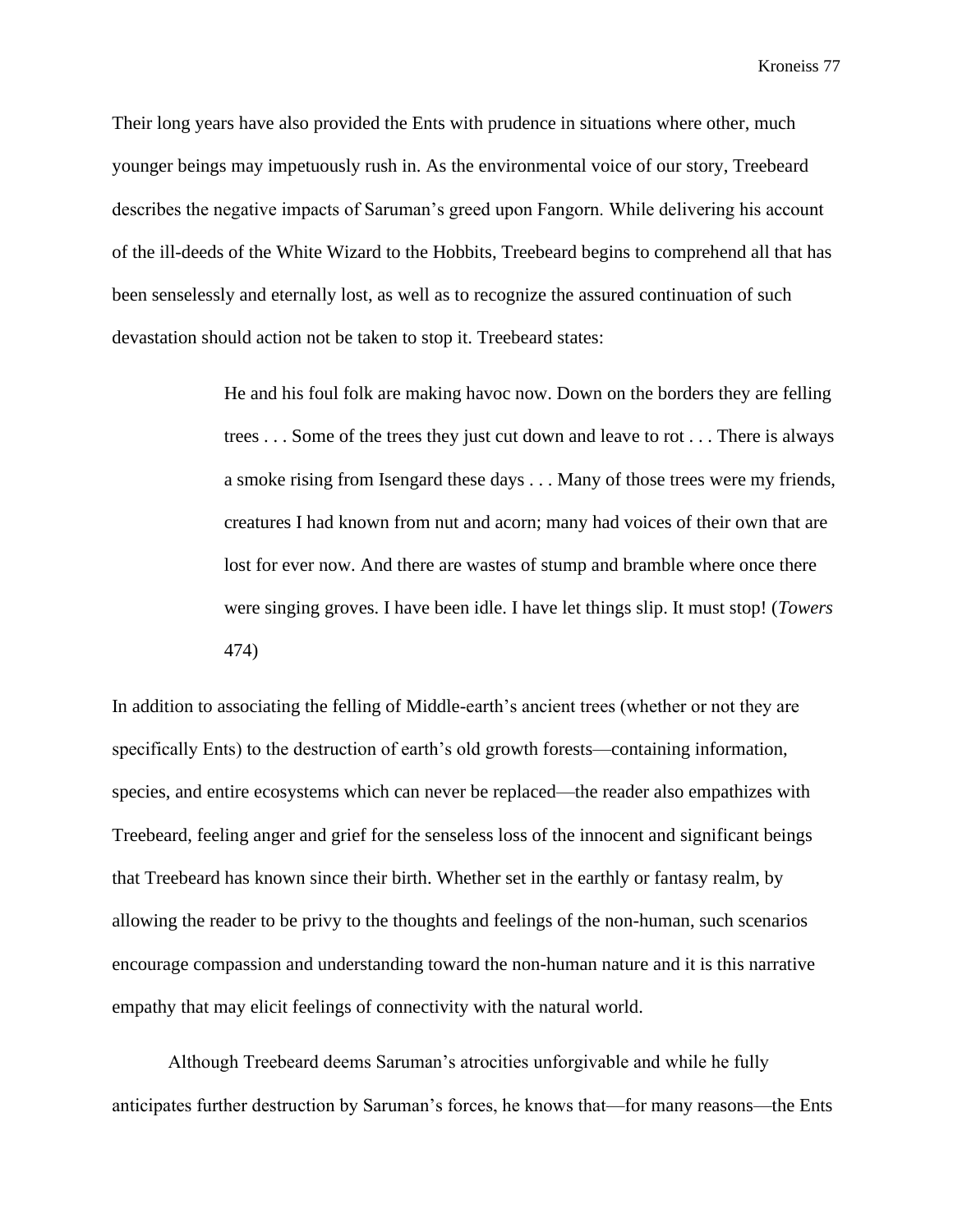Their long years have also provided the Ents with prudence in situations where other, much younger beings may impetuously rush in. As the environmental voice of our story, Treebeard describes the negative impacts of Saruman's greed upon Fangorn. While delivering his account of the ill-deeds of the White Wizard to the Hobbits, Treebeard begins to comprehend all that has been senselessly and eternally lost, as well as to recognize the assured continuation of such devastation should action not be taken to stop it. Treebeard states:

> He and his foul folk are making havoc now. Down on the borders they are felling trees . . . Some of the trees they just cut down and leave to rot . . . There is always a smoke rising from Isengard these days . . . Many of those trees were my friends, creatures I had known from nut and acorn; many had voices of their own that are lost for ever now. And there are wastes of stump and bramble where once there were singing groves. I have been idle. I have let things slip. It must stop! (*Towers* 474)

In addition to associating the felling of Middle-earth's ancient trees (whether or not they are specifically Ents) to the destruction of earth's old growth forests—containing information, species, and entire ecosystems which can never be replaced—the reader also empathizes with Treebeard, feeling anger and grief for the senseless loss of the innocent and significant beings that Treebeard has known since their birth. Whether set in the earthly or fantasy realm, by allowing the reader to be privy to the thoughts and feelings of the non-human, such scenarios encourage compassion and understanding toward the non-human nature and it is this narrative empathy that may elicit feelings of connectivity with the natural world.

Although Treebeard deems Saruman's atrocities unforgivable and while he fully anticipates further destruction by Saruman's forces, he knows that—for many reasons—the Ents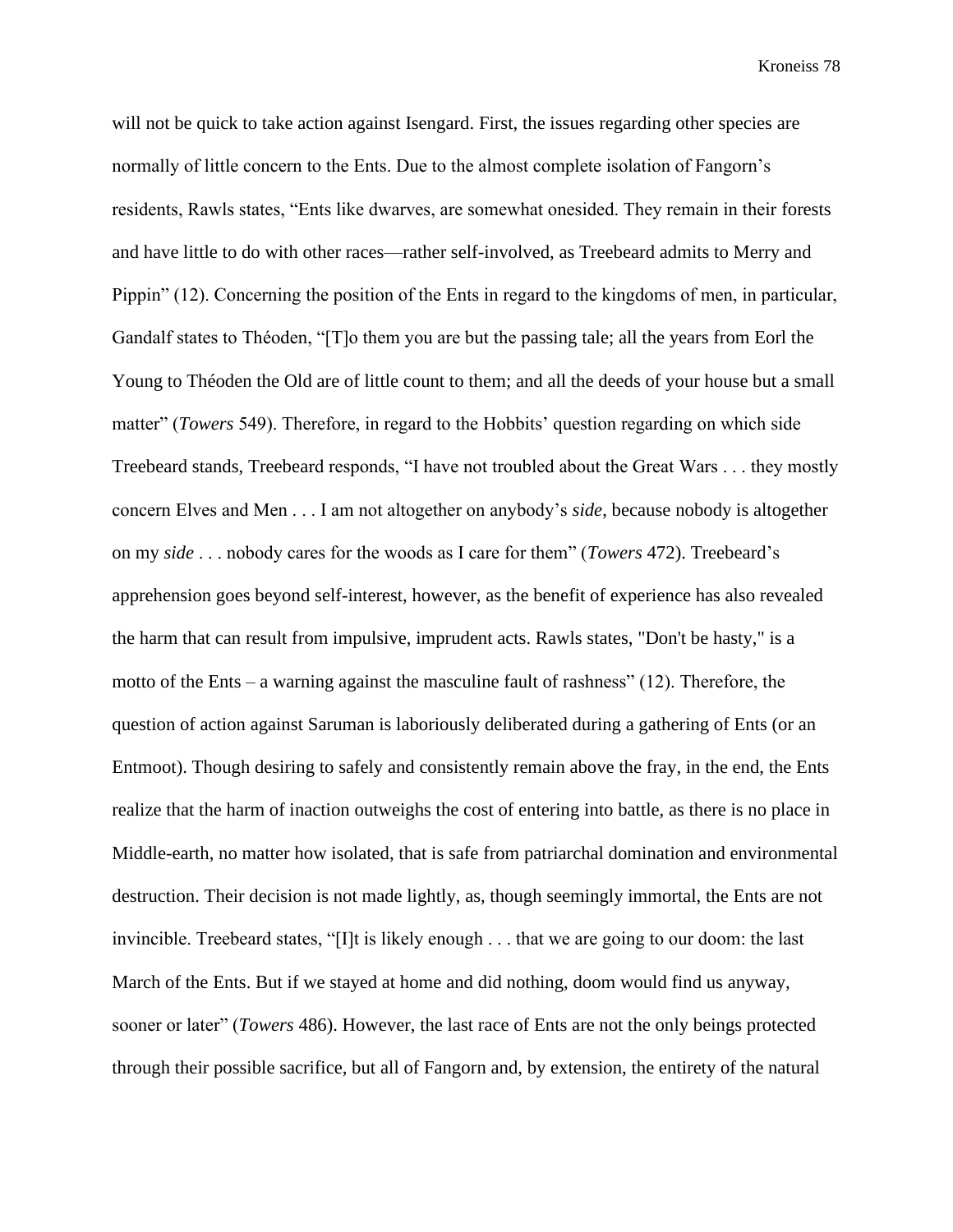will not be quick to take action against Isengard. First, the issues regarding other species are normally of little concern to the Ents. Due to the almost complete isolation of Fangorn's residents, Rawls states, "Ents like dwarves, are somewhat onesided. They remain in their forests and have little to do with other races—rather self-involved, as Treebeard admits to Merry and Pippin" (12). Concerning the position of the Ents in regard to the kingdoms of men, in particular, Gandalf states to Théoden, "[T]o them you are but the passing tale; all the years from Eorl the Young to Théoden the Old are of little count to them; and all the deeds of your house but a small matter" (*Towers* 549). Therefore, in regard to the Hobbits' question regarding on which side Treebeard stands, Treebeard responds, "I have not troubled about the Great Wars . . . they mostly concern Elves and Men . . . I am not altogether on anybody's *side*, because nobody is altogether on my *side* . . . nobody cares for the woods as I care for them" (*Towers* 472). Treebeard's apprehension goes beyond self-interest, however, as the benefit of experience has also revealed the harm that can result from impulsive, imprudent acts. Rawls states, "Don't be hasty," is a motto of the Ents – a warning against the masculine fault of rashness" (12). Therefore, the question of action against Saruman is laboriously deliberated during a gathering of Ents (or an Entmoot). Though desiring to safely and consistently remain above the fray, in the end, the Ents realize that the harm of inaction outweighs the cost of entering into battle, as there is no place in Middle-earth, no matter how isolated, that is safe from patriarchal domination and environmental destruction. Their decision is not made lightly, as, though seemingly immortal, the Ents are not invincible. Treebeard states, "[I]t is likely enough . . . that we are going to our doom: the last March of the Ents. But if we stayed at home and did nothing, doom would find us anyway, sooner or later" (*Towers* 486). However, the last race of Ents are not the only beings protected through their possible sacrifice, but all of Fangorn and, by extension, the entirety of the natural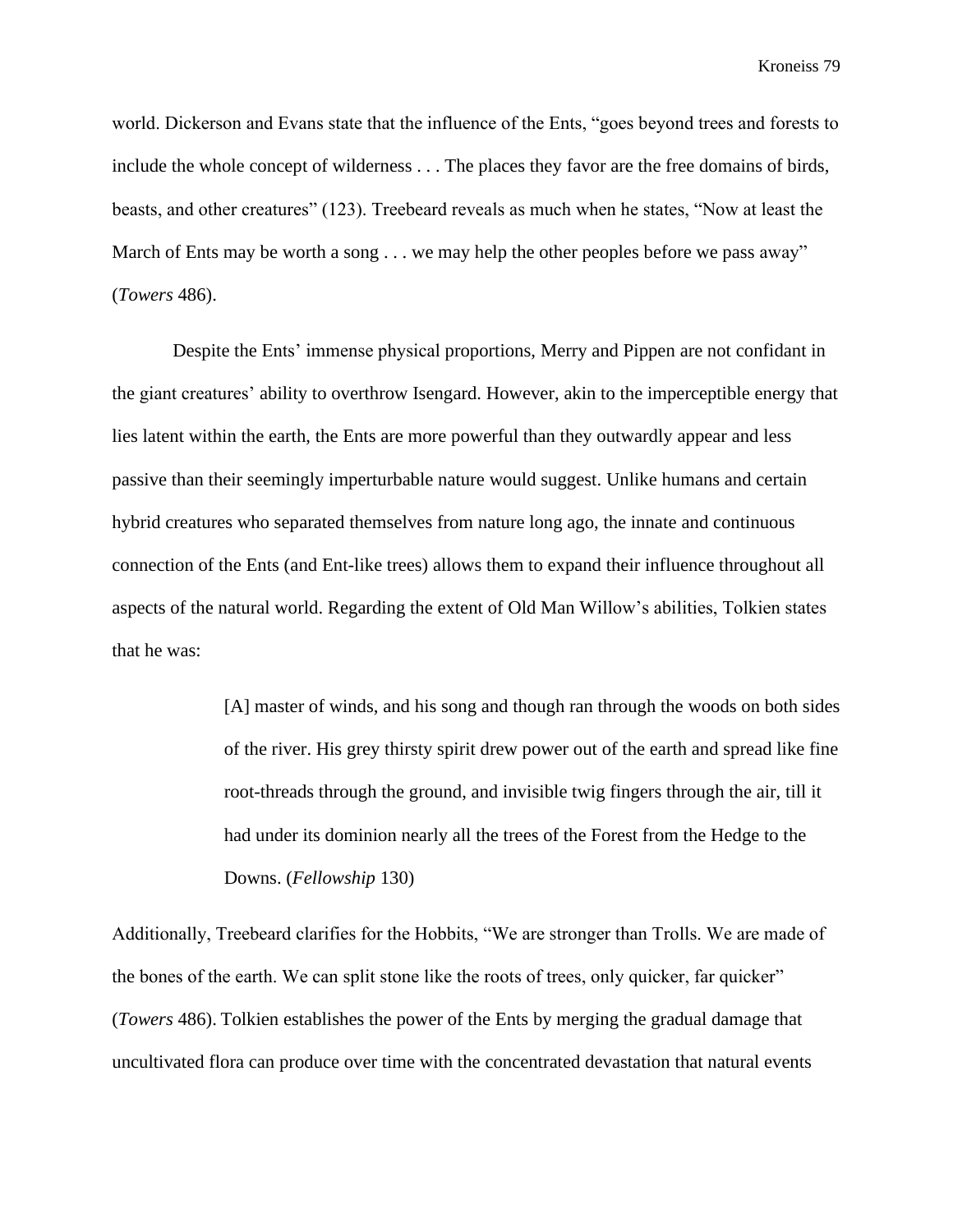world. Dickerson and Evans state that the influence of the Ents, "goes beyond trees and forests to include the whole concept of wilderness . . . The places they favor are the free domains of birds, beasts, and other creatures" (123). Treebeard reveals as much when he states, "Now at least the March of Ents may be worth a song . . . we may help the other peoples before we pass away" (*Towers* 486).

Despite the Ents' immense physical proportions, Merry and Pippen are not confidant in the giant creatures' ability to overthrow Isengard. However, akin to the imperceptible energy that lies latent within the earth, the Ents are more powerful than they outwardly appear and less passive than their seemingly imperturbable nature would suggest. Unlike humans and certain hybrid creatures who separated themselves from nature long ago, the innate and continuous connection of the Ents (and Ent-like trees) allows them to expand their influence throughout all aspects of the natural world. Regarding the extent of Old Man Willow's abilities, Tolkien states that he was:

> [A] master of winds, and his song and though ran through the woods on both sides of the river. His grey thirsty spirit drew power out of the earth and spread like fine root-threads through the ground, and invisible twig fingers through the air, till it had under its dominion nearly all the trees of the Forest from the Hedge to the Downs. (*Fellowship* 130)

Additionally, Treebeard clarifies for the Hobbits, "We are stronger than Trolls. We are made of the bones of the earth. We can split stone like the roots of trees, only quicker, far quicker" (*Towers* 486). Tolkien establishes the power of the Ents by merging the gradual damage that uncultivated flora can produce over time with the concentrated devastation that natural events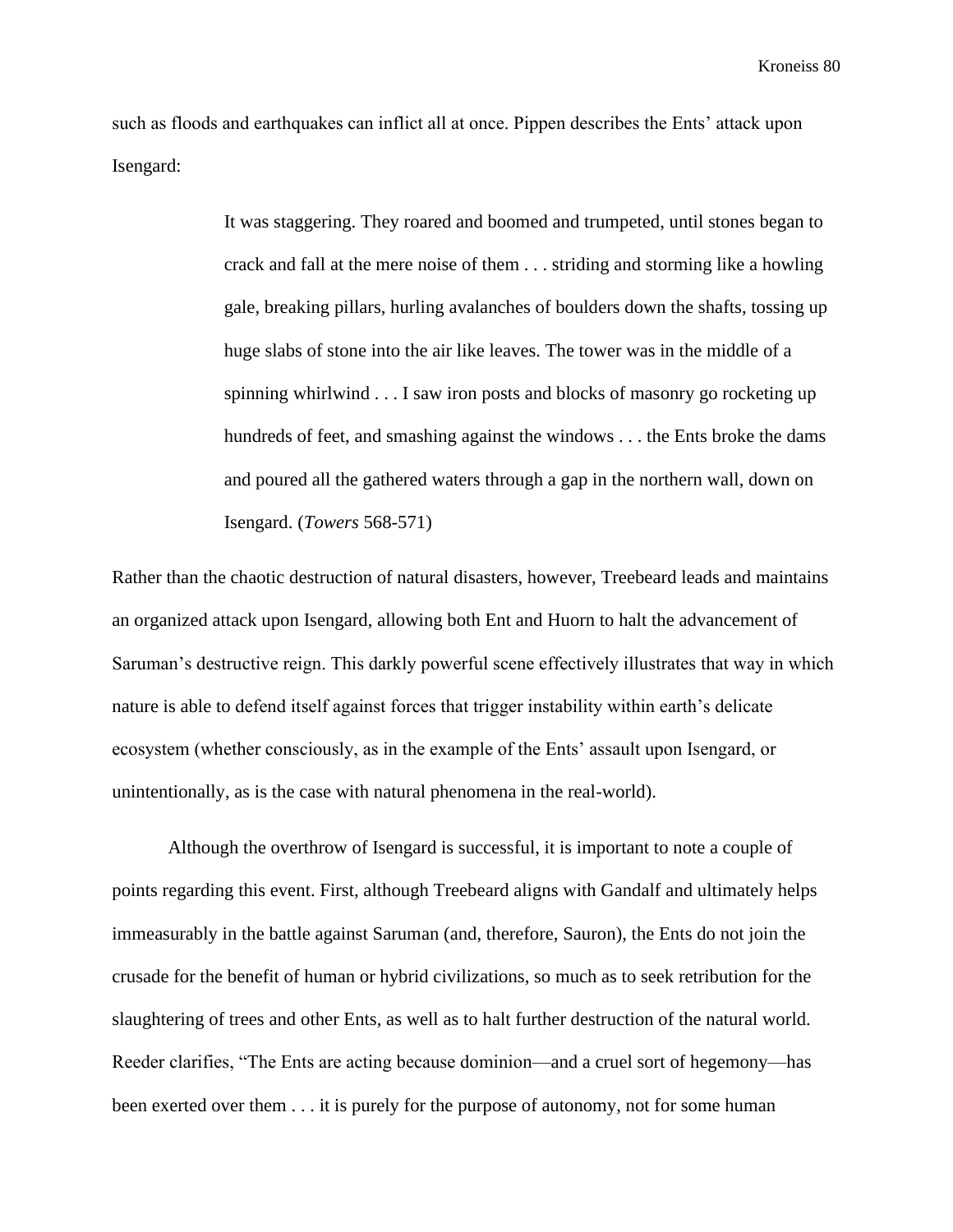such as floods and earthquakes can inflict all at once. Pippen describes the Ents' attack upon Isengard:

> It was staggering. They roared and boomed and trumpeted, until stones began to crack and fall at the mere noise of them . . . striding and storming like a howling gale, breaking pillars, hurling avalanches of boulders down the shafts, tossing up huge slabs of stone into the air like leaves. The tower was in the middle of a spinning whirlwind . . . I saw iron posts and blocks of masonry go rocketing up hundreds of feet, and smashing against the windows . . . the Ents broke the dams and poured all the gathered waters through a gap in the northern wall, down on Isengard. (*Towers* 568-571)

Rather than the chaotic destruction of natural disasters, however, Treebeard leads and maintains an organized attack upon Isengard, allowing both Ent and Huorn to halt the advancement of Saruman's destructive reign. This darkly powerful scene effectively illustrates that way in which nature is able to defend itself against forces that trigger instability within earth's delicate ecosystem (whether consciously, as in the example of the Ents' assault upon Isengard, or unintentionally, as is the case with natural phenomena in the real-world).

Although the overthrow of Isengard is successful, it is important to note a couple of points regarding this event. First, although Treebeard aligns with Gandalf and ultimately helps immeasurably in the battle against Saruman (and, therefore, Sauron), the Ents do not join the crusade for the benefit of human or hybrid civilizations, so much as to seek retribution for the slaughtering of trees and other Ents, as well as to halt further destruction of the natural world. Reeder clarifies, "The Ents are acting because dominion—and a cruel sort of hegemony—has been exerted over them . . . it is purely for the purpose of autonomy, not for some human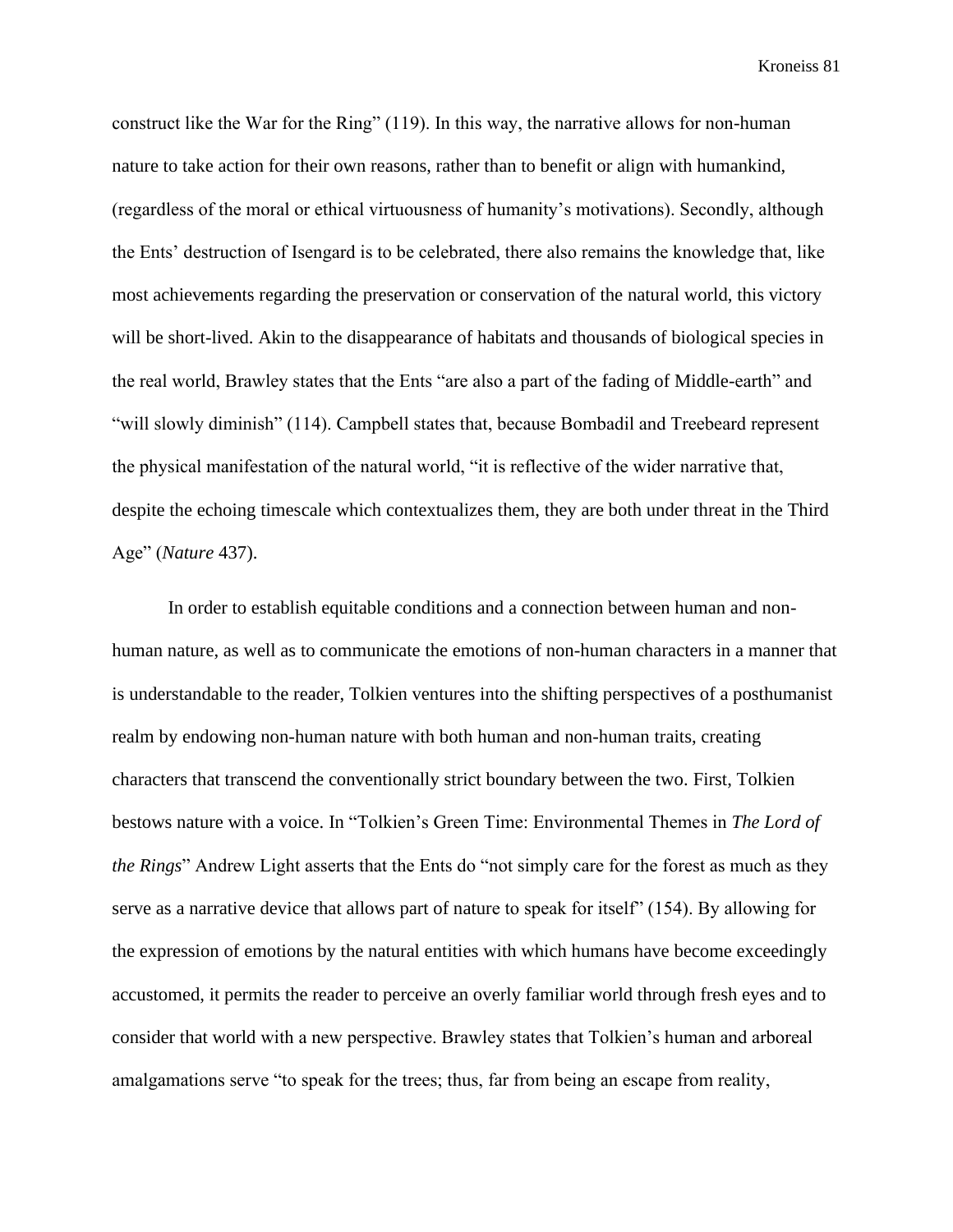construct like the War for the Ring" (119). In this way, the narrative allows for non-human nature to take action for their own reasons, rather than to benefit or align with humankind, (regardless of the moral or ethical virtuousness of humanity's motivations). Secondly, although the Ents' destruction of Isengard is to be celebrated, there also remains the knowledge that, like most achievements regarding the preservation or conservation of the natural world, this victory will be short-lived. Akin to the disappearance of habitats and thousands of biological species in the real world, Brawley states that the Ents "are also a part of the fading of Middle-earth" and "will slowly diminish" (114). Campbell states that, because Bombadil and Treebeard represent the physical manifestation of the natural world, "it is reflective of the wider narrative that, despite the echoing timescale which contextualizes them, they are both under threat in the Third Age" (*Nature* 437).

In order to establish equitable conditions and a connection between human and nonhuman nature, as well as to communicate the emotions of non-human characters in a manner that is understandable to the reader, Tolkien ventures into the shifting perspectives of a posthumanist realm by endowing non-human nature with both human and non-human traits, creating characters that transcend the conventionally strict boundary between the two. First, Tolkien bestows nature with a voice. In "Tolkien's Green Time: Environmental Themes in *The Lord of the Rings*" Andrew Light asserts that the Ents do "not simply care for the forest as much as they serve as a narrative device that allows part of nature to speak for itself" (154). By allowing for the expression of emotions by the natural entities with which humans have become exceedingly accustomed, it permits the reader to perceive an overly familiar world through fresh eyes and to consider that world with a new perspective. Brawley states that Tolkien's human and arboreal amalgamations serve "to speak for the trees; thus, far from being an escape from reality,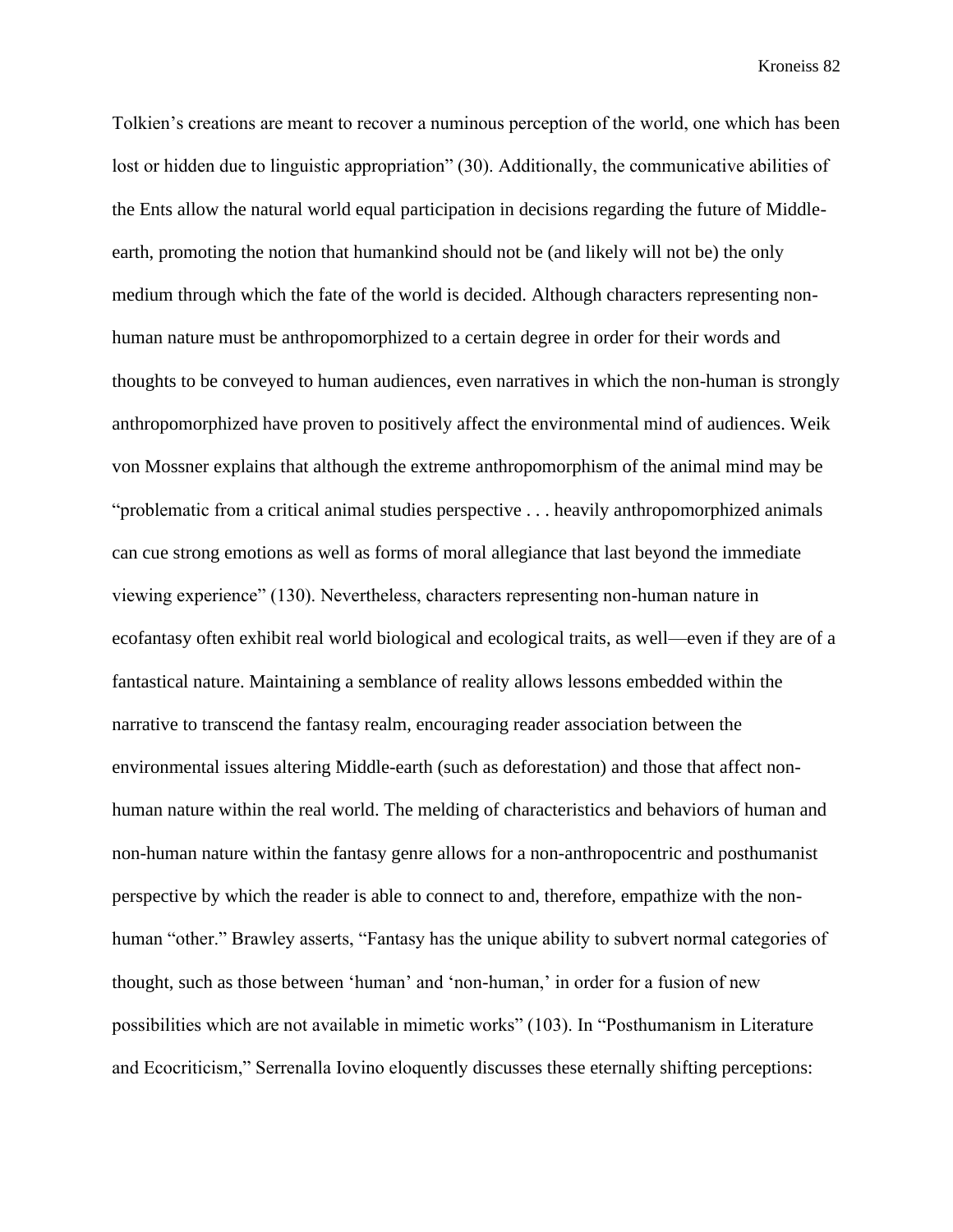Tolkien's creations are meant to recover a numinous perception of the world, one which has been lost or hidden due to linguistic appropriation" (30). Additionally, the communicative abilities of the Ents allow the natural world equal participation in decisions regarding the future of Middleearth, promoting the notion that humankind should not be (and likely will not be) the only medium through which the fate of the world is decided. Although characters representing nonhuman nature must be anthropomorphized to a certain degree in order for their words and thoughts to be conveyed to human audiences, even narratives in which the non-human is strongly anthropomorphized have proven to positively affect the environmental mind of audiences. Weik von Mossner explains that although the extreme anthropomorphism of the animal mind may be "problematic from a critical animal studies perspective . . . heavily anthropomorphized animals can cue strong emotions as well as forms of moral allegiance that last beyond the immediate viewing experience" (130). Nevertheless, characters representing non-human nature in ecofantasy often exhibit real world biological and ecological traits, as well—even if they are of a fantastical nature. Maintaining a semblance of reality allows lessons embedded within the narrative to transcend the fantasy realm, encouraging reader association between the environmental issues altering Middle-earth (such as deforestation) and those that affect nonhuman nature within the real world. The melding of characteristics and behaviors of human and non-human nature within the fantasy genre allows for a non-anthropocentric and posthumanist perspective by which the reader is able to connect to and, therefore, empathize with the nonhuman "other." Brawley asserts, "Fantasy has the unique ability to subvert normal categories of thought, such as those between 'human' and 'non-human,' in order for a fusion of new possibilities which are not available in mimetic works" (103). In "Posthumanism in Literature and Ecocriticism," Serrenalla Iovino eloquently discusses these eternally shifting perceptions: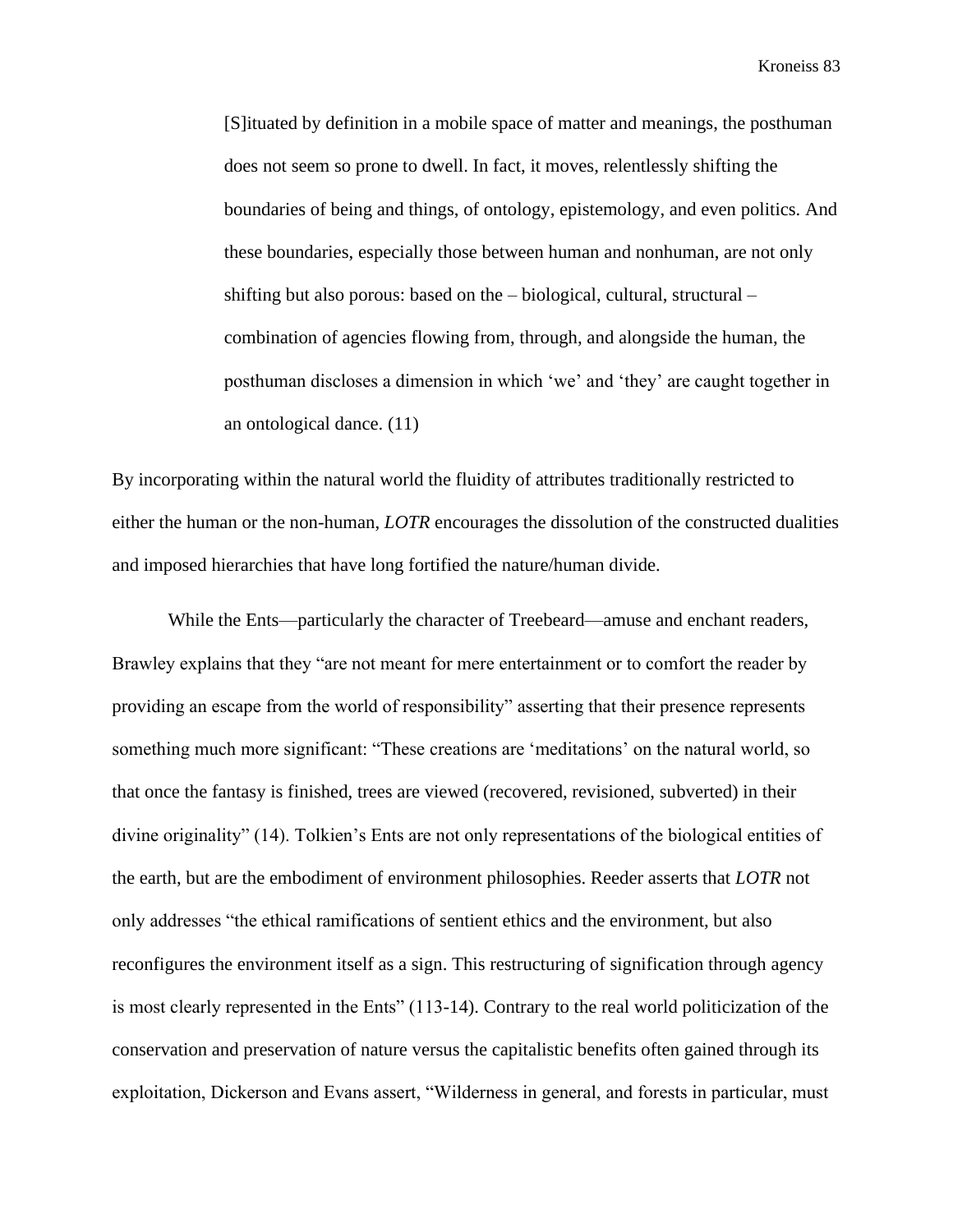[S]ituated by definition in a mobile space of matter and meanings, the posthuman does not seem so prone to dwell. In fact, it moves, relentlessly shifting the boundaries of being and things, of ontology, epistemology, and even politics. And these boundaries, especially those between human and nonhuman, are not only shifting but also porous: based on the – biological, cultural, structural – combination of agencies flowing from, through, and alongside the human, the posthuman discloses a dimension in which 'we' and 'they' are caught together in an ontological dance. (11)

By incorporating within the natural world the fluidity of attributes traditionally restricted to either the human or the non-human, *LOTR* encourages the dissolution of the constructed dualities and imposed hierarchies that have long fortified the nature/human divide.

While the Ents—particularly the character of Treebeard—amuse and enchant readers, Brawley explains that they "are not meant for mere entertainment or to comfort the reader by providing an escape from the world of responsibility" asserting that their presence represents something much more significant: "These creations are 'meditations' on the natural world, so that once the fantasy is finished, trees are viewed (recovered, revisioned, subverted) in their divine originality" (14). Tolkien's Ents are not only representations of the biological entities of the earth, but are the embodiment of environment philosophies. Reeder asserts that *LOTR* not only addresses "the ethical ramifications of sentient ethics and the environment, but also reconfigures the environment itself as a sign. This restructuring of signification through agency is most clearly represented in the Ents" (113-14). Contrary to the real world politicization of the conservation and preservation of nature versus the capitalistic benefits often gained through its exploitation, Dickerson and Evans assert, "Wilderness in general, and forests in particular, must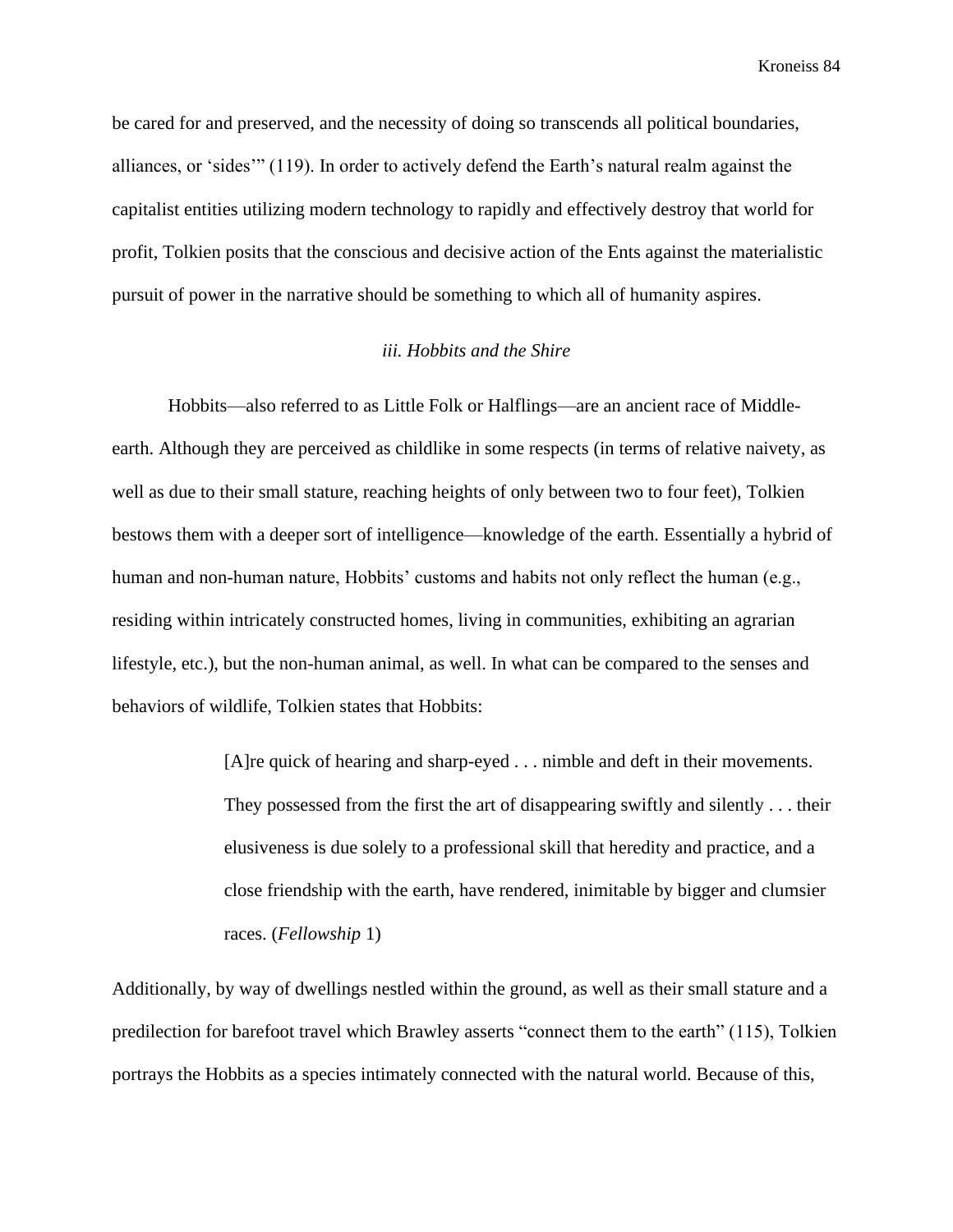be cared for and preserved, and the necessity of doing so transcends all political boundaries, alliances, or 'sides'" (119). In order to actively defend the Earth's natural realm against the capitalist entities utilizing modern technology to rapidly and effectively destroy that world for profit, Tolkien posits that the conscious and decisive action of the Ents against the materialistic pursuit of power in the narrative should be something to which all of humanity aspires.

# *iii. Hobbits and the Shire*

Hobbits—also referred to as Little Folk or Halflings—are an ancient race of Middleearth. Although they are perceived as childlike in some respects (in terms of relative naivety, as well as due to their small stature, reaching heights of only between two to four feet), Tolkien bestows them with a deeper sort of intelligence—knowledge of the earth. Essentially a hybrid of human and non-human nature, Hobbits' customs and habits not only reflect the human (e.g., residing within intricately constructed homes, living in communities, exhibiting an agrarian lifestyle, etc.), but the non-human animal, as well. In what can be compared to the senses and behaviors of wildlife, Tolkien states that Hobbits:

> [A]re quick of hearing and sharp-eyed . . . nimble and deft in their movements. They possessed from the first the art of disappearing swiftly and silently . . . their elusiveness is due solely to a professional skill that heredity and practice, and a close friendship with the earth, have rendered, inimitable by bigger and clumsier races. (*Fellowship* 1)

Additionally, by way of dwellings nestled within the ground, as well as their small stature and a predilection for barefoot travel which Brawley asserts "connect them to the earth" (115), Tolkien portrays the Hobbits as a species intimately connected with the natural world. Because of this,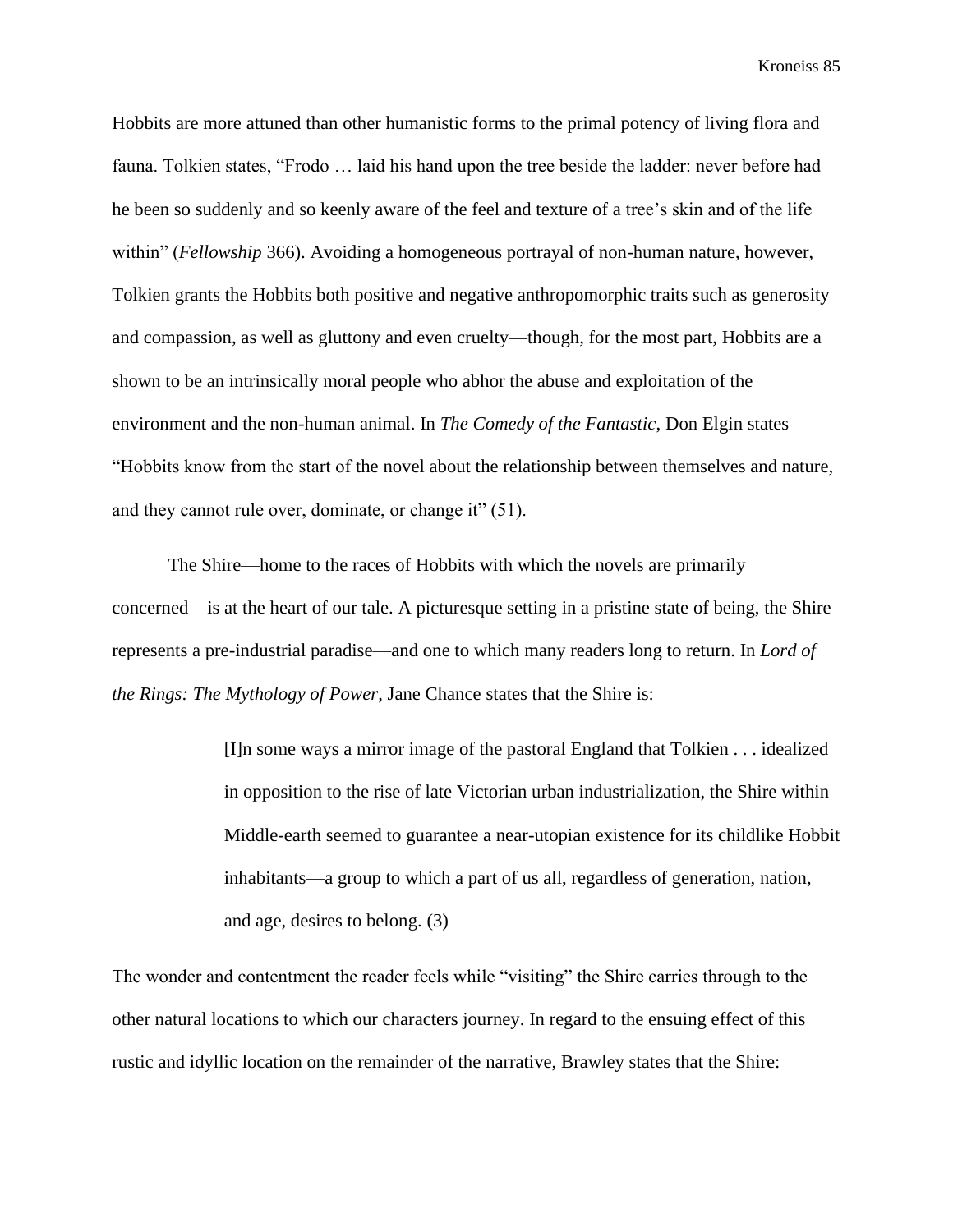Hobbits are more attuned than other humanistic forms to the primal potency of living flora and fauna. Tolkien states, "Frodo … laid his hand upon the tree beside the ladder: never before had he been so suddenly and so keenly aware of the feel and texture of a tree's skin and of the life within" (*Fellowship* 366). Avoiding a homogeneous portrayal of non-human nature, however, Tolkien grants the Hobbits both positive and negative anthropomorphic traits such as generosity and compassion, as well as gluttony and even cruelty—though, for the most part, Hobbits are a shown to be an intrinsically moral people who abhor the abuse and exploitation of the environment and the non-human animal. In *The Comedy of the Fantastic*, Don Elgin states "Hobbits know from the start of the novel about the relationship between themselves and nature, and they cannot rule over, dominate, or change it" (51).

The Shire—home to the races of Hobbits with which the novels are primarily concerned—is at the heart of our tale. A picturesque setting in a pristine state of being, the Shire represents a pre-industrial paradise—and one to which many readers long to return. In *Lord of the Rings: The Mythology of Power*, Jane Chance states that the Shire is:

> [I]n some ways a mirror image of the pastoral England that Tolkien . . . idealized in opposition to the rise of late Victorian urban industrialization, the Shire within Middle-earth seemed to guarantee a near-utopian existence for its childlike Hobbit inhabitants—a group to which a part of us all, regardless of generation, nation, and age, desires to belong. (3)

The wonder and contentment the reader feels while "visiting" the Shire carries through to the other natural locations to which our characters journey. In regard to the ensuing effect of this rustic and idyllic location on the remainder of the narrative, Brawley states that the Shire: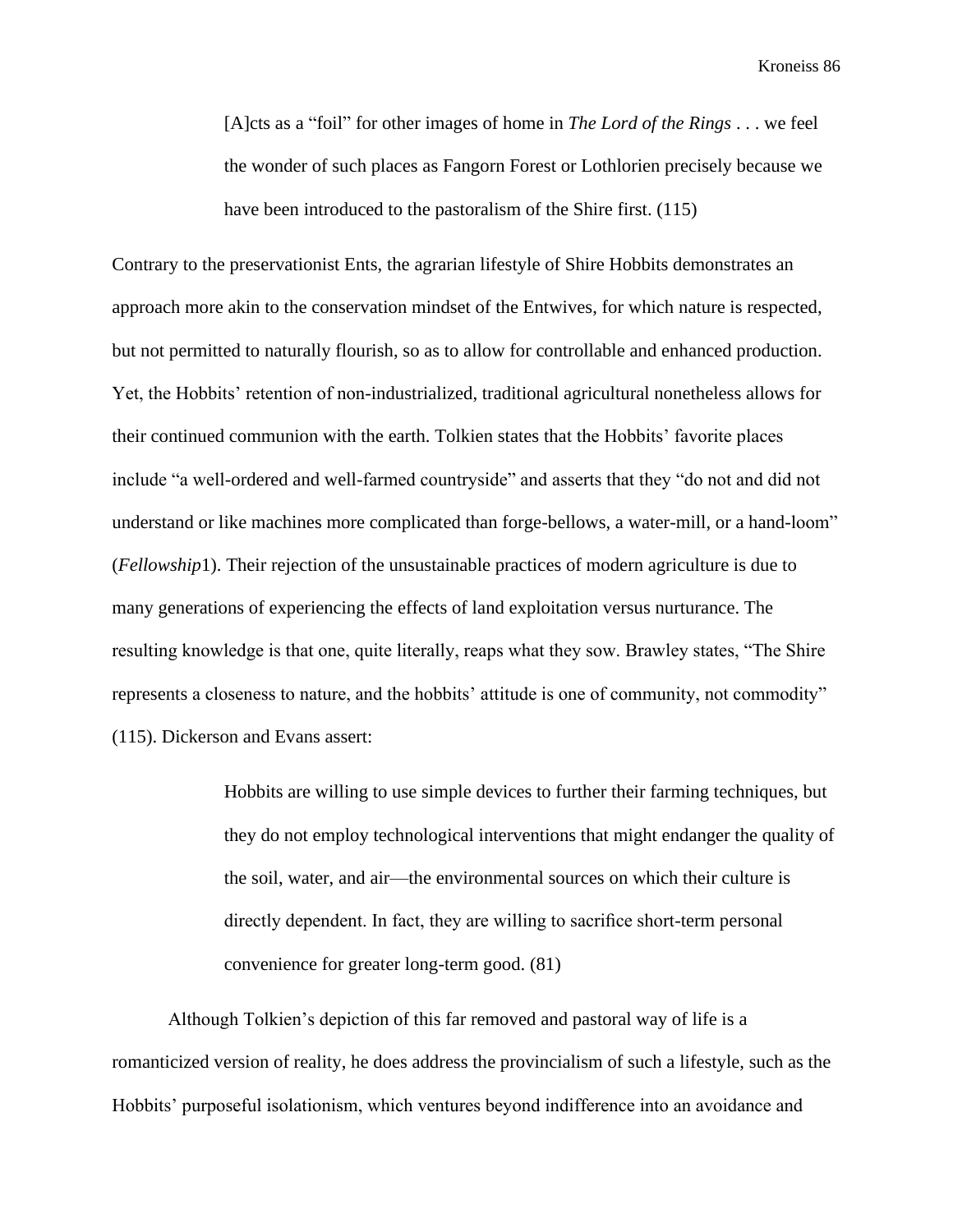[A]cts as a "foil" for other images of home in *The Lord of the Rings* . . . we feel the wonder of such places as Fangorn Forest or Lothlorien precisely because we have been introduced to the pastoralism of the Shire first. (115)

Contrary to the preservationist Ents, the agrarian lifestyle of Shire Hobbits demonstrates an approach more akin to the conservation mindset of the Entwives, for which nature is respected, but not permitted to naturally flourish, so as to allow for controllable and enhanced production. Yet, the Hobbits' retention of non-industrialized, traditional agricultural nonetheless allows for their continued communion with the earth. Tolkien states that the Hobbits' favorite places include "a well-ordered and well-farmed countryside" and asserts that they "do not and did not understand or like machines more complicated than forge-bellows, a water-mill, or a hand-loom" (*Fellowship*1). Their rejection of the unsustainable practices of modern agriculture is due to many generations of experiencing the effects of land exploitation versus nurturance. The resulting knowledge is that one, quite literally, reaps what they sow. Brawley states, "The Shire represents a closeness to nature, and the hobbits' attitude is one of community, not commodity" (115). Dickerson and Evans assert:

> Hobbits are willing to use simple devices to further their farming techniques, but they do not employ technological interventions that might endanger the quality of the soil, water, and air—the environmental sources on which their culture is directly dependent. In fact, they are willing to sacrifice short-term personal convenience for greater long-term good. (81)

Although Tolkien's depiction of this far removed and pastoral way of life is a romanticized version of reality, he does address the provincialism of such a lifestyle, such as the Hobbits' purposeful isolationism, which ventures beyond indifference into an avoidance and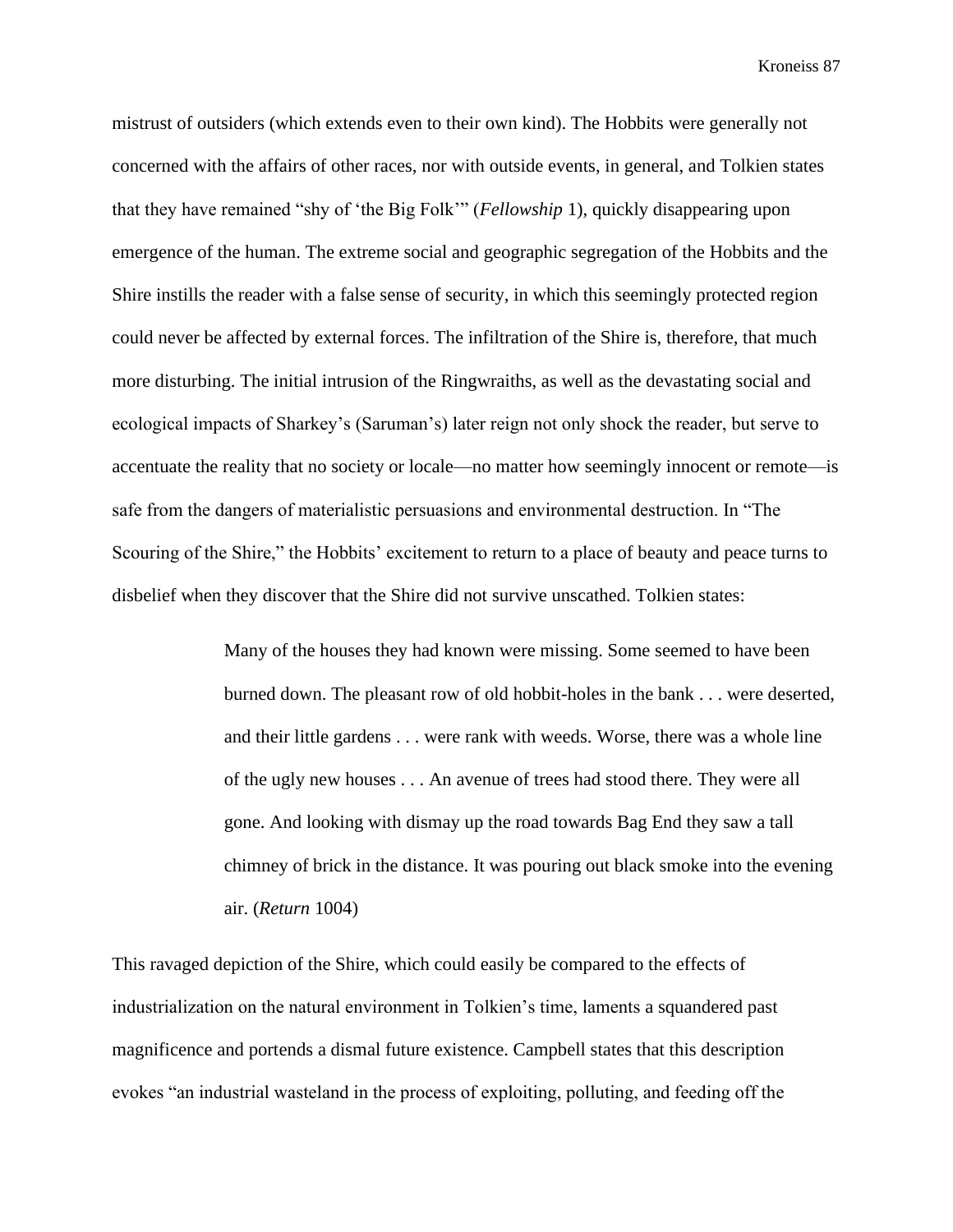mistrust of outsiders (which extends even to their own kind). The Hobbits were generally not concerned with the affairs of other races, nor with outside events, in general, and Tolkien states that they have remained "shy of 'the Big Folk'" (*Fellowship* 1), quickly disappearing upon emergence of the human. The extreme social and geographic segregation of the Hobbits and the Shire instills the reader with a false sense of security, in which this seemingly protected region could never be affected by external forces. The infiltration of the Shire is, therefore, that much more disturbing. The initial intrusion of the Ringwraiths, as well as the devastating social and ecological impacts of Sharkey's (Saruman's) later reign not only shock the reader, but serve to accentuate the reality that no society or locale—no matter how seemingly innocent or remote—is safe from the dangers of materialistic persuasions and environmental destruction. In "The Scouring of the Shire," the Hobbits' excitement to return to a place of beauty and peace turns to disbelief when they discover that the Shire did not survive unscathed. Tolkien states:

> Many of the houses they had known were missing. Some seemed to have been burned down. The pleasant row of old hobbit-holes in the bank . . . were deserted, and their little gardens . . . were rank with weeds. Worse, there was a whole line of the ugly new houses . . . An avenue of trees had stood there. They were all gone. And looking with dismay up the road towards Bag End they saw a tall chimney of brick in the distance. It was pouring out black smoke into the evening air. (*Return* 1004)

This ravaged depiction of the Shire, which could easily be compared to the effects of industrialization on the natural environment in Tolkien's time, laments a squandered past magnificence and portends a dismal future existence. Campbell states that this description evokes "an industrial wasteland in the process of exploiting, polluting, and feeding off the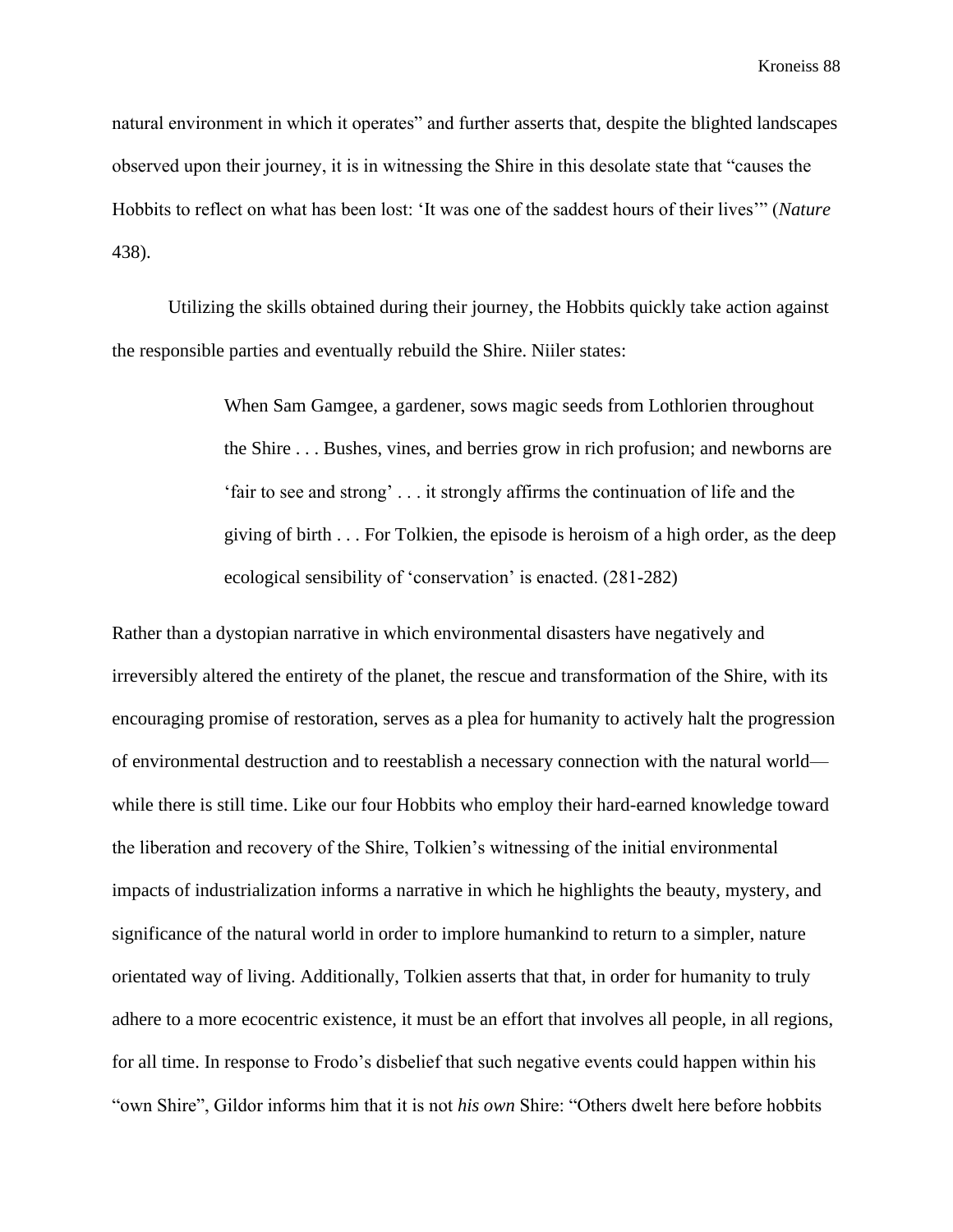natural environment in which it operates" and further asserts that, despite the blighted landscapes observed upon their journey, it is in witnessing the Shire in this desolate state that "causes the Hobbits to reflect on what has been lost: 'It was one of the saddest hours of their lives'" (*Nature*  438).

Utilizing the skills obtained during their journey, the Hobbits quickly take action against the responsible parties and eventually rebuild the Shire. Niiler states:

> When Sam Gamgee, a gardener, sows magic seeds from Lothlorien throughout the Shire . . . Bushes, vines, and berries grow in rich profusion; and newborns are 'fair to see and strong' . . . it strongly affirms the continuation of life and the giving of birth . . . For Tolkien, the episode is heroism of a high order, as the deep ecological sensibility of 'conservation' is enacted. (281-282)

Rather than a dystopian narrative in which environmental disasters have negatively and irreversibly altered the entirety of the planet, the rescue and transformation of the Shire, with its encouraging promise of restoration, serves as a plea for humanity to actively halt the progression of environmental destruction and to reestablish a necessary connection with the natural world while there is still time. Like our four Hobbits who employ their hard-earned knowledge toward the liberation and recovery of the Shire, Tolkien's witnessing of the initial environmental impacts of industrialization informs a narrative in which he highlights the beauty, mystery, and significance of the natural world in order to implore humankind to return to a simpler, nature orientated way of living. Additionally, Tolkien asserts that that, in order for humanity to truly adhere to a more ecocentric existence, it must be an effort that involves all people, in all regions, for all time. In response to Frodo's disbelief that such negative events could happen within his "own Shire", Gildor informs him that it is not *his own* Shire: "Others dwelt here before hobbits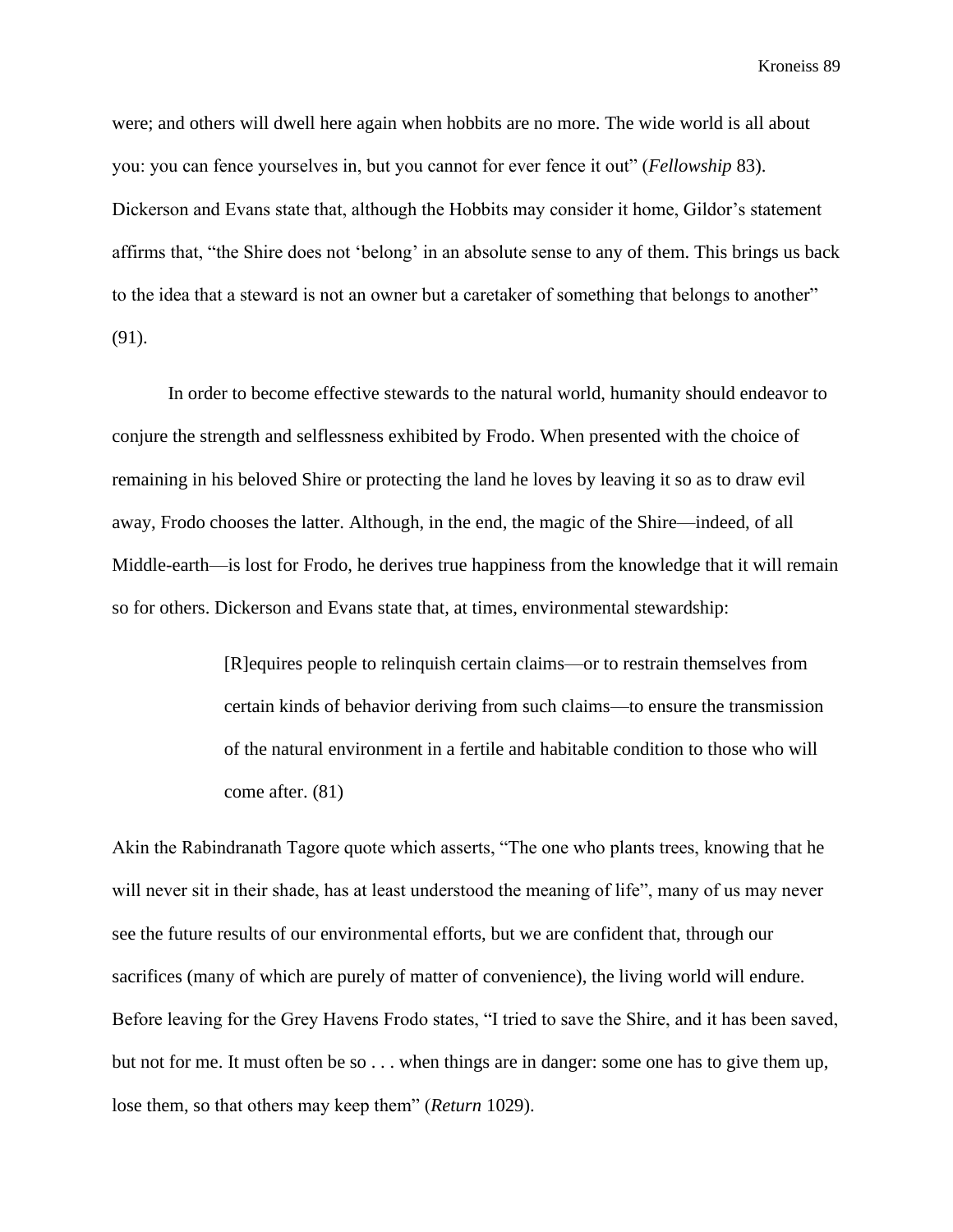were; and others will dwell here again when hobbits are no more. The wide world is all about you: you can fence yourselves in, but you cannot for ever fence it out" (*Fellowship* 83). Dickerson and Evans state that, although the Hobbits may consider it home, Gildor's statement affirms that, "the Shire does not 'belong' in an absolute sense to any of them. This brings us back to the idea that a steward is not an owner but a caretaker of something that belongs to another" (91).

In order to become effective stewards to the natural world, humanity should endeavor to conjure the strength and selflessness exhibited by Frodo. When presented with the choice of remaining in his beloved Shire or protecting the land he loves by leaving it so as to draw evil away, Frodo chooses the latter. Although, in the end, the magic of the Shire—indeed, of all Middle-earth—is lost for Frodo, he derives true happiness from the knowledge that it will remain so for others. Dickerson and Evans state that, at times, environmental stewardship:

> [R]equires people to relinquish certain claims—or to restrain themselves from certain kinds of behavior deriving from such claims—to ensure the transmission of the natural environment in a fertile and habitable condition to those who will come after. (81)

Akin the Rabindranath Tagore quote which asserts, "The one who plants trees, knowing that he will never sit in their shade, has at least understood the meaning of life", many of us may never see the future results of our environmental efforts, but we are confident that, through our sacrifices (many of which are purely of matter of convenience), the living world will endure. Before leaving for the Grey Havens Frodo states, "I tried to save the Shire, and it has been saved, but not for me. It must often be so . . . when things are in danger: some one has to give them up, lose them, so that others may keep them" (*Return* 1029).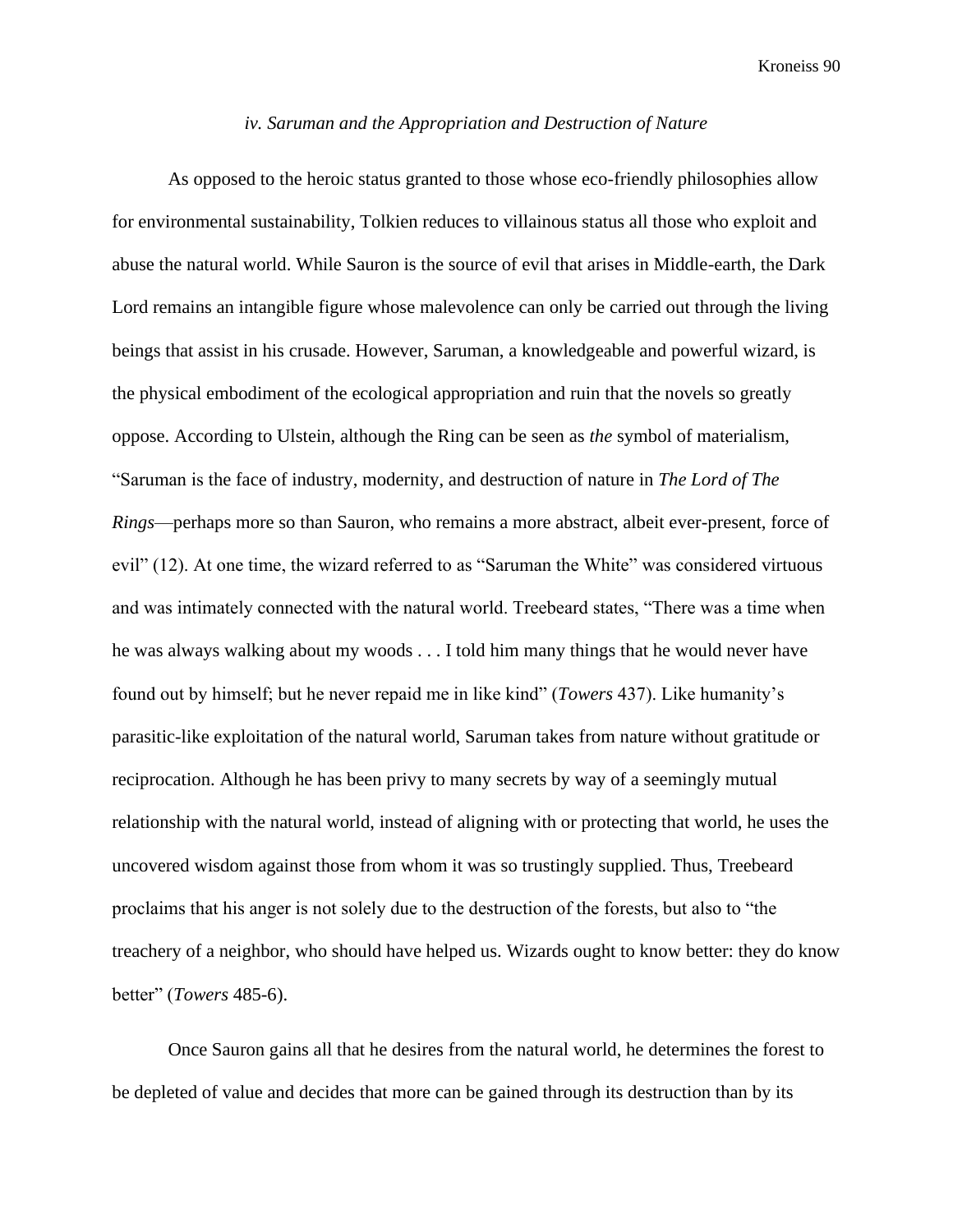### *iv. Saruman and the Appropriation and Destruction of Nature*

As opposed to the heroic status granted to those whose eco-friendly philosophies allow for environmental sustainability, Tolkien reduces to villainous status all those who exploit and abuse the natural world. While Sauron is the source of evil that arises in Middle-earth, the Dark Lord remains an intangible figure whose malevolence can only be carried out through the living beings that assist in his crusade. However, Saruman, a knowledgeable and powerful wizard, is the physical embodiment of the ecological appropriation and ruin that the novels so greatly oppose. According to Ulstein, although the Ring can be seen as *the* symbol of materialism, "Saruman is the face of industry, modernity, and destruction of nature in *The Lord of The Rings*—perhaps more so than Sauron, who remains a more abstract, albeit ever-present, force of evil" (12). At one time, the wizard referred to as "Saruman the White" was considered virtuous and was intimately connected with the natural world. Treebeard states, "There was a time when he was always walking about my woods . . . I told him many things that he would never have found out by himself; but he never repaid me in like kind" (*Towers* 437). Like humanity's parasitic-like exploitation of the natural world, Saruman takes from nature without gratitude or reciprocation. Although he has been privy to many secrets by way of a seemingly mutual relationship with the natural world, instead of aligning with or protecting that world, he uses the uncovered wisdom against those from whom it was so trustingly supplied. Thus, Treebeard proclaims that his anger is not solely due to the destruction of the forests, but also to "the treachery of a neighbor, who should have helped us. Wizards ought to know better: they do know better" (*Towers* 485-6).

Once Sauron gains all that he desires from the natural world, he determines the forest to be depleted of value and decides that more can be gained through its destruction than by its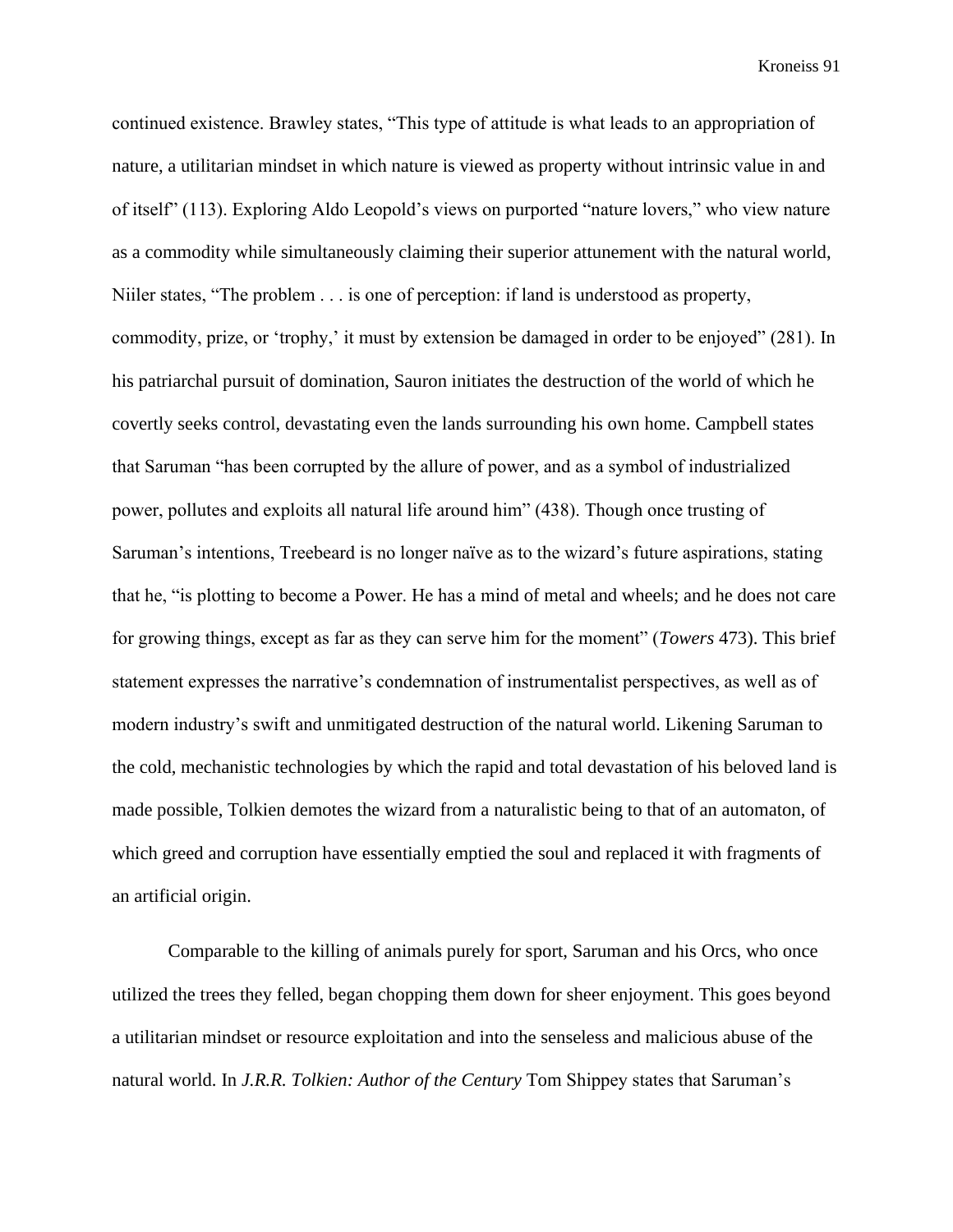continued existence. Brawley states, "This type of attitude is what leads to an appropriation of nature, a utilitarian mindset in which nature is viewed as property without intrinsic value in and of itself" (113). Exploring Aldo Leopold's views on purported "nature lovers," who view nature as a commodity while simultaneously claiming their superior attunement with the natural world, Niiler states, "The problem . . . is one of perception: if land is understood as property, commodity, prize, or 'trophy,' it must by extension be damaged in order to be enjoyed" (281). In his patriarchal pursuit of domination, Sauron initiates the destruction of the world of which he covertly seeks control, devastating even the lands surrounding his own home. Campbell states that Saruman "has been corrupted by the allure of power, and as a symbol of industrialized power, pollutes and exploits all natural life around him" (438). Though once trusting of Saruman's intentions, Treebeard is no longer naïve as to the wizard's future aspirations, stating that he, "is plotting to become a Power. He has a mind of metal and wheels; and he does not care for growing things, except as far as they can serve him for the moment" (*Towers* 473). This brief statement expresses the narrative's condemnation of instrumentalist perspectives, as well as of modern industry's swift and unmitigated destruction of the natural world. Likening Saruman to the cold, mechanistic technologies by which the rapid and total devastation of his beloved land is made possible, Tolkien demotes the wizard from a naturalistic being to that of an automaton, of which greed and corruption have essentially emptied the soul and replaced it with fragments of an artificial origin.

Comparable to the killing of animals purely for sport, Saruman and his Orcs, who once utilized the trees they felled, began chopping them down for sheer enjoyment. This goes beyond a utilitarian mindset or resource exploitation and into the senseless and malicious abuse of the natural world. In *J.R.R. Tolkien: Author of the Century* Tom Shippey states that Saruman's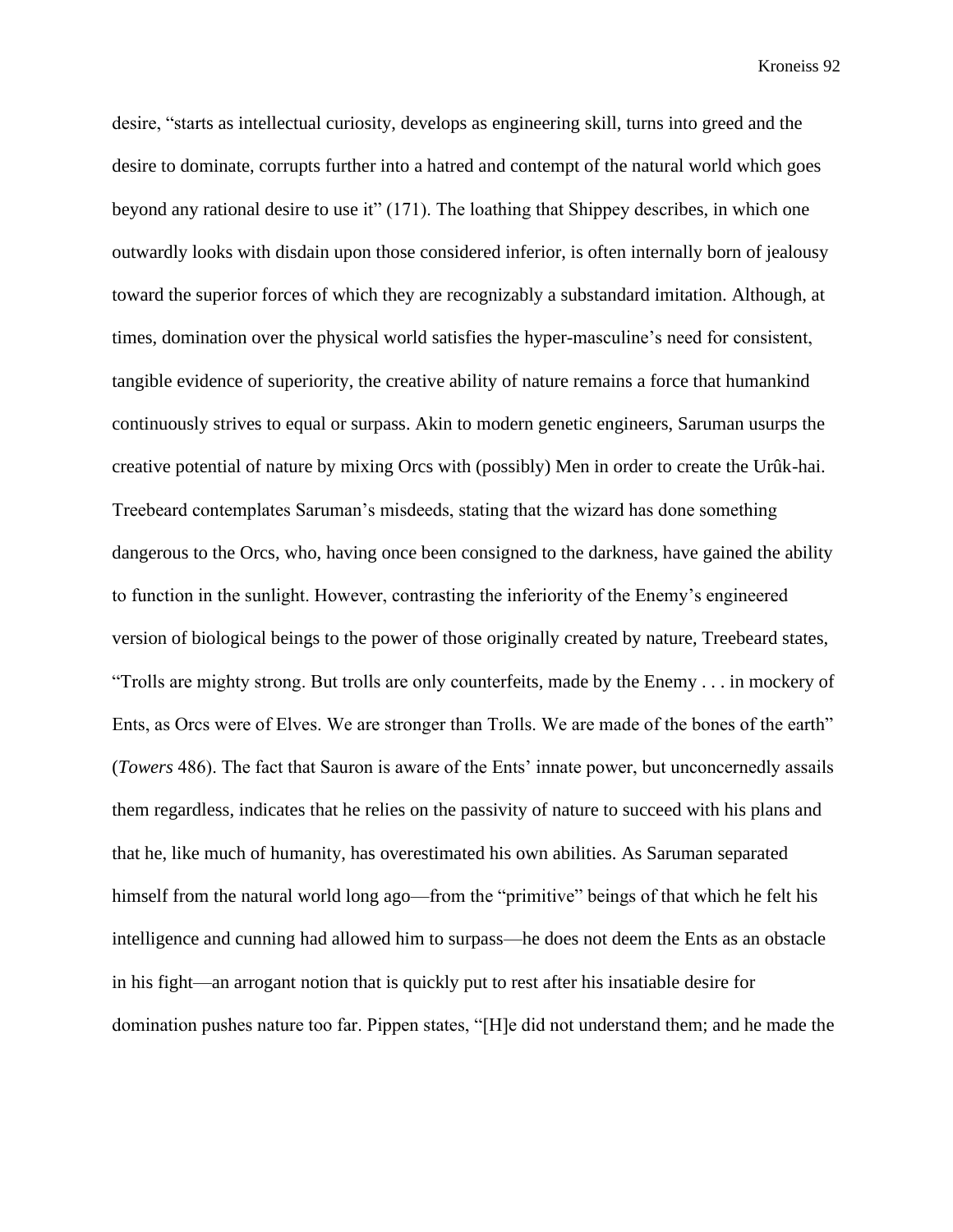desire, "starts as intellectual curiosity, develops as engineering skill, turns into greed and the desire to dominate, corrupts further into a hatred and contempt of the natural world which goes beyond any rational desire to use it" (171). The loathing that Shippey describes, in which one outwardly looks with disdain upon those considered inferior, is often internally born of jealousy toward the superior forces of which they are recognizably a substandard imitation. Although, at times, domination over the physical world satisfies the hyper-masculine's need for consistent, tangible evidence of superiority, the creative ability of nature remains a force that humankind continuously strives to equal or surpass. Akin to modern genetic engineers, Saruman usurps the creative potential of nature by mixing Orcs with (possibly) Men in order to create the Urûk-hai. Treebeard contemplates Saruman's misdeeds, stating that the wizard has done something dangerous to the Orcs, who, having once been consigned to the darkness, have gained the ability to function in the sunlight. However, contrasting the inferiority of the Enemy's engineered version of biological beings to the power of those originally created by nature, Treebeard states, "Trolls are mighty strong. But trolls are only counterfeits, made by the Enemy . . . in mockery of Ents, as Orcs were of Elves. We are stronger than Trolls. We are made of the bones of the earth" (*Towers* 486). The fact that Sauron is aware of the Ents' innate power, but unconcernedly assails them regardless, indicates that he relies on the passivity of nature to succeed with his plans and that he, like much of humanity, has overestimated his own abilities. As Saruman separated himself from the natural world long ago—from the "primitive" beings of that which he felt his intelligence and cunning had allowed him to surpass—he does not deem the Ents as an obstacle in his fight—an arrogant notion that is quickly put to rest after his insatiable desire for domination pushes nature too far. Pippen states, "[H]e did not understand them; and he made the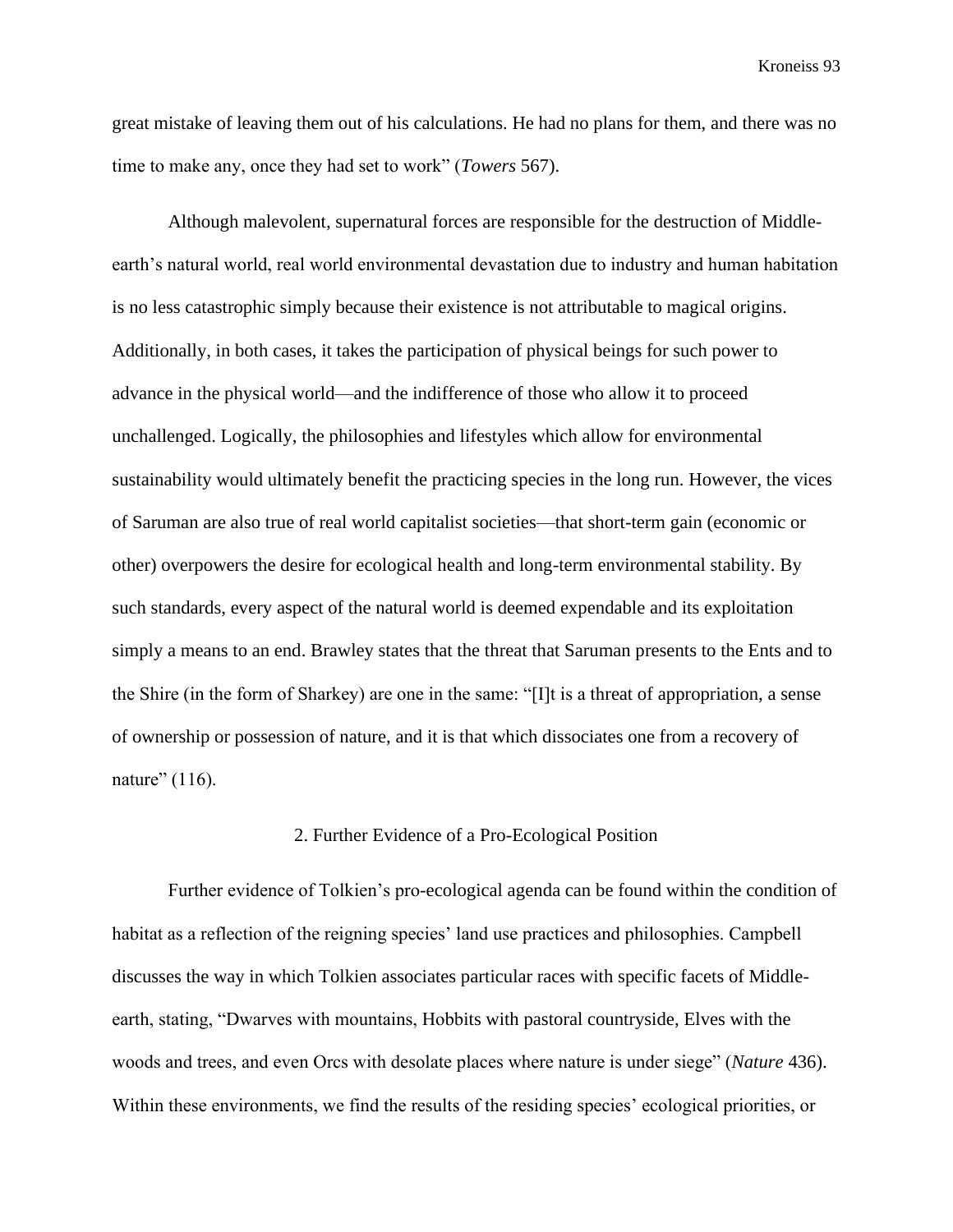great mistake of leaving them out of his calculations. He had no plans for them, and there was no time to make any, once they had set to work" (*Towers* 567).

Although malevolent, supernatural forces are responsible for the destruction of Middleearth's natural world, real world environmental devastation due to industry and human habitation is no less catastrophic simply because their existence is not attributable to magical origins. Additionally, in both cases, it takes the participation of physical beings for such power to advance in the physical world—and the indifference of those who allow it to proceed unchallenged. Logically, the philosophies and lifestyles which allow for environmental sustainability would ultimately benefit the practicing species in the long run. However, the vices of Saruman are also true of real world capitalist societies—that short-term gain (economic or other) overpowers the desire for ecological health and long-term environmental stability. By such standards, every aspect of the natural world is deemed expendable and its exploitation simply a means to an end. Brawley states that the threat that Saruman presents to the Ents and to the Shire (in the form of Sharkey) are one in the same: "[I]t is a threat of appropriation, a sense of ownership or possession of nature, and it is that which dissociates one from a recovery of nature" (116).

#### 2. Further Evidence of a Pro-Ecological Position

Further evidence of Tolkien's pro-ecological agenda can be found within the condition of habitat as a reflection of the reigning species' land use practices and philosophies. Campbell discusses the way in which Tolkien associates particular races with specific facets of Middleearth, stating, "Dwarves with mountains, Hobbits with pastoral countryside, Elves with the woods and trees, and even Orcs with desolate places where nature is under siege" (*Nature* 436). Within these environments, we find the results of the residing species' ecological priorities, or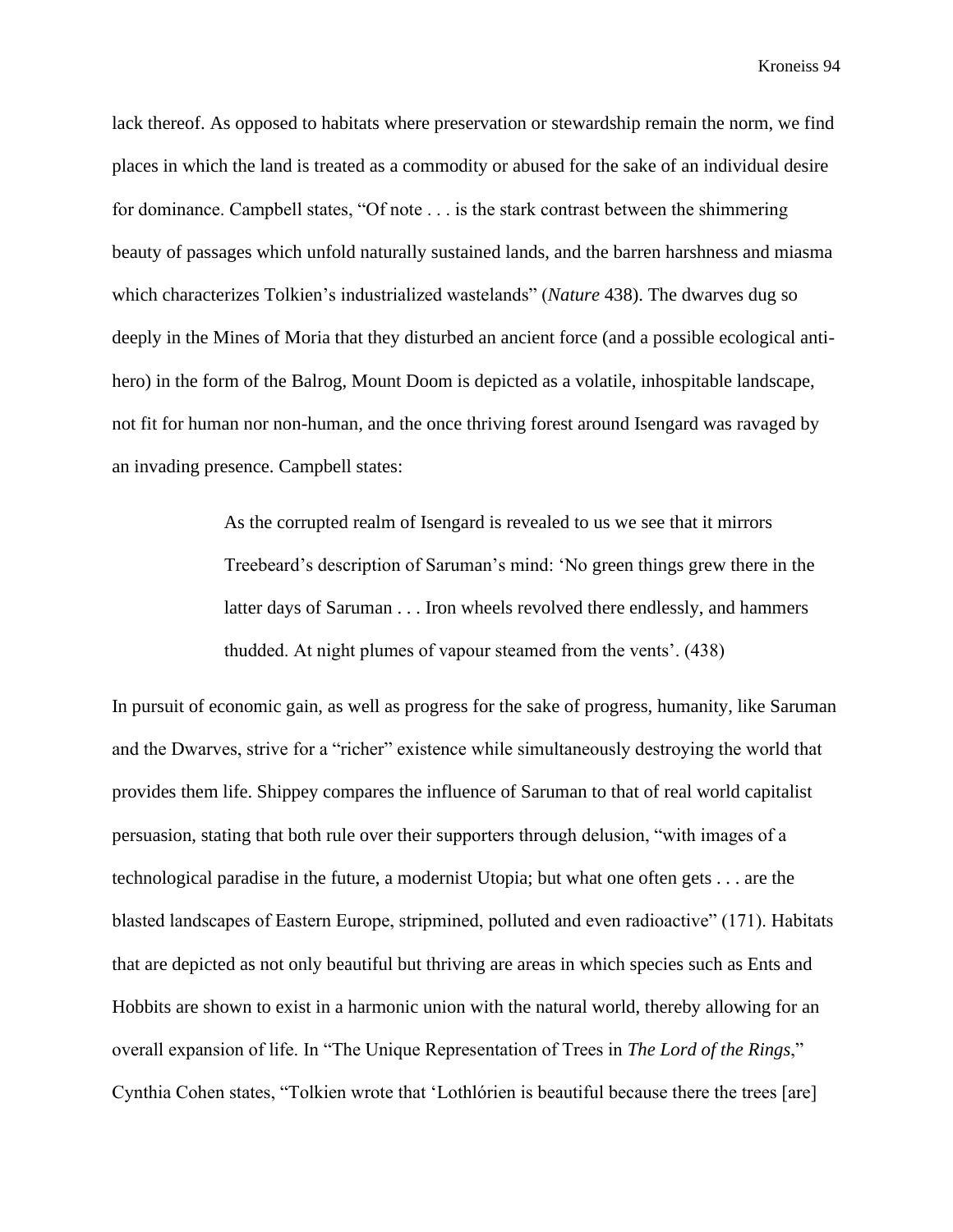lack thereof. As opposed to habitats where preservation or stewardship remain the norm, we find places in which the land is treated as a commodity or abused for the sake of an individual desire for dominance. Campbell states, "Of note . . . is the stark contrast between the shimmering beauty of passages which unfold naturally sustained lands, and the barren harshness and miasma which characterizes Tolkien's industrialized wastelands" (*Nature* 438). The dwarves dug so deeply in the Mines of Moria that they disturbed an ancient force (and a possible ecological antihero) in the form of the Balrog, Mount Doom is depicted as a volatile, inhospitable landscape, not fit for human nor non-human, and the once thriving forest around Isengard was ravaged by an invading presence. Campbell states:

> As the corrupted realm of Isengard is revealed to us we see that it mirrors Treebeard's description of Saruman's mind: 'No green things grew there in the latter days of Saruman . . . Iron wheels revolved there endlessly, and hammers thudded. At night plumes of vapour steamed from the vents'. (438)

In pursuit of economic gain, as well as progress for the sake of progress, humanity, like Saruman and the Dwarves, strive for a "richer" existence while simultaneously destroying the world that provides them life. Shippey compares the influence of Saruman to that of real world capitalist persuasion, stating that both rule over their supporters through delusion, "with images of a technological paradise in the future, a modernist Utopia; but what one often gets . . . are the blasted landscapes of Eastern Europe, stripmined, polluted and even radioactive" (171). Habitats that are depicted as not only beautiful but thriving are areas in which species such as Ents and Hobbits are shown to exist in a harmonic union with the natural world, thereby allowing for an overall expansion of life. In "The Unique Representation of Trees in *The Lord of the Rings*," Cynthia Cohen states, "Tolkien wrote that 'Lothlórien is beautiful because there the trees [are]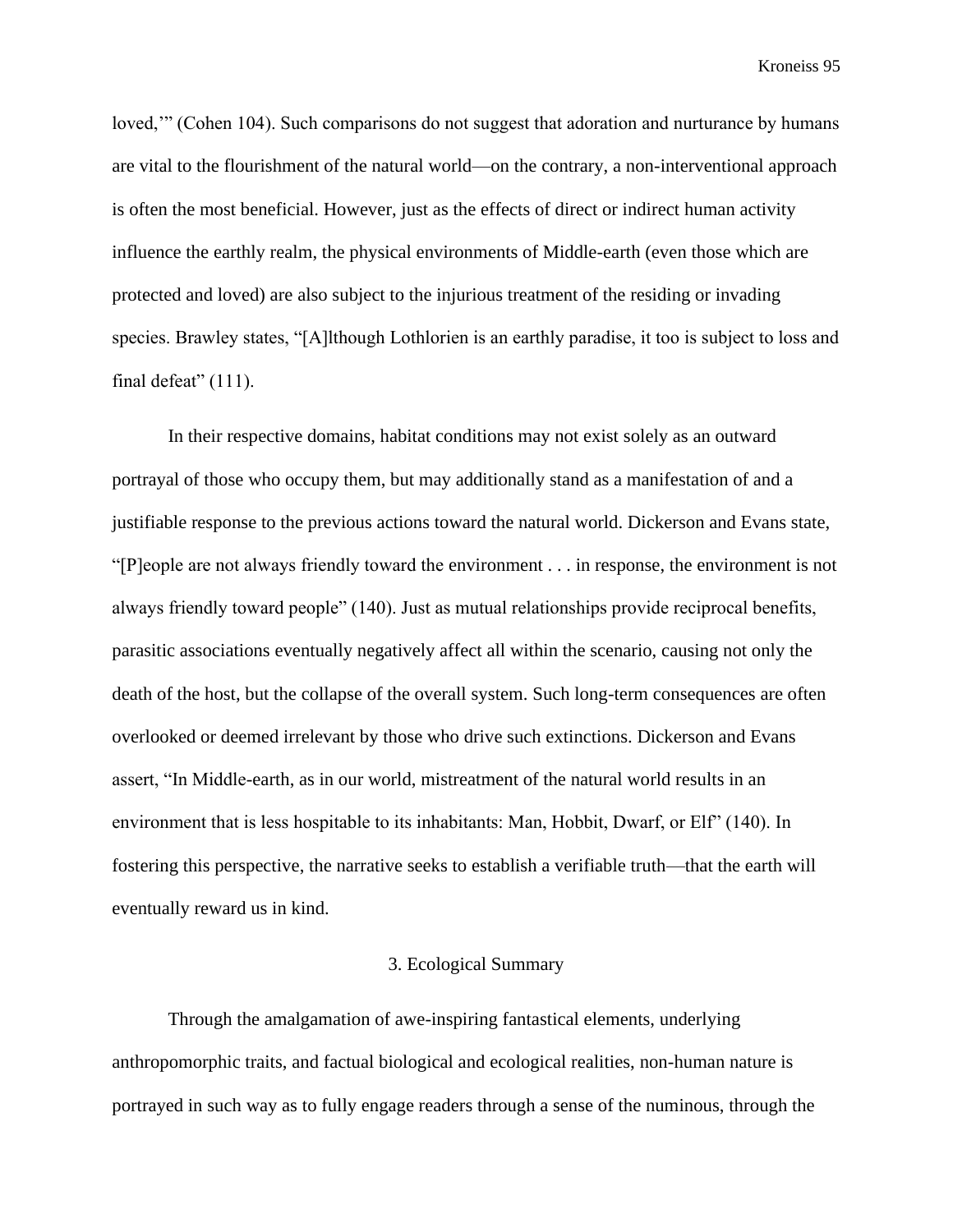loved,'" (Cohen 104). Such comparisons do not suggest that adoration and nurturance by humans are vital to the flourishment of the natural world—on the contrary, a non-interventional approach is often the most beneficial. However, just as the effects of direct or indirect human activity influence the earthly realm, the physical environments of Middle-earth (even those which are protected and loved) are also subject to the injurious treatment of the residing or invading species. Brawley states, "[A]lthough Lothlorien is an earthly paradise, it too is subject to loss and final defeat" (111).

In their respective domains, habitat conditions may not exist solely as an outward portrayal of those who occupy them, but may additionally stand as a manifestation of and a justifiable response to the previous actions toward the natural world. Dickerson and Evans state, "[P]eople are not always friendly toward the environment . . . in response, the environment is not always friendly toward people" (140). Just as mutual relationships provide reciprocal benefits, parasitic associations eventually negatively affect all within the scenario, causing not only the death of the host, but the collapse of the overall system. Such long-term consequences are often overlooked or deemed irrelevant by those who drive such extinctions. Dickerson and Evans assert, "In Middle-earth, as in our world, mistreatment of the natural world results in an environment that is less hospitable to its inhabitants: Man, Hobbit, Dwarf, or Elf" (140). In fostering this perspective, the narrative seeks to establish a verifiable truth—that the earth will eventually reward us in kind.

## 3. Ecological Summary

Through the amalgamation of awe-inspiring fantastical elements, underlying anthropomorphic traits, and factual biological and ecological realities, non-human nature is portrayed in such way as to fully engage readers through a sense of the numinous, through the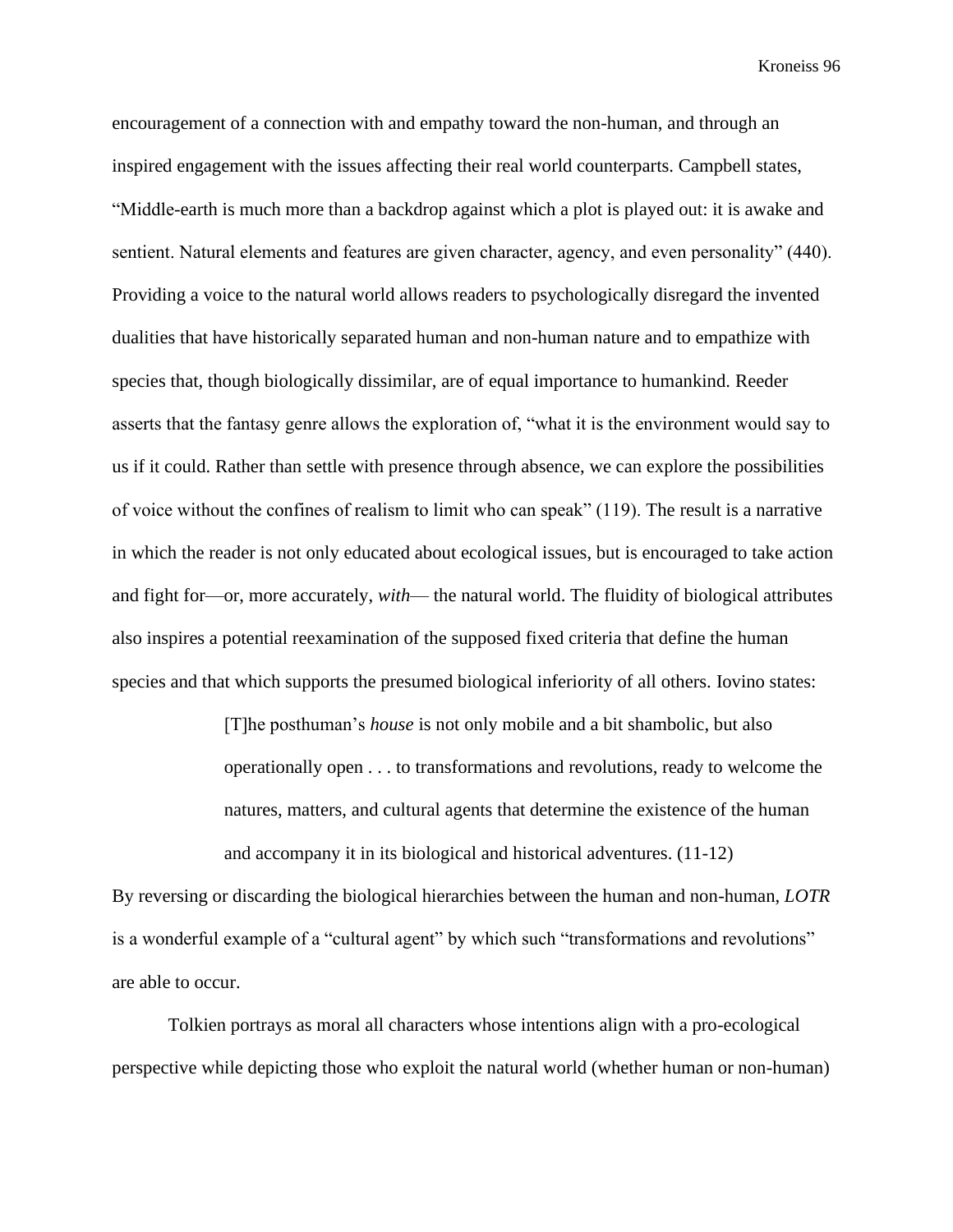encouragement of a connection with and empathy toward the non-human, and through an inspired engagement with the issues affecting their real world counterparts. Campbell states, "Middle-earth is much more than a backdrop against which a plot is played out: it is awake and sentient. Natural elements and features are given character, agency, and even personality" (440). Providing a voice to the natural world allows readers to psychologically disregard the invented dualities that have historically separated human and non-human nature and to empathize with species that, though biologically dissimilar, are of equal importance to humankind. Reeder asserts that the fantasy genre allows the exploration of, "what it is the environment would say to us if it could. Rather than settle with presence through absence, we can explore the possibilities of voice without the confines of realism to limit who can speak" (119). The result is a narrative in which the reader is not only educated about ecological issues, but is encouraged to take action and fight for—or, more accurately, *with*— the natural world. The fluidity of biological attributes also inspires a potential reexamination of the supposed fixed criteria that define the human species and that which supports the presumed biological inferiority of all others. Iovino states:

> [T]he posthuman's *house* is not only mobile and a bit shambolic, but also operationally open . . . to transformations and revolutions, ready to welcome the natures, matters, and cultural agents that determine the existence of the human and accompany it in its biological and historical adventures. (11-12)

By reversing or discarding the biological hierarchies between the human and non-human, *LOTR* is a wonderful example of a "cultural agent" by which such "transformations and revolutions" are able to occur.

Tolkien portrays as moral all characters whose intentions align with a pro-ecological perspective while depicting those who exploit the natural world (whether human or non-human)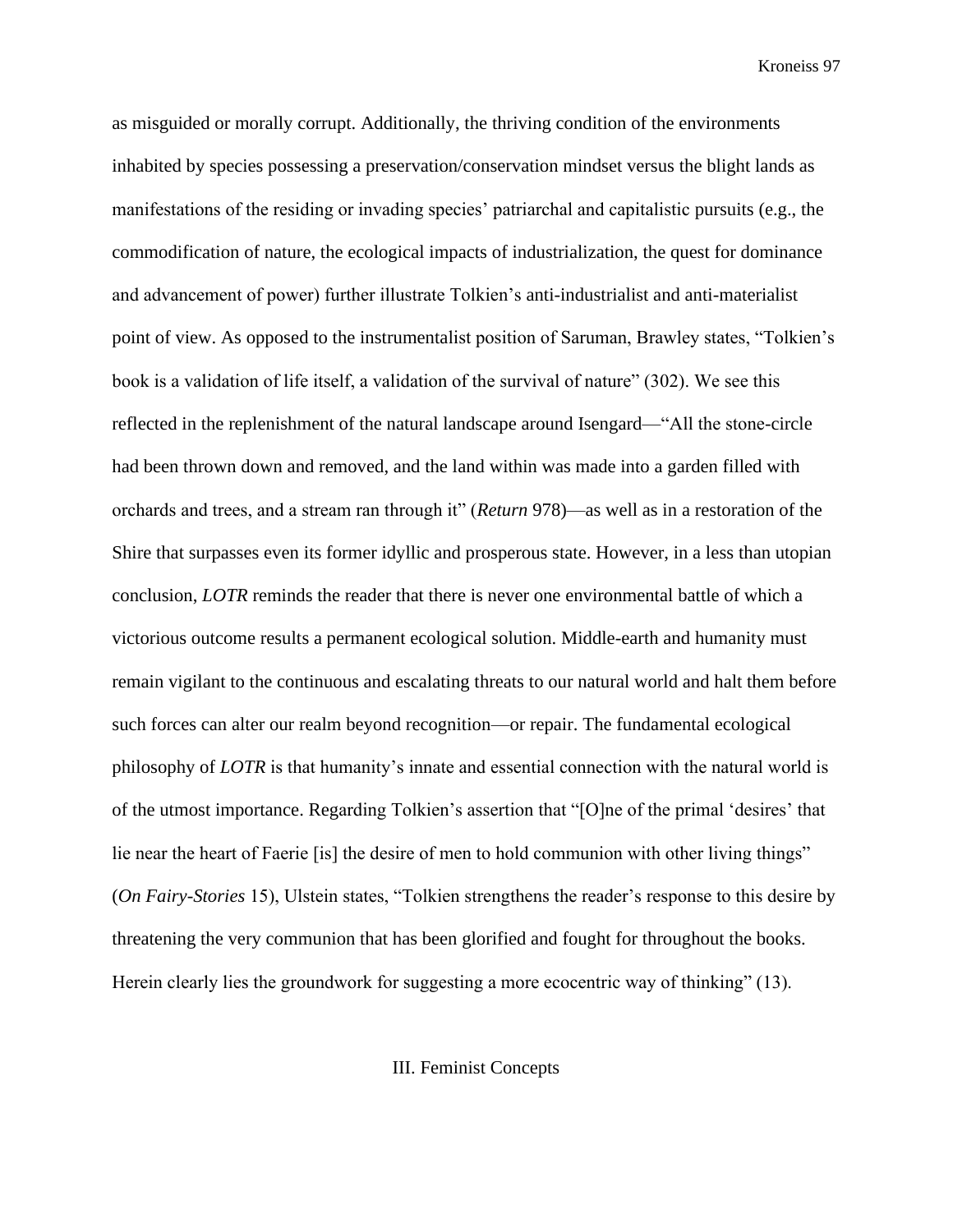as misguided or morally corrupt. Additionally, the thriving condition of the environments inhabited by species possessing a preservation/conservation mindset versus the blight lands as manifestations of the residing or invading species' patriarchal and capitalistic pursuits (e.g., the commodification of nature, the ecological impacts of industrialization, the quest for dominance and advancement of power) further illustrate Tolkien's anti-industrialist and anti-materialist point of view. As opposed to the instrumentalist position of Saruman, Brawley states, "Tolkien's book is a validation of life itself, a validation of the survival of nature" (302). We see this reflected in the replenishment of the natural landscape around Isengard—"All the stone-circle had been thrown down and removed, and the land within was made into a garden filled with orchards and trees, and a stream ran through it" (*Return* 978)—as well as in a restoration of the Shire that surpasses even its former idyllic and prosperous state. However, in a less than utopian conclusion, *LOTR* reminds the reader that there is never one environmental battle of which a victorious outcome results a permanent ecological solution. Middle-earth and humanity must remain vigilant to the continuous and escalating threats to our natural world and halt them before such forces can alter our realm beyond recognition—or repair. The fundamental ecological philosophy of *LOTR* is that humanity's innate and essential connection with the natural world is of the utmost importance. Regarding Tolkien's assertion that "[O]ne of the primal 'desires' that lie near the heart of Faerie [is] the desire of men to hold communion with other living things" (*On Fairy-Stories* 15), Ulstein states, "Tolkien strengthens the reader's response to this desire by threatening the very communion that has been glorified and fought for throughout the books. Herein clearly lies the groundwork for suggesting a more ecocentric way of thinking" (13).

III. Feminist Concepts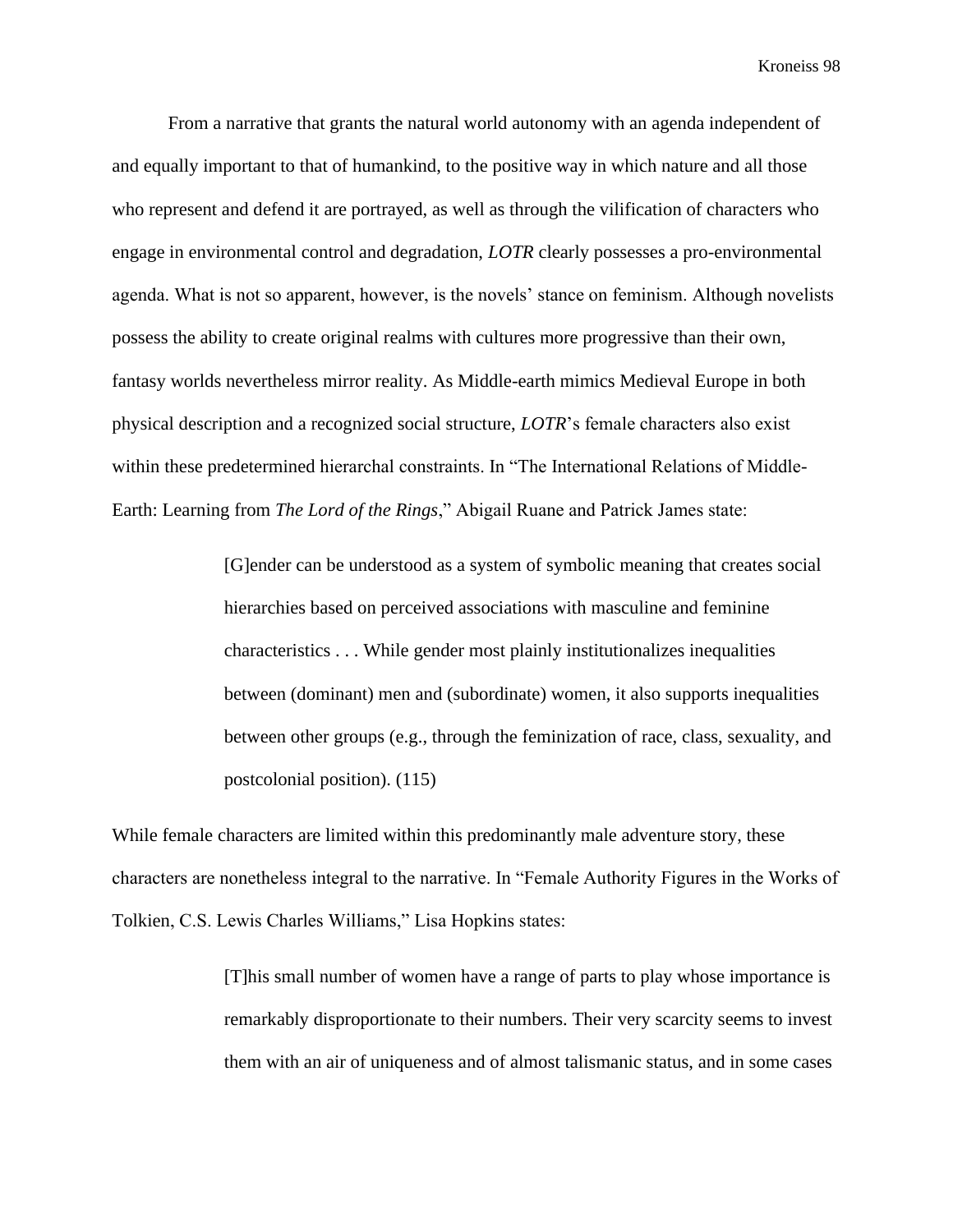From a narrative that grants the natural world autonomy with an agenda independent of and equally important to that of humankind, to the positive way in which nature and all those who represent and defend it are portrayed, as well as through the vilification of characters who engage in environmental control and degradation, *LOTR* clearly possesses a pro-environmental agenda. What is not so apparent, however, is the novels' stance on feminism. Although novelists possess the ability to create original realms with cultures more progressive than their own, fantasy worlds nevertheless mirror reality. As Middle-earth mimics Medieval Europe in both physical description and a recognized social structure, *LOTR*'s female characters also exist within these predetermined hierarchal constraints. In "The International Relations of Middle-Earth: Learning from *The Lord of the Rings*," Abigail Ruane and Patrick James state:

> [G]ender can be understood as a system of symbolic meaning that creates social hierarchies based on perceived associations with masculine and feminine characteristics . . . While gender most plainly institutionalizes inequalities between (dominant) men and (subordinate) women, it also supports inequalities between other groups (e.g., through the feminization of race, class, sexuality, and postcolonial position). (115)

While female characters are limited within this predominantly male adventure story, these characters are nonetheless integral to the narrative. In "Female Authority Figures in the Works of Tolkien, C.S. Lewis Charles Williams," Lisa Hopkins states:

> [T]his small number of women have a range of parts to play whose importance is remarkably disproportionate to their numbers. Their very scarcity seems to invest them with an air of uniqueness and of almost talismanic status, and in some cases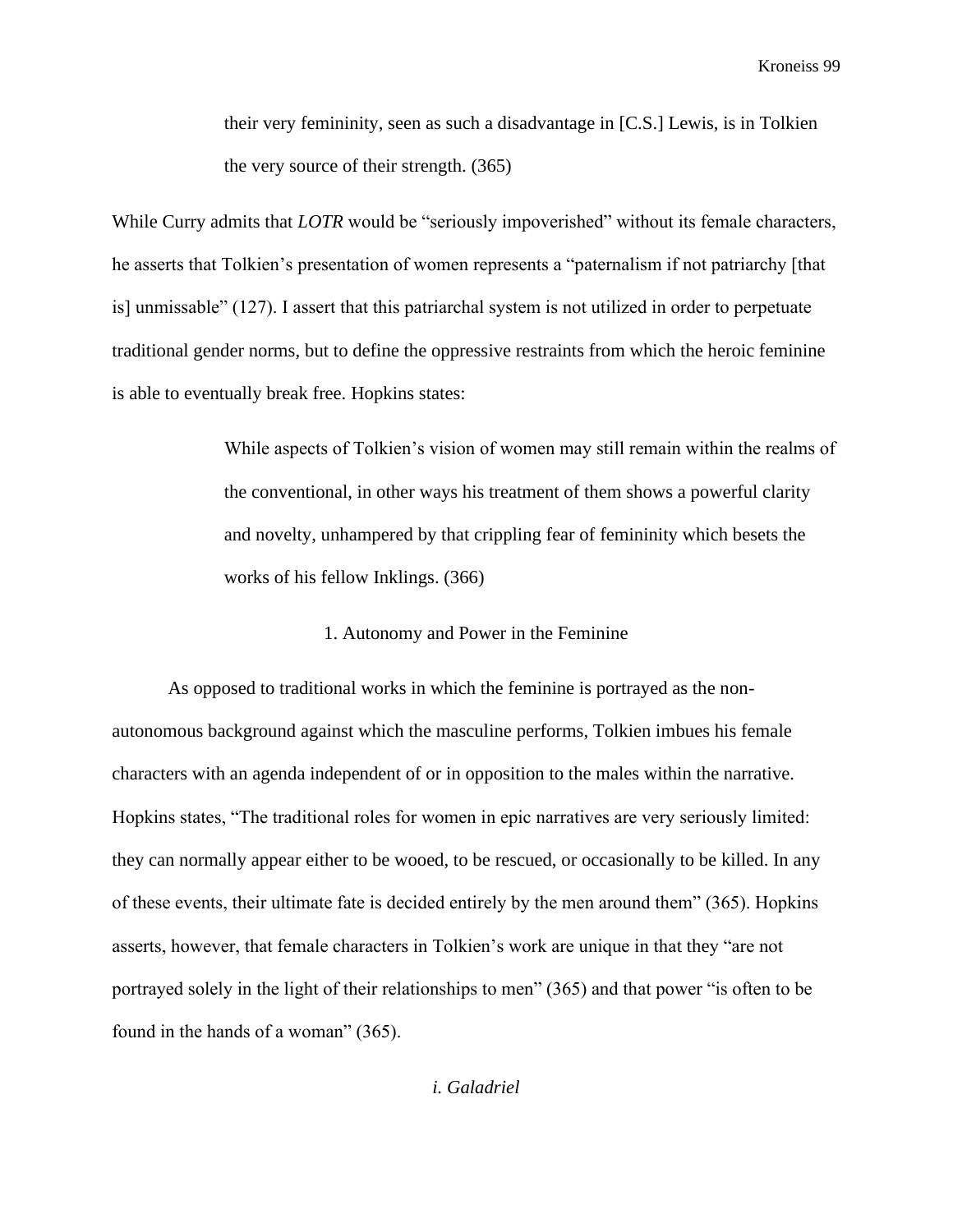their very femininity, seen as such a disadvantage in [C.S.] Lewis, is in Tolkien the very source of their strength. (365)

While Curry admits that *LOTR* would be "seriously impoverished" without its female characters, he asserts that Tolkien's presentation of women represents a "paternalism if not patriarchy [that is] unmissable" (127). I assert that this patriarchal system is not utilized in order to perpetuate traditional gender norms, but to define the oppressive restraints from which the heroic feminine is able to eventually break free. Hopkins states:

> While aspects of Tolkien's vision of women may still remain within the realms of the conventional, in other ways his treatment of them shows a powerful clarity and novelty, unhampered by that crippling fear of femininity which besets the works of his fellow Inklings. (366)

> > 1. Autonomy and Power in the Feminine

As opposed to traditional works in which the feminine is portrayed as the nonautonomous background against which the masculine performs, Tolkien imbues his female characters with an agenda independent of or in opposition to the males within the narrative. Hopkins states, "The traditional roles for women in epic narratives are very seriously limited: they can normally appear either to be wooed, to be rescued, or occasionally to be killed. In any of these events, their ultimate fate is decided entirely by the men around them" (365). Hopkins asserts, however, that female characters in Tolkien's work are unique in that they "are not portrayed solely in the light of their relationships to men" (365) and that power "is often to be found in the hands of a woman" (365).

*i. Galadriel*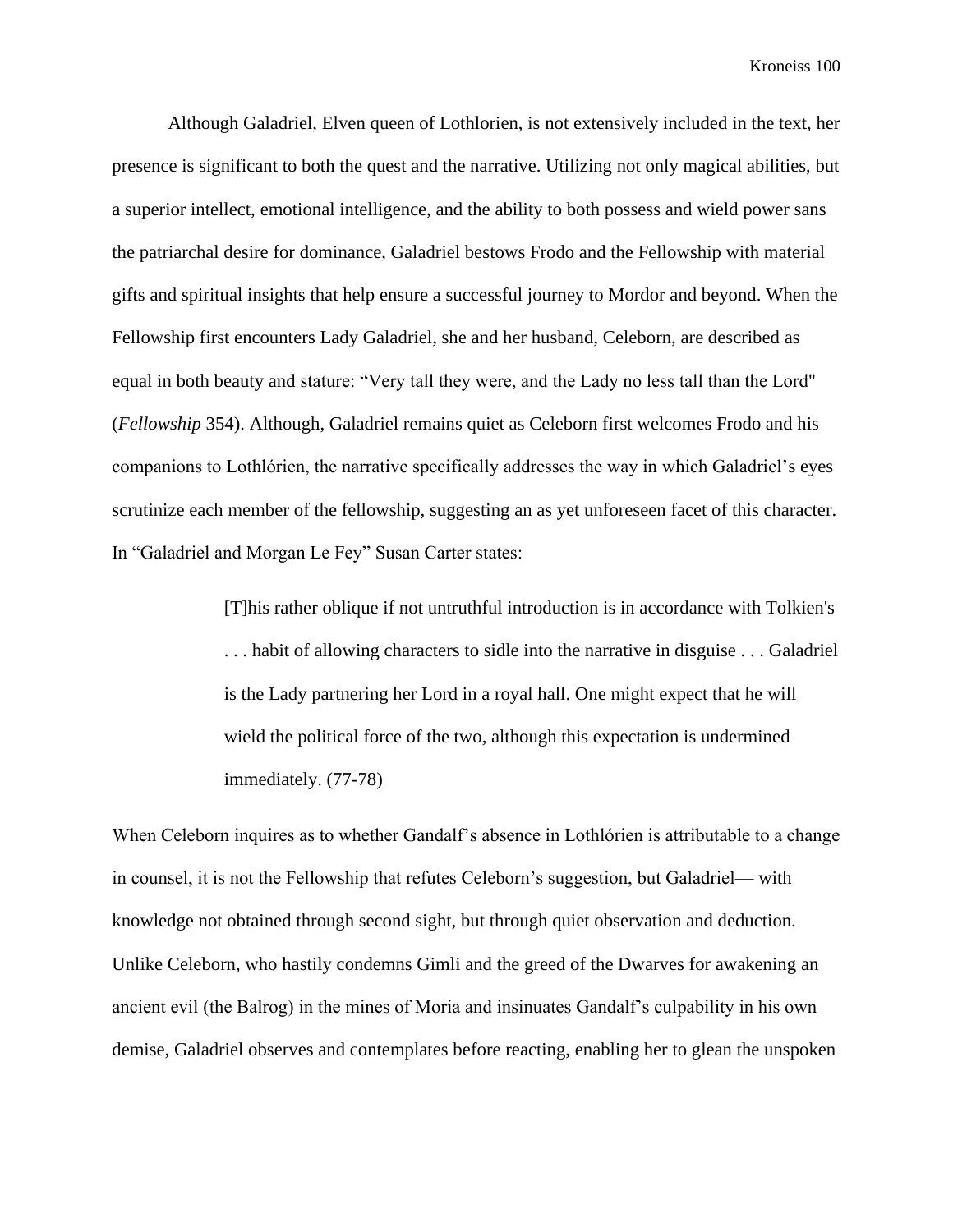Although Galadriel, Elven queen of Lothlorien, is not extensively included in the text, her presence is significant to both the quest and the narrative. Utilizing not only magical abilities, but a superior intellect, emotional intelligence, and the ability to both possess and wield power sans the patriarchal desire for dominance, Galadriel bestows Frodo and the Fellowship with material gifts and spiritual insights that help ensure a successful journey to Mordor and beyond. When the Fellowship first encounters Lady Galadriel, she and her husband, Celeborn, are described as equal in both beauty and stature: "Very tall they were, and the Lady no less tall than the Lord" (*Fellowship* 354). Although, Galadriel remains quiet as Celeborn first welcomes Frodo and his companions to Lothlórien, the narrative specifically addresses the way in which Galadriel's eyes scrutinize each member of the fellowship, suggesting an as yet unforeseen facet of this character. In "Galadriel and Morgan Le Fey" Susan Carter states:

> [T]his rather oblique if not untruthful introduction is in accordance with Tolkien's . . . habit of allowing characters to sidle into the narrative in disguise . . . Galadriel is the Lady partnering her Lord in a royal hall. One might expect that he will wield the political force of the two, although this expectation is undermined immediately. (77-78)

When Celeborn inquires as to whether Gandalf's absence in Lothlórien is attributable to a change in counsel, it is not the Fellowship that refutes Celeborn's suggestion, but Galadriel— with knowledge not obtained through second sight, but through quiet observation and deduction. Unlike Celeborn, who hastily condemns Gimli and the greed of the Dwarves for awakening an ancient evil (the Balrog) in the mines of Moria and insinuates Gandalf's culpability in his own demise, Galadriel observes and contemplates before reacting, enabling her to glean the unspoken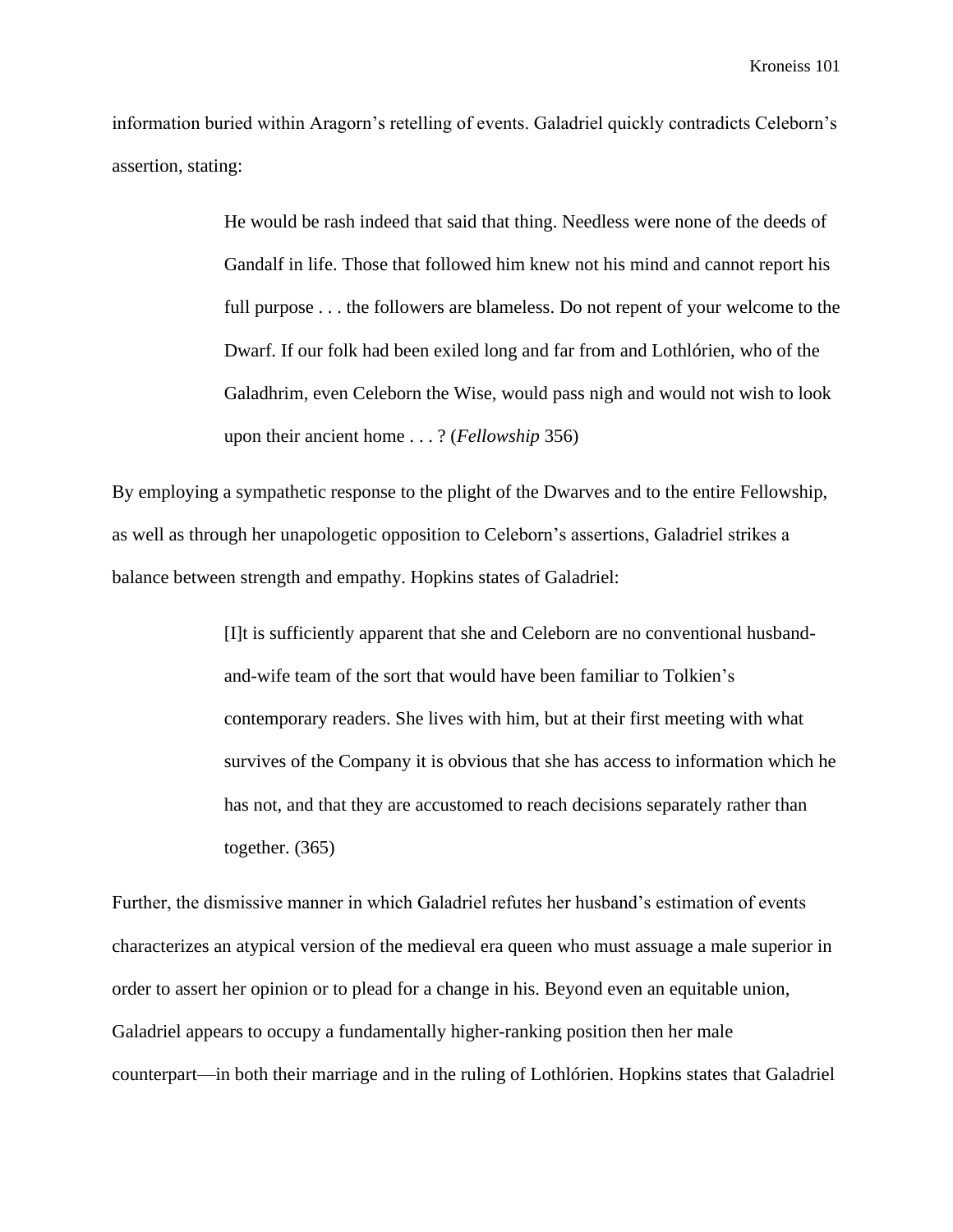information buried within Aragorn's retelling of events. Galadriel quickly contradicts Celeborn's assertion, stating:

> He would be rash indeed that said that thing. Needless were none of the deeds of Gandalf in life. Those that followed him knew not his mind and cannot report his full purpose . . . the followers are blameless. Do not repent of your welcome to the Dwarf. If our folk had been exiled long and far from and Lothlórien, who of the Galadhrim, even Celeborn the Wise, would pass nigh and would not wish to look upon their ancient home . . . ? (*Fellowship* 356)

By employing a sympathetic response to the plight of the Dwarves and to the entire Fellowship, as well as through her unapologetic opposition to Celeborn's assertions, Galadriel strikes a balance between strength and empathy. Hopkins states of Galadriel:

> [I]t is sufficiently apparent that she and Celeborn are no conventional husbandand-wife team of the sort that would have been familiar to Tolkien's contemporary readers. She lives with him, but at their first meeting with what survives of the Company it is obvious that she has access to information which he has not, and that they are accustomed to reach decisions separately rather than together. (365)

Further, the dismissive manner in which Galadriel refutes her husband's estimation of events characterizes an atypical version of the medieval era queen who must assuage a male superior in order to assert her opinion or to plead for a change in his. Beyond even an equitable union, Galadriel appears to occupy a fundamentally higher-ranking position then her male counterpart—in both their marriage and in the ruling of Lothlórien. Hopkins states that Galadriel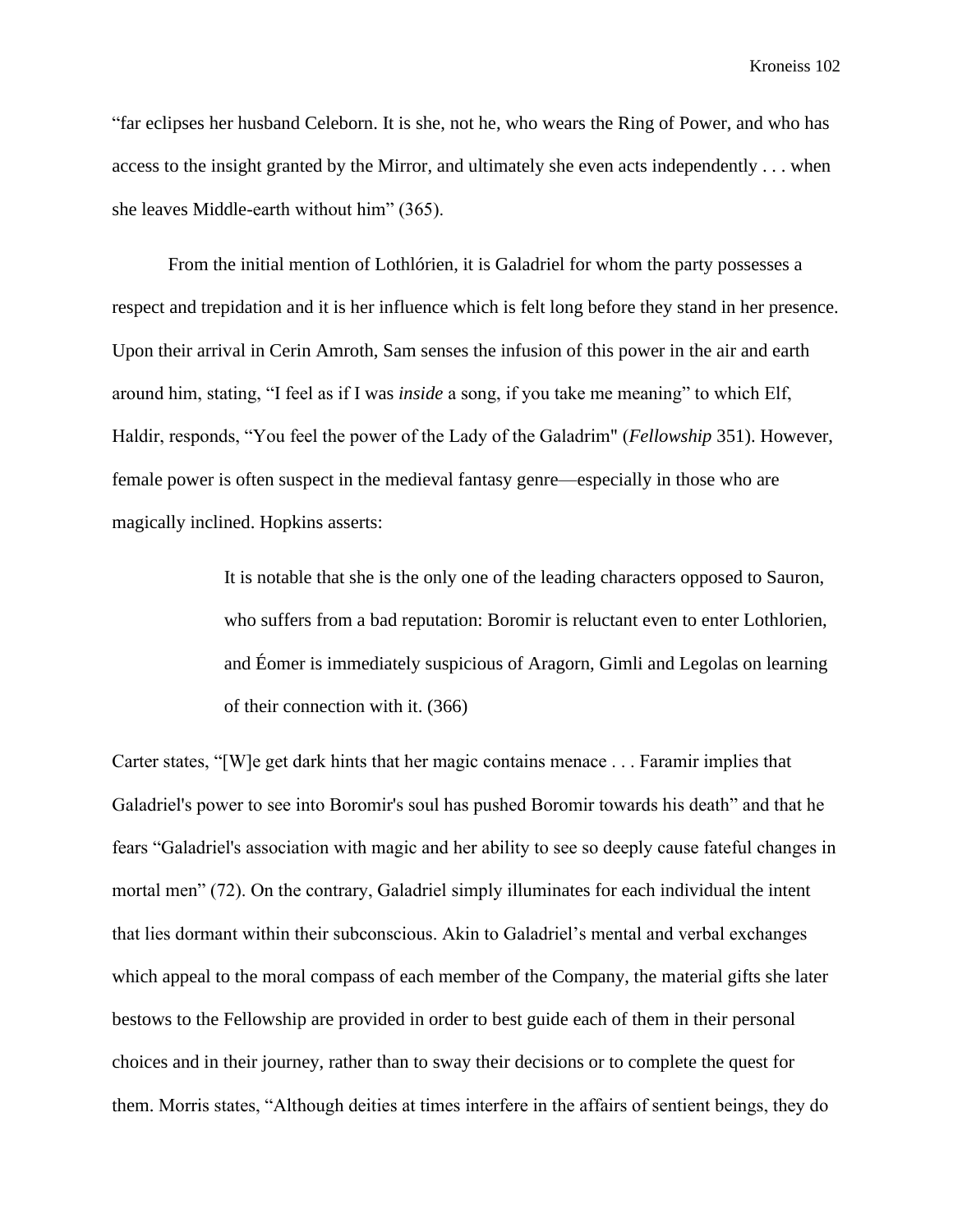"far eclipses her husband Celeborn. It is she, not he, who wears the Ring of Power, and who has access to the insight granted by the Mirror, and ultimately she even acts independently . . . when she leaves Middle-earth without him" (365).

From the initial mention of Lothlórien, it is Galadriel for whom the party possesses a respect and trepidation and it is her influence which is felt long before they stand in her presence. Upon their arrival in Cerin Amroth, Sam senses the infusion of this power in the air and earth around him, stating, "I feel as if I was *inside* a song, if you take me meaning" to which Elf, Haldir, responds, "You feel the power of the Lady of the Galadrim" (*Fellowship* 351). However, female power is often suspect in the medieval fantasy genre—especially in those who are magically inclined. Hopkins asserts:

> It is notable that she is the only one of the leading characters opposed to Sauron, who suffers from a bad reputation: Boromir is reluctant even to enter Lothlorien, and Éomer is immediately suspicious of Aragorn, Gimli and Legolas on learning of their connection with it. (366)

Carter states, "[W]e get dark hints that her magic contains menace . . . Faramir implies that Galadriel's power to see into Boromir's soul has pushed Boromir towards his death" and that he fears "Galadriel's association with magic and her ability to see so deeply cause fateful changes in mortal men" (72). On the contrary, Galadriel simply illuminates for each individual the intent that lies dormant within their subconscious. Akin to Galadriel's mental and verbal exchanges which appeal to the moral compass of each member of the Company, the material gifts she later bestows to the Fellowship are provided in order to best guide each of them in their personal choices and in their journey, rather than to sway their decisions or to complete the quest for them. Morris states, "Although deities at times interfere in the affairs of sentient beings, they do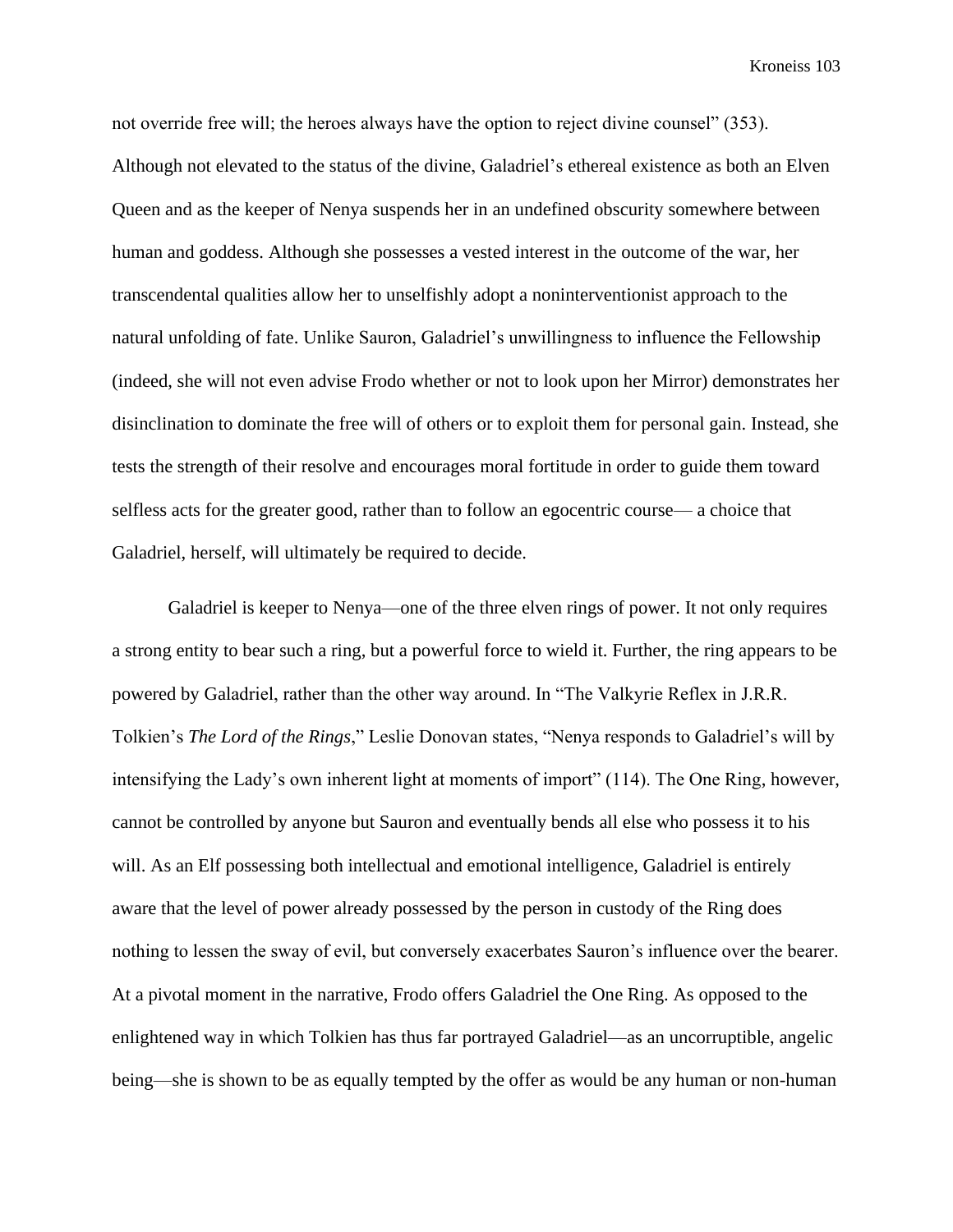not override free will; the heroes always have the option to reject divine counsel" (353). Although not elevated to the status of the divine, Galadriel's ethereal existence as both an Elven Queen and as the keeper of Nenya suspends her in an undefined obscurity somewhere between human and goddess. Although she possesses a vested interest in the outcome of the war, her transcendental qualities allow her to unselfishly adopt a noninterventionist approach to the natural unfolding of fate. Unlike Sauron, Galadriel's unwillingness to influence the Fellowship (indeed, she will not even advise Frodo whether or not to look upon her Mirror) demonstrates her disinclination to dominate the free will of others or to exploit them for personal gain. Instead, she tests the strength of their resolve and encourages moral fortitude in order to guide them toward selfless acts for the greater good, rather than to follow an egocentric course— a choice that Galadriel, herself, will ultimately be required to decide.

Galadriel is keeper to Nenya—one of the three elven rings of power. It not only requires a strong entity to bear such a ring, but a powerful force to wield it. Further, the ring appears to be powered by Galadriel, rather than the other way around. In "The Valkyrie Reflex in J.R.R. Tolkien's *The Lord of the Rings*," Leslie Donovan states, "Nenya responds to Galadriel's will by intensifying the Lady's own inherent light at moments of import" (114). The One Ring, however, cannot be controlled by anyone but Sauron and eventually bends all else who possess it to his will. As an Elf possessing both intellectual and emotional intelligence, Galadriel is entirely aware that the level of power already possessed by the person in custody of the Ring does nothing to lessen the sway of evil, but conversely exacerbates Sauron's influence over the bearer. At a pivotal moment in the narrative, Frodo offers Galadriel the One Ring. As opposed to the enlightened way in which Tolkien has thus far portrayed Galadriel—as an uncorruptible, angelic being—she is shown to be as equally tempted by the offer as would be any human or non-human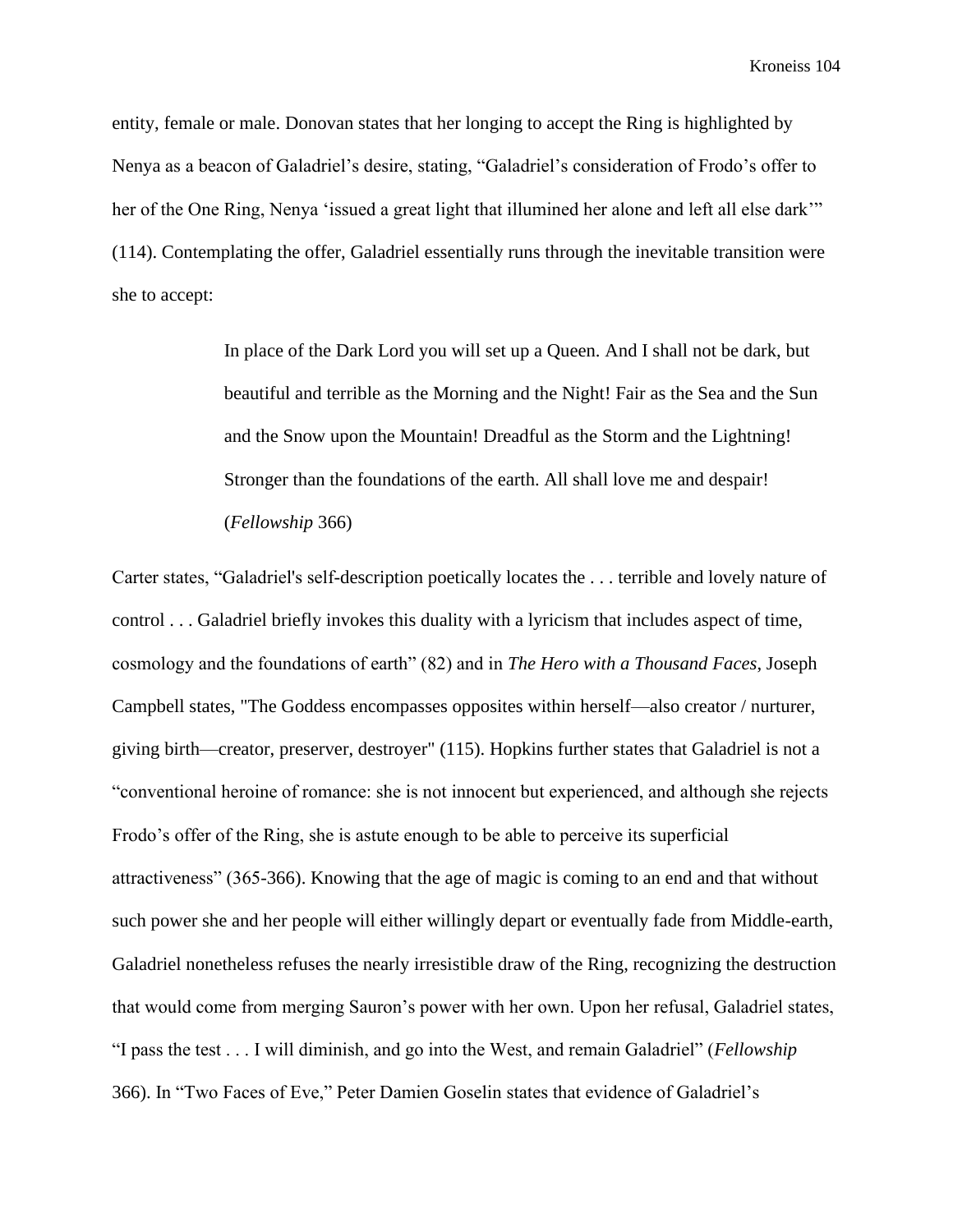entity, female or male. Donovan states that her longing to accept the Ring is highlighted by Nenya as a beacon of Galadriel's desire, stating, "Galadriel's consideration of Frodo's offer to her of the One Ring, Nenya 'issued a great light that illumined her alone and left all else dark'" (114). Contemplating the offer, Galadriel essentially runs through the inevitable transition were she to accept:

> In place of the Dark Lord you will set up a Queen. And I shall not be dark, but beautiful and terrible as the Morning and the Night! Fair as the Sea and the Sun and the Snow upon the Mountain! Dreadful as the Storm and the Lightning! Stronger than the foundations of the earth. All shall love me and despair! (*Fellowship* 366)

Carter states, "Galadriel's self-description poetically locates the . . . terrible and lovely nature of control . . . Galadriel briefly invokes this duality with a lyricism that includes aspect of time, cosmology and the foundations of earth" (82) and in *The Hero with a Thousand Faces*, Joseph Campbell states, "The Goddess encompasses opposites within herself—also creator / nurturer, giving birth—creator, preserver, destroyer" (115). Hopkins further states that Galadriel is not a "conventional heroine of romance: she is not innocent but experienced, and although she rejects Frodo's offer of the Ring, she is astute enough to be able to perceive its superficial attractiveness" (365-366). Knowing that the age of magic is coming to an end and that without such power she and her people will either willingly depart or eventually fade from Middle-earth, Galadriel nonetheless refuses the nearly irresistible draw of the Ring, recognizing the destruction that would come from merging Sauron's power with her own. Upon her refusal, Galadriel states, "I pass the test . . . I will diminish, and go into the West, and remain Galadriel" (*Fellowship* 366). In "Two Faces of Eve," Peter Damien Goselin states that evidence of Galadriel's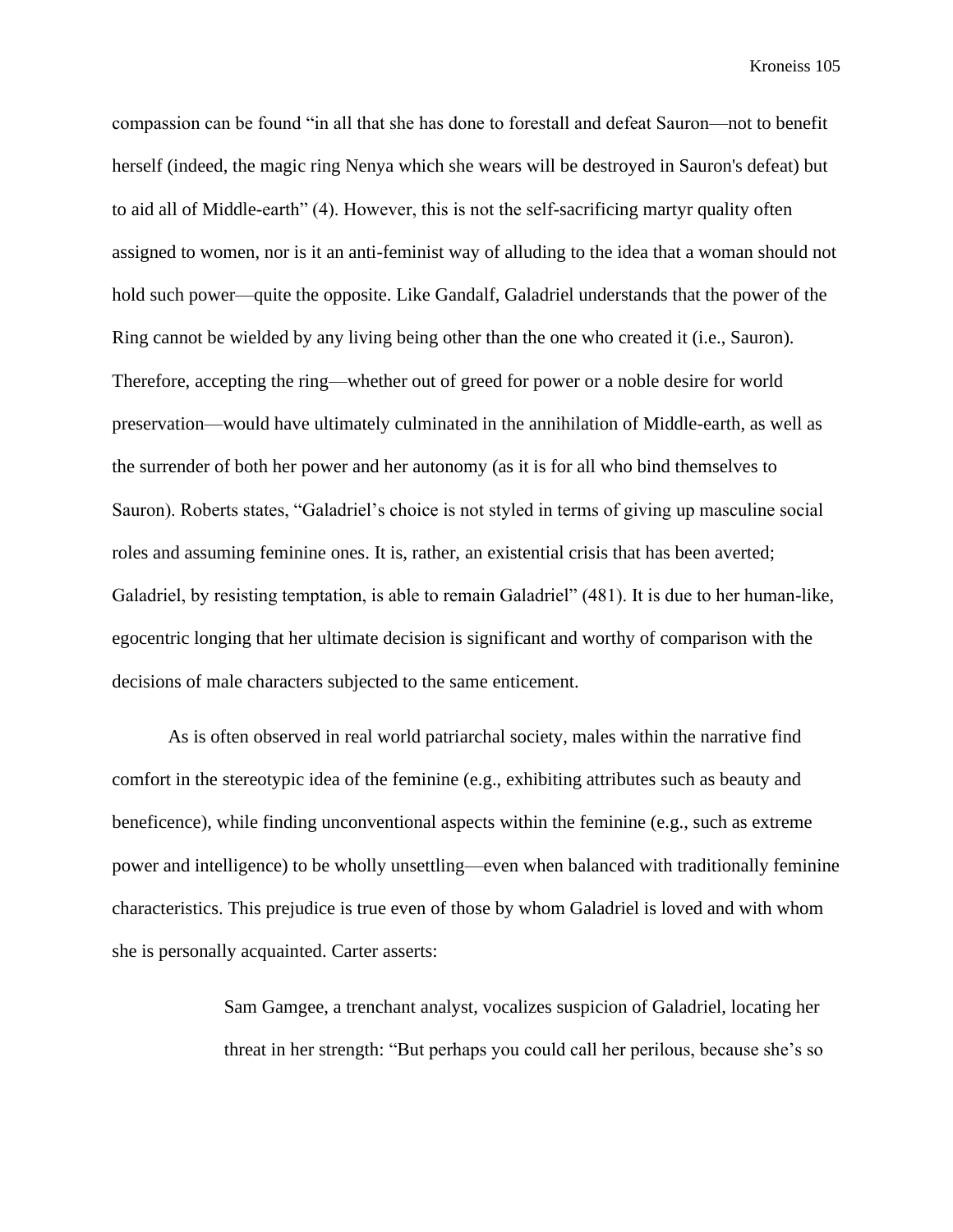compassion can be found "in all that she has done to forestall and defeat Sauron—not to benefit herself (indeed, the magic ring Nenya which she wears will be destroyed in Sauron's defeat) but to aid all of Middle-earth" (4). However, this is not the self-sacrificing martyr quality often assigned to women, nor is it an anti-feminist way of alluding to the idea that a woman should not hold such power—quite the opposite. Like Gandalf, Galadriel understands that the power of the Ring cannot be wielded by any living being other than the one who created it (i.e., Sauron). Therefore, accepting the ring—whether out of greed for power or a noble desire for world preservation—would have ultimately culminated in the annihilation of Middle-earth, as well as the surrender of both her power and her autonomy (as it is for all who bind themselves to Sauron). Roberts states, "Galadriel's choice is not styled in terms of giving up masculine social roles and assuming feminine ones. It is, rather, an existential crisis that has been averted; Galadriel, by resisting temptation, is able to remain Galadriel" (481). It is due to her human-like, egocentric longing that her ultimate decision is significant and worthy of comparison with the decisions of male characters subjected to the same enticement.

As is often observed in real world patriarchal society, males within the narrative find comfort in the stereotypic idea of the feminine (e.g., exhibiting attributes such as beauty and beneficence), while finding unconventional aspects within the feminine (e.g., such as extreme power and intelligence) to be wholly unsettling—even when balanced with traditionally feminine characteristics. This prejudice is true even of those by whom Galadriel is loved and with whom she is personally acquainted. Carter asserts:

> Sam Gamgee, a trenchant analyst, vocalizes suspicion of Galadriel, locating her threat in her strength: "But perhaps you could call her perilous, because she's so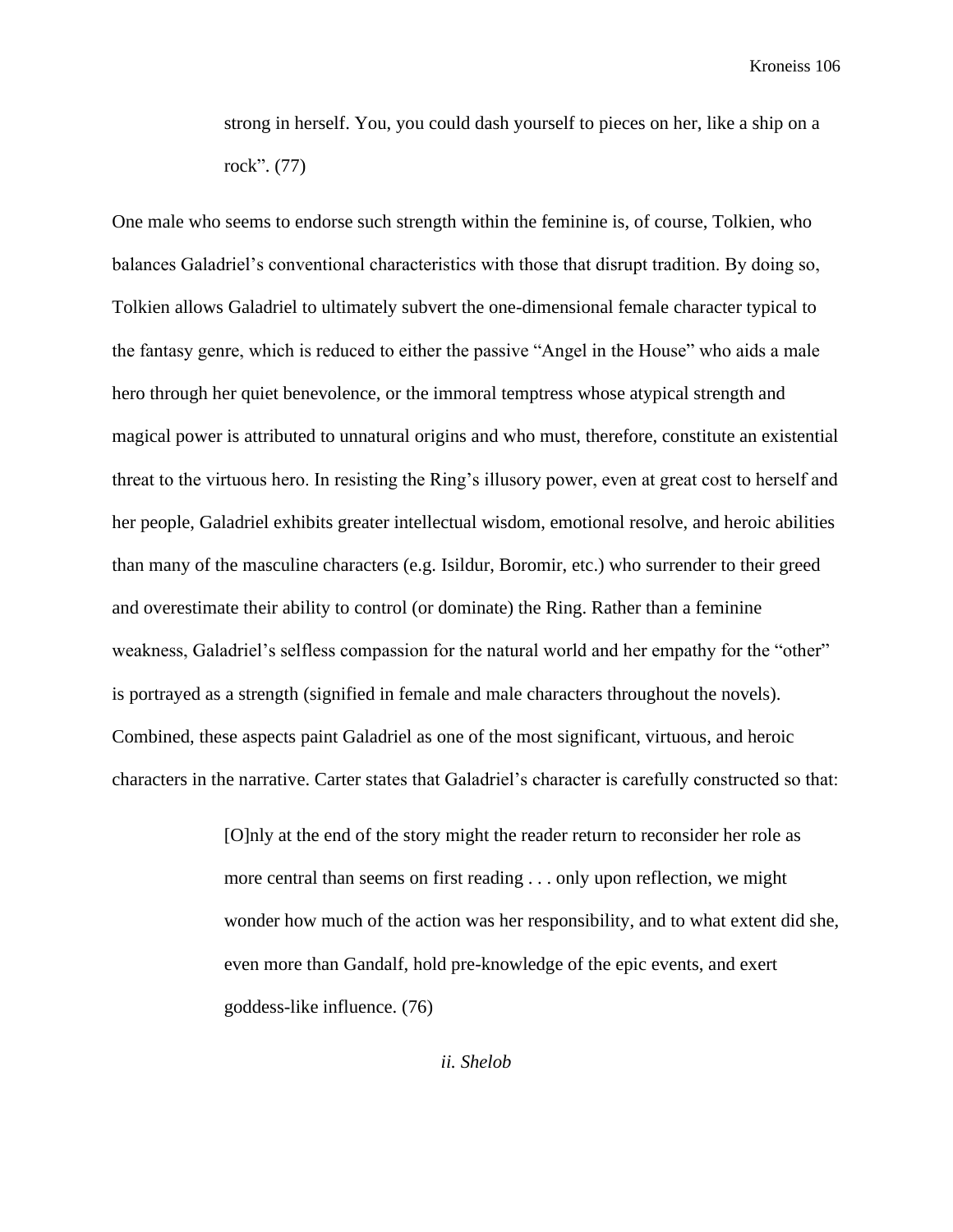strong in herself. You, you could dash yourself to pieces on her, like a ship on a rock". (77)

One male who seems to endorse such strength within the feminine is, of course, Tolkien, who balances Galadriel's conventional characteristics with those that disrupt tradition. By doing so, Tolkien allows Galadriel to ultimately subvert the one-dimensional female character typical to the fantasy genre, which is reduced to either the passive "Angel in the House" who aids a male hero through her quiet benevolence, or the immoral temptress whose atypical strength and magical power is attributed to unnatural origins and who must, therefore, constitute an existential threat to the virtuous hero. In resisting the Ring's illusory power, even at great cost to herself and her people, Galadriel exhibits greater intellectual wisdom, emotional resolve, and heroic abilities than many of the masculine characters (e.g. Isildur, Boromir, etc.) who surrender to their greed and overestimate their ability to control (or dominate) the Ring. Rather than a feminine weakness, Galadriel's selfless compassion for the natural world and her empathy for the "other" is portrayed as a strength (signified in female and male characters throughout the novels). Combined, these aspects paint Galadriel as one of the most significant, virtuous, and heroic characters in the narrative. Carter states that Galadriel's character is carefully constructed so that:

> [O]nly at the end of the story might the reader return to reconsider her role as more central than seems on first reading . . . only upon reflection, we might wonder how much of the action was her responsibility, and to what extent did she, even more than Gandalf, hold pre-knowledge of the epic events, and exert goddess-like influence. (76)

> > *ii. Shelob*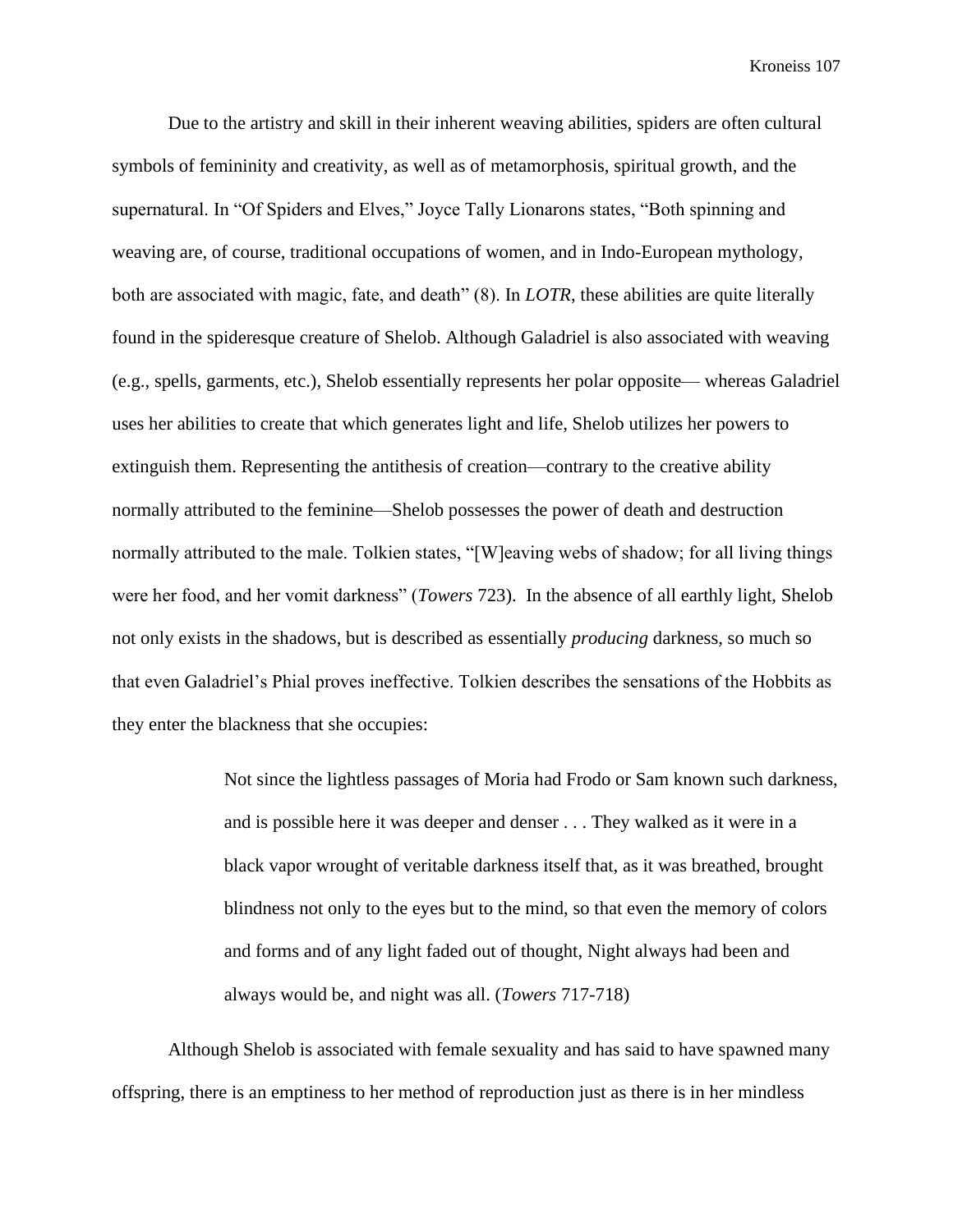Due to the artistry and skill in their inherent weaving abilities, spiders are often cultural symbols of femininity and creativity, as well as of metamorphosis, spiritual growth, and the supernatural. In "Of Spiders and Elves," Joyce Tally Lionarons states, "Both spinning and weaving are, of course, traditional occupations of women, and in Indo-European mythology, both are associated with magic, fate, and death" (8). In *LOTR*, these abilities are quite literally found in the spideresque creature of Shelob. Although Galadriel is also associated with weaving (e.g., spells, garments, etc.), Shelob essentially represents her polar opposite— whereas Galadriel uses her abilities to create that which generates light and life, Shelob utilizes her powers to extinguish them. Representing the antithesis of creation—contrary to the creative ability normally attributed to the feminine—Shelob possesses the power of death and destruction normally attributed to the male. Tolkien states, "[W]eaving webs of shadow; for all living things were her food, and her vomit darkness" (*Towers* 723). In the absence of all earthly light, Shelob not only exists in the shadows, but is described as essentially *producing* darkness, so much so that even Galadriel's Phial proves ineffective. Tolkien describes the sensations of the Hobbits as they enter the blackness that she occupies:

> Not since the lightless passages of Moria had Frodo or Sam known such darkness, and is possible here it was deeper and denser . . . They walked as it were in a black vapor wrought of veritable darkness itself that, as it was breathed, brought blindness not only to the eyes but to the mind, so that even the memory of colors and forms and of any light faded out of thought, Night always had been and always would be, and night was all. (*Towers* 717-718)

Although Shelob is associated with female sexuality and has said to have spawned many offspring, there is an emptiness to her method of reproduction just as there is in her mindless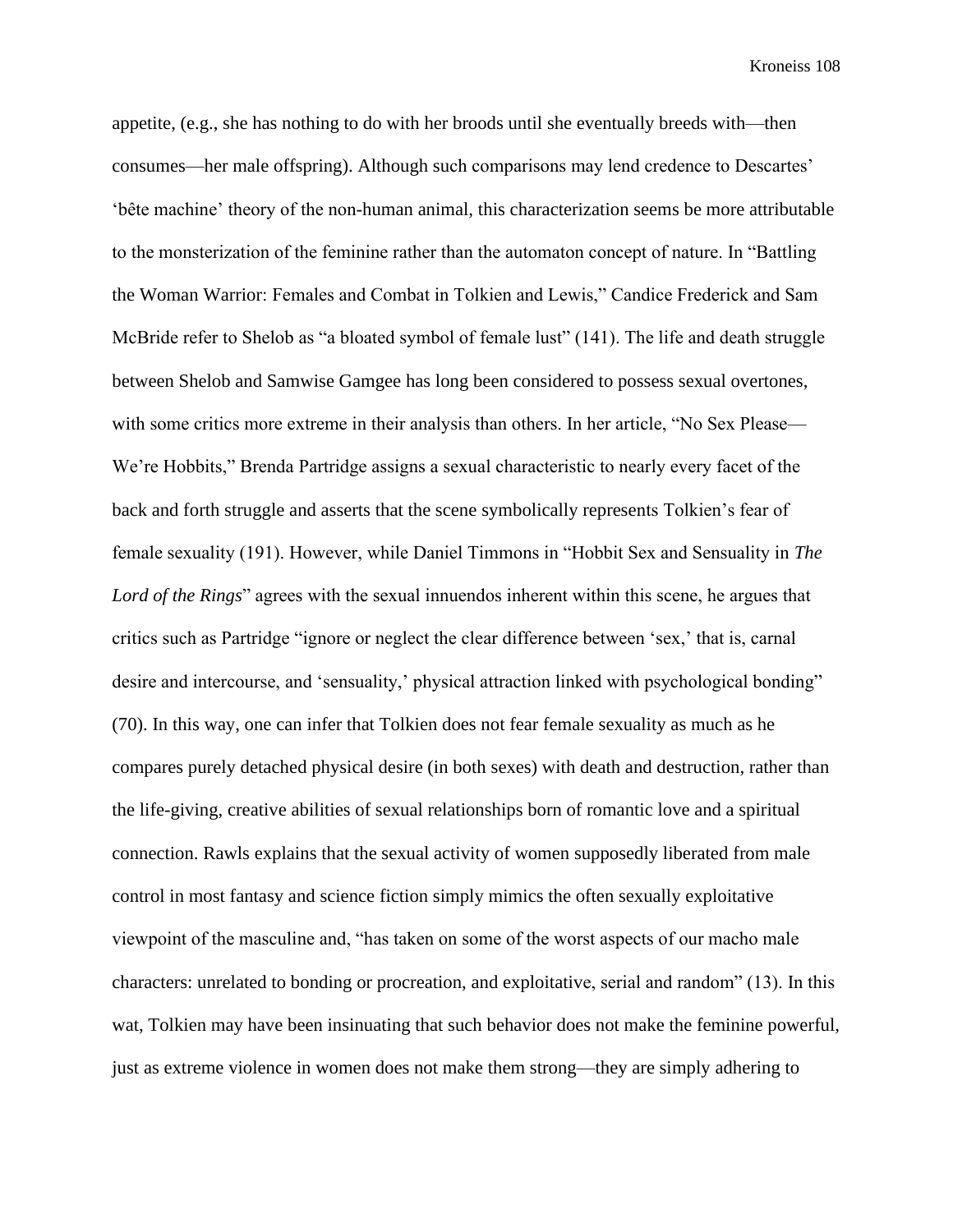appetite, (e.g., she has nothing to do with her broods until she eventually breeds with—then consumes—her male offspring). Although such comparisons may lend credence to Descartes' 'bête machine' theory of the non-human animal, this characterization seems be more attributable to the monsterization of the feminine rather than the automaton concept of nature. In "Battling the Woman Warrior: Females and Combat in Tolkien and Lewis," Candice Frederick and Sam McBride refer to Shelob as "a bloated symbol of female lust" (141). The life and death struggle between Shelob and Samwise Gamgee has long been considered to possess sexual overtones, with some critics more extreme in their analysis than others. In her article, "No Sex Please— We're Hobbits," Brenda Partridge assigns a sexual characteristic to nearly every facet of the back and forth struggle and asserts that the scene symbolically represents Tolkien's fear of female sexuality (191). However, while Daniel Timmons in "Hobbit Sex and Sensuality in *The Lord of the Rings*" agrees with the sexual innuendos inherent within this scene, he argues that critics such as Partridge "ignore or neglect the clear difference between 'sex,' that is, carnal desire and intercourse, and 'sensuality,' physical attraction linked with psychological bonding" (70). In this way, one can infer that Tolkien does not fear female sexuality as much as he compares purely detached physical desire (in both sexes) with death and destruction, rather than the life-giving, creative abilities of sexual relationships born of romantic love and a spiritual connection. Rawls explains that the sexual activity of women supposedly liberated from male control in most fantasy and science fiction simply mimics the often sexually exploitative viewpoint of the masculine and, "has taken on some of the worst aspects of our macho male characters: unrelated to bonding or procreation, and exploitative, serial and random" (13). In this wat, Tolkien may have been insinuating that such behavior does not make the feminine powerful, just as extreme violence in women does not make them strong—they are simply adhering to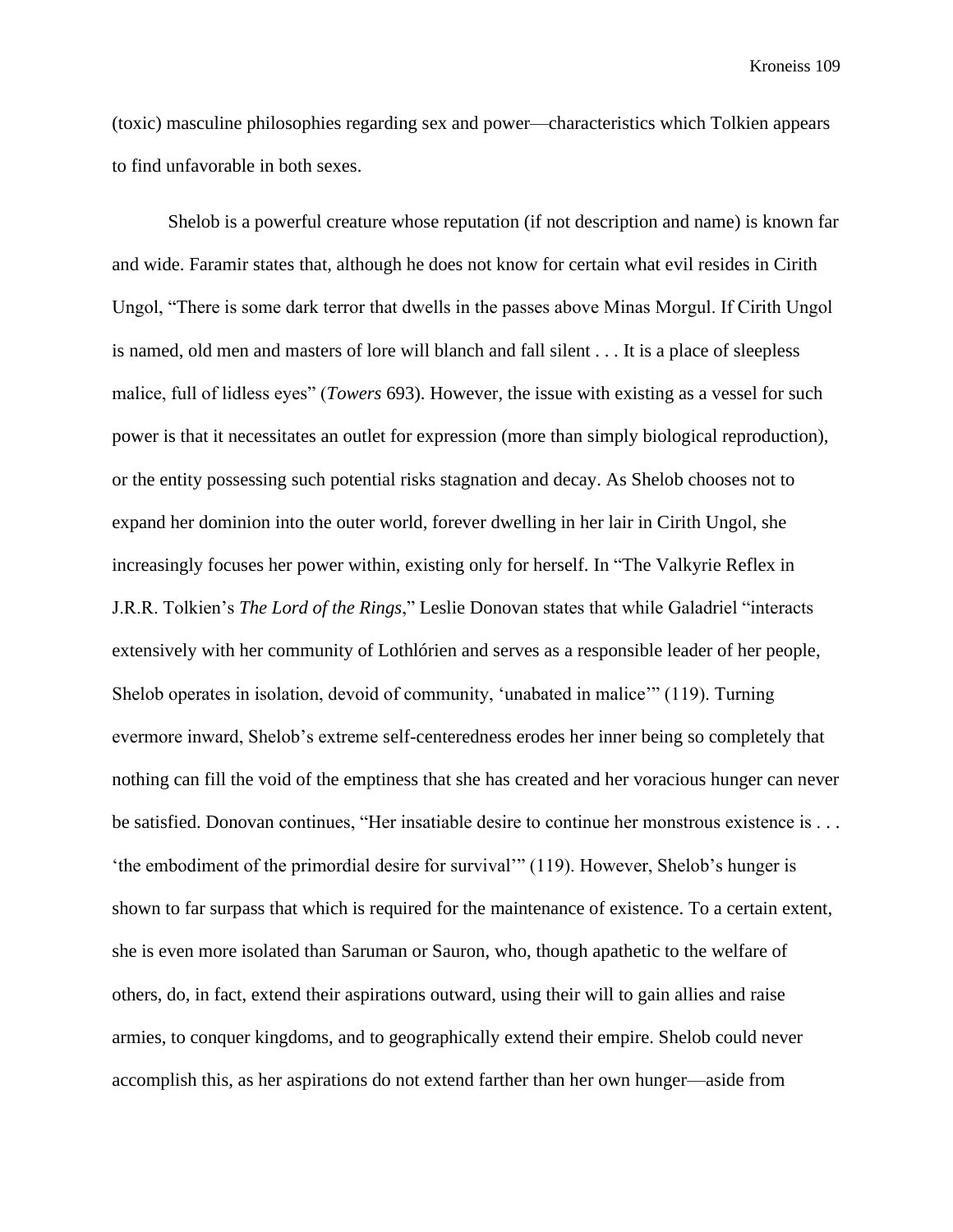(toxic) masculine philosophies regarding sex and power—characteristics which Tolkien appears to find unfavorable in both sexes.

Shelob is a powerful creature whose reputation (if not description and name) is known far and wide. Faramir states that, although he does not know for certain what evil resides in Cirith Ungol, "There is some dark terror that dwells in the passes above Minas Morgul. If Cirith Ungol is named, old men and masters of lore will blanch and fall silent . . . It is a place of sleepless malice, full of lidless eyes" (*Towers* 693). However, the issue with existing as a vessel for such power is that it necessitates an outlet for expression (more than simply biological reproduction), or the entity possessing such potential risks stagnation and decay. As Shelob chooses not to expand her dominion into the outer world, forever dwelling in her lair in Cirith Ungol, she increasingly focuses her power within, existing only for herself. In "The Valkyrie Reflex in J.R.R. Tolkien's *The Lord of the Rings*," Leslie Donovan states that while Galadriel "interacts extensively with her community of Lothlórien and serves as a responsible leader of her people, Shelob operates in isolation, devoid of community, 'unabated in malice'" (119). Turning evermore inward, Shelob's extreme self-centeredness erodes her inner being so completely that nothing can fill the void of the emptiness that she has created and her voracious hunger can never be satisfied. Donovan continues, "Her insatiable desire to continue her monstrous existence is . . . 'the embodiment of the primordial desire for survival'" (119). However, Shelob's hunger is shown to far surpass that which is required for the maintenance of existence. To a certain extent, she is even more isolated than Saruman or Sauron, who, though apathetic to the welfare of others, do, in fact, extend their aspirations outward, using their will to gain allies and raise armies, to conquer kingdoms, and to geographically extend their empire. Shelob could never accomplish this, as her aspirations do not extend farther than her own hunger—aside from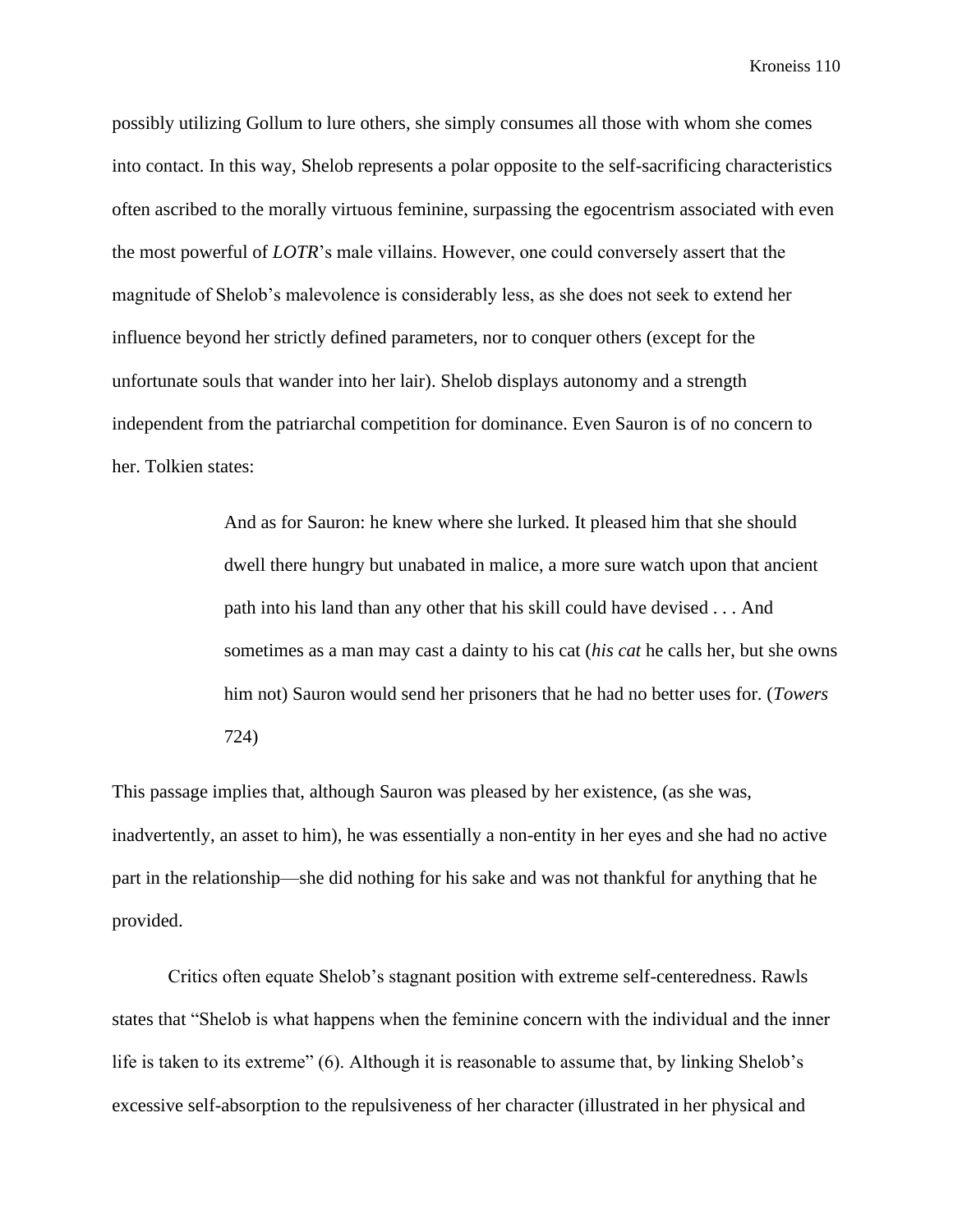possibly utilizing Gollum to lure others, she simply consumes all those with whom she comes into contact. In this way, Shelob represents a polar opposite to the self-sacrificing characteristics often ascribed to the morally virtuous feminine, surpassing the egocentrism associated with even the most powerful of *LOTR*'s male villains. However, one could conversely assert that the magnitude of Shelob's malevolence is considerably less, as she does not seek to extend her influence beyond her strictly defined parameters, nor to conquer others (except for the unfortunate souls that wander into her lair). Shelob displays autonomy and a strength independent from the patriarchal competition for dominance. Even Sauron is of no concern to her. Tolkien states:

> And as for Sauron: he knew where she lurked. It pleased him that she should dwell there hungry but unabated in malice, a more sure watch upon that ancient path into his land than any other that his skill could have devised . . . And sometimes as a man may cast a dainty to his cat (*his cat* he calls her, but she owns him not) Sauron would send her prisoners that he had no better uses for. (*Towers* 724)

This passage implies that, although Sauron was pleased by her existence, (as she was, inadvertently, an asset to him), he was essentially a non-entity in her eyes and she had no active part in the relationship—she did nothing for his sake and was not thankful for anything that he provided.

Critics often equate Shelob's stagnant position with extreme self-centeredness. Rawls states that "Shelob is what happens when the feminine concern with the individual and the inner life is taken to its extreme" (6). Although it is reasonable to assume that, by linking Shelob's excessive self-absorption to the repulsiveness of her character (illustrated in her physical and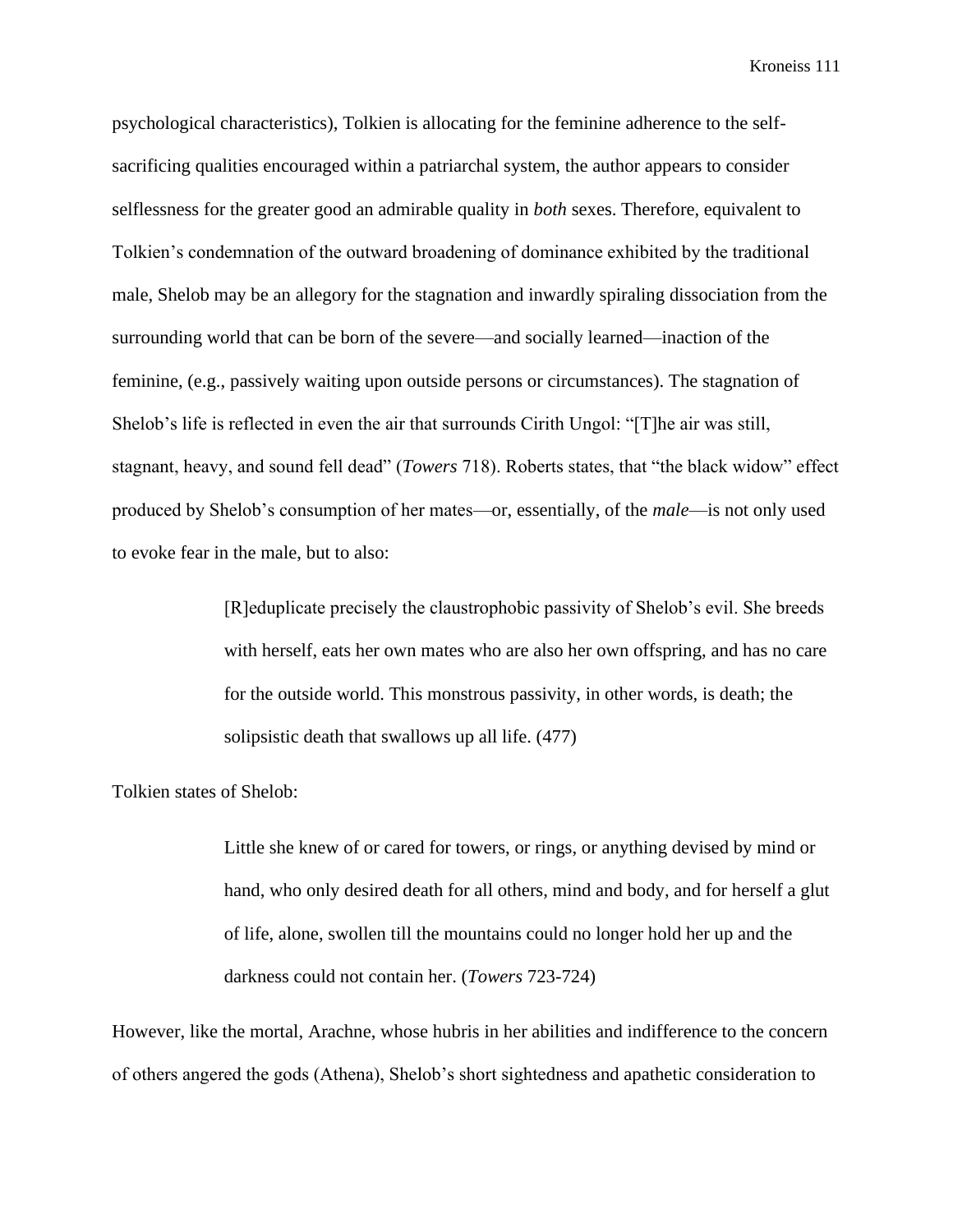psychological characteristics), Tolkien is allocating for the feminine adherence to the selfsacrificing qualities encouraged within a patriarchal system, the author appears to consider selflessness for the greater good an admirable quality in *both* sexes. Therefore, equivalent to Tolkien's condemnation of the outward broadening of dominance exhibited by the traditional male, Shelob may be an allegory for the stagnation and inwardly spiraling dissociation from the surrounding world that can be born of the severe—and socially learned—inaction of the feminine, (e.g., passively waiting upon outside persons or circumstances). The stagnation of Shelob's life is reflected in even the air that surrounds Cirith Ungol: "[T]he air was still, stagnant, heavy, and sound fell dead" (*Towers* 718). Roberts states, that "the black widow" effect produced by Shelob's consumption of her mates—or, essentially, of the *male*—is not only used to evoke fear in the male, but to also:

> [R]eduplicate precisely the claustrophobic passivity of Shelob's evil. She breeds with herself, eats her own mates who are also her own offspring, and has no care for the outside world. This monstrous passivity, in other words, is death; the solipsistic death that swallows up all life. (477)

Tolkien states of Shelob:

Little she knew of or cared for towers, or rings, or anything devised by mind or hand, who only desired death for all others, mind and body, and for herself a glut of life, alone, swollen till the mountains could no longer hold her up and the darkness could not contain her. (*Towers* 723-724)

However, like the mortal, Arachne, whose hubris in her abilities and indifference to the concern of others angered the gods (Athena), Shelob's short sightedness and apathetic consideration to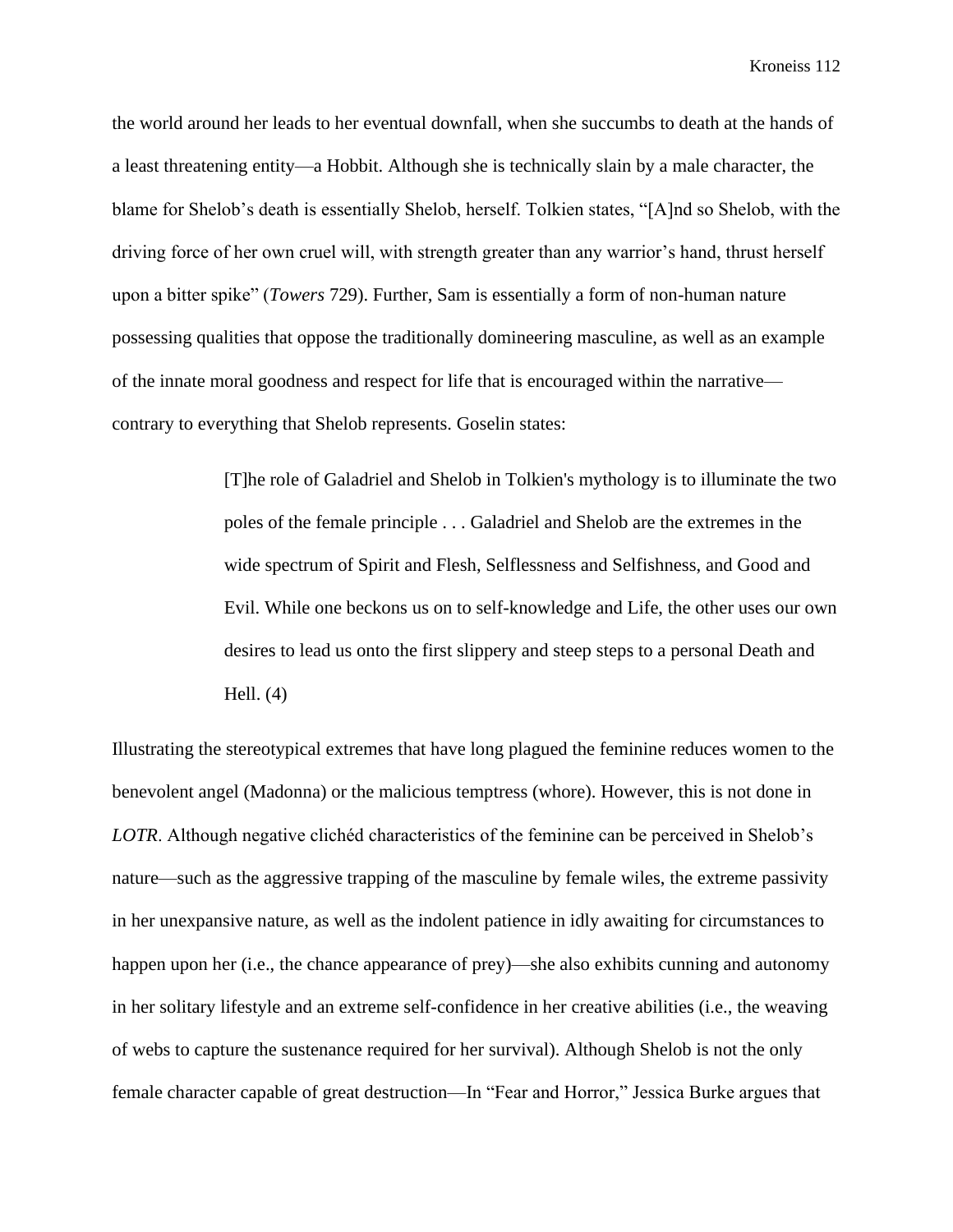the world around her leads to her eventual downfall, when she succumbs to death at the hands of a least threatening entity—a Hobbit. Although she is technically slain by a male character, the blame for Shelob's death is essentially Shelob, herself. Tolkien states, "[A]nd so Shelob, with the driving force of her own cruel will, with strength greater than any warrior's hand, thrust herself upon a bitter spike" (*Towers* 729). Further, Sam is essentially a form of non-human nature possessing qualities that oppose the traditionally domineering masculine, as well as an example of the innate moral goodness and respect for life that is encouraged within the narrative contrary to everything that Shelob represents. Goselin states:

> [T]he role of Galadriel and Shelob in Tolkien's mythology is to illuminate the two poles of the female principle . . . Galadriel and Shelob are the extremes in the wide spectrum of Spirit and Flesh, Selflessness and Selfishness, and Good and Evil. While one beckons us on to self-knowledge and Life, the other uses our own desires to lead us onto the first slippery and steep steps to a personal Death and Hell. (4)

Illustrating the stereotypical extremes that have long plagued the feminine reduces women to the benevolent angel (Madonna) or the malicious temptress (whore). However, this is not done in *LOTR*. Although negative clichéd characteristics of the feminine can be perceived in Shelob's nature—such as the aggressive trapping of the masculine by female wiles, the extreme passivity in her unexpansive nature, as well as the indolent patience in idly awaiting for circumstances to happen upon her (i.e., the chance appearance of prey)—she also exhibits cunning and autonomy in her solitary lifestyle and an extreme self-confidence in her creative abilities (i.e., the weaving of webs to capture the sustenance required for her survival). Although Shelob is not the only female character capable of great destruction—In "Fear and Horror," Jessica Burke argues that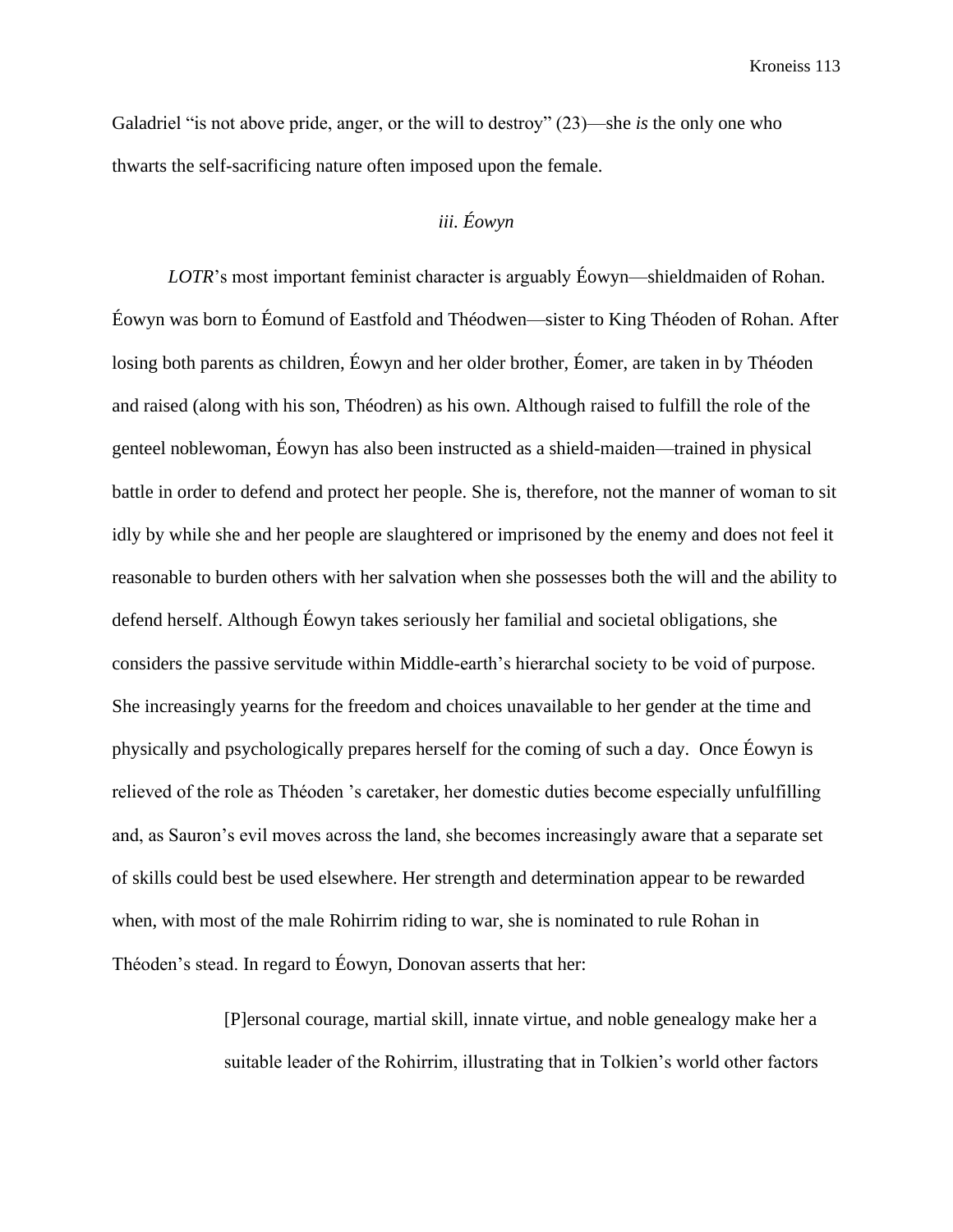Galadriel "is not above pride, anger, or the will to destroy" (23)—she *is* the only one who thwarts the self-sacrificing nature often imposed upon the female.

# *iii. Éowyn*

*LOTR*'s most important feminist character is arguably Éowyn—shieldmaiden of Rohan. Éowyn was born to Éomund of Eastfold and Théodwen—sister to King Théoden of Rohan. After losing both parents as children, Éowyn and her older brother, Éomer, are taken in by Théoden and raised (along with his son, Théodren) as his own. Although raised to fulfill the role of the genteel noblewoman, Éowyn has also been instructed as a shield-maiden—trained in physical battle in order to defend and protect her people. She is, therefore, not the manner of woman to sit idly by while she and her people are slaughtered or imprisoned by the enemy and does not feel it reasonable to burden others with her salvation when she possesses both the will and the ability to defend herself. Although Éowyn takes seriously her familial and societal obligations, she considers the passive servitude within Middle-earth's hierarchal society to be void of purpose. She increasingly yearns for the freedom and choices unavailable to her gender at the time and physically and psychologically prepares herself for the coming of such a day. Once Éowyn is relieved of the role as Théoden 's caretaker, her domestic duties become especially unfulfilling and, as Sauron's evil moves across the land, she becomes increasingly aware that a separate set of skills could best be used elsewhere. Her strength and determination appear to be rewarded when, with most of the male Rohirrim riding to war, she is nominated to rule Rohan in Théoden's stead. In regard to Éowyn, Donovan asserts that her:

> [P]ersonal courage, martial skill, innate virtue, and noble genealogy make her a suitable leader of the Rohirrim, illustrating that in Tolkien's world other factors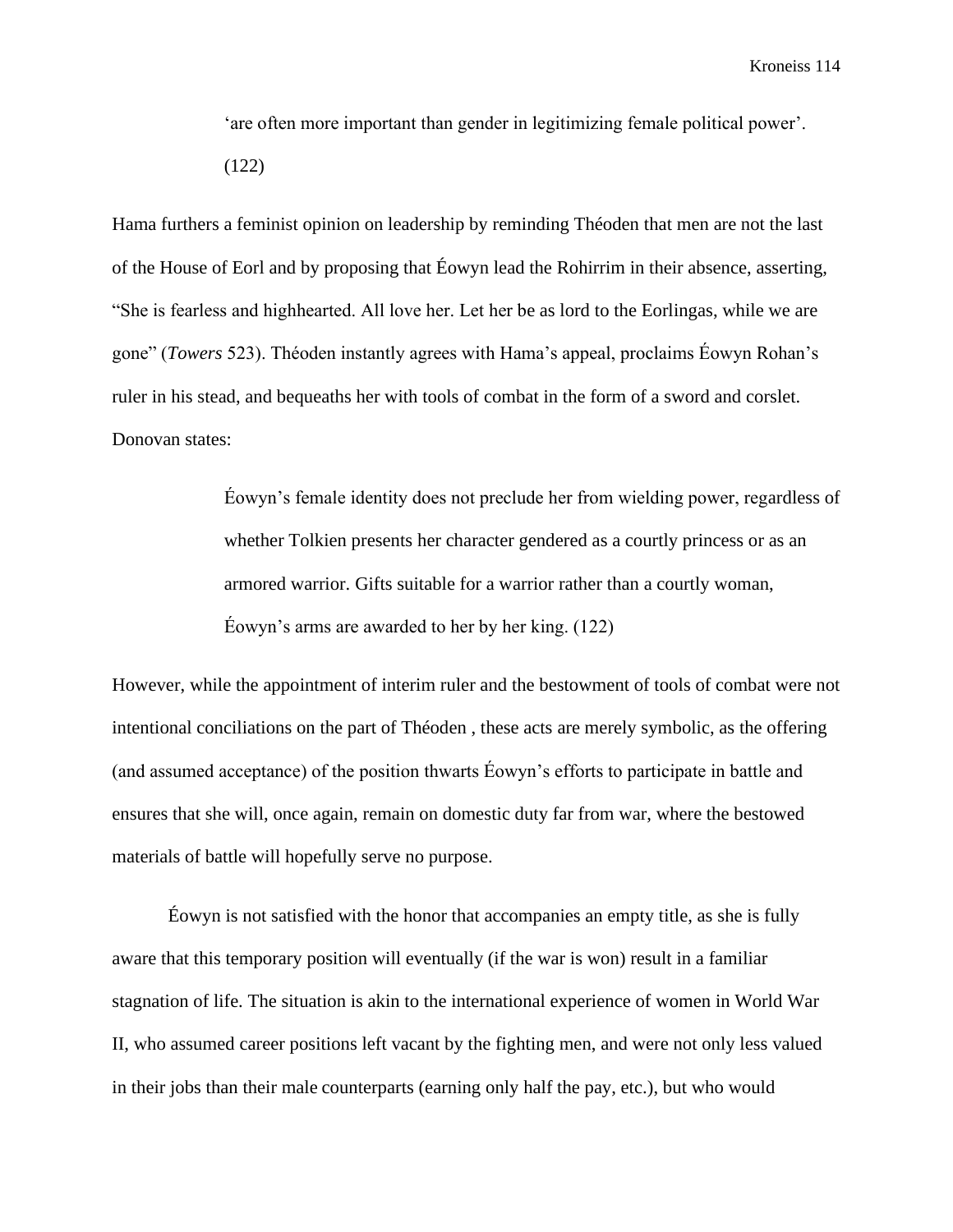'are often more important than gender in legitimizing female political power'.

(122)

Hama furthers a feminist opinion on leadership by reminding Théoden that men are not the last of the House of Eorl and by proposing that Éowyn lead the Rohirrim in their absence, asserting, "She is fearless and highhearted. All love her. Let her be as lord to the Eorlingas, while we are gone" (*Towers* 523). Théoden instantly agrees with Hama's appeal, proclaims Éowyn Rohan's ruler in his stead, and bequeaths her with tools of combat in the form of a sword and corslet. Donovan states:

> Éowyn's female identity does not preclude her from wielding power, regardless of whether Tolkien presents her character gendered as a courtly princess or as an armored warrior. Gifts suitable for a warrior rather than a courtly woman, Éowyn's arms are awarded to her by her king. (122)

However, while the appointment of interim ruler and the bestowment of tools of combat were not intentional conciliations on the part of Théoden , these acts are merely symbolic, as the offering (and assumed acceptance) of the position thwarts Éowyn's efforts to participate in battle and ensures that she will, once again, remain on domestic duty far from war, where the bestowed materials of battle will hopefully serve no purpose.

Éowyn is not satisfied with the honor that accompanies an empty title, as she is fully aware that this temporary position will eventually (if the war is won) result in a familiar stagnation of life. The situation is akin to the international experience of women in World War II, who assumed career positions left vacant by the fighting men, and were not only less valued in their jobs than their male counterparts (earning only half the pay, etc.), but who would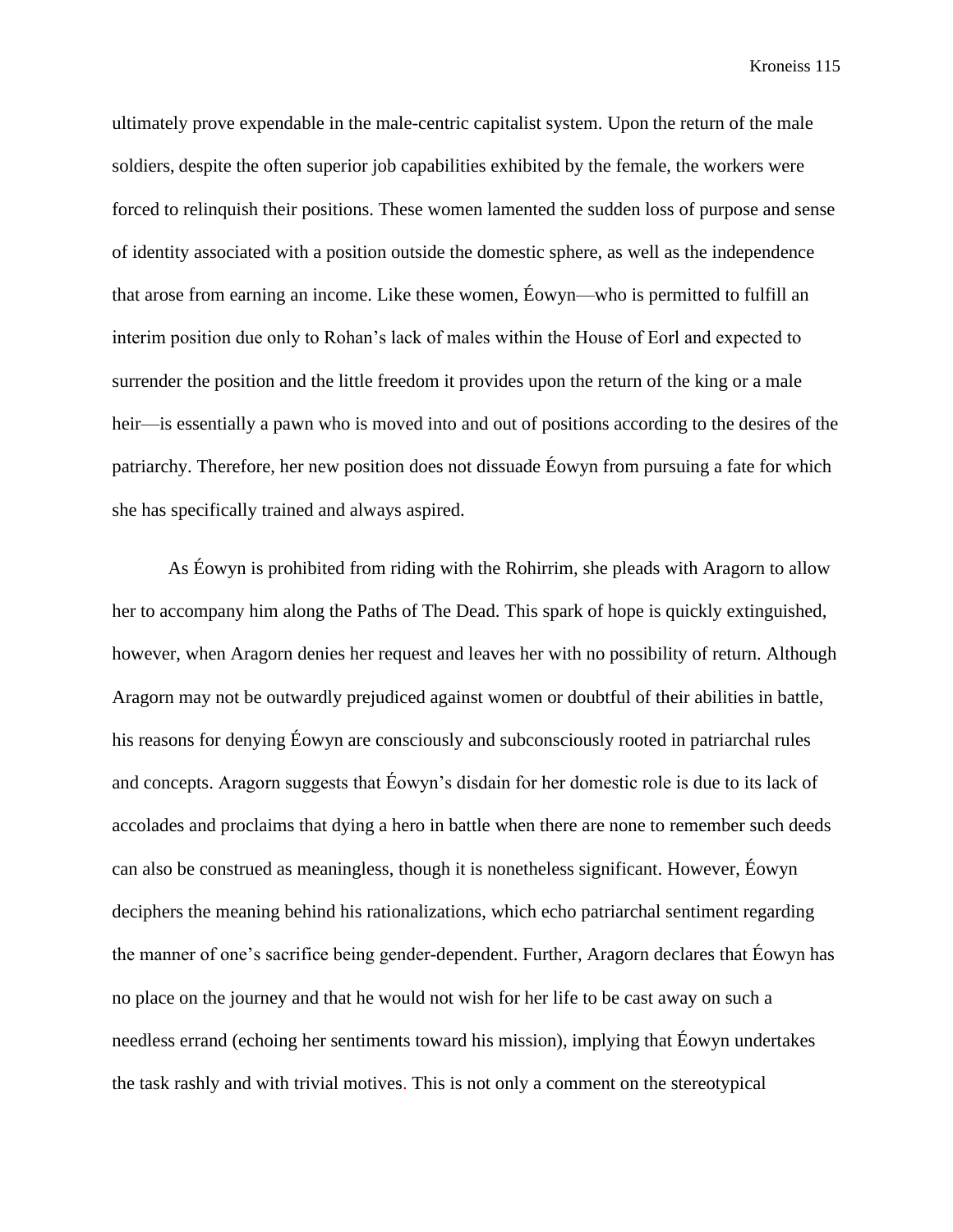ultimately prove expendable in the male-centric capitalist system. Upon the return of the male soldiers, despite the often superior job capabilities exhibited by the female, the workers were forced to relinquish their positions. These women lamented the sudden loss of purpose and sense of identity associated with a position outside the domestic sphere, as well as the independence that arose from earning an income. Like these women, Éowyn—who is permitted to fulfill an interim position due only to Rohan's lack of males within the House of Eorl and expected to surrender the position and the little freedom it provides upon the return of the king or a male heir—is essentially a pawn who is moved into and out of positions according to the desires of the patriarchy. Therefore, her new position does not dissuade Éowyn from pursuing a fate for which she has specifically trained and always aspired.

As Éowyn is prohibited from riding with the Rohirrim, she pleads with Aragorn to allow her to accompany him along the Paths of The Dead. This spark of hope is quickly extinguished, however, when Aragorn denies her request and leaves her with no possibility of return. Although Aragorn may not be outwardly prejudiced against women or doubtful of their abilities in battle, his reasons for denying Éowyn are consciously and subconsciously rooted in patriarchal rules and concepts. Aragorn suggests that Éowyn's disdain for her domestic role is due to its lack of accolades and proclaims that dying a hero in battle when there are none to remember such deeds can also be construed as meaningless, though it is nonetheless significant. However, Éowyn deciphers the meaning behind his rationalizations, which echo patriarchal sentiment regarding the manner of one's sacrifice being gender-dependent. Further, Aragorn declares that Éowyn has no place on the journey and that he would not wish for her life to be cast away on such a needless errand (echoing her sentiments toward his mission), implying that Éowyn undertakes the task rashly and with trivial motives. This is not only a comment on the stereotypical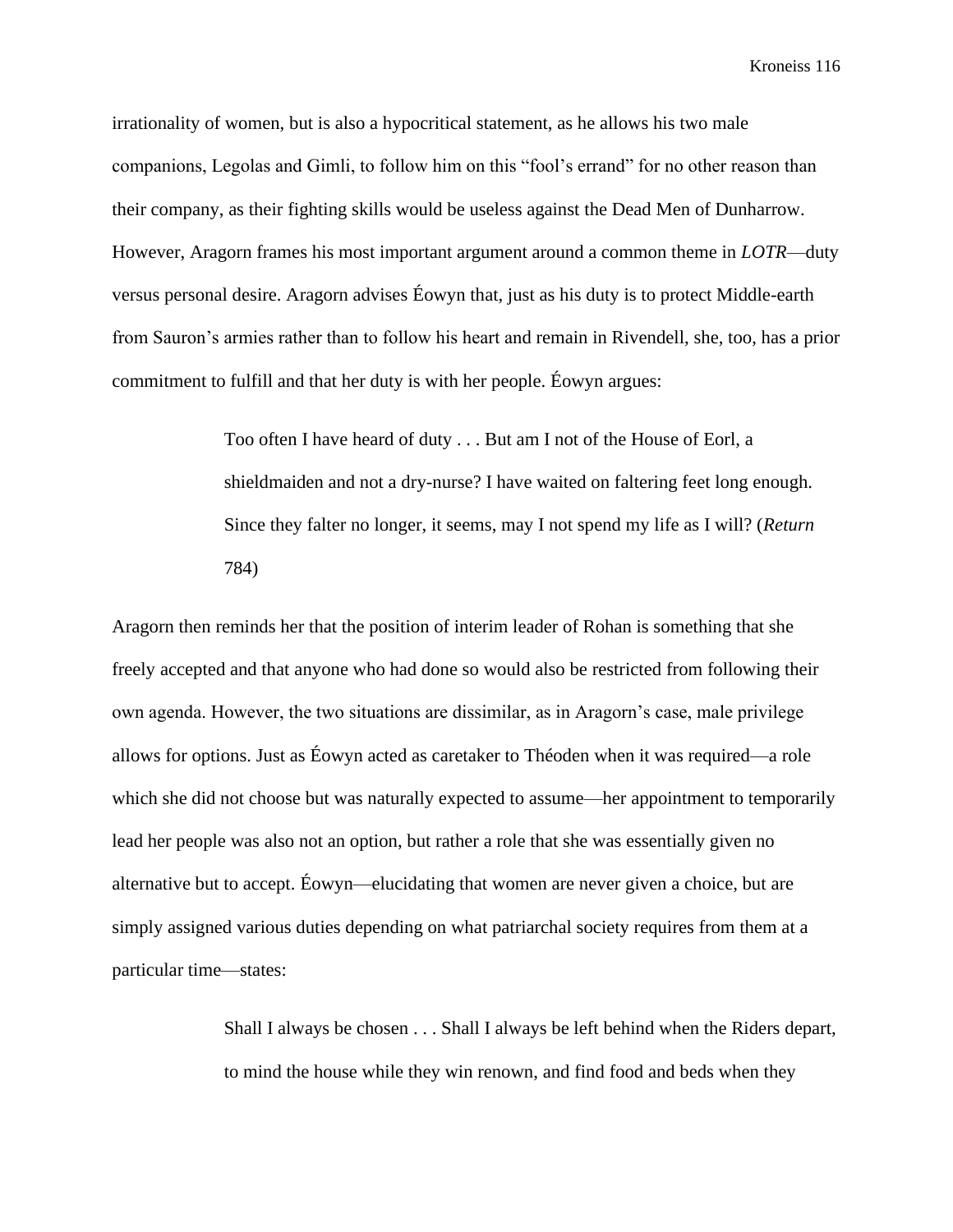irrationality of women, but is also a hypocritical statement, as he allows his two male companions, Legolas and Gimli, to follow him on this "fool's errand" for no other reason than their company, as their fighting skills would be useless against the Dead Men of Dunharrow. However, Aragorn frames his most important argument around a common theme in *LOTR*—duty versus personal desire. Aragorn advises Éowyn that, just as his duty is to protect Middle-earth from Sauron's armies rather than to follow his heart and remain in Rivendell, she, too, has a prior commitment to fulfill and that her duty is with her people. Éowyn argues:

> Too often I have heard of duty . . . But am I not of the House of Eorl, a shieldmaiden and not a dry-nurse? I have waited on faltering feet long enough. Since they falter no longer, it seems, may I not spend my life as I will? (*Return* 784)

Aragorn then reminds her that the position of interim leader of Rohan is something that she freely accepted and that anyone who had done so would also be restricted from following their own agenda. However, the two situations are dissimilar, as in Aragorn's case, male privilege allows for options. Just as Éowyn acted as caretaker to Théoden when it was required—a role which she did not choose but was naturally expected to assume—her appointment to temporarily lead her people was also not an option, but rather a role that she was essentially given no alternative but to accept. Éowyn—elucidating that women are never given a choice, but are simply assigned various duties depending on what patriarchal society requires from them at a particular time—states:

> Shall I always be chosen . . . Shall I always be left behind when the Riders depart, to mind the house while they win renown, and find food and beds when they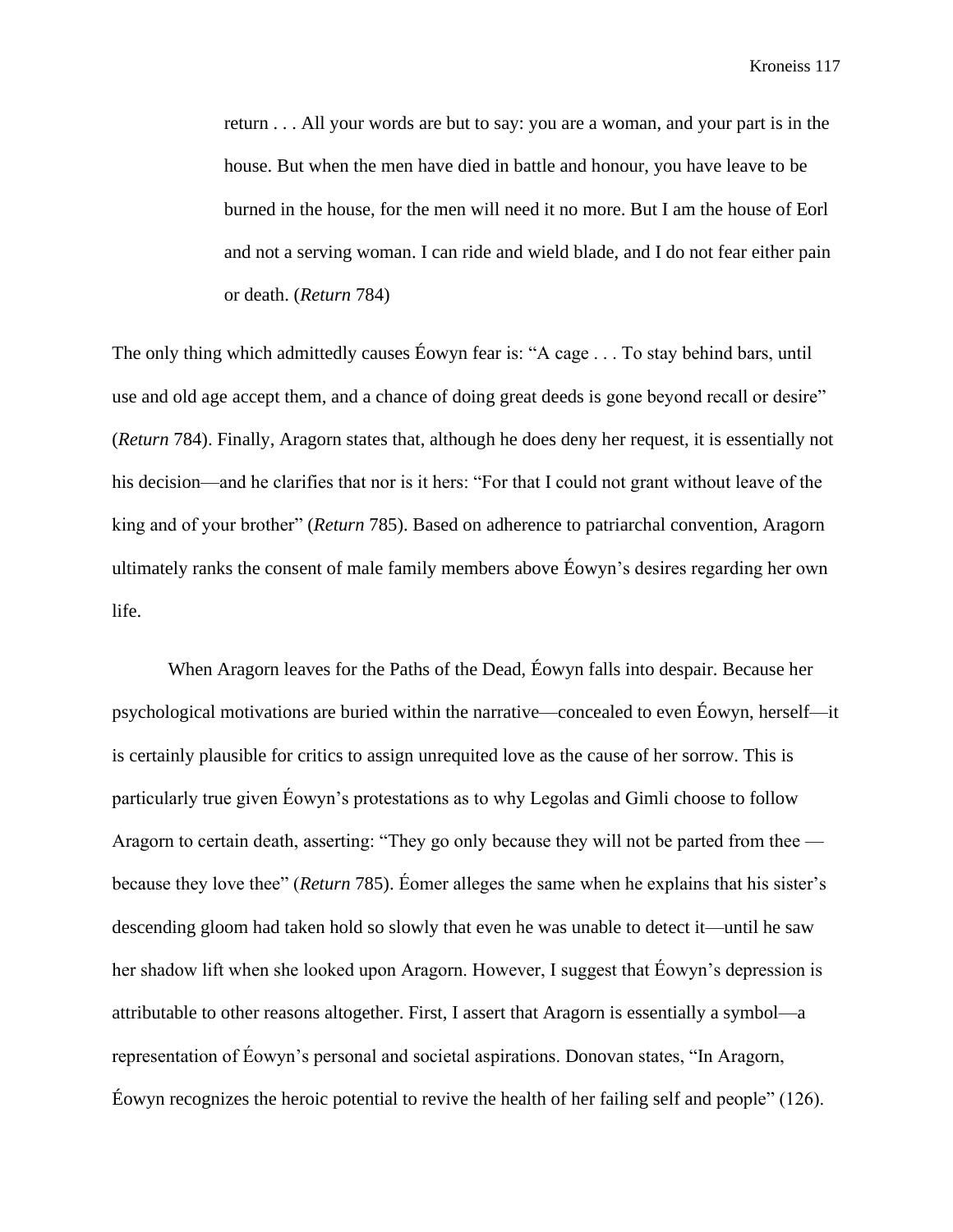return . . . All your words are but to say: you are a woman, and your part is in the house. But when the men have died in battle and honour, you have leave to be burned in the house, for the men will need it no more. But I am the house of Eorl and not a serving woman. I can ride and wield blade, and I do not fear either pain or death. (*Return* 784)

The only thing which admittedly causes Éowyn fear is: "A cage . . . To stay behind bars, until use and old age accept them, and a chance of doing great deeds is gone beyond recall or desire" (*Return* 784). Finally, Aragorn states that, although he does deny her request, it is essentially not his decision—and he clarifies that nor is it hers: "For that I could not grant without leave of the king and of your brother" (*Return* 785). Based on adherence to patriarchal convention, Aragorn ultimately ranks the consent of male family members above Éowyn's desires regarding her own life.

When Aragorn leaves for the Paths of the Dead, Éowyn falls into despair. Because her psychological motivations are buried within the narrative—concealed to even Éowyn, herself—it is certainly plausible for critics to assign unrequited love as the cause of her sorrow. This is particularly true given Éowyn's protestations as to why Legolas and Gimli choose to follow Aragorn to certain death, asserting: "They go only because they will not be parted from thee because they love thee" (*Return* 785). Éomer alleges the same when he explains that his sister's descending gloom had taken hold so slowly that even he was unable to detect it—until he saw her shadow lift when she looked upon Aragorn. However, I suggest that Éowyn's depression is attributable to other reasons altogether. First, I assert that Aragorn is essentially a symbol—a representation of Éowyn's personal and societal aspirations. Donovan states, "In Aragorn, Éowyn recognizes the heroic potential to revive the health of her failing self and people" (126).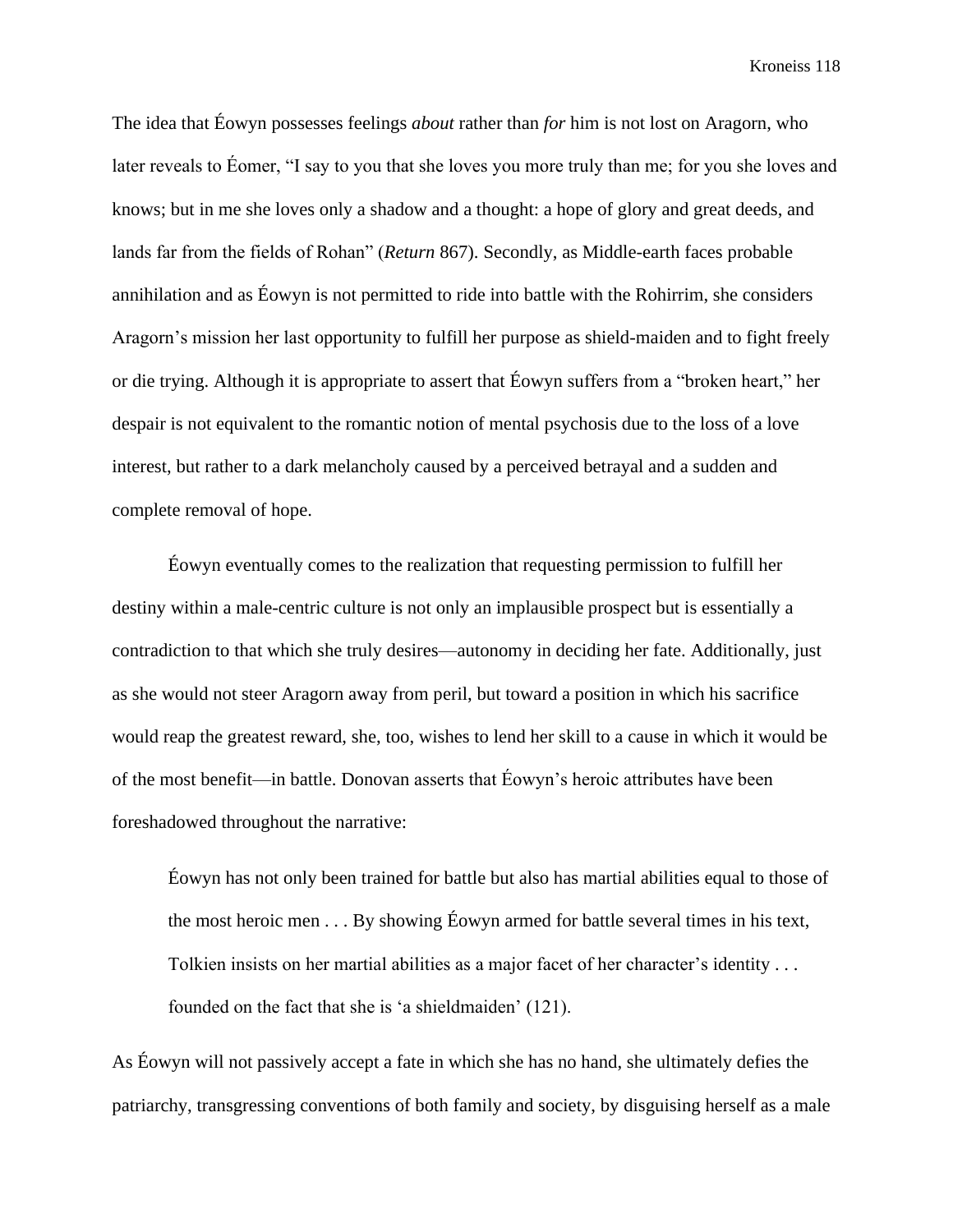The idea that Éowyn possesses feelings *about* rather than *for* him is not lost on Aragorn, who later reveals to Éomer, "I say to you that she loves you more truly than me; for you she loves and knows; but in me she loves only a shadow and a thought: a hope of glory and great deeds, and lands far from the fields of Rohan" (*Return* 867). Secondly, as Middle-earth faces probable annihilation and as Éowyn is not permitted to ride into battle with the Rohirrim, she considers Aragorn's mission her last opportunity to fulfill her purpose as shield-maiden and to fight freely or die trying. Although it is appropriate to assert that Éowyn suffers from a "broken heart," her despair is not equivalent to the romantic notion of mental psychosis due to the loss of a love interest, but rather to a dark melancholy caused by a perceived betrayal and a sudden and complete removal of hope.

Éowyn eventually comes to the realization that requesting permission to fulfill her destiny within a male-centric culture is not only an implausible prospect but is essentially a contradiction to that which she truly desires—autonomy in deciding her fate. Additionally, just as she would not steer Aragorn away from peril, but toward a position in which his sacrifice would reap the greatest reward, she, too, wishes to lend her skill to a cause in which it would be of the most benefit—in battle. Donovan asserts that Éowyn's heroic attributes have been foreshadowed throughout the narrative:

Éowyn has not only been trained for battle but also has martial abilities equal to those of the most heroic men . . . By showing Éowyn armed for battle several times in his text, Tolkien insists on her martial abilities as a major facet of her character's identity . . . founded on the fact that she is 'a shieldmaiden' (121).

As Éowyn will not passively accept a fate in which she has no hand, she ultimately defies the patriarchy, transgressing conventions of both family and society, by disguising herself as a male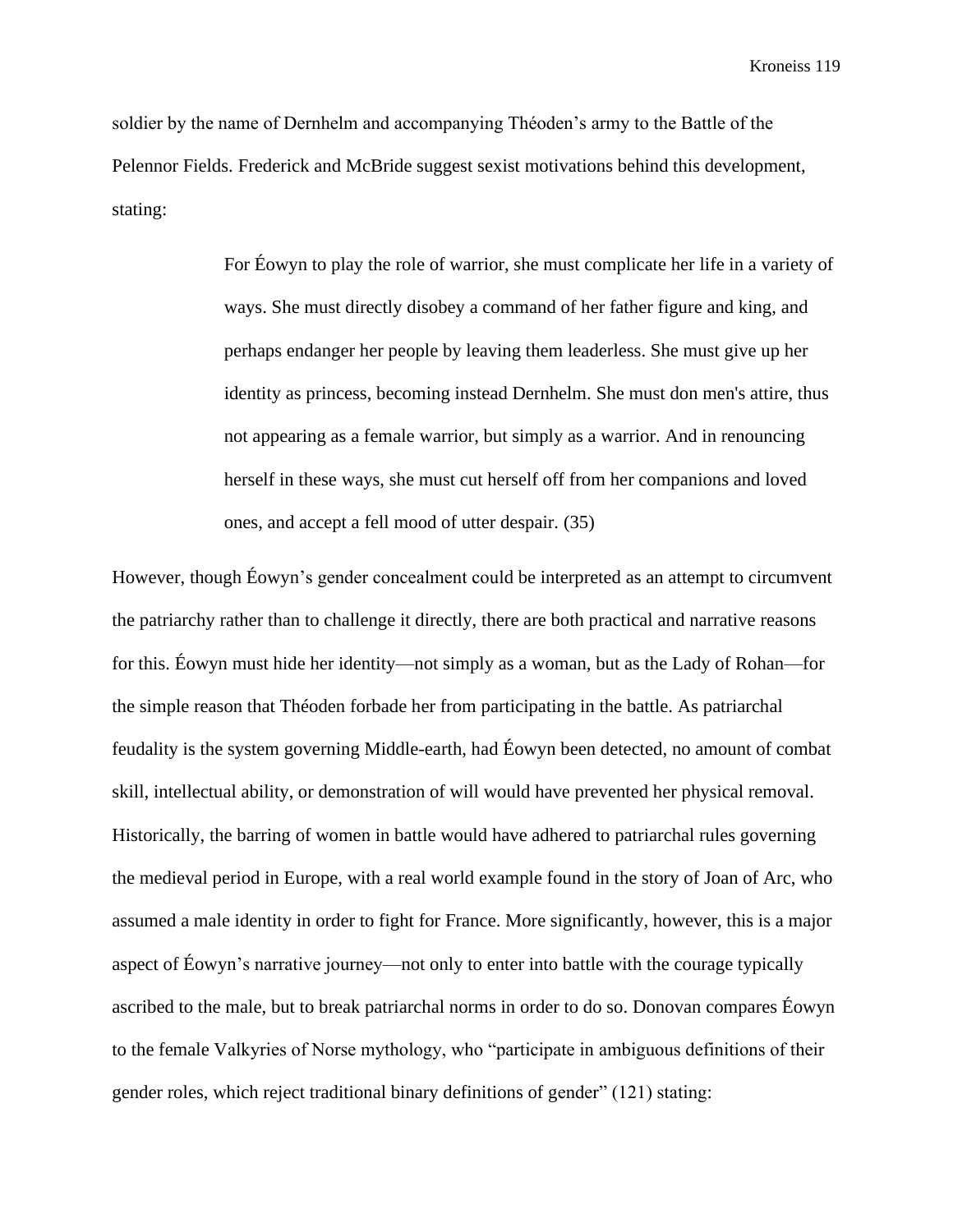soldier by the name of Dernhelm and accompanying Théoden's army to the Battle of the Pelennor Fields. Frederick and McBride suggest sexist motivations behind this development, stating:

> For Éowyn to play the role of warrior, she must complicate her life in a variety of ways. She must directly disobey a command of her father figure and king, and perhaps endanger her people by leaving them leaderless. She must give up her identity as princess, becoming instead Dernhelm. She must don men's attire, thus not appearing as a female warrior, but simply as a warrior. And in renouncing herself in these ways, she must cut herself off from her companions and loved ones, and accept a fell mood of utter despair. (35)

However, though Éowyn's gender concealment could be interpreted as an attempt to circumvent the patriarchy rather than to challenge it directly, there are both practical and narrative reasons for this. Éowyn must hide her identity—not simply as a woman, but as the Lady of Rohan—for the simple reason that Théoden forbade her from participating in the battle. As patriarchal feudality is the system governing Middle-earth, had Éowyn been detected, no amount of combat skill, intellectual ability, or demonstration of will would have prevented her physical removal. Historically, the barring of women in battle would have adhered to patriarchal rules governing the medieval period in Europe, with a real world example found in the story of Joan of Arc, who assumed a male identity in order to fight for France. More significantly, however, this is a major aspect of Éowyn's narrative journey—not only to enter into battle with the courage typically ascribed to the male, but to break patriarchal norms in order to do so. Donovan compares Éowyn to the female Valkyries of Norse mythology, who "participate in ambiguous definitions of their gender roles, which reject traditional binary definitions of gender" (121) stating: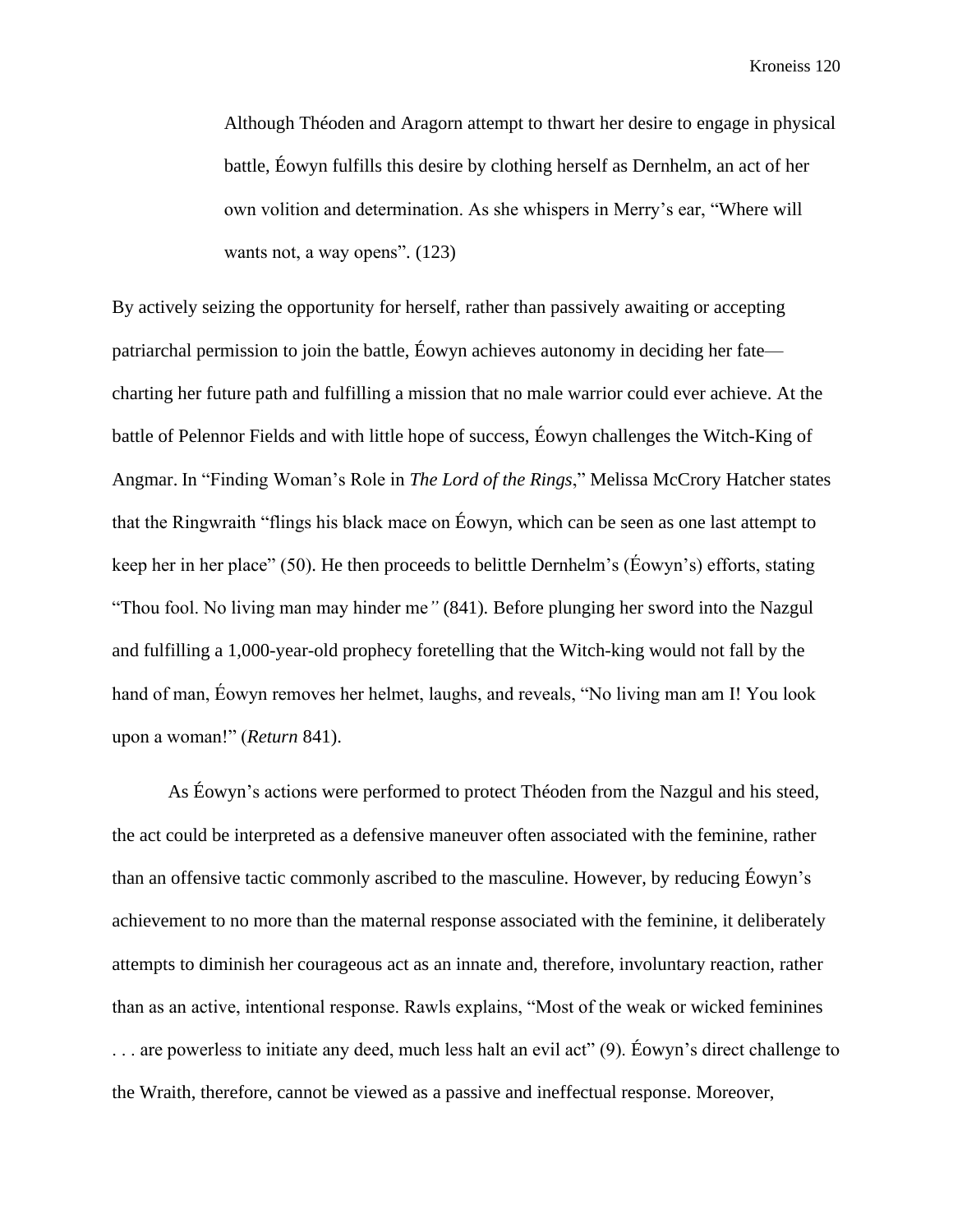Although Théoden and Aragorn attempt to thwart her desire to engage in physical battle, Éowyn fulfills this desire by clothing herself as Dernhelm, an act of her own volition and determination. As she whispers in Merry's ear, "Where will wants not, a way opens".  $(123)$ 

By actively seizing the opportunity for herself, rather than passively awaiting or accepting patriarchal permission to join the battle, Éowyn achieves autonomy in deciding her fate charting her future path and fulfilling a mission that no male warrior could ever achieve. At the battle of Pelennor Fields and with little hope of success, Éowyn challenges the Witch-King of Angmar. In "Finding Woman's Role in *The Lord of the Rings*," Melissa McCrory Hatcher states that the Ringwraith "flings his black mace on Éowyn, which can be seen as one last attempt to keep her in her place" (50). He then proceeds to belittle Dernhelm's (Éowyn's) efforts, stating "Thou fool. No living man may hinder me*"* (841). Before plunging her sword into the Nazgul and fulfilling a 1,000-year-old prophecy foretelling that the Witch-king would not fall by the hand of man, Éowyn removes her helmet, laughs, and reveals, "No living man am I! You look upon a woman!" (*Return* 841).

As Éowyn's actions were performed to protect Théoden from the Nazgul and his steed, the act could be interpreted as a defensive maneuver often associated with the feminine, rather than an offensive tactic commonly ascribed to the masculine. However, by reducing Éowyn's achievement to no more than the maternal response associated with the feminine, it deliberately attempts to diminish her courageous act as an innate and, therefore, involuntary reaction, rather than as an active, intentional response. Rawls explains, "Most of the weak or wicked feminines . . . are powerless to initiate any deed, much less halt an evil act" (9). Éowyn's direct challenge to the Wraith, therefore, cannot be viewed as a passive and ineffectual response. Moreover,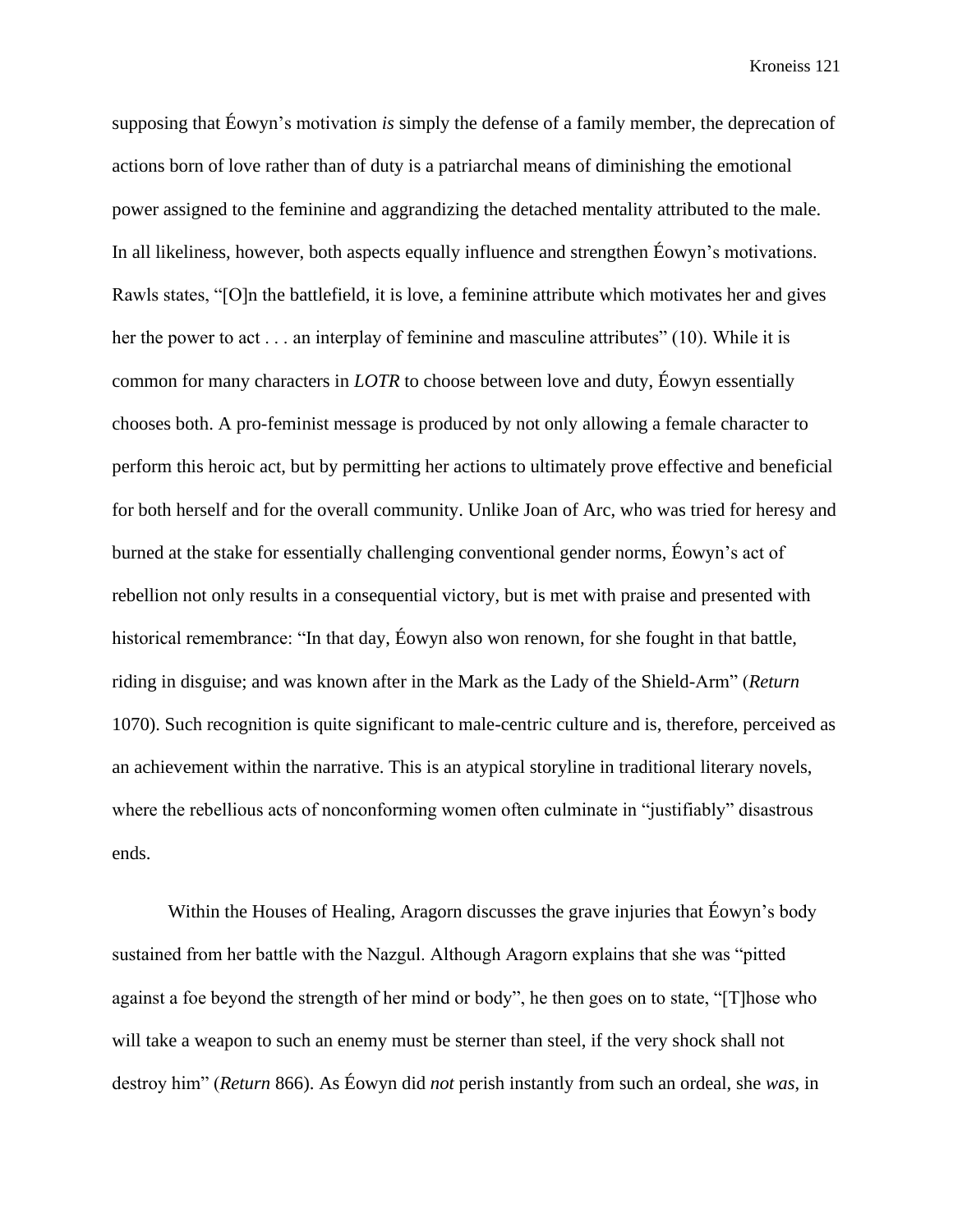supposing that Éowyn's motivation *is* simply the defense of a family member, the deprecation of actions born of love rather than of duty is a patriarchal means of diminishing the emotional power assigned to the feminine and aggrandizing the detached mentality attributed to the male. In all likeliness, however, both aspects equally influence and strengthen Éowyn's motivations. Rawls states, "[O]n the battlefield, it is love, a feminine attribute which motivates her and gives her the power to act . . . an interplay of feminine and masculine attributes" (10). While it is common for many characters in *LOTR* to choose between love and duty, Éowyn essentially chooses both. A pro-feminist message is produced by not only allowing a female character to perform this heroic act, but by permitting her actions to ultimately prove effective and beneficial for both herself and for the overall community. Unlike Joan of Arc, who was tried for heresy and burned at the stake for essentially challenging conventional gender norms, Éowyn's act of rebellion not only results in a consequential victory, but is met with praise and presented with historical remembrance: "In that day, Éowyn also won renown, for she fought in that battle, riding in disguise; and was known after in the Mark as the Lady of the Shield-Arm" (*Return* 1070). Such recognition is quite significant to male-centric culture and is, therefore, perceived as an achievement within the narrative. This is an atypical storyline in traditional literary novels, where the rebellious acts of nonconforming women often culminate in "justifiably" disastrous ends.

Within the Houses of Healing, Aragorn discusses the grave injuries that Éowyn's body sustained from her battle with the Nazgul. Although Aragorn explains that she was "pitted against a foe beyond the strength of her mind or body", he then goes on to state, "[T]hose who will take a weapon to such an enemy must be sterner than steel, if the very shock shall not destroy him" (*Return* 866). As Éowyn did *not* perish instantly from such an ordeal, she *was*, in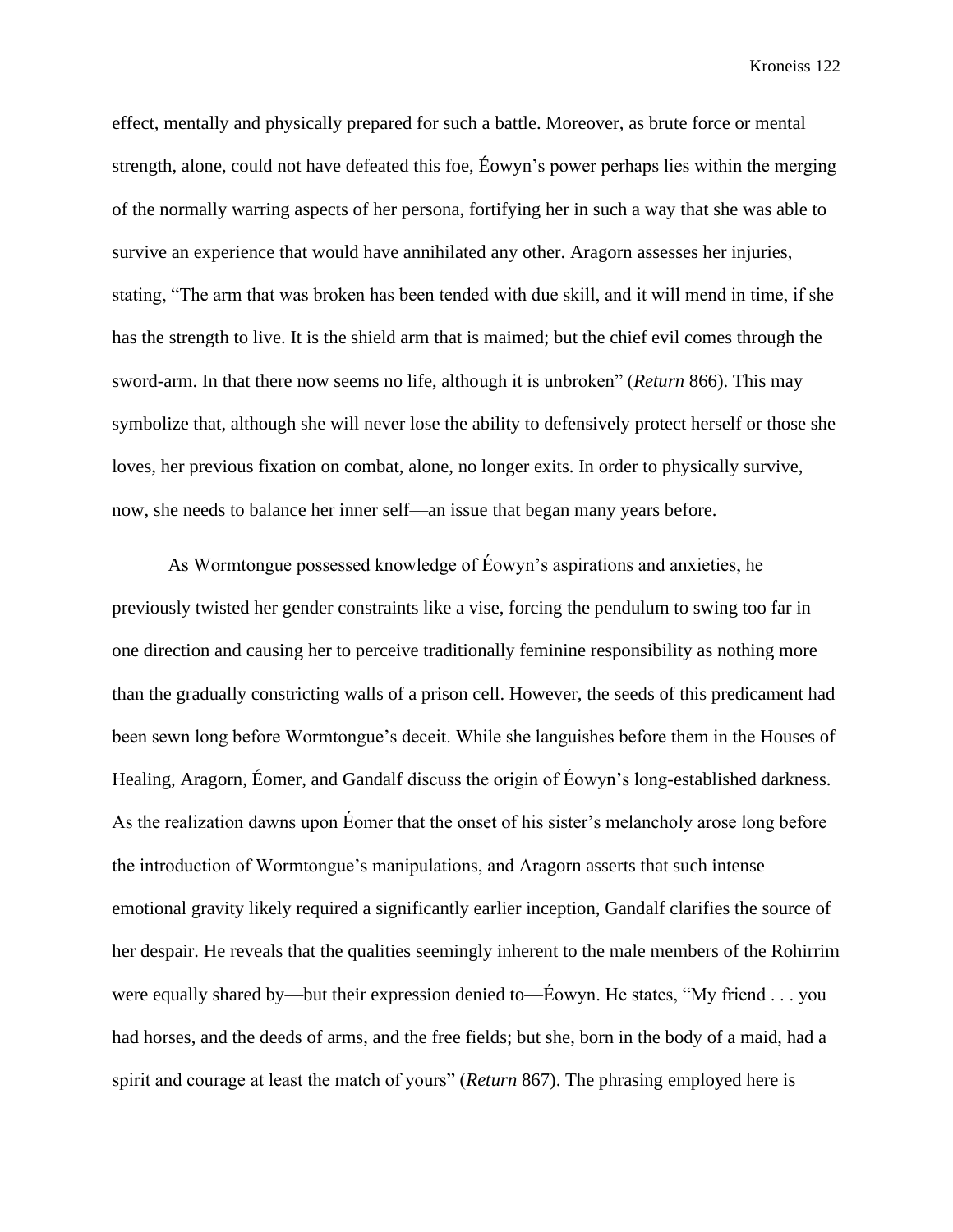effect, mentally and physically prepared for such a battle. Moreover, as brute force or mental strength, alone, could not have defeated this foe, Éowyn's power perhaps lies within the merging of the normally warring aspects of her persona, fortifying her in such a way that she was able to survive an experience that would have annihilated any other. Aragorn assesses her injuries, stating, "The arm that was broken has been tended with due skill, and it will mend in time, if she has the strength to live. It is the shield arm that is maimed; but the chief evil comes through the sword-arm. In that there now seems no life, although it is unbroken" (*Return* 866). This may symbolize that, although she will never lose the ability to defensively protect herself or those she loves, her previous fixation on combat, alone, no longer exits. In order to physically survive, now, she needs to balance her inner self—an issue that began many years before.

As Wormtongue possessed knowledge of Éowyn's aspirations and anxieties, he previously twisted her gender constraints like a vise, forcing the pendulum to swing too far in one direction and causing her to perceive traditionally feminine responsibility as nothing more than the gradually constricting walls of a prison cell. However, the seeds of this predicament had been sewn long before Wormtongue's deceit. While she languishes before them in the Houses of Healing, Aragorn, Éomer, and Gandalf discuss the origin of Éowyn's long-established darkness. As the realization dawns upon Éomer that the onset of his sister's melancholy arose long before the introduction of Wormtongue's manipulations, and Aragorn asserts that such intense emotional gravity likely required a significantly earlier inception, Gandalf clarifies the source of her despair. He reveals that the qualities seemingly inherent to the male members of the Rohirrim were equally shared by—but their expression denied to—Éowyn. He states, "My friend . . . you had horses, and the deeds of arms, and the free fields; but she, born in the body of a maid, had a spirit and courage at least the match of yours" (*Return* 867). The phrasing employed here is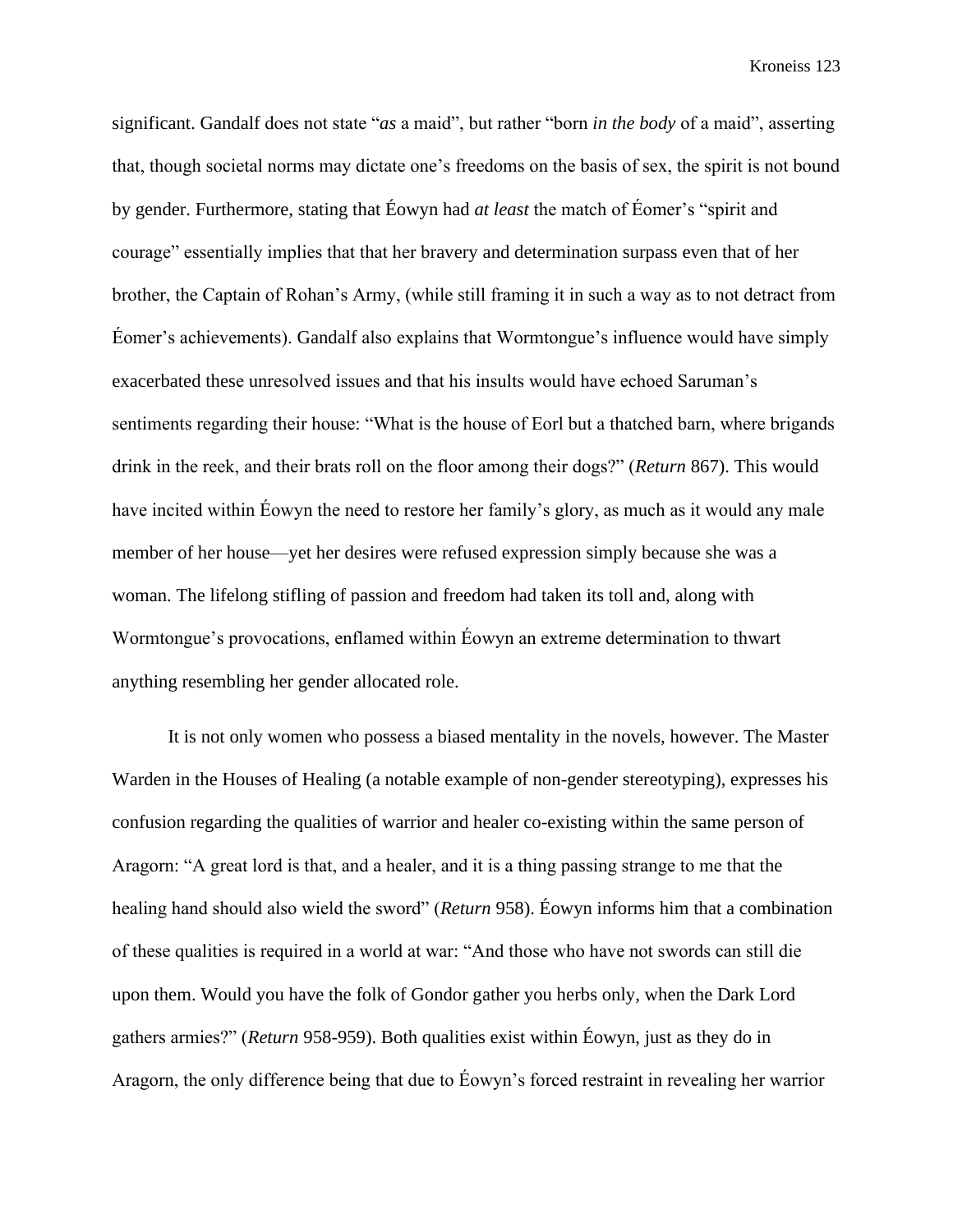significant. Gandalf does not state "*as* a maid", but rather "born *in the body* of a maid", asserting that, though societal norms may dictate one's freedoms on the basis of sex, the spirit is not bound by gender. Furthermore, stating that Éowyn had *at least* the match of Éomer's "spirit and courage" essentially implies that that her bravery and determination surpass even that of her brother, the Captain of Rohan's Army, (while still framing it in such a way as to not detract from Éomer's achievements). Gandalf also explains that Wormtongue's influence would have simply exacerbated these unresolved issues and that his insults would have echoed Saruman's sentiments regarding their house: "What is the house of Eorl but a thatched barn, where brigands drink in the reek, and their brats roll on the floor among their dogs?" (*Return* 867). This would have incited within Éowyn the need to restore her family's glory, as much as it would any male member of her house—yet her desires were refused expression simply because she was a woman. The lifelong stifling of passion and freedom had taken its toll and, along with Wormtongue's provocations, enflamed within Éowyn an extreme determination to thwart anything resembling her gender allocated role.

It is not only women who possess a biased mentality in the novels, however. The Master Warden in the Houses of Healing (a notable example of non-gender stereotyping), expresses his confusion regarding the qualities of warrior and healer co-existing within the same person of Aragorn: "A great lord is that, and a healer, and it is a thing passing strange to me that the healing hand should also wield the sword" (*Return* 958). Éowyn informs him that a combination of these qualities is required in a world at war: "And those who have not swords can still die upon them. Would you have the folk of Gondor gather you herbs only, when the Dark Lord gathers armies?" (*Return* 958-959). Both qualities exist within Éowyn, just as they do in Aragorn, the only difference being that due to Éowyn's forced restraint in revealing her warrior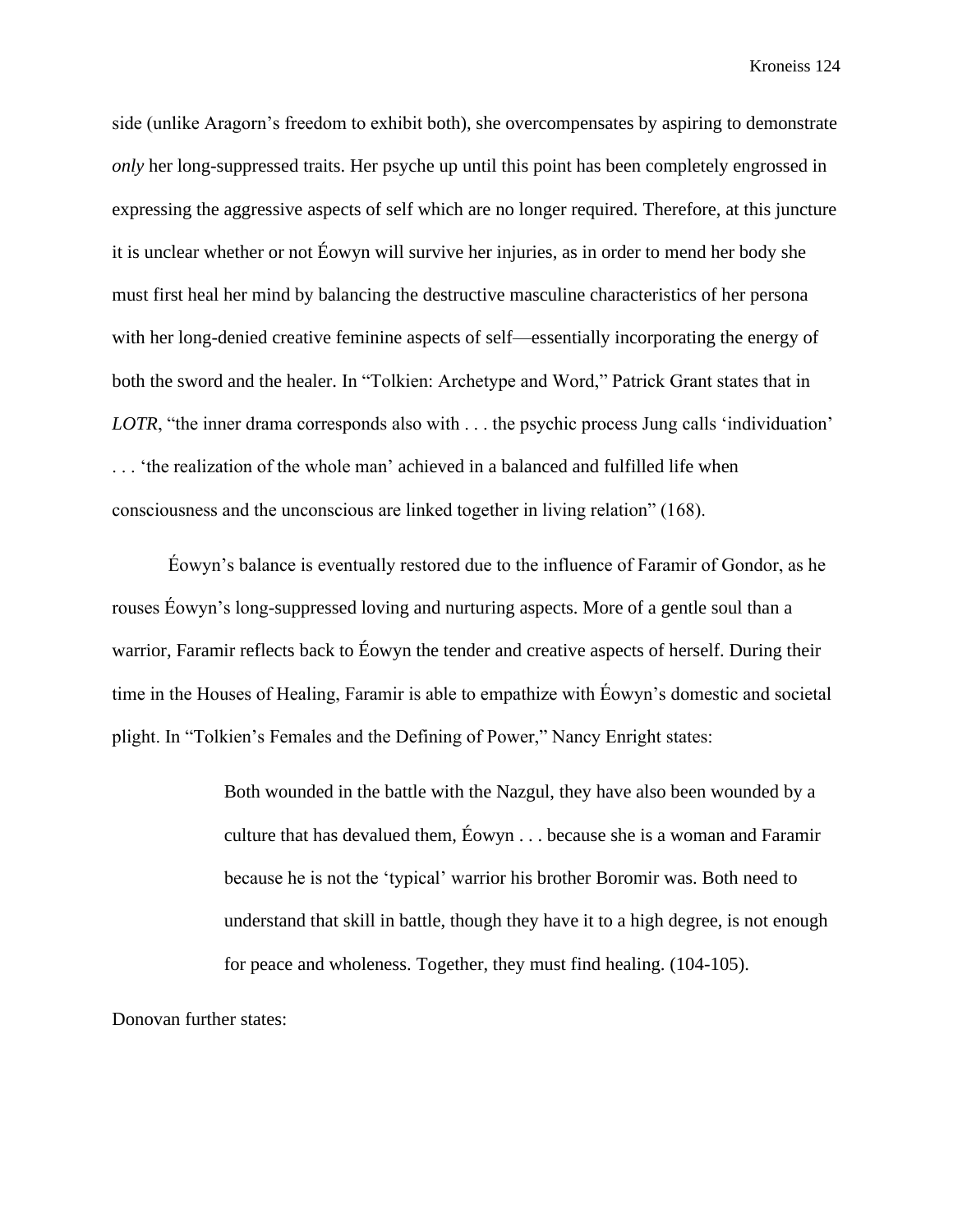side (unlike Aragorn's freedom to exhibit both), she overcompensates by aspiring to demonstrate *only* her long-suppressed traits. Her psyche up until this point has been completely engrossed in expressing the aggressive aspects of self which are no longer required. Therefore, at this juncture it is unclear whether or not Éowyn will survive her injuries, as in order to mend her body she must first heal her mind by balancing the destructive masculine characteristics of her persona with her long-denied creative feminine aspects of self—essentially incorporating the energy of both the sword and the healer. In "Tolkien: Archetype and Word," Patrick Grant states that in *LOTR*, "the inner drama corresponds also with . . . the psychic process Jung calls 'individuation' . . . 'the realization of the whole man' achieved in a balanced and fulfilled life when consciousness and the unconscious are linked together in living relation" (168).

Éowyn's balance is eventually restored due to the influence of Faramir of Gondor, as he rouses Éowyn's long-suppressed loving and nurturing aspects. More of a gentle soul than a warrior, Faramir reflects back to Éowyn the tender and creative aspects of herself. During their time in the Houses of Healing, Faramir is able to empathize with Éowyn's domestic and societal plight. In "Tolkien's Females and the Defining of Power," Nancy Enright states:

> Both wounded in the battle with the Nazgul, they have also been wounded by a culture that has devalued them, Éowyn . . . because she is a woman and Faramir because he is not the 'typical' warrior his brother Boromir was. Both need to understand that skill in battle, though they have it to a high degree, is not enough for peace and wholeness. Together, they must find healing. (104-105).

Donovan further states: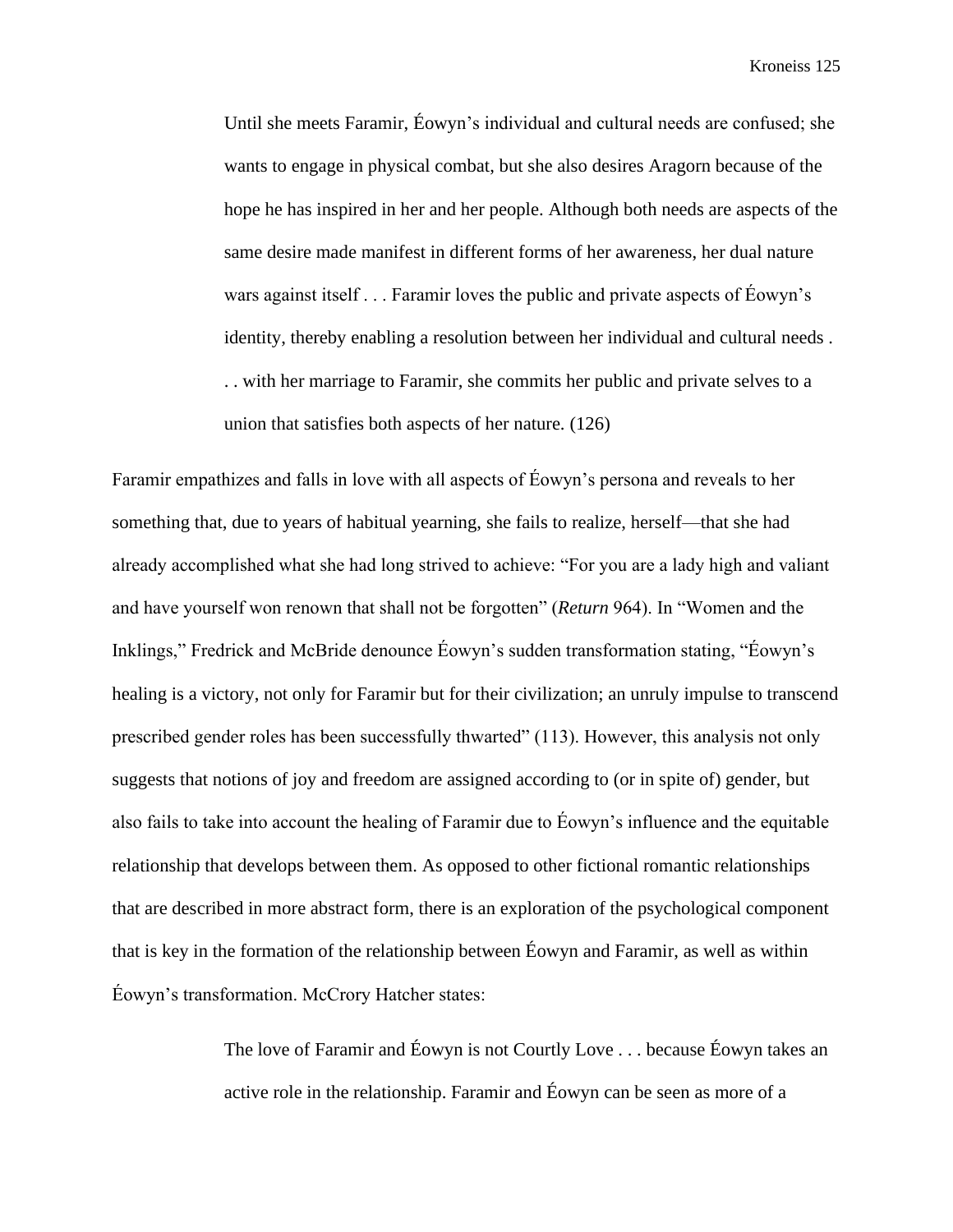Until she meets Faramir, Éowyn's individual and cultural needs are confused; she wants to engage in physical combat, but she also desires Aragorn because of the hope he has inspired in her and her people. Although both needs are aspects of the same desire made manifest in different forms of her awareness, her dual nature wars against itself . . . Faramir loves the public and private aspects of Éowyn's identity, thereby enabling a resolution between her individual and cultural needs . . . with her marriage to Faramir, she commits her public and private selves to a union that satisfies both aspects of her nature. (126)

Faramir empathizes and falls in love with all aspects of Éowyn's persona and reveals to her something that, due to years of habitual yearning, she fails to realize, herself—that she had already accomplished what she had long strived to achieve: "For you are a lady high and valiant and have yourself won renown that shall not be forgotten" (*Return* 964). In "Women and the Inklings," Fredrick and McBride denounce Éowyn's sudden transformation stating, "Éowyn's healing is a victory, not only for Faramir but for their civilization; an unruly impulse to transcend prescribed gender roles has been successfully thwarted" (113). However, this analysis not only suggests that notions of joy and freedom are assigned according to (or in spite of) gender, but also fails to take into account the healing of Faramir due to Éowyn's influence and the equitable relationship that develops between them. As opposed to other fictional romantic relationships that are described in more abstract form, there is an exploration of the psychological component that is key in the formation of the relationship between Éowyn and Faramir, as well as within Éowyn's transformation. McCrory Hatcher states:

> The love of Faramir and Éowyn is not Courtly Love . . . because Éowyn takes an active role in the relationship. Faramir and Éowyn can be seen as more of a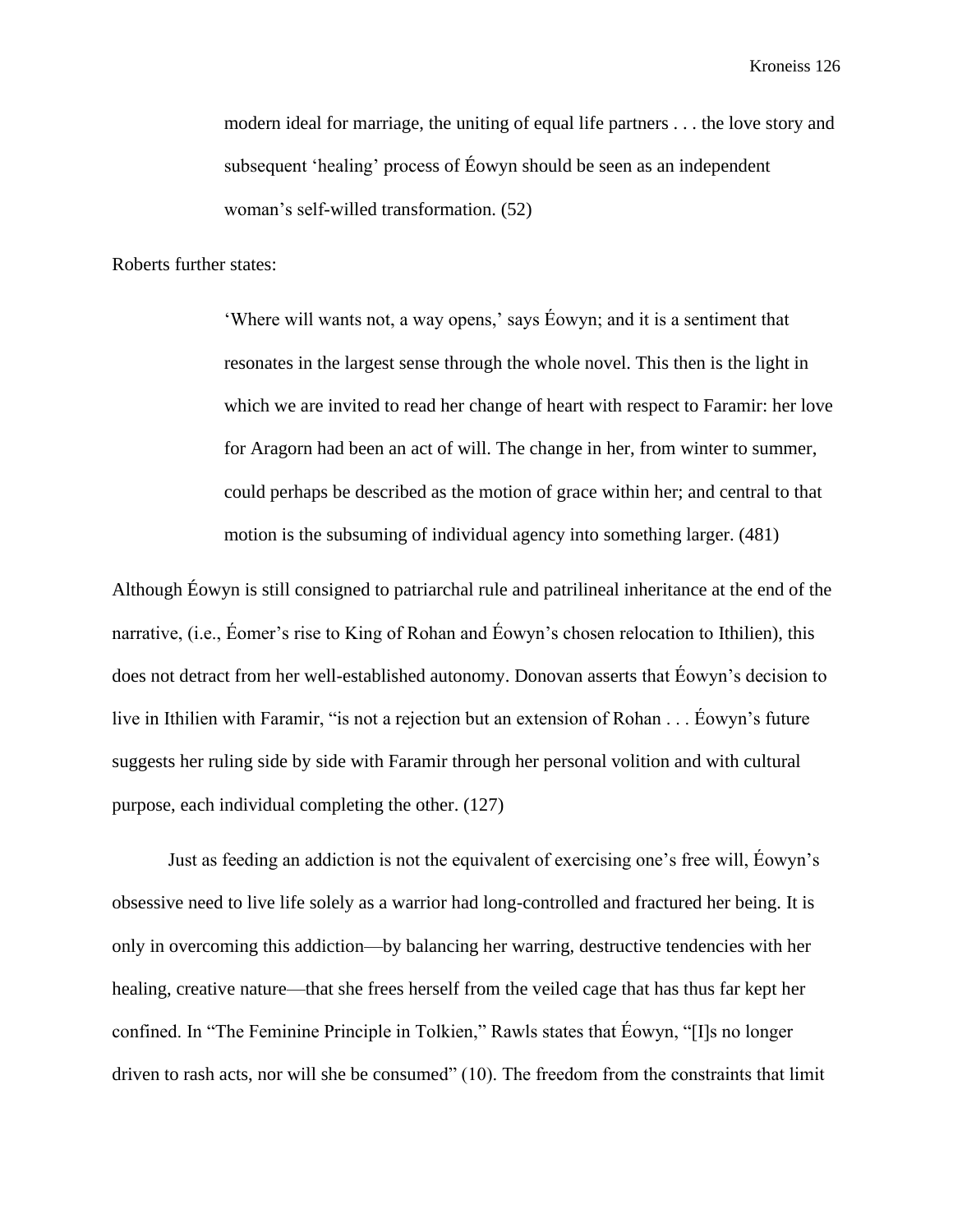modern ideal for marriage, the uniting of equal life partners . . . the love story and subsequent 'healing' process of Éowyn should be seen as an independent woman's self-willed transformation. (52)

Roberts further states:

'Where will wants not, a way opens,' says Éowyn; and it is a sentiment that resonates in the largest sense through the whole novel. This then is the light in which we are invited to read her change of heart with respect to Faramir: her love for Aragorn had been an act of will. The change in her, from winter to summer, could perhaps be described as the motion of grace within her; and central to that motion is the subsuming of individual agency into something larger. (481)

Although Éowyn is still consigned to patriarchal rule and patrilineal inheritance at the end of the narrative, (i.e., Éomer's rise to King of Rohan and Éowyn's chosen relocation to Ithilien), this does not detract from her well-established autonomy. Donovan asserts that Éowyn's decision to live in Ithilien with Faramir, "is not a rejection but an extension of Rohan . . . Éowyn's future suggests her ruling side by side with Faramir through her personal volition and with cultural purpose, each individual completing the other. (127)

Just as feeding an addiction is not the equivalent of exercising one's free will, Éowyn's obsessive need to live life solely as a warrior had long-controlled and fractured her being. It is only in overcoming this addiction—by balancing her warring, destructive tendencies with her healing, creative nature—that she frees herself from the veiled cage that has thus far kept her confined. In "The Feminine Principle in Tolkien," Rawls states that Éowyn, "[I]s no longer driven to rash acts, nor will she be consumed" (10). The freedom from the constraints that limit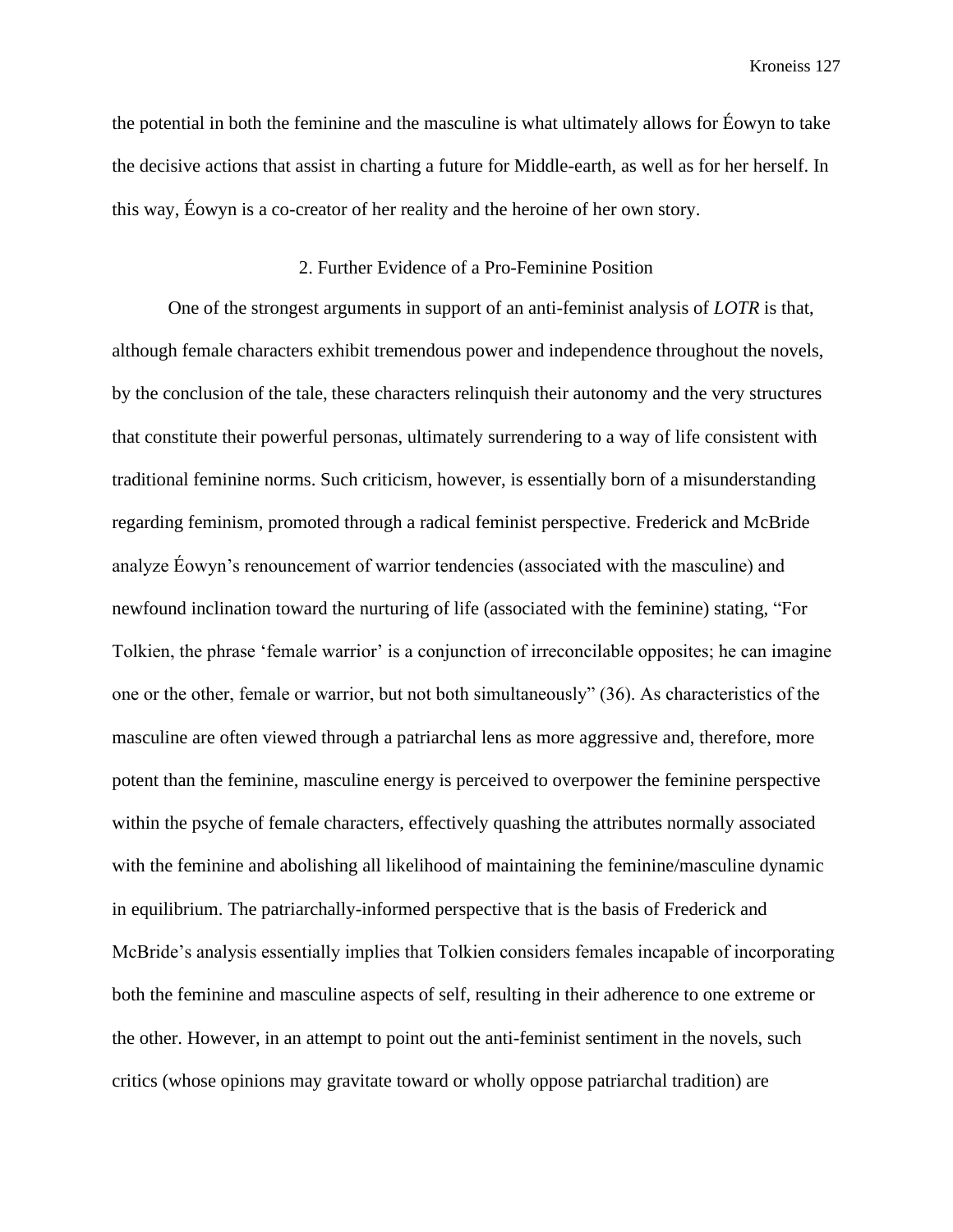the potential in both the feminine and the masculine is what ultimately allows for Éowyn to take the decisive actions that assist in charting a future for Middle-earth, as well as for her herself. In this way, Éowyn is a co-creator of her reality and the heroine of her own story.

## 2. Further Evidence of a Pro-Feminine Position

One of the strongest arguments in support of an anti-feminist analysis of *LOTR* is that, although female characters exhibit tremendous power and independence throughout the novels, by the conclusion of the tale, these characters relinquish their autonomy and the very structures that constitute their powerful personas, ultimately surrendering to a way of life consistent with traditional feminine norms. Such criticism, however, is essentially born of a misunderstanding regarding feminism, promoted through a radical feminist perspective. Frederick and McBride analyze Éowyn's renouncement of warrior tendencies (associated with the masculine) and newfound inclination toward the nurturing of life (associated with the feminine) stating, "For Tolkien, the phrase 'female warrior' is a conjunction of irreconcilable opposites; he can imagine one or the other, female or warrior, but not both simultaneously" (36). As characteristics of the masculine are often viewed through a patriarchal lens as more aggressive and, therefore, more potent than the feminine, masculine energy is perceived to overpower the feminine perspective within the psyche of female characters, effectively quashing the attributes normally associated with the feminine and abolishing all likelihood of maintaining the feminine/masculine dynamic in equilibrium. The patriarchally-informed perspective that is the basis of Frederick and McBride's analysis essentially implies that Tolkien considers females incapable of incorporating both the feminine and masculine aspects of self, resulting in their adherence to one extreme or the other. However, in an attempt to point out the anti-feminist sentiment in the novels, such critics (whose opinions may gravitate toward or wholly oppose patriarchal tradition) are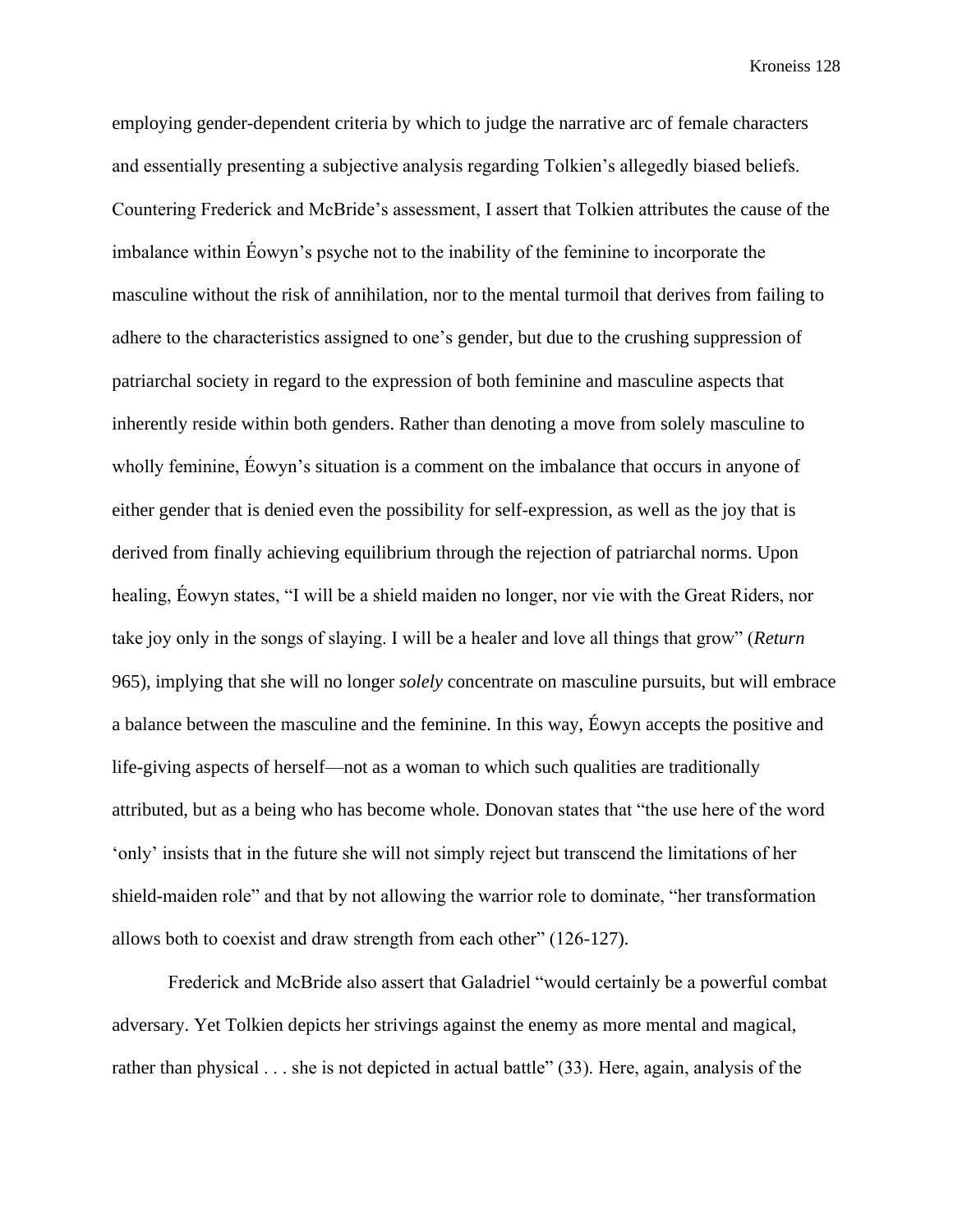employing gender-dependent criteria by which to judge the narrative arc of female characters and essentially presenting a subjective analysis regarding Tolkien's allegedly biased beliefs. Countering Frederick and McBride's assessment, I assert that Tolkien attributes the cause of the imbalance within Éowyn's psyche not to the inability of the feminine to incorporate the masculine without the risk of annihilation, nor to the mental turmoil that derives from failing to adhere to the characteristics assigned to one's gender, but due to the crushing suppression of patriarchal society in regard to the expression of both feminine and masculine aspects that inherently reside within both genders. Rather than denoting a move from solely masculine to wholly feminine, Éowyn's situation is a comment on the imbalance that occurs in anyone of either gender that is denied even the possibility for self-expression, as well as the joy that is derived from finally achieving equilibrium through the rejection of patriarchal norms. Upon healing, Éowyn states, "I will be a shield maiden no longer, nor vie with the Great Riders, nor take joy only in the songs of slaying. I will be a healer and love all things that grow" (*Return*  965), implying that she will no longer *solely* concentrate on masculine pursuits, but will embrace a balance between the masculine and the feminine. In this way, Éowyn accepts the positive and life-giving aspects of herself—not as a woman to which such qualities are traditionally attributed, but as a being who has become whole. Donovan states that "the use here of the word 'only' insists that in the future she will not simply reject but transcend the limitations of her shield-maiden role" and that by not allowing the warrior role to dominate, "her transformation allows both to coexist and draw strength from each other" (126-127).

Frederick and McBride also assert that Galadriel "would certainly be a powerful combat adversary. Yet Tolkien depicts her strivings against the enemy as more mental and magical, rather than physical . . . she is not depicted in actual battle" (33). Here, again, analysis of the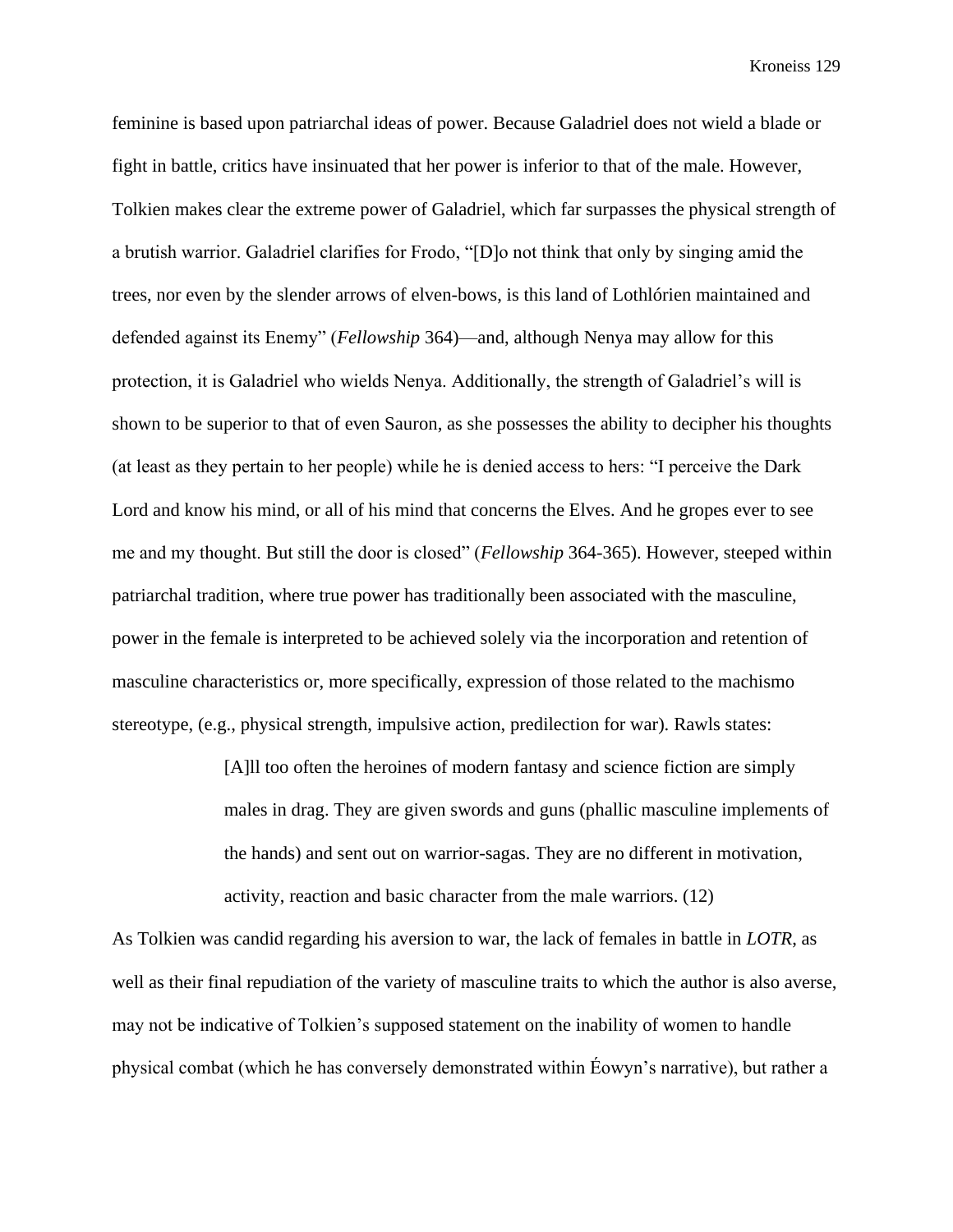feminine is based upon patriarchal ideas of power. Because Galadriel does not wield a blade or fight in battle, critics have insinuated that her power is inferior to that of the male. However, Tolkien makes clear the extreme power of Galadriel, which far surpasses the physical strength of a brutish warrior. Galadriel clarifies for Frodo, "[D]o not think that only by singing amid the trees, nor even by the slender arrows of elven-bows, is this land of Lothlórien maintained and defended against its Enemy" (*Fellowship* 364)—and, although Nenya may allow for this protection, it is Galadriel who wields Nenya. Additionally, the strength of Galadriel's will is shown to be superior to that of even Sauron, as she possesses the ability to decipher his thoughts (at least as they pertain to her people) while he is denied access to hers: "I perceive the Dark Lord and know his mind, or all of his mind that concerns the Elves. And he gropes ever to see me and my thought. But still the door is closed" (*Fellowship* 364-365). However, steeped within patriarchal tradition, where true power has traditionally been associated with the masculine, power in the female is interpreted to be achieved solely via the incorporation and retention of masculine characteristics or, more specifically, expression of those related to the machismo stereotype, (e.g., physical strength, impulsive action, predilection for war). Rawls states:

> [A]ll too often the heroines of modern fantasy and science fiction are simply males in drag. They are given swords and guns (phallic masculine implements of the hands) and sent out on warrior-sagas. They are no different in motivation, activity, reaction and basic character from the male warriors. (12)

As Tolkien was candid regarding his aversion to war, the lack of females in battle in *LOTR*, as well as their final repudiation of the variety of masculine traits to which the author is also averse, may not be indicative of Tolkien's supposed statement on the inability of women to handle physical combat (which he has conversely demonstrated within Éowyn's narrative), but rather a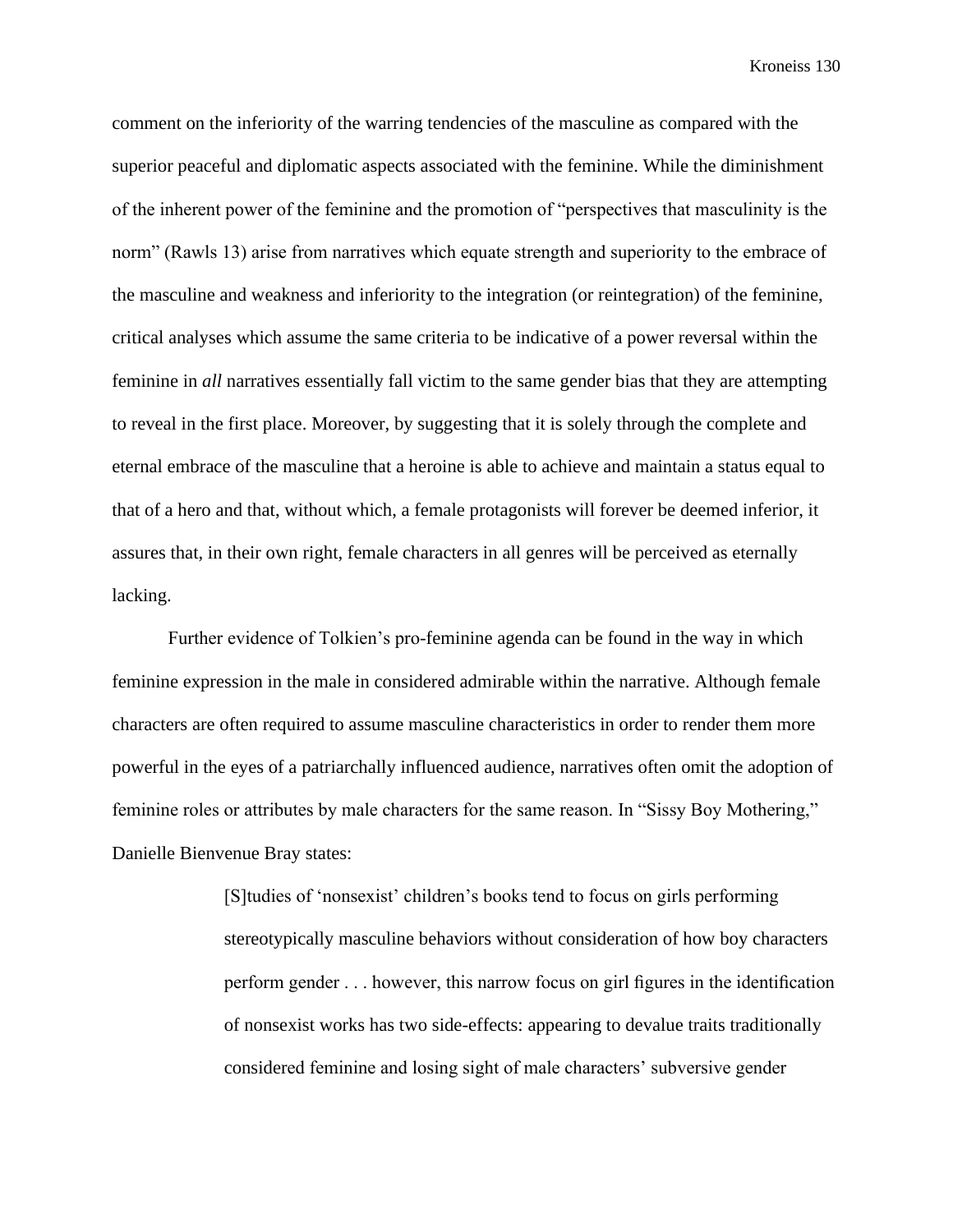comment on the inferiority of the warring tendencies of the masculine as compared with the superior peaceful and diplomatic aspects associated with the feminine. While the diminishment of the inherent power of the feminine and the promotion of "perspectives that masculinity is the norm" (Rawls 13) arise from narratives which equate strength and superiority to the embrace of the masculine and weakness and inferiority to the integration (or reintegration) of the feminine, critical analyses which assume the same criteria to be indicative of a power reversal within the feminine in *all* narratives essentially fall victim to the same gender bias that they are attempting to reveal in the first place. Moreover, by suggesting that it is solely through the complete and eternal embrace of the masculine that a heroine is able to achieve and maintain a status equal to that of a hero and that, without which, a female protagonists will forever be deemed inferior, it assures that, in their own right, female characters in all genres will be perceived as eternally lacking.

Further evidence of Tolkien's pro-feminine agenda can be found in the way in which feminine expression in the male in considered admirable within the narrative. Although female characters are often required to assume masculine characteristics in order to render them more powerful in the eyes of a patriarchally influenced audience, narratives often omit the adoption of feminine roles or attributes by male characters for the same reason. In "Sissy Boy Mothering," Danielle Bienvenue Bray states:

> [S]tudies of 'nonsexist' children's books tend to focus on girls performing stereotypically masculine behaviors without consideration of how boy characters perform gender . . . however, this narrow focus on girl figures in the identification of nonsexist works has two side-effects: appearing to devalue traits traditionally considered feminine and losing sight of male characters' subversive gender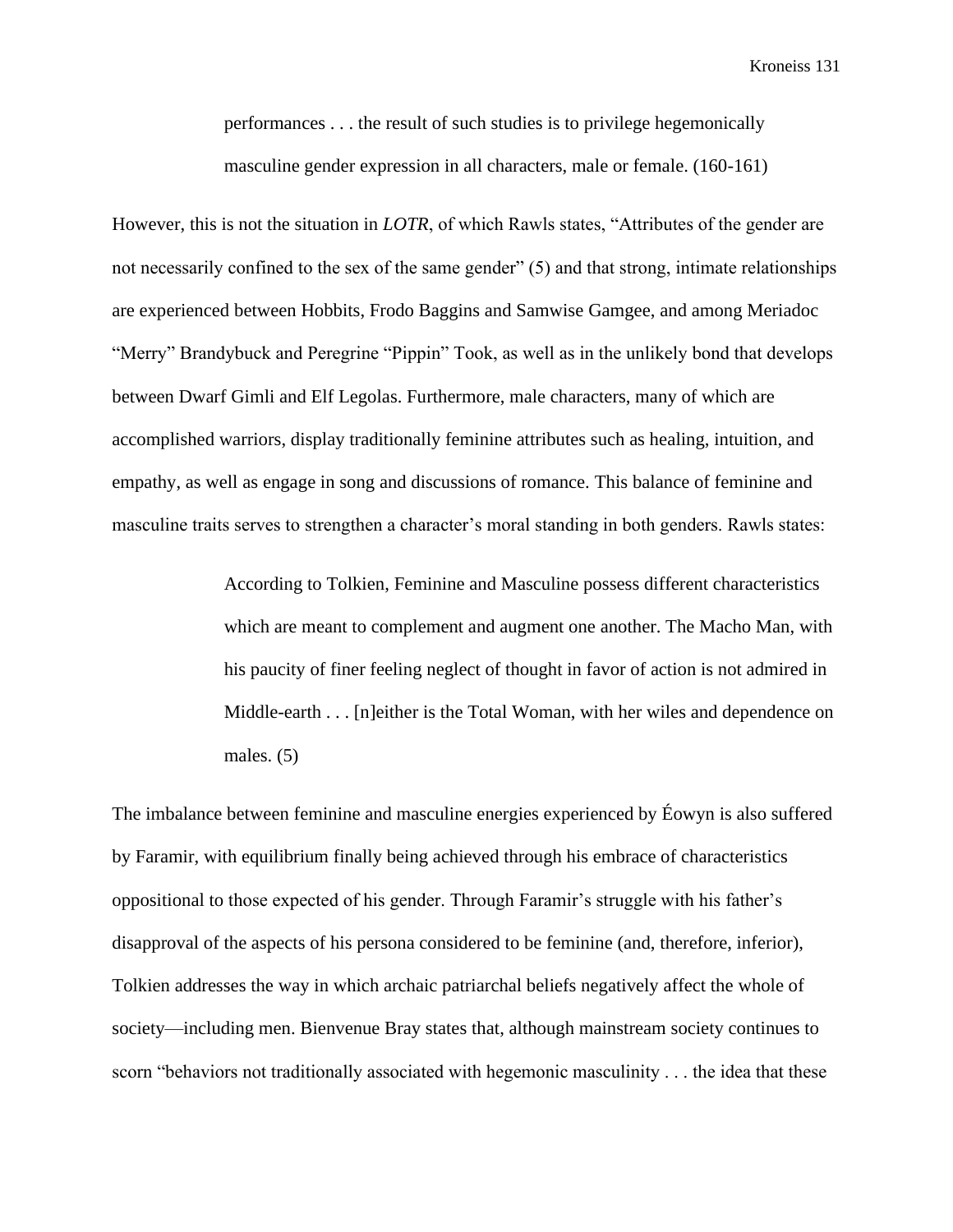performances . . . the result of such studies is to privilege hegemonically masculine gender expression in all characters, male or female. (160-161)

However, this is not the situation in *LOTR*, of which Rawls states, "Attributes of the gender are not necessarily confined to the sex of the same gender" (5) and that strong, intimate relationships are experienced between Hobbits, Frodo Baggins and Samwise Gamgee, and among Meriadoc "Merry" Brandybuck and Peregrine "Pippin" Took, as well as in the unlikely bond that develops between Dwarf Gimli and Elf Legolas. Furthermore, male characters, many of which are accomplished warriors, display traditionally feminine attributes such as healing, intuition, and empathy, as well as engage in song and discussions of romance. This balance of feminine and masculine traits serves to strengthen a character's moral standing in both genders. Rawls states:

> According to Tolkien, Feminine and Masculine possess different characteristics which are meant to complement and augment one another. The Macho Man, with his paucity of finer feeling neglect of thought in favor of action is not admired in Middle-earth . . . [n]either is the Total Woman, with her wiles and dependence on males. (5)

The imbalance between feminine and masculine energies experienced by Éowyn is also suffered by Faramir, with equilibrium finally being achieved through his embrace of characteristics oppositional to those expected of his gender. Through Faramir's struggle with his father's disapproval of the aspects of his persona considered to be feminine (and, therefore, inferior), Tolkien addresses the way in which archaic patriarchal beliefs negatively affect the whole of society—including men. Bienvenue Bray states that, although mainstream society continues to scorn "behaviors not traditionally associated with hegemonic masculinity . . . the idea that these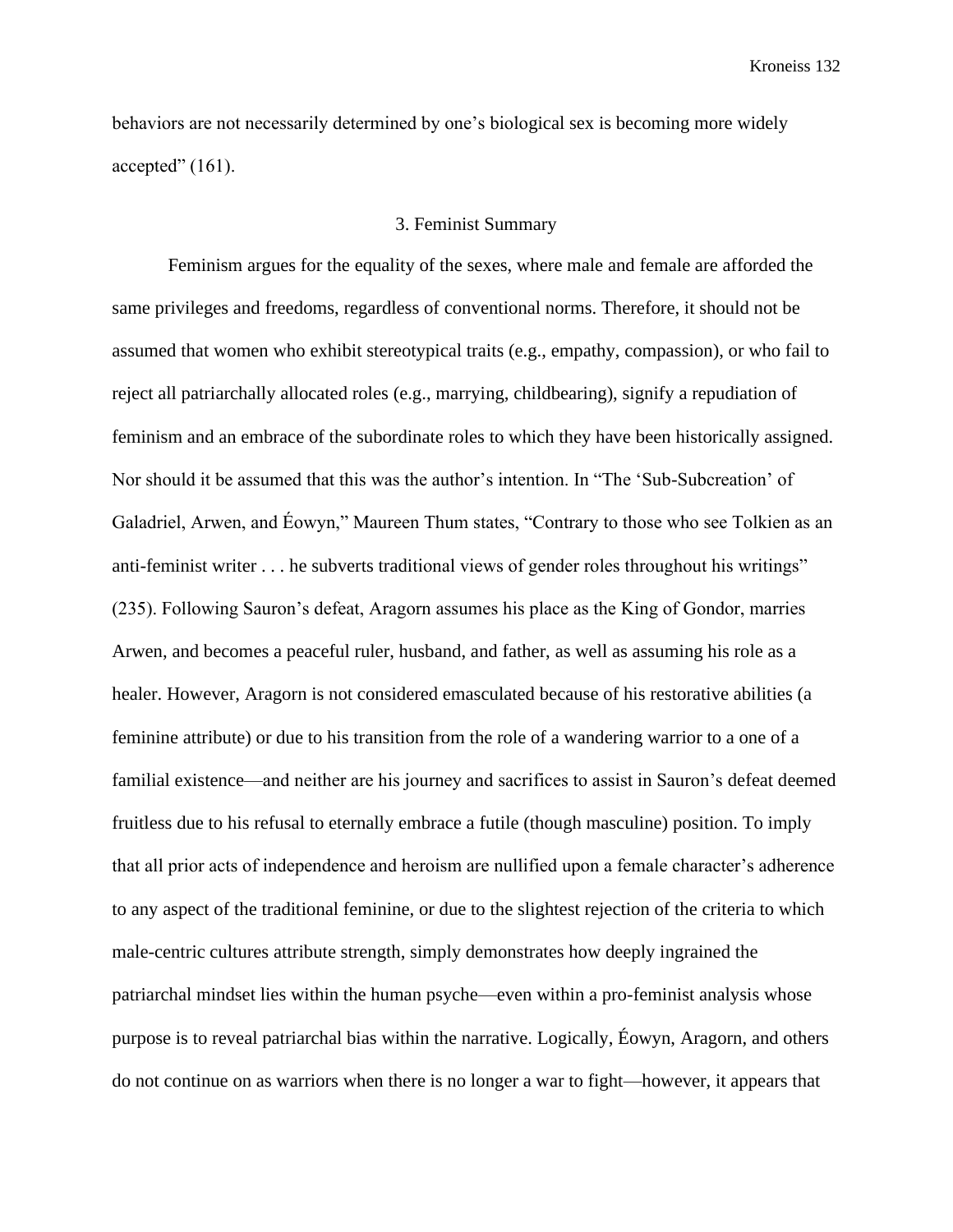behaviors are not necessarily determined by one's biological sex is becoming more widely accepted"  $(161)$ .

## 3. Feminist Summary

Feminism argues for the equality of the sexes, where male and female are afforded the same privileges and freedoms, regardless of conventional norms. Therefore, it should not be assumed that women who exhibit stereotypical traits (e.g., empathy, compassion), or who fail to reject all patriarchally allocated roles (e.g., marrying, childbearing), signify a repudiation of feminism and an embrace of the subordinate roles to which they have been historically assigned. Nor should it be assumed that this was the author's intention. In "The 'Sub-Subcreation' of Galadriel, Arwen, and Éowyn," Maureen Thum states, "Contrary to those who see Tolkien as an anti-feminist writer . . . he subverts traditional views of gender roles throughout his writings" (235). Following Sauron's defeat, Aragorn assumes his place as the King of Gondor, marries Arwen, and becomes a peaceful ruler, husband, and father, as well as assuming his role as a healer. However, Aragorn is not considered emasculated because of his restorative abilities (a feminine attribute) or due to his transition from the role of a wandering warrior to a one of a familial existence—and neither are his journey and sacrifices to assist in Sauron's defeat deemed fruitless due to his refusal to eternally embrace a futile (though masculine) position. To imply that all prior acts of independence and heroism are nullified upon a female character's adherence to any aspect of the traditional feminine, or due to the slightest rejection of the criteria to which male-centric cultures attribute strength, simply demonstrates how deeply ingrained the patriarchal mindset lies within the human psyche—even within a pro-feminist analysis whose purpose is to reveal patriarchal bias within the narrative. Logically, Éowyn, Aragorn, and others do not continue on as warriors when there is no longer a war to fight—however, it appears that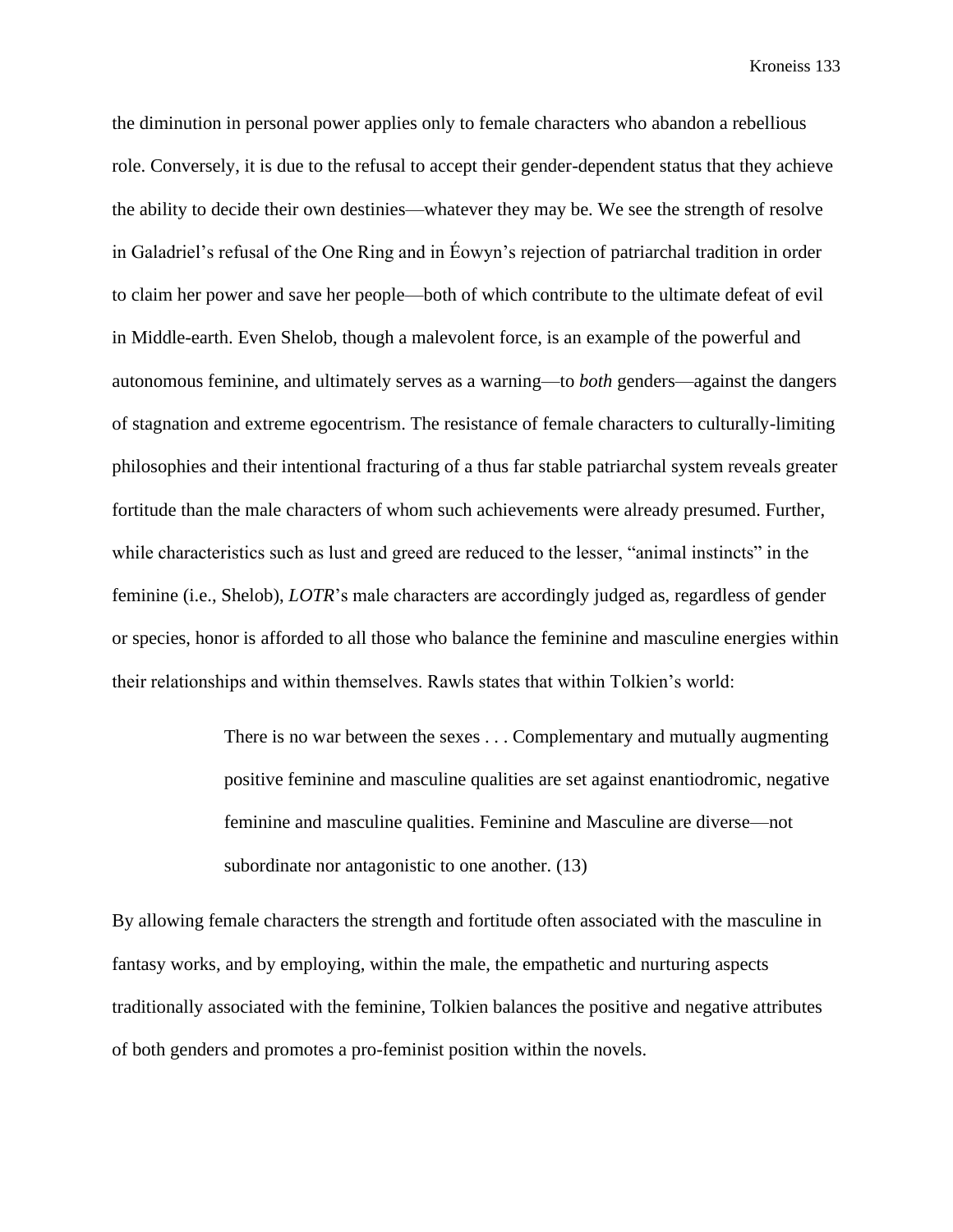the diminution in personal power applies only to female characters who abandon a rebellious role. Conversely, it is due to the refusal to accept their gender-dependent status that they achieve the ability to decide their own destinies—whatever they may be. We see the strength of resolve in Galadriel's refusal of the One Ring and in Éowyn's rejection of patriarchal tradition in order to claim her power and save her people—both of which contribute to the ultimate defeat of evil in Middle-earth. Even Shelob, though a malevolent force, is an example of the powerful and autonomous feminine, and ultimately serves as a warning—to *both* genders—against the dangers of stagnation and extreme egocentrism. The resistance of female characters to culturally-limiting philosophies and their intentional fracturing of a thus far stable patriarchal system reveals greater fortitude than the male characters of whom such achievements were already presumed. Further, while characteristics such as lust and greed are reduced to the lesser, "animal instincts" in the feminine (i.e., Shelob), *LOTR*'s male characters are accordingly judged as, regardless of gender or species, honor is afforded to all those who balance the feminine and masculine energies within their relationships and within themselves. Rawls states that within Tolkien's world:

> There is no war between the sexes . . . Complementary and mutually augmenting positive feminine and masculine qualities are set against enantiodromic, negative feminine and masculine qualities. Feminine and Masculine are diverse—not subordinate nor antagonistic to one another. (13)

By allowing female characters the strength and fortitude often associated with the masculine in fantasy works, and by employing, within the male, the empathetic and nurturing aspects traditionally associated with the feminine, Tolkien balances the positive and negative attributes of both genders and promotes a pro-feminist position within the novels.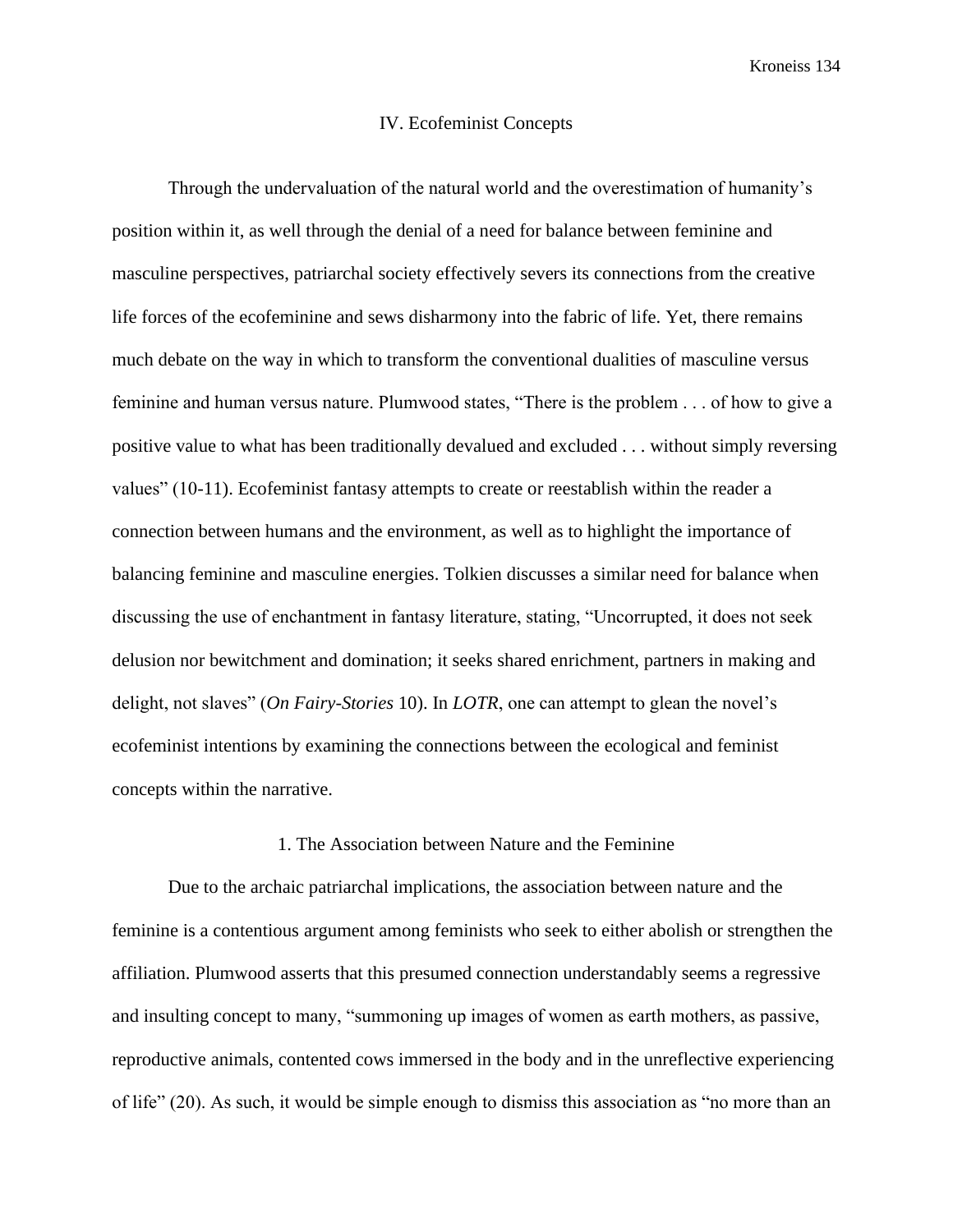#### IV. Ecofeminist Concepts

Through the undervaluation of the natural world and the overestimation of humanity's position within it, as well through the denial of a need for balance between feminine and masculine perspectives, patriarchal society effectively severs its connections from the creative life forces of the ecofeminine and sews disharmony into the fabric of life. Yet, there remains much debate on the way in which to transform the conventional dualities of masculine versus feminine and human versus nature. Plumwood states, "There is the problem . . . of how to give a positive value to what has been traditionally devalued and excluded . . . without simply reversing values" (10-11). Ecofeminist fantasy attempts to create or reestablish within the reader a connection between humans and the environment, as well as to highlight the importance of balancing feminine and masculine energies. Tolkien discusses a similar need for balance when discussing the use of enchantment in fantasy literature, stating, "Uncorrupted, it does not seek delusion nor bewitchment and domination; it seeks shared enrichment, partners in making and delight, not slaves" (*On Fairy-Stories* 10). In *LOTR*, one can attempt to glean the novel's ecofeminist intentions by examining the connections between the ecological and feminist concepts within the narrative.

#### 1. The Association between Nature and the Feminine

Due to the archaic patriarchal implications, the association between nature and the feminine is a contentious argument among feminists who seek to either abolish or strengthen the affiliation. Plumwood asserts that this presumed connection understandably seems a regressive and insulting concept to many, "summoning up images of women as earth mothers, as passive, reproductive animals, contented cows immersed in the body and in the unreflective experiencing of life" (20). As such, it would be simple enough to dismiss this association as "no more than an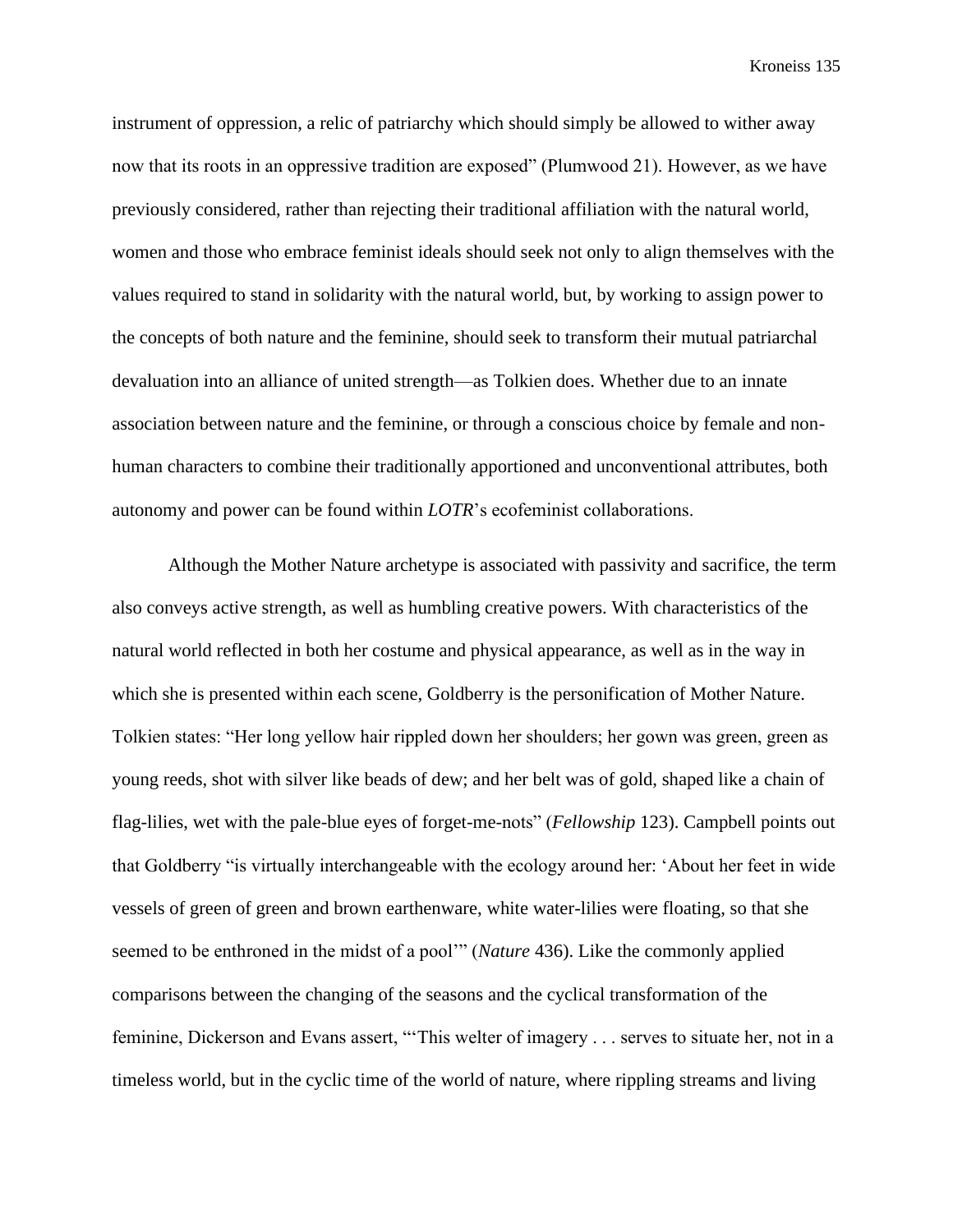instrument of oppression, a relic of patriarchy which should simply be allowed to wither away now that its roots in an oppressive tradition are exposed" (Plumwood 21). However, as we have previously considered, rather than rejecting their traditional affiliation with the natural world, women and those who embrace feminist ideals should seek not only to align themselves with the values required to stand in solidarity with the natural world, but, by working to assign power to the concepts of both nature and the feminine, should seek to transform their mutual patriarchal devaluation into an alliance of united strength—as Tolkien does. Whether due to an innate association between nature and the feminine, or through a conscious choice by female and nonhuman characters to combine their traditionally apportioned and unconventional attributes, both autonomy and power can be found within *LOTR*'s ecofeminist collaborations.

Although the Mother Nature archetype is associated with passivity and sacrifice, the term also conveys active strength, as well as humbling creative powers. With characteristics of the natural world reflected in both her costume and physical appearance, as well as in the way in which she is presented within each scene, Goldberry is the personification of Mother Nature. Tolkien states: "Her long yellow hair rippled down her shoulders; her gown was green, green as young reeds, shot with silver like beads of dew; and her belt was of gold, shaped like a chain of flag-lilies, wet with the pale-blue eyes of forget-me-nots" (*Fellowship* 123). Campbell points out that Goldberry "is virtually interchangeable with the ecology around her: 'About her feet in wide vessels of green of green and brown earthenware, white water-lilies were floating, so that she seemed to be enthroned in the midst of a pool'" (*Nature* 436). Like the commonly applied comparisons between the changing of the seasons and the cyclical transformation of the feminine, Dickerson and Evans assert, "This welter of imagery . . . serves to situate her, not in a timeless world, but in the cyclic time of the world of nature, where rippling streams and living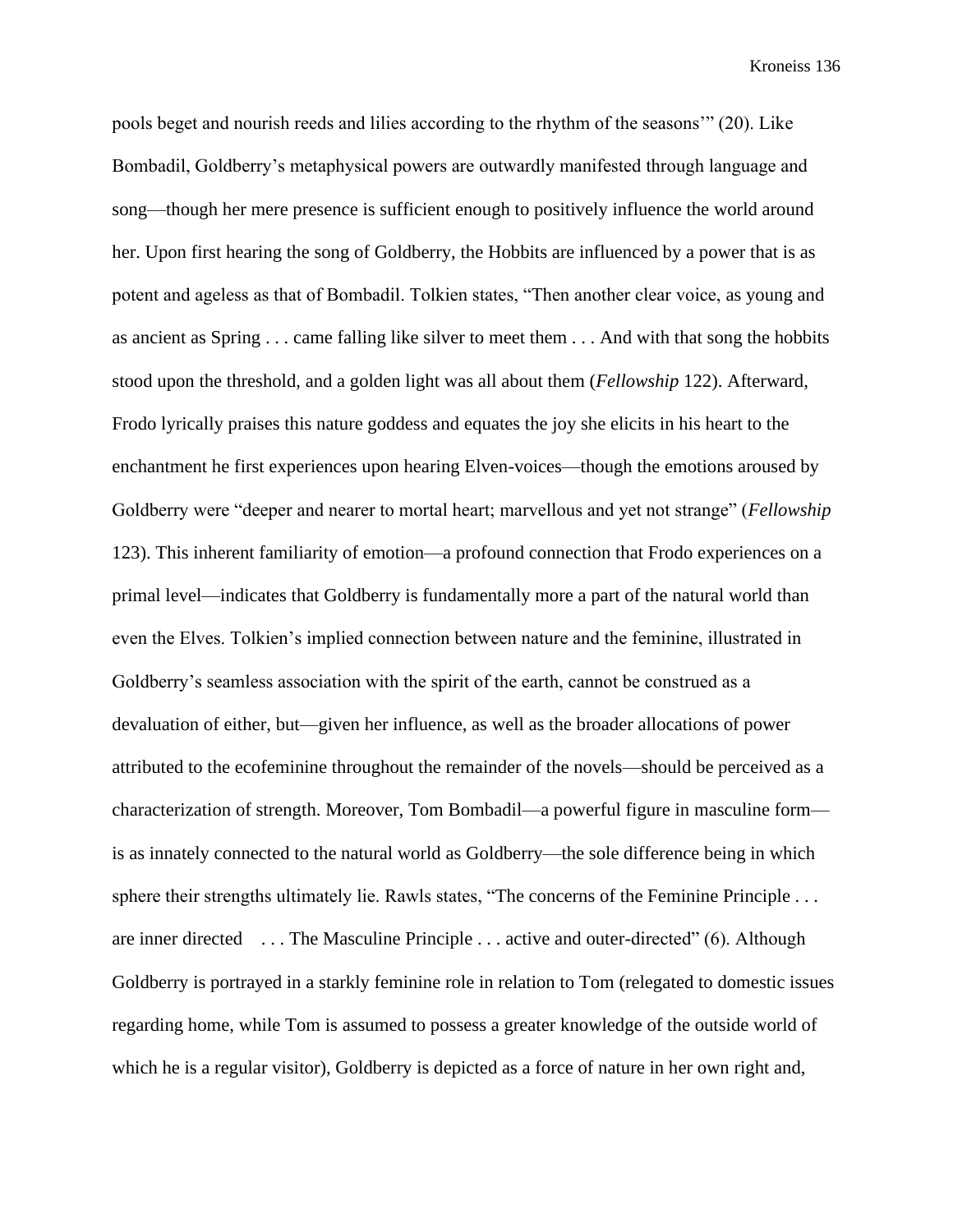pools beget and nourish reeds and lilies according to the rhythm of the seasons'" (20). Like Bombadil, Goldberry's metaphysical powers are outwardly manifested through language and song—though her mere presence is sufficient enough to positively influence the world around her. Upon first hearing the song of Goldberry, the Hobbits are influenced by a power that is as potent and ageless as that of Bombadil. Tolkien states, "Then another clear voice, as young and as ancient as Spring . . . came falling like silver to meet them . . . And with that song the hobbits stood upon the threshold, and a golden light was all about them (*Fellowship* 122). Afterward, Frodo lyrically praises this nature goddess and equates the joy she elicits in his heart to the enchantment he first experiences upon hearing Elven-voices—though the emotions aroused by Goldberry were "deeper and nearer to mortal heart; marvellous and yet not strange" (*Fellowship*  123). This inherent familiarity of emotion—a profound connection that Frodo experiences on a primal level—indicates that Goldberry is fundamentally more a part of the natural world than even the Elves. Tolkien's implied connection between nature and the feminine, illustrated in Goldberry's seamless association with the spirit of the earth, cannot be construed as a devaluation of either, but—given her influence, as well as the broader allocations of power attributed to the ecofeminine throughout the remainder of the novels—should be perceived as a characterization of strength. Moreover, Tom Bombadil—a powerful figure in masculine form is as innately connected to the natural world as Goldberry—the sole difference being in which sphere their strengths ultimately lie. Rawls states, "The concerns of the Feminine Principle . . . are inner directed . . . The Masculine Principle . . . active and outer-directed" (6). Although Goldberry is portrayed in a starkly feminine role in relation to Tom (relegated to domestic issues regarding home, while Tom is assumed to possess a greater knowledge of the outside world of which he is a regular visitor), Goldberry is depicted as a force of nature in her own right and,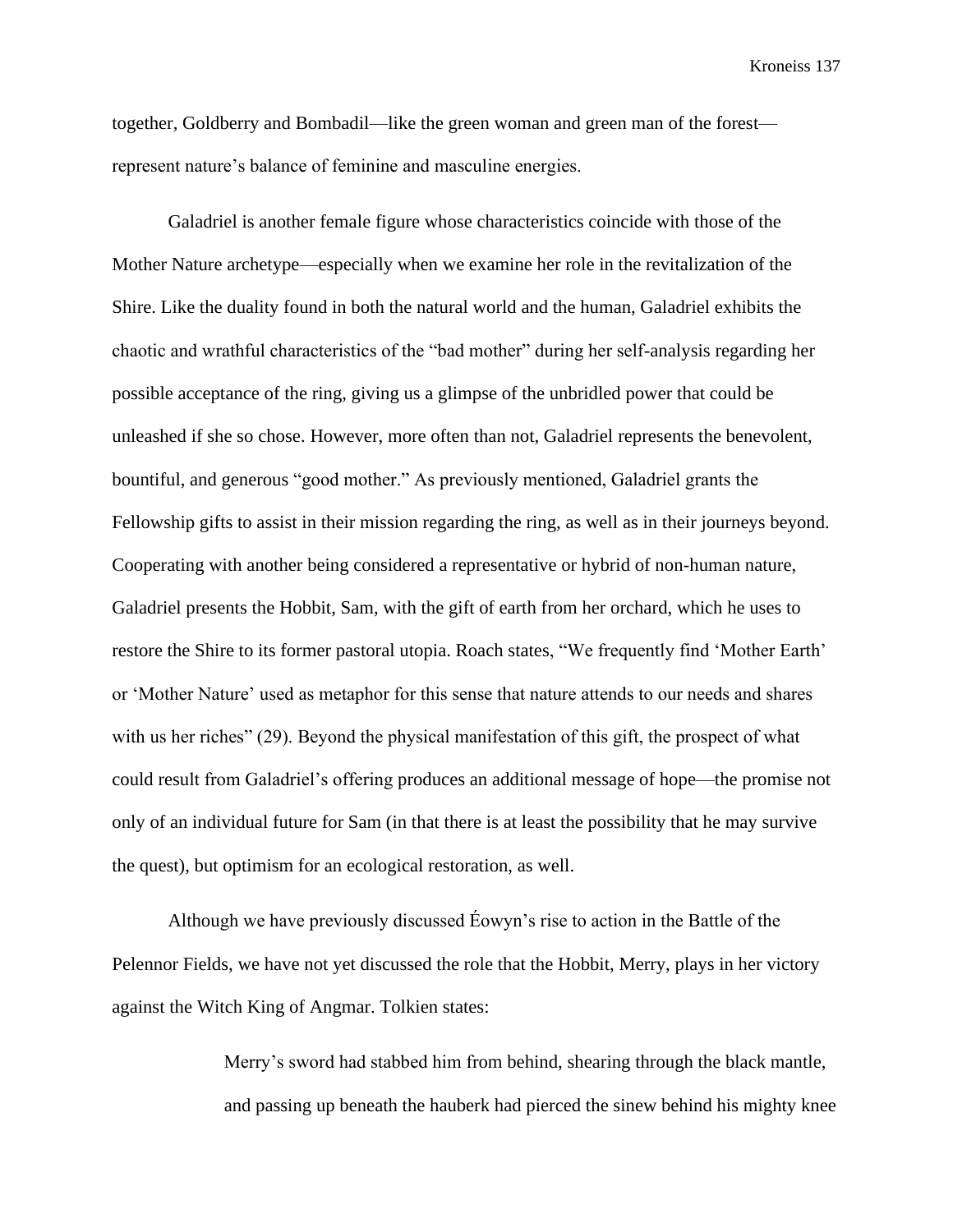together, Goldberry and Bombadil—like the green woman and green man of the forest represent nature's balance of feminine and masculine energies.

Galadriel is another female figure whose characteristics coincide with those of the Mother Nature archetype—especially when we examine her role in the revitalization of the Shire. Like the duality found in both the natural world and the human, Galadriel exhibits the chaotic and wrathful characteristics of the "bad mother" during her self-analysis regarding her possible acceptance of the ring, giving us a glimpse of the unbridled power that could be unleashed if she so chose. However, more often than not, Galadriel represents the benevolent, bountiful, and generous "good mother." As previously mentioned, Galadriel grants the Fellowship gifts to assist in their mission regarding the ring, as well as in their journeys beyond. Cooperating with another being considered a representative or hybrid of non-human nature, Galadriel presents the Hobbit, Sam, with the gift of earth from her orchard, which he uses to restore the Shire to its former pastoral utopia. Roach states, "We frequently find 'Mother Earth' or 'Mother Nature' used as metaphor for this sense that nature attends to our needs and shares with us her riches" (29). Beyond the physical manifestation of this gift, the prospect of what could result from Galadriel's offering produces an additional message of hope—the promise not only of an individual future for Sam (in that there is at least the possibility that he may survive the quest), but optimism for an ecological restoration, as well.

Although we have previously discussed Éowyn's rise to action in the Battle of the Pelennor Fields, we have not yet discussed the role that the Hobbit, Merry, plays in her victory against the Witch King of Angmar. Tolkien states:

> Merry's sword had stabbed him from behind, shearing through the black mantle, and passing up beneath the hauberk had pierced the sinew behind his mighty knee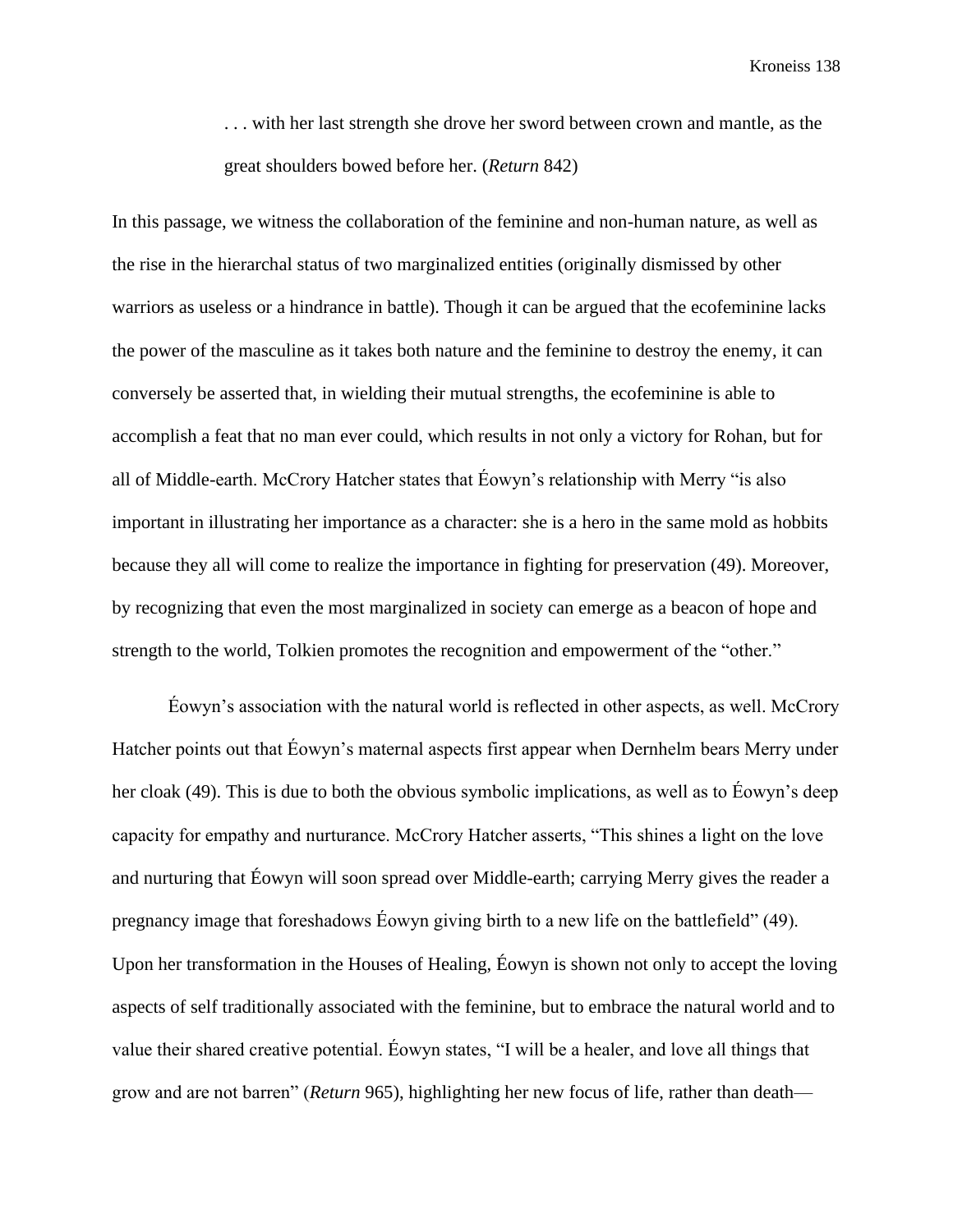. . . with her last strength she drove her sword between crown and mantle, as the great shoulders bowed before her. (*Return* 842)

In this passage, we witness the collaboration of the feminine and non-human nature, as well as the rise in the hierarchal status of two marginalized entities (originally dismissed by other warriors as useless or a hindrance in battle). Though it can be argued that the ecofeminine lacks the power of the masculine as it takes both nature and the feminine to destroy the enemy, it can conversely be asserted that, in wielding their mutual strengths, the ecofeminine is able to accomplish a feat that no man ever could, which results in not only a victory for Rohan, but for all of Middle-earth. McCrory Hatcher states that Éowyn's relationship with Merry "is also important in illustrating her importance as a character: she is a hero in the same mold as hobbits because they all will come to realize the importance in fighting for preservation (49). Moreover, by recognizing that even the most marginalized in society can emerge as a beacon of hope and strength to the world, Tolkien promotes the recognition and empowerment of the "other."

Éowyn's association with the natural world is reflected in other aspects, as well. McCrory Hatcher points out that Éowyn's maternal aspects first appear when Dernhelm bears Merry under her cloak (49). This is due to both the obvious symbolic implications, as well as to Éowyn's deep capacity for empathy and nurturance. McCrory Hatcher asserts, "This shines a light on the love and nurturing that Éowyn will soon spread over Middle-earth; carrying Merry gives the reader a pregnancy image that foreshadows Éowyn giving birth to a new life on the battlefield" (49). Upon her transformation in the Houses of Healing, Éowyn is shown not only to accept the loving aspects of self traditionally associated with the feminine, but to embrace the natural world and to value their shared creative potential. Éowyn states, "I will be a healer, and love all things that grow and are not barren" (*Return* 965), highlighting her new focus of life, rather than death—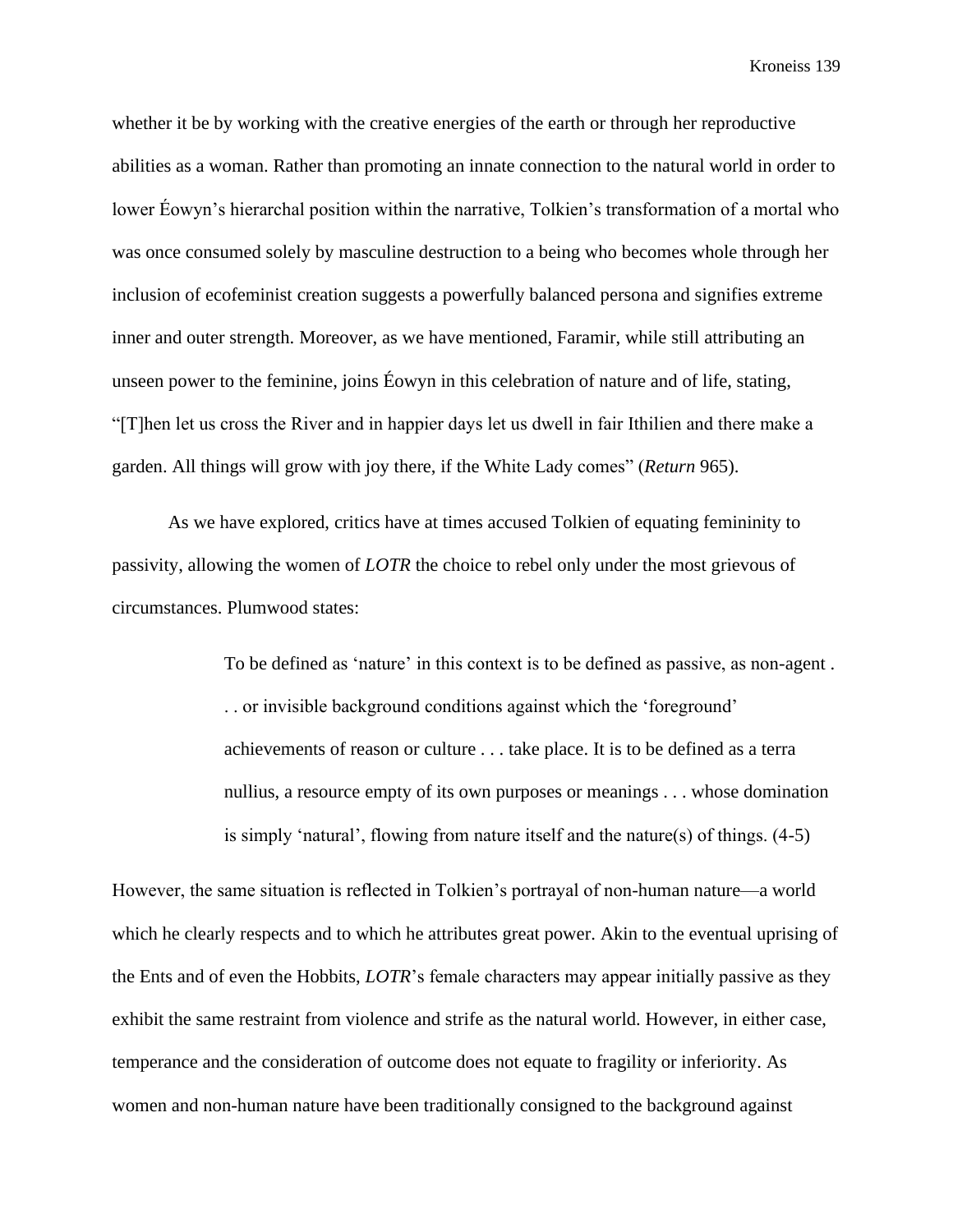whether it be by working with the creative energies of the earth or through her reproductive abilities as a woman. Rather than promoting an innate connection to the natural world in order to lower Éowyn's hierarchal position within the narrative, Tolkien's transformation of a mortal who was once consumed solely by masculine destruction to a being who becomes whole through her inclusion of ecofeminist creation suggests a powerfully balanced persona and signifies extreme inner and outer strength. Moreover, as we have mentioned, Faramir, while still attributing an unseen power to the feminine, joins Éowyn in this celebration of nature and of life, stating, "[T]hen let us cross the River and in happier days let us dwell in fair Ithilien and there make a garden. All things will grow with joy there, if the White Lady comes" (*Return* 965).

As we have explored, critics have at times accused Tolkien of equating femininity to passivity, allowing the women of *LOTR* the choice to rebel only under the most grievous of circumstances. Plumwood states:

> To be defined as 'nature' in this context is to be defined as passive, as non-agent . . . or invisible background conditions against which the 'foreground' achievements of reason or culture . . . take place. It is to be defined as a terra nullius, a resource empty of its own purposes or meanings . . . whose domination is simply 'natural', flowing from nature itself and the nature(s) of things. (4-5)

However, the same situation is reflected in Tolkien's portrayal of non-human nature—a world which he clearly respects and to which he attributes great power. Akin to the eventual uprising of the Ents and of even the Hobbits, *LOTR*'s female characters may appear initially passive as they exhibit the same restraint from violence and strife as the natural world. However, in either case, temperance and the consideration of outcome does not equate to fragility or inferiority. As women and non-human nature have been traditionally consigned to the background against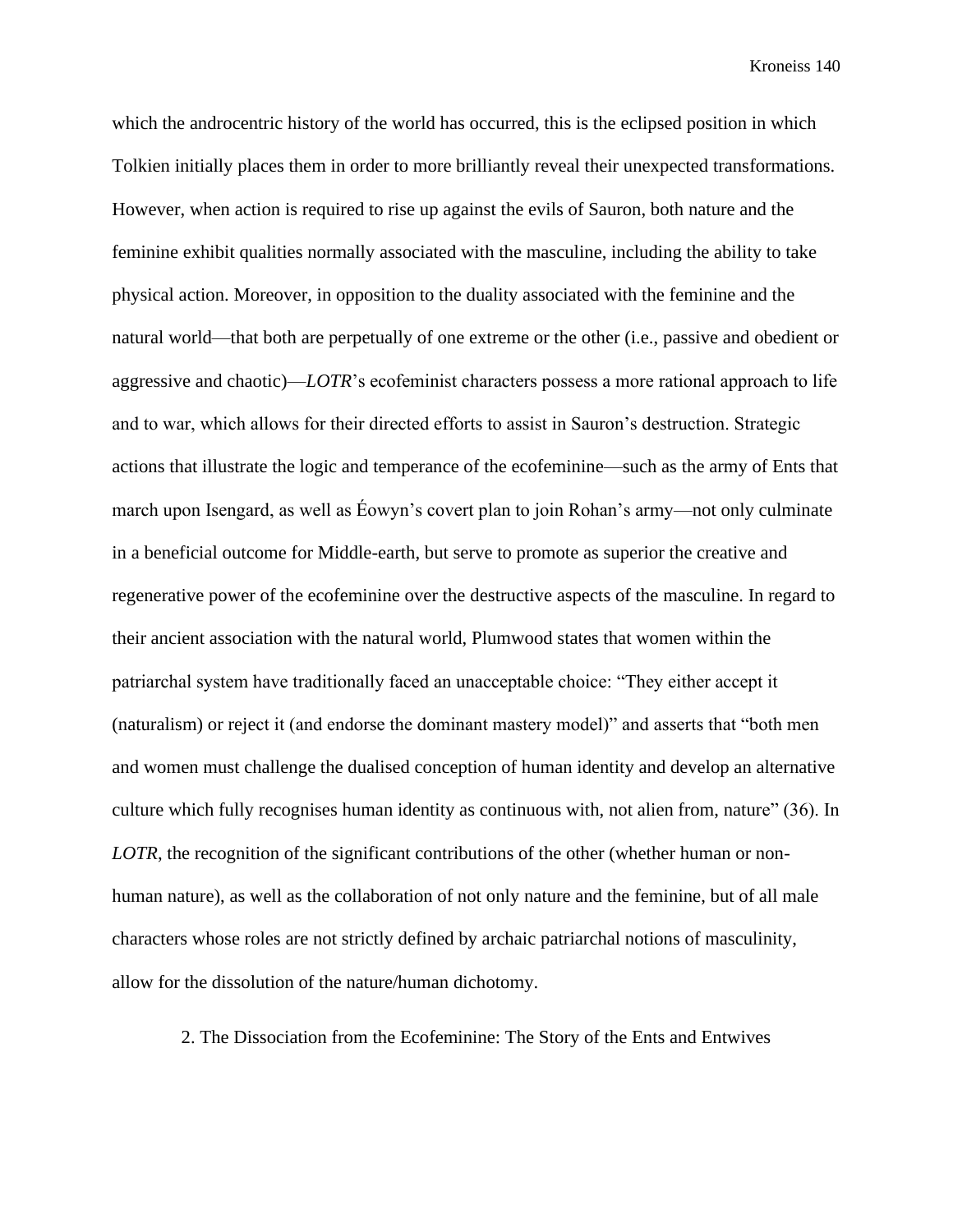which the androcentric history of the world has occurred, this is the eclipsed position in which Tolkien initially places them in order to more brilliantly reveal their unexpected transformations. However, when action is required to rise up against the evils of Sauron, both nature and the feminine exhibit qualities normally associated with the masculine, including the ability to take physical action. Moreover, in opposition to the duality associated with the feminine and the natural world—that both are perpetually of one extreme or the other (i.e., passive and obedient or aggressive and chaotic)—*LOTR*'s ecofeminist characters possess a more rational approach to life and to war, which allows for their directed efforts to assist in Sauron's destruction. Strategic actions that illustrate the logic and temperance of the ecofeminine—such as the army of Ents that march upon Isengard, as well as Éowyn's covert plan to join Rohan's army—not only culminate in a beneficial outcome for Middle-earth, but serve to promote as superior the creative and regenerative power of the ecofeminine over the destructive aspects of the masculine. In regard to their ancient association with the natural world, Plumwood states that women within the patriarchal system have traditionally faced an unacceptable choice: "They either accept it (naturalism) or reject it (and endorse the dominant mastery model)" and asserts that "both men and women must challenge the dualised conception of human identity and develop an alternative culture which fully recognises human identity as continuous with, not alien from, nature" (36). In *LOTR*, the recognition of the significant contributions of the other (whether human or nonhuman nature), as well as the collaboration of not only nature and the feminine, but of all male characters whose roles are not strictly defined by archaic patriarchal notions of masculinity, allow for the dissolution of the nature/human dichotomy.

2. The Dissociation from the Ecofeminine: The Story of the Ents and Entwives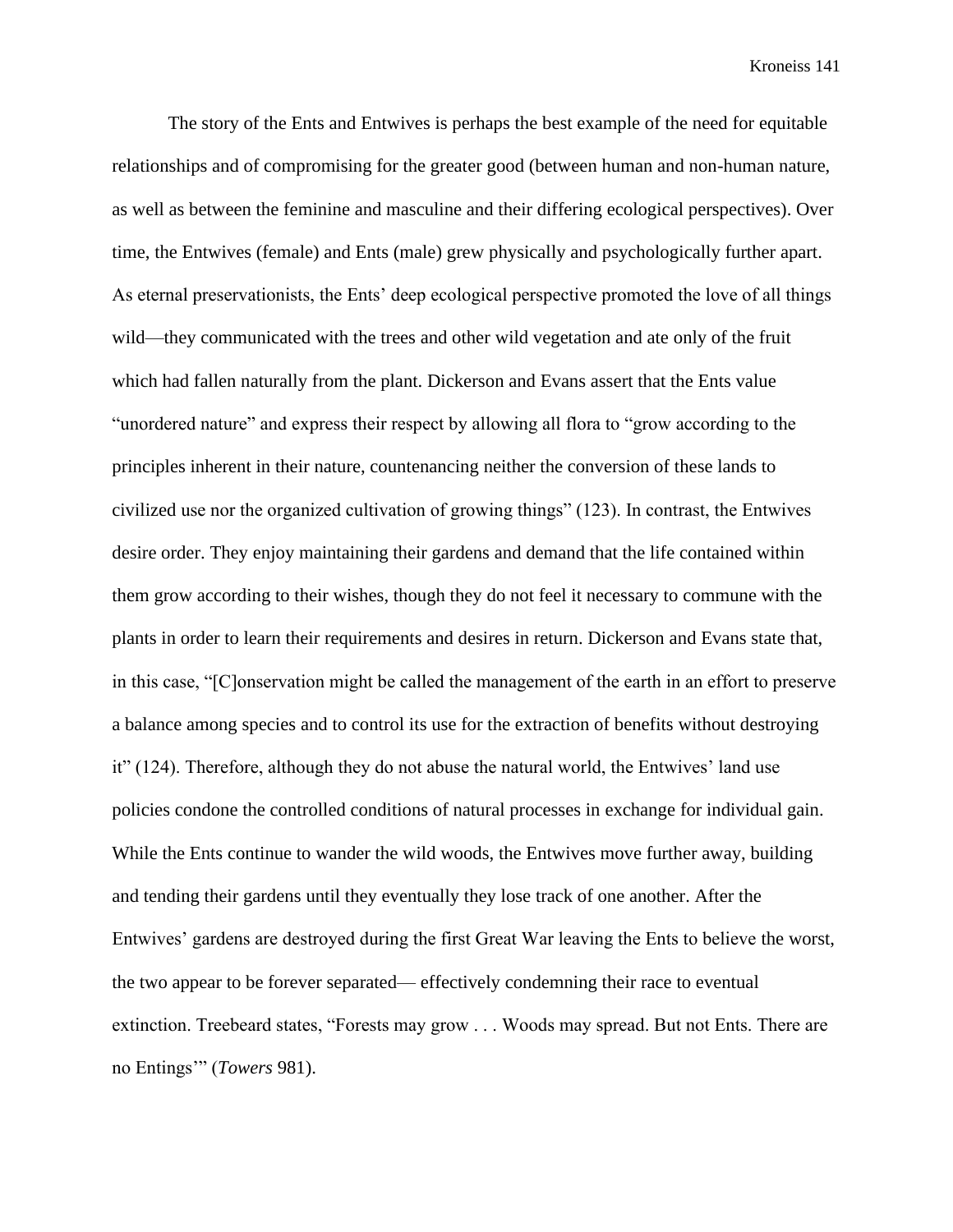The story of the Ents and Entwives is perhaps the best example of the need for equitable relationships and of compromising for the greater good (between human and non-human nature, as well as between the feminine and masculine and their differing ecological perspectives). Over time, the Entwives (female) and Ents (male) grew physically and psychologically further apart. As eternal preservationists, the Ents' deep ecological perspective promoted the love of all things wild—they communicated with the trees and other wild vegetation and ate only of the fruit which had fallen naturally from the plant. Dickerson and Evans assert that the Ents value "unordered nature" and express their respect by allowing all flora to "grow according to the principles inherent in their nature, countenancing neither the conversion of these lands to civilized use nor the organized cultivation of growing things" (123). In contrast, the Entwives desire order. They enjoy maintaining their gardens and demand that the life contained within them grow according to their wishes, though they do not feel it necessary to commune with the plants in order to learn their requirements and desires in return. Dickerson and Evans state that, in this case, "[C]onservation might be called the management of the earth in an effort to preserve a balance among species and to control its use for the extraction of benefits without destroying it" (124). Therefore, although they do not abuse the natural world, the Entwives' land use policies condone the controlled conditions of natural processes in exchange for individual gain. While the Ents continue to wander the wild woods, the Entwives move further away, building and tending their gardens until they eventually they lose track of one another. After the Entwives' gardens are destroyed during the first Great War leaving the Ents to believe the worst, the two appear to be forever separated— effectively condemning their race to eventual extinction. Treebeard states, "Forests may grow . . . Woods may spread. But not Ents. There are no Entings'" (*Towers* 981).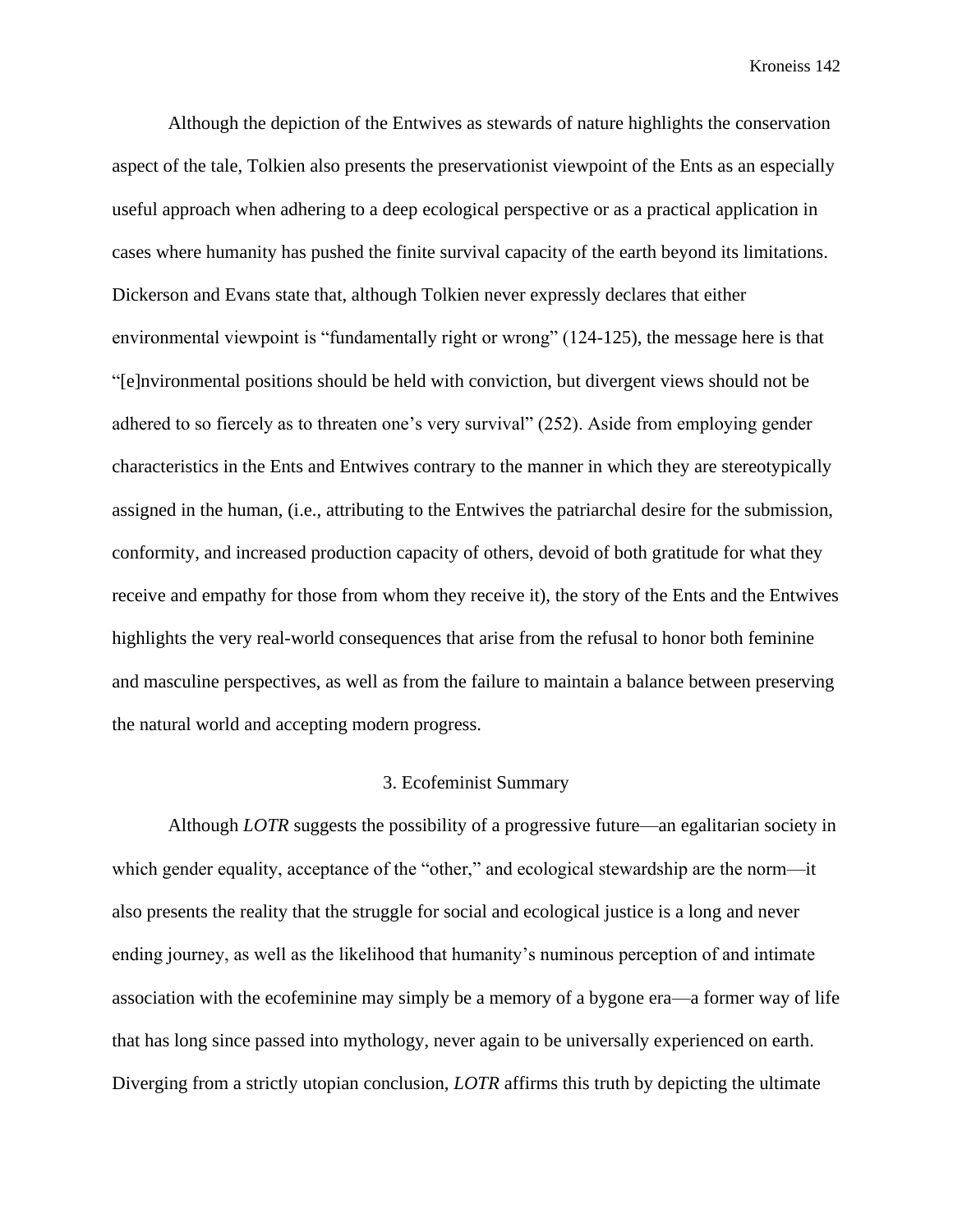Although the depiction of the Entwives as stewards of nature highlights the conservation aspect of the tale, Tolkien also presents the preservationist viewpoint of the Ents as an especially useful approach when adhering to a deep ecological perspective or as a practical application in cases where humanity has pushed the finite survival capacity of the earth beyond its limitations. Dickerson and Evans state that, although Tolkien never expressly declares that either environmental viewpoint is "fundamentally right or wrong" (124-125), the message here is that "[e]nvironmental positions should be held with conviction, but divergent views should not be adhered to so fiercely as to threaten one's very survival" (252). Aside from employing gender characteristics in the Ents and Entwives contrary to the manner in which they are stereotypically assigned in the human, (i.e., attributing to the Entwives the patriarchal desire for the submission, conformity, and increased production capacity of others, devoid of both gratitude for what they receive and empathy for those from whom they receive it), the story of the Ents and the Entwives highlights the very real-world consequences that arise from the refusal to honor both feminine and masculine perspectives, as well as from the failure to maintain a balance between preserving the natural world and accepting modern progress.

### 3. Ecofeminist Summary

Although *LOTR* suggests the possibility of a progressive future—an egalitarian society in which gender equality, acceptance of the "other," and ecological stewardship are the norm—it also presents the reality that the struggle for social and ecological justice is a long and never ending journey, as well as the likelihood that humanity's numinous perception of and intimate association with the ecofeminine may simply be a memory of a bygone era—a former way of life that has long since passed into mythology, never again to be universally experienced on earth. Diverging from a strictly utopian conclusion, *LOTR* affirms this truth by depicting the ultimate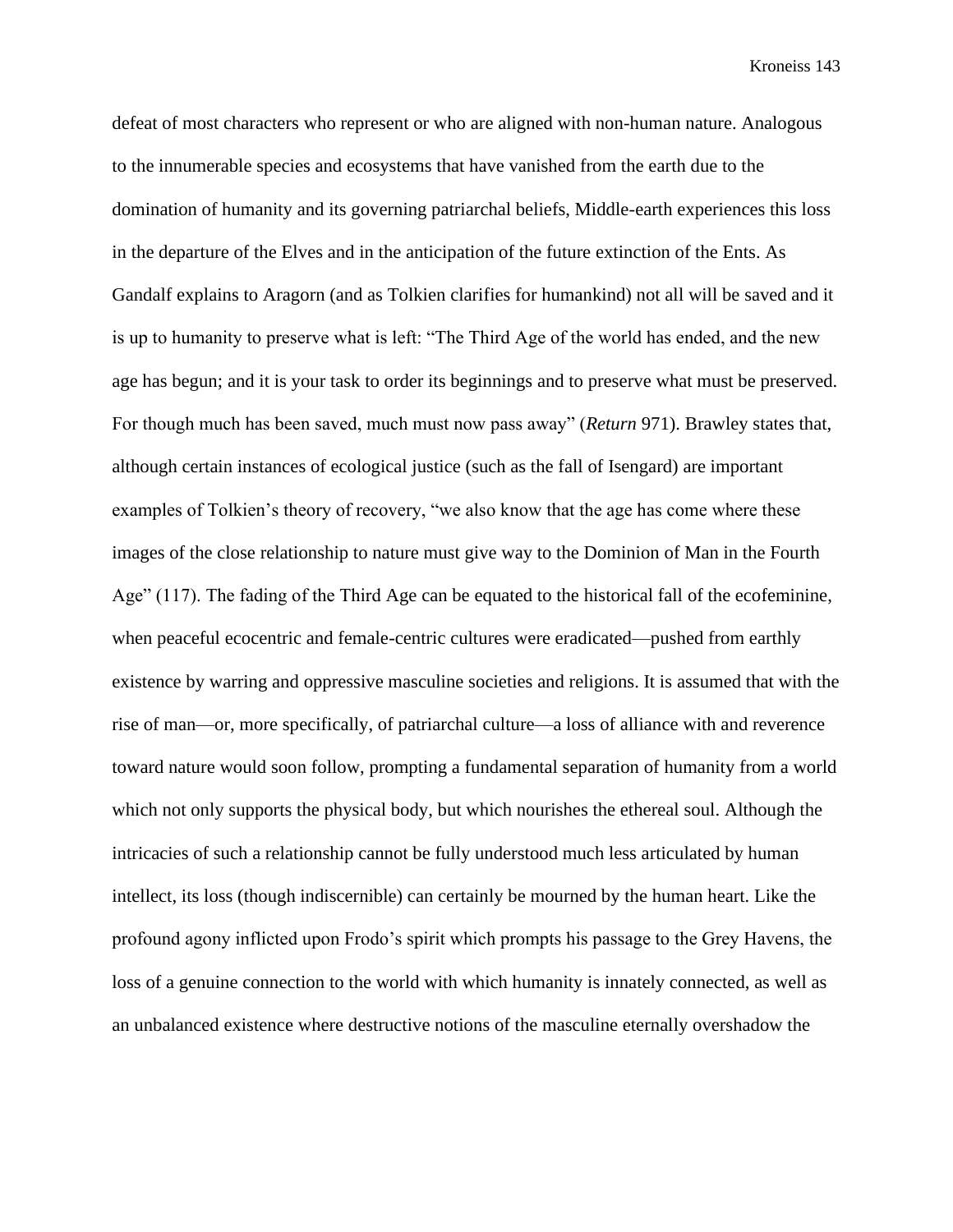defeat of most characters who represent or who are aligned with non-human nature. Analogous to the innumerable species and ecosystems that have vanished from the earth due to the domination of humanity and its governing patriarchal beliefs, Middle-earth experiences this loss in the departure of the Elves and in the anticipation of the future extinction of the Ents. As Gandalf explains to Aragorn (and as Tolkien clarifies for humankind) not all will be saved and it is up to humanity to preserve what is left: "The Third Age of the world has ended, and the new age has begun; and it is your task to order its beginnings and to preserve what must be preserved. For though much has been saved, much must now pass away" (*Return* 971). Brawley states that, although certain instances of ecological justice (such as the fall of Isengard) are important examples of Tolkien's theory of recovery, "we also know that the age has come where these images of the close relationship to nature must give way to the Dominion of Man in the Fourth Age" (117). The fading of the Third Age can be equated to the historical fall of the ecofeminine, when peaceful ecocentric and female-centric cultures were eradicated—pushed from earthly existence by warring and oppressive masculine societies and religions. It is assumed that with the rise of man—or, more specifically, of patriarchal culture—a loss of alliance with and reverence toward nature would soon follow, prompting a fundamental separation of humanity from a world which not only supports the physical body, but which nourishes the ethereal soul. Although the intricacies of such a relationship cannot be fully understood much less articulated by human intellect, its loss (though indiscernible) can certainly be mourned by the human heart. Like the profound agony inflicted upon Frodo's spirit which prompts his passage to the Grey Havens, the loss of a genuine connection to the world with which humanity is innately connected, as well as an unbalanced existence where destructive notions of the masculine eternally overshadow the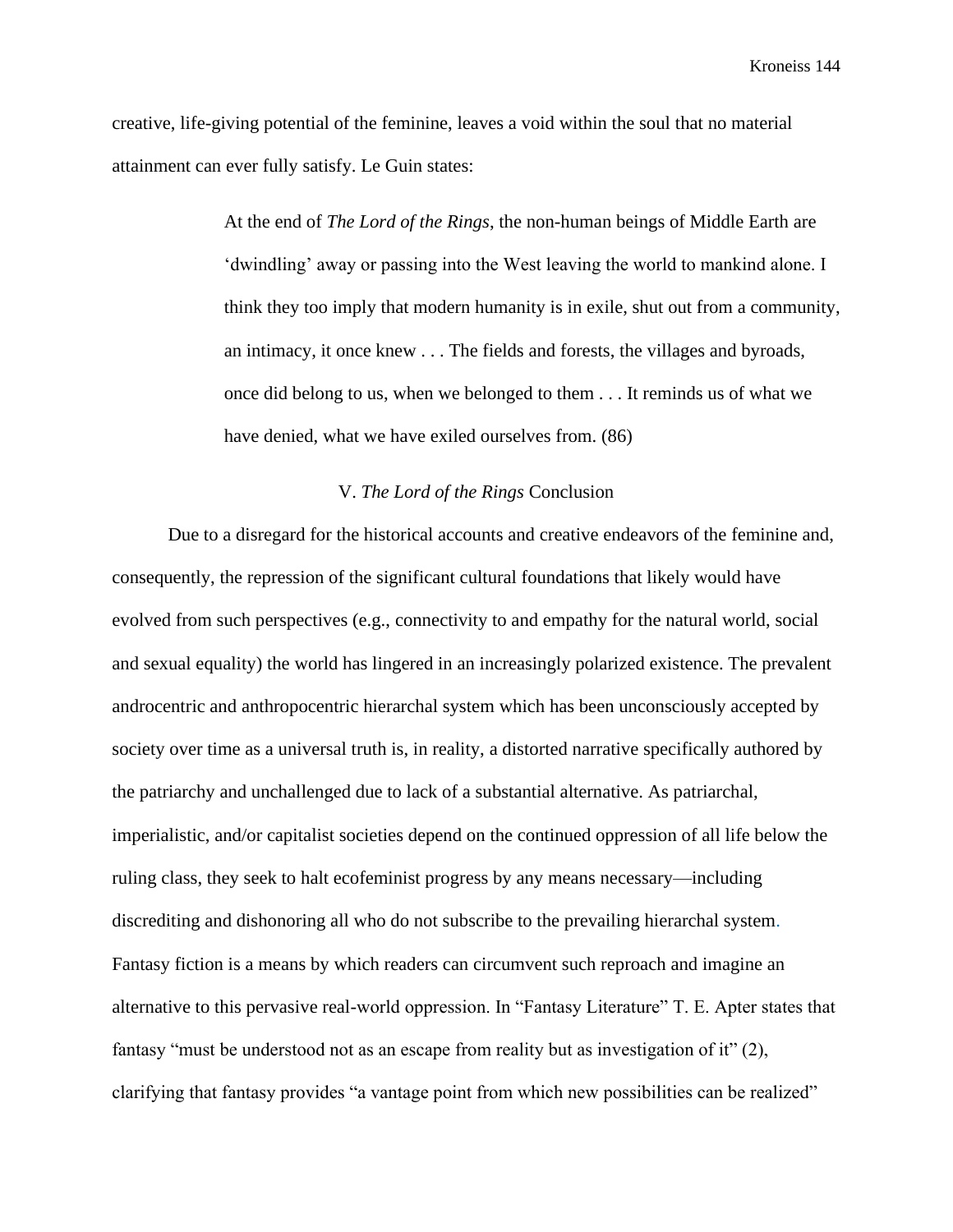Kroneiss 144

creative, life-giving potential of the feminine, leaves a void within the soul that no material attainment can ever fully satisfy. Le Guin states:

> At the end of *The Lord of the Rings*, the non-human beings of Middle Earth are 'dwindling' away or passing into the West leaving the world to mankind alone. I think they too imply that modern humanity is in exile, shut out from a community, an intimacy, it once knew . . . The fields and forests, the villages and byroads, once did belong to us, when we belonged to them . . . It reminds us of what we have denied, what we have exiled ourselves from. (86)

## V. *The Lord of the Rings* Conclusion

Due to a disregard for the historical accounts and creative endeavors of the feminine and, consequently, the repression of the significant cultural foundations that likely would have evolved from such perspectives (e.g., connectivity to and empathy for the natural world, social and sexual equality) the world has lingered in an increasingly polarized existence. The prevalent androcentric and anthropocentric hierarchal system which has been unconsciously accepted by society over time as a universal truth is, in reality, a distorted narrative specifically authored by the patriarchy and unchallenged due to lack of a substantial alternative. As patriarchal, imperialistic, and/or capitalist societies depend on the continued oppression of all life below the ruling class, they seek to halt ecofeminist progress by any means necessary—including discrediting and dishonoring all who do not subscribe to the prevailing hierarchal system. Fantasy fiction is a means by which readers can circumvent such reproach and imagine an alternative to this pervasive real-world oppression. In "Fantasy Literature" T. E. Apter states that fantasy "must be understood not as an escape from reality but as investigation of it" (2), clarifying that fantasy provides "a vantage point from which new possibilities can be realized"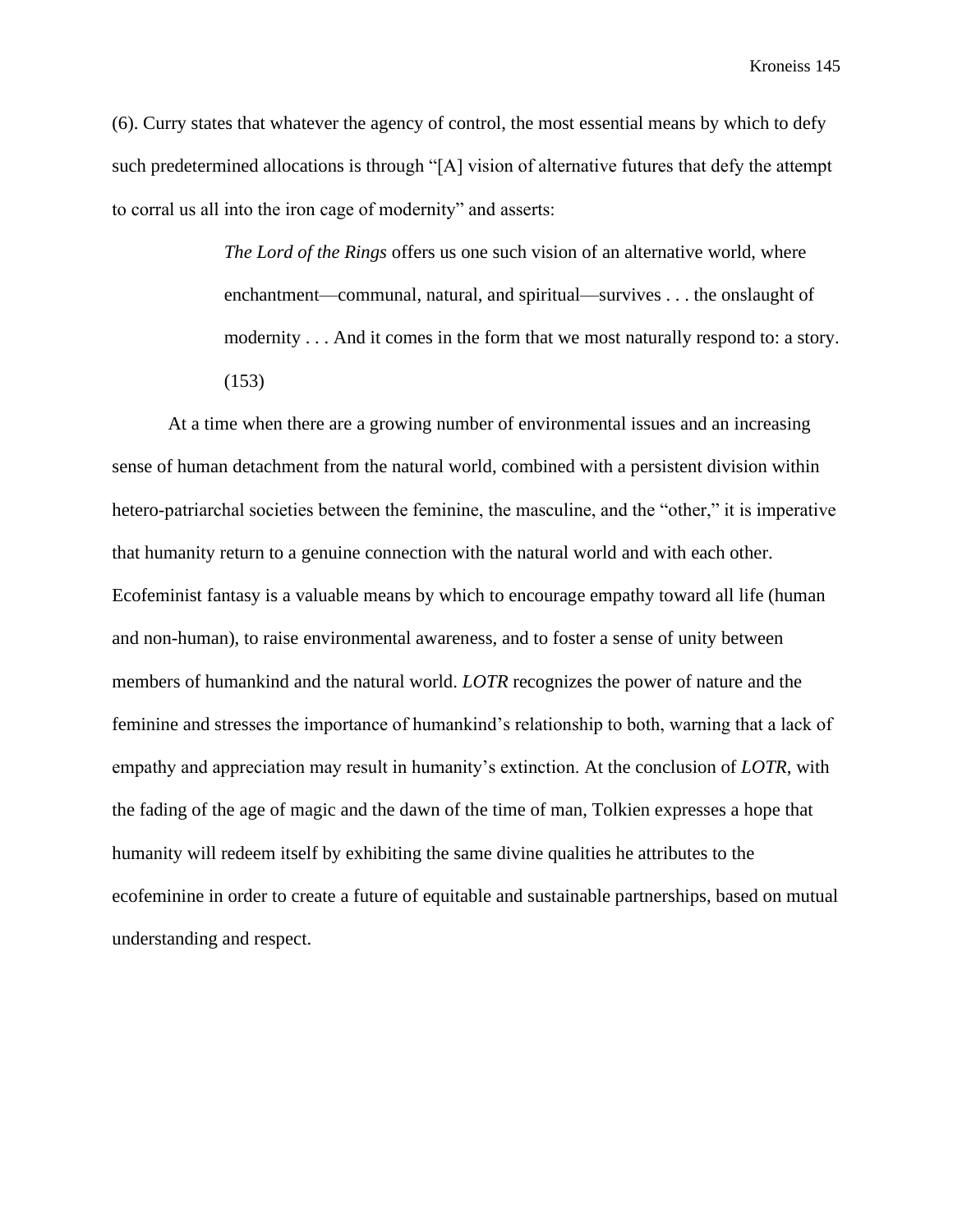Kroneiss 145

(6). Curry states that whatever the agency of control, the most essential means by which to defy such predetermined allocations is through "[A] vision of alternative futures that defy the attempt to corral us all into the iron cage of modernity" and asserts:

> *The Lord of the Rings* offers us one such vision of an alternative world, where enchantment—communal, natural, and spiritual—survives . . . the onslaught of modernity . . . And it comes in the form that we most naturally respond to: a story. (153)

At a time when there are a growing number of environmental issues and an increasing sense of human detachment from the natural world, combined with a persistent division within hetero-patriarchal societies between the feminine, the masculine, and the "other," it is imperative that humanity return to a genuine connection with the natural world and with each other. Ecofeminist fantasy is a valuable means by which to encourage empathy toward all life (human and non-human), to raise environmental awareness, and to foster a sense of unity between members of humankind and the natural world. *LOTR* recognizes the power of nature and the feminine and stresses the importance of humankind's relationship to both, warning that a lack of empathy and appreciation may result in humanity's extinction. At the conclusion of *LOTR*, with the fading of the age of magic and the dawn of the time of man, Tolkien expresses a hope that humanity will redeem itself by exhibiting the same divine qualities he attributes to the ecofeminine in order to create a future of equitable and sustainable partnerships, based on mutual understanding and respect.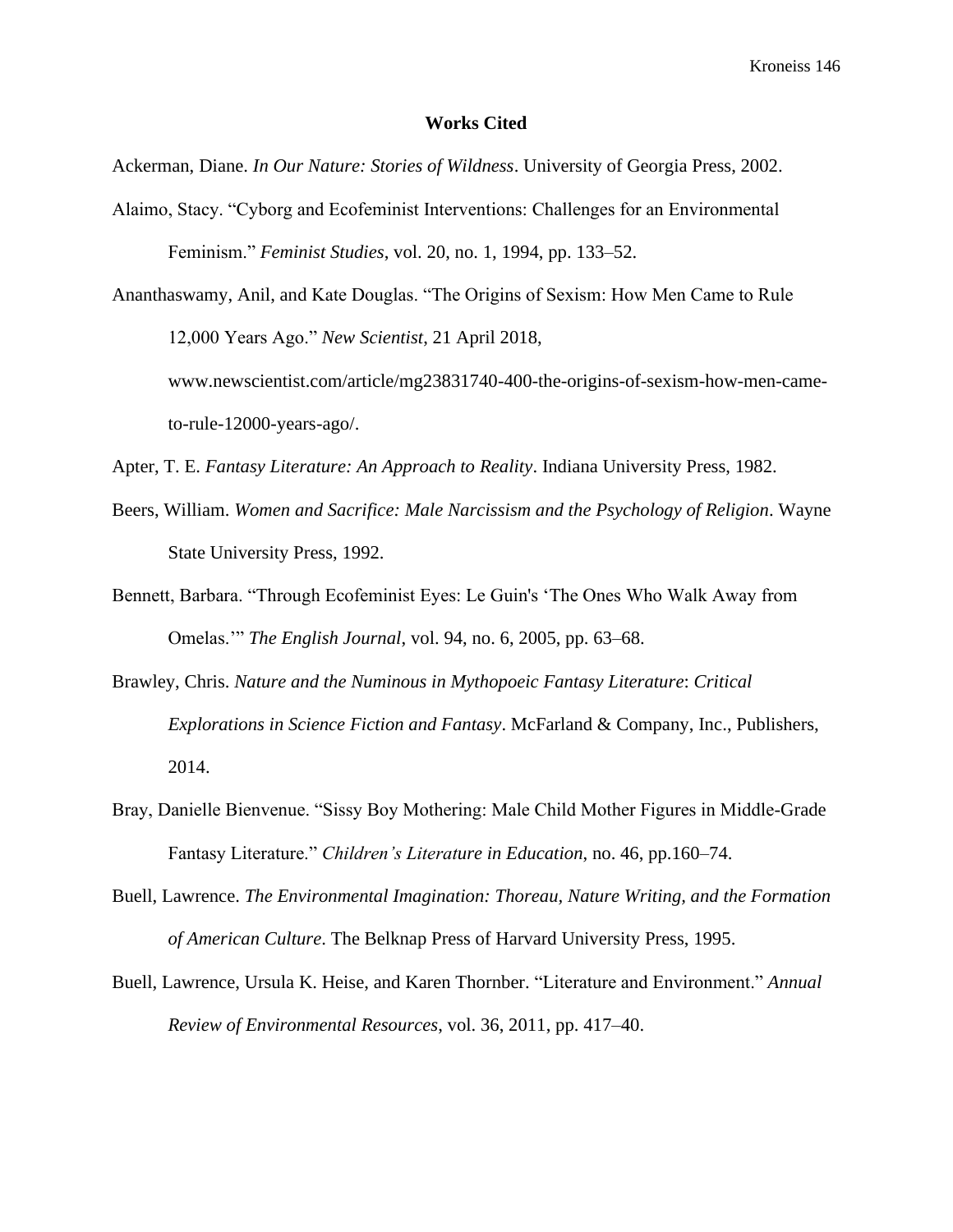## **Works Cited**

Ackerman, Diane. *In Our Nature: Stories of Wildness*. University of Georgia Press, 2002.

- Alaimo, Stacy. "Cyborg and Ecofeminist Interventions: Challenges for an Environmental Feminism." *Feminist Studies*, vol. 20, no. 1, 1994, pp. 133–52.
- Ananthaswamy, Anil, and Kate Douglas. "The Origins of Sexism: How Men Came to Rule 12,000 Years Ago." *New Scientist*, 21 April 2018, [www.newscientist.com/article/mg23831740-400-the-origins-of-sexism-how-men-came](http://www.newscientist.com/article/mg23831740-400-the-origins-of-sexism-how-men-came-to-rule-12000-years-ago/)[to-rule-12000-years-ago/.](http://www.newscientist.com/article/mg23831740-400-the-origins-of-sexism-how-men-came-to-rule-12000-years-ago/)

Apter, T. E. *Fantasy Literature: An Approach to Reality*. Indiana University Press, 1982.

- Beers, William. *Women and Sacrifice: Male Narcissism and the Psychology of Religion*. Wayne State University Press, 1992.
- Bennett, Barbara. "Through Ecofeminist Eyes: Le Guin's 'The Ones Who Walk Away from Omelas.'" *The English Journal*, vol. 94, no. 6, 2005, pp. 63–68.
- Brawley, Chris. *Nature and the Numinous in Mythopoeic Fantasy Literature*: *Critical Explorations in Science Fiction and Fantasy*. McFarland & Company, Inc., Publishers, 2014.
- Bray, Danielle Bienvenue. "Sissy Boy Mothering: Male Child Mother Figures in Middle-Grade Fantasy Literature." *Children's Literature in Education*, no. 46, pp.160–74.
- Buell, Lawrence. *The Environmental Imagination: Thoreau, Nature Writing, and the Formation of American Culture*. The Belknap Press of Harvard University Press, 1995.
- Buell, Lawrence, Ursula K. Heise, and Karen Thornber. "Literature and Environment." *Annual Review of Environmental Resources*, vol. 36, 2011, pp. 417–40.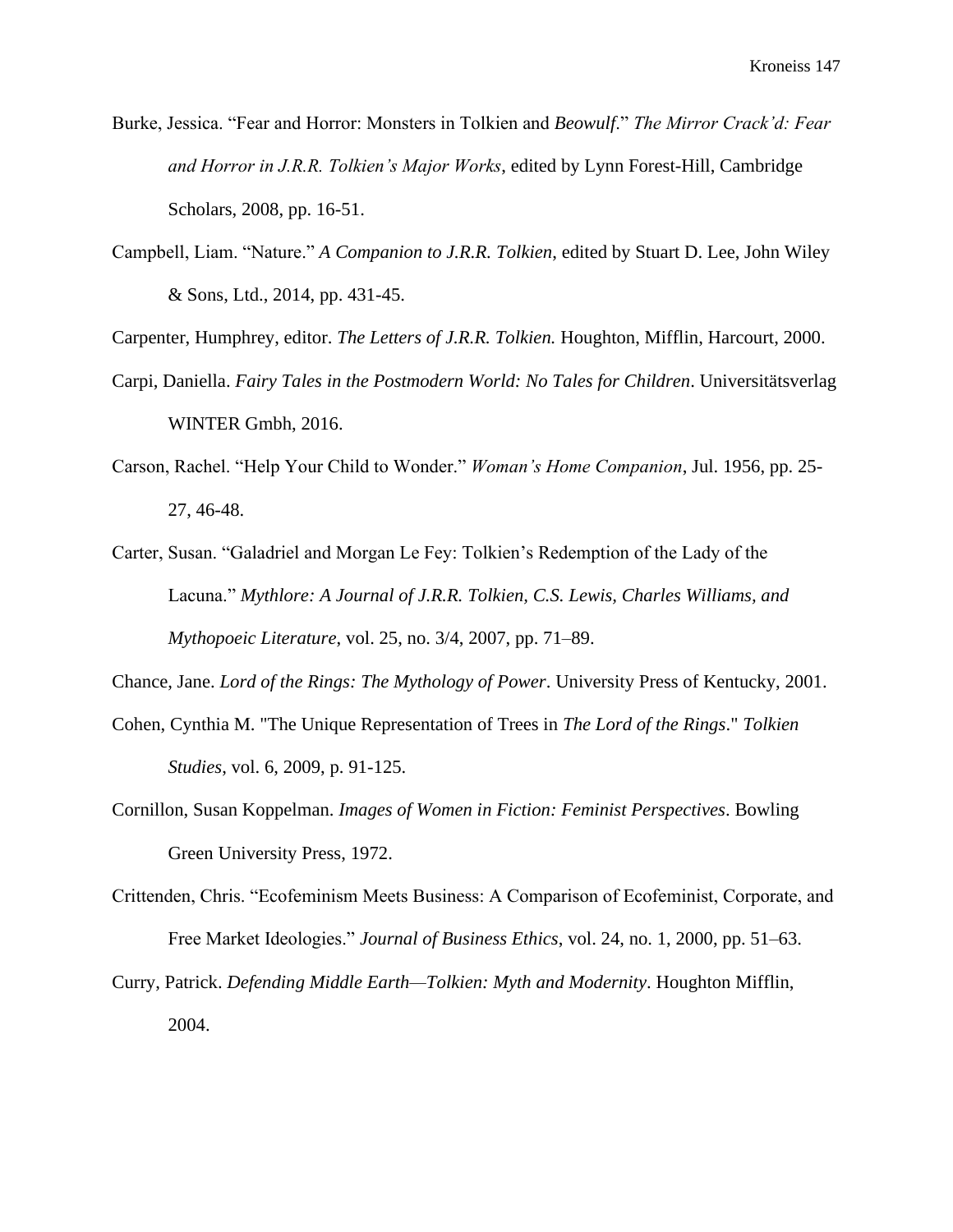- Burke, Jessica. "Fear and Horror: Monsters in Tolkien and *Beowulf*." *The Mirror Crack'd: Fear and Horror in J.R.R. Tolkien's Major Works*, edited by Lynn Forest-Hill, Cambridge Scholars, 2008, pp. 16-51.
- Campbell, Liam. "Nature." *A Companion to J.R.R. Tolkien*, edited by Stuart D. Lee, John Wiley & Sons, Ltd., 2014, pp. 431-45.

Carpenter, Humphrey, editor. *The Letters of J.R.R. Tolkien.* Houghton, Mifflin, Harcourt, 2000.

- Carpi, Daniella. *Fairy Tales in the Postmodern World: No Tales for Children*. Universitätsverlag WINTER Gmbh, 2016.
- Carson, Rachel. "Help Your Child to Wonder." *Woman's Home Companion*, Jul. 1956, pp. 25- 27, 46-48.
- Carter, Susan. "Galadriel and Morgan Le Fey: Tolkien's Redemption of the Lady of the Lacuna." *Mythlore: A Journal of J.R.R. Tolkien, C.S. Lewis, Charles Williams, and Mythopoeic Literature*, vol. 25, no. 3/4, 2007, pp. 71–89.

Chance, Jane. *Lord of the Rings: The Mythology of Power*. University Press of Kentucky, 2001.

- Cohen, Cynthia M. "The Unique Representation of Trees in *The Lord of the Rings*." *Tolkien Studies*, vol. 6, 2009, p. 91-125.
- Cornillon, Susan Koppelman. *Images of Women in Fiction: Feminist Perspectives*. Bowling Green University Press, 1972.
- Crittenden, Chris. "Ecofeminism Meets Business: A Comparison of Ecofeminist, Corporate, and Free Market Ideologies." *Journal of Business Ethics*, vol. 24, no. 1, 2000, pp. 51–63.
- Curry, Patrick. *Defending Middle Earth—Tolkien: Myth and Modernity*. Houghton Mifflin, 2004.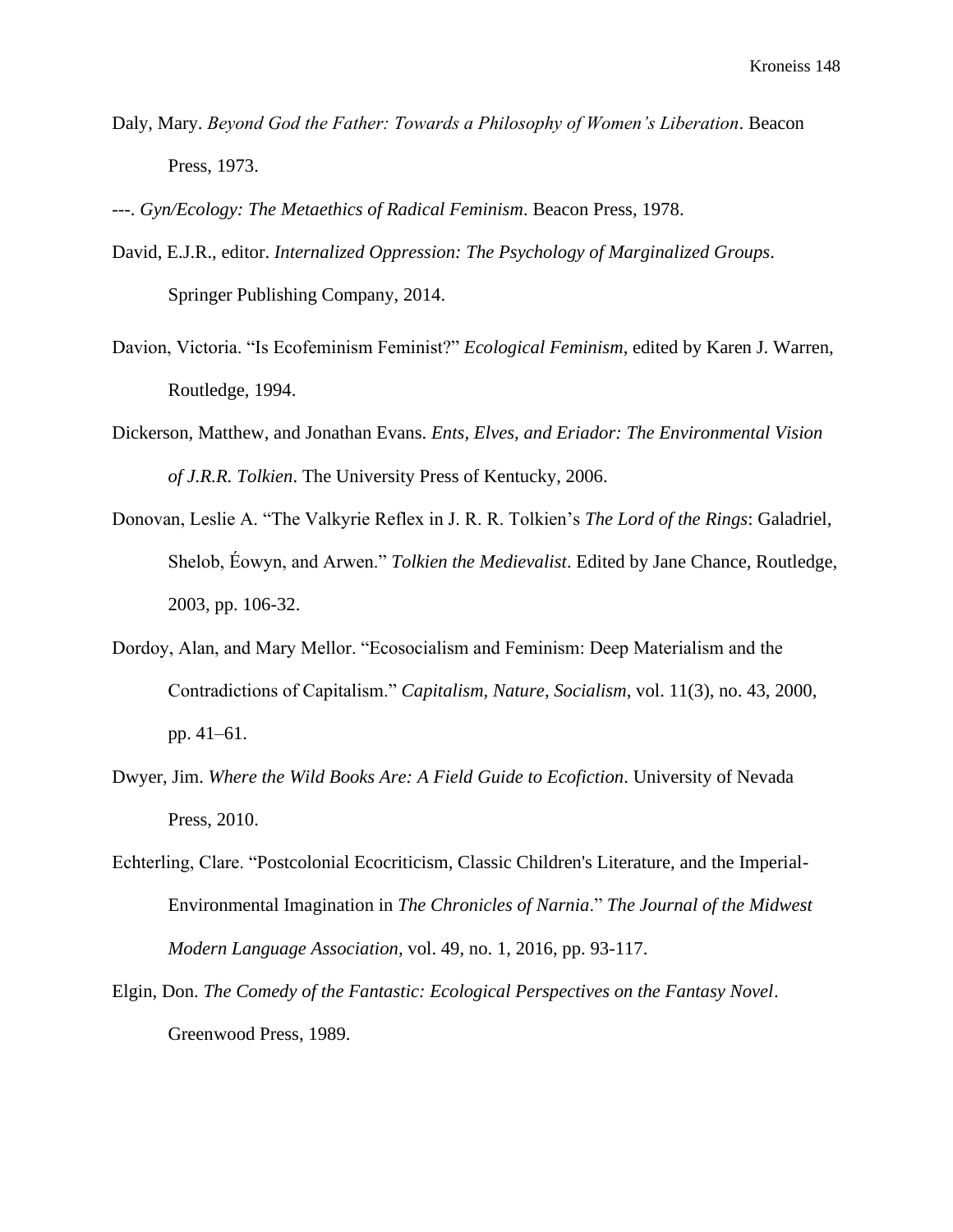Daly, Mary. *Beyond God the Father: Towards a Philosophy of Women's Liberation*. Beacon Press, 1973.

---. *Gyn/Ecology: The Metaethics of Radical Feminism*. Beacon Press, 1978.

- David, E.J.R., editor. *Internalized Oppression: The Psychology of Marginalized Groups*. Springer Publishing Company, 2014.
- Davion, Victoria. "Is Ecofeminism Feminist?" *Ecological Feminism*, edited by Karen J. Warren, Routledge, 1994.
- Dickerson, Matthew, and Jonathan Evans. *Ents, Elves, and Eriador: The Environmental Vision of J.R.R. Tolkien*. The University Press of Kentucky, 2006.
- Donovan, Leslie A. "The Valkyrie Reflex in J. R. R. Tolkien's *The Lord of the Rings*: Galadriel, Shelob, Éowyn, and Arwen." *Tolkien the Medievalist*. Edited by Jane Chance, Routledge, 2003, pp. 106-32.
- Dordoy, Alan, and Mary Mellor. "Ecosocialism and Feminism: Deep Materialism and the Contradictions of Capitalism." *Capitalism, Nature, Socialism*, vol. 11(3), no. 43, 2000, pp. 41–61.
- Dwyer, Jim. *Where the Wild Books Are: A Field Guide to Ecofiction*. University of Nevada Press, 2010.
- Echterling, Clare. "Postcolonial Ecocriticism, Classic Children's Literature, and the Imperial-Environmental Imagination in *The Chronicles of Narnia*." *The Journal of the Midwest Modern Language Association,* vol. 49, no. 1, 2016, pp. 93-117.
- Elgin, Don. *The Comedy of the Fantastic: Ecological Perspectives on the Fantasy Novel*. Greenwood Press, 1989.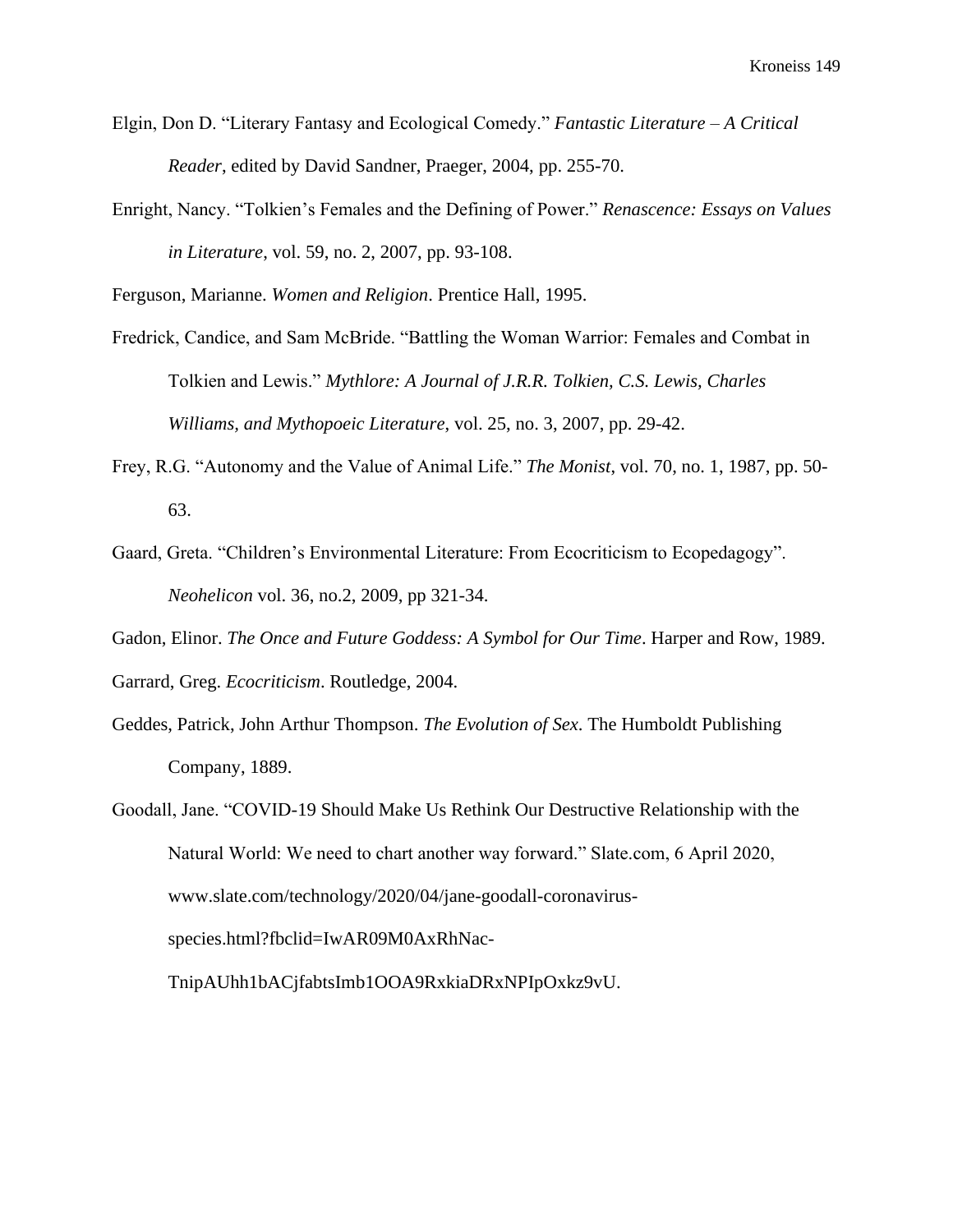- Elgin, Don D. "Literary Fantasy and Ecological Comedy." *Fantastic Literature – A Critical Reader*, edited by David Sandner, Praeger, 2004, pp. 255-70.
- Enright, Nancy. "Tolkien's Females and the Defining of Power." *Renascence: Essays on Values in Literature*, vol. 59, no. 2, 2007, pp. 93-108.

Ferguson, Marianne. *Women and Religion*. Prentice Hall, 1995.

- Fredrick, Candice, and Sam McBride. "Battling the Woman Warrior: Females and Combat in Tolkien and Lewis." *Mythlore: A Journal of J.R.R. Tolkien, C.S. Lewis, Charles Williams, and Mythopoeic Literature*, vol. 25, no. 3, 2007, pp. 29-42.
- Frey, R.G. "Autonomy and the Value of Animal Life." *The Monist*, vol. 70, no. 1, 1987, pp. 50- 63.
- Gaard, Greta. "Children's Environmental Literature: From Ecocriticism to Ecopedagogy". *Neohelicon* vol. 36, no.2, 2009, pp 321-34.

Gadon, Elinor. *The Once and Future Goddess: A Symbol for Our Time*. Harper and Row, 1989. Garrard, Greg. *Ecocriticism*. Routledge, 2004.

- Geddes, Patrick, John Arthur Thompson. *The Evolution of Sex*. The Humboldt Publishing Company, 1889.
- Goodall, Jane. "COVID-19 Should Make Us Rethink Our Destructive Relationship with the Natural World: We need to chart another way forward." Slate.com, 6 April 2020, www[.slate.com/technology/2020/04/jane-goodall-coronavirus](https://slate.com/technology/2020/04/jane-goodall-coronavirus-species.html?fbclid=IwAR09M0AxRhNac-TnipAUhh1bACjfabtsImb1OOA9RxkiaDRxNPIpOxkz9vU)[species.html?fbclid=IwAR09M0AxRhNac-](https://slate.com/technology/2020/04/jane-goodall-coronavirus-species.html?fbclid=IwAR09M0AxRhNac-TnipAUhh1bACjfabtsImb1OOA9RxkiaDRxNPIpOxkz9vU)

[TnipAUhh1bACjfabtsImb1OOA9RxkiaDRxNPIpOxkz9vU.](https://slate.com/technology/2020/04/jane-goodall-coronavirus-species.html?fbclid=IwAR09M0AxRhNac-TnipAUhh1bACjfabtsImb1OOA9RxkiaDRxNPIpOxkz9vU)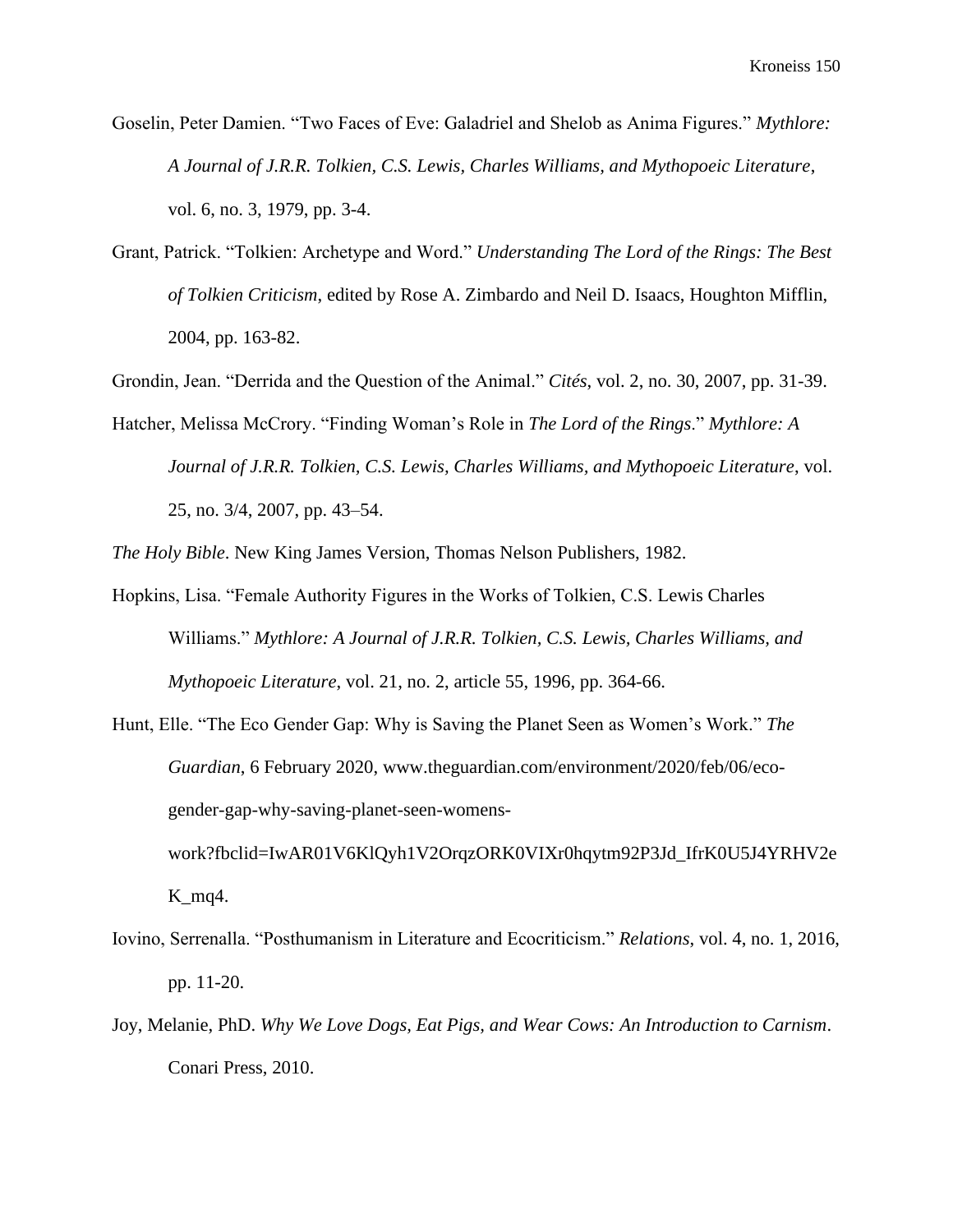Goselin, Peter Damien. "Two Faces of Eve: Galadriel and Shelob as Anima Figures." *Mythlore: A Journal of J.R.R. Tolkien, C.S. Lewis, Charles Williams, and Mythopoeic Literature*, vol. 6, no. 3, 1979, pp. 3-4.

Grant, Patrick. "Tolkien: Archetype and Word." *Understanding The Lord of the Rings: The Best of Tolkien Criticism*, edited by Rose A. Zimbardo and Neil D. Isaacs, Houghton Mifflin, 2004, pp. 163-82.

Grondin, Jean. "Derrida and the Question of the Animal." *Cités*, vol. 2, no. 30, 2007, pp. 31-39.

Hatcher, Melissa McCrory. "Finding Woman's Role in *The Lord of the Rings*." *Mythlore: A Journal of J.R.R. Tolkien, C.S. Lewis, Charles Williams, and Mythopoeic Literature*, vol. 25, no. 3/4, 2007, pp. 43–54.

*The Holy Bible*. New King James Version, Thomas Nelson Publishers, 1982.

- Hopkins, Lisa. "Female Authority Figures in the Works of Tolkien, C.S. Lewis Charles Williams." *Mythlore: A Journal of J.R.R. Tolkien, C.S. Lewis, Charles Williams, and Mythopoeic Literature*, vol. 21, no. 2, article 55, 1996, pp. 364-66.
- Hunt, Elle. "The Eco Gender Gap: Why is Saving the Planet Seen as Women's Work." *The Guardian*, 6 February 2020, [www.theguardian.com/environment/2020/feb/06/eco](http://www.theguardian.com/environment/2020/feb/06/eco-gender-gap-why-saving-planet-seen-womens-work?fbclid=IwAR01V6KlQyh1V2OrqzORK0VIXr0hqytm92P3Jd_IfrK0U5J4YRHV2eK_mq4)[gender-gap-why-saving-planet-seen-womens](http://www.theguardian.com/environment/2020/feb/06/eco-gender-gap-why-saving-planet-seen-womens-work?fbclid=IwAR01V6KlQyh1V2OrqzORK0VIXr0hqytm92P3Jd_IfrK0U5J4YRHV2eK_mq4)[work?fbclid=IwAR01V6KlQyh1V2OrqzORK0VIXr0hqytm92P3Jd\\_IfrK0U5J4YRHV2e](http://www.theguardian.com/environment/2020/feb/06/eco-gender-gap-why-saving-planet-seen-womens-work?fbclid=IwAR01V6KlQyh1V2OrqzORK0VIXr0hqytm92P3Jd_IfrK0U5J4YRHV2eK_mq4)

 $K_{mq4}$ .

- Iovino, Serrenalla. "Posthumanism in Literature and Ecocriticism." *Relations*, vol. 4, no. 1, 2016, pp. 11-20.
- Joy, Melanie, PhD. *Why We Love Dogs, Eat Pigs, and Wear Cows: An Introduction to Carnism*. Conari Press, 2010.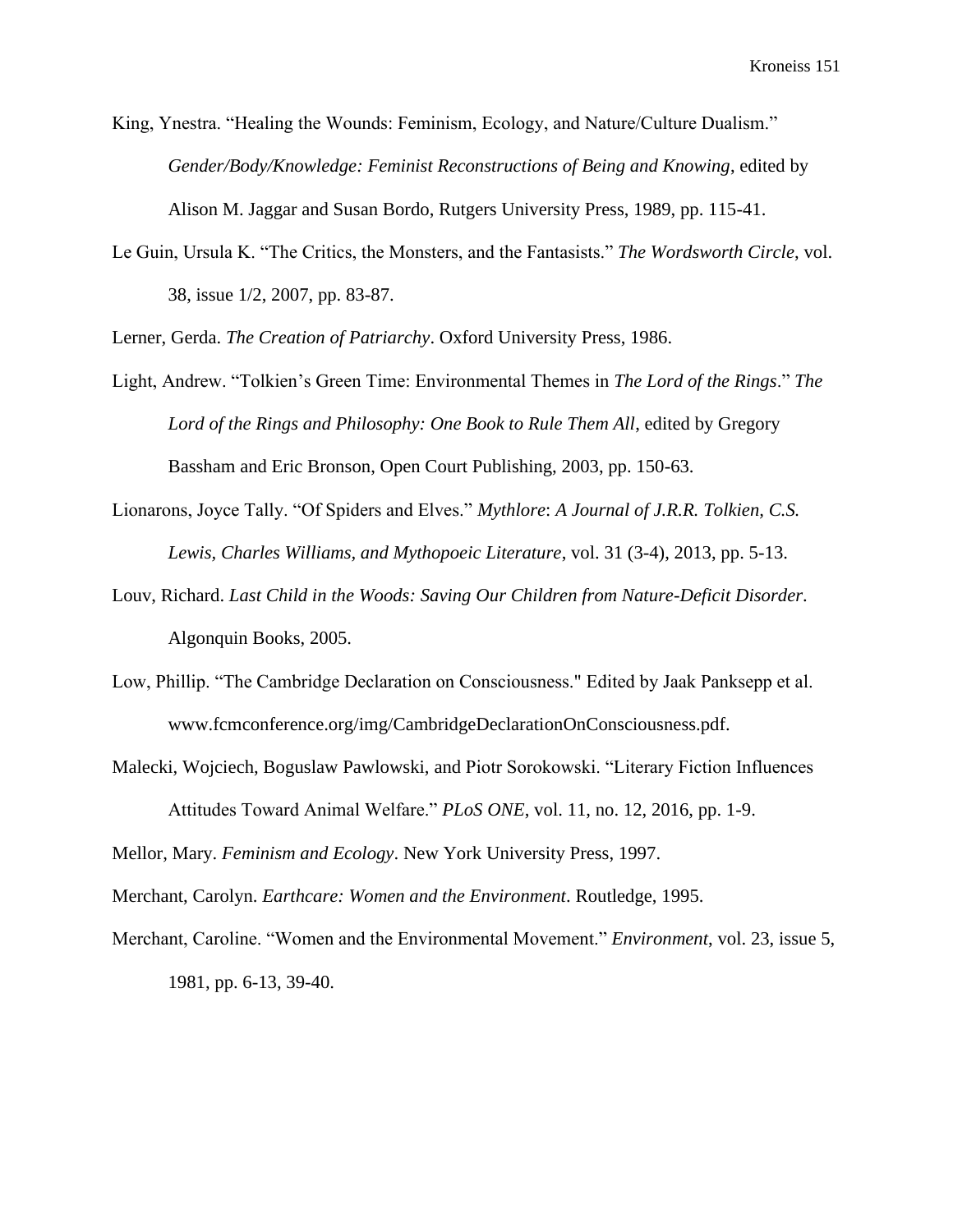King, Ynestra. "Healing the Wounds: Feminism, Ecology, and Nature/Culture Dualism." *Gender/Body/Knowledge: Feminist Reconstructions of Being and Knowing*, edited by Alison M. Jaggar and Susan Bordo, Rutgers University Press, 1989, pp. 115-41.

Le Guin, Ursula K. "The Critics, the Monsters, and the Fantasists." *The Wordsworth Circle*, vol. 38, issue 1/2, 2007, pp. 83-87.

Lerner, Gerda. *The Creation of Patriarchy*. Oxford University Press, 1986.

- Light, Andrew. "Tolkien's Green Time: Environmental Themes in *The Lord of the Rings*." *The Lord of the Rings and Philosophy: One Book to Rule Them All*, edited by Gregory Bassham and Eric Bronson, Open Court Publishing, 2003, pp. 150-63.
- Lionarons, Joyce Tally. "Of Spiders and Elves." *Mythlore*: *A Journal of J.R.R. Tolkien, C.S. Lewis, Charles Williams, and Mythopoeic Literature*, vol. 31 (3-4), 2013, pp. 5-13.
- Louv, Richard. *Last Child in the Woods: Saving Our Children from Nature-Deficit Disorder*. Algonquin Books, 2005.
- Low, Phillip. "The Cambridge Declaration on Consciousness." Edited by Jaak Panksepp et al. [www.fcmconference.org/img/CambridgeDeclarationOnConsciousness.pdf.](http://www.fcmconference.org/img/CambridgeDeclarationOnConsciousness.pdf)
- Malecki, Wojciech, Boguslaw Pawlowski, and Piotr Sorokowski. "Literary Fiction Influences Attitudes Toward Animal Welfare." *PLoS ONE*, vol. 11, no. 12, 2016, pp. 1-9.

Mellor, Mary. *Feminism and Ecology*. New York University Press, 1997.

Merchant, Carolyn. *Earthcare: Women and the Environment*. Routledge, 1995.

Merchant, Caroline. "Women and the Environmental Movement." *Environment*, vol. 23, issue 5, 1981, pp. 6-13, 39-40.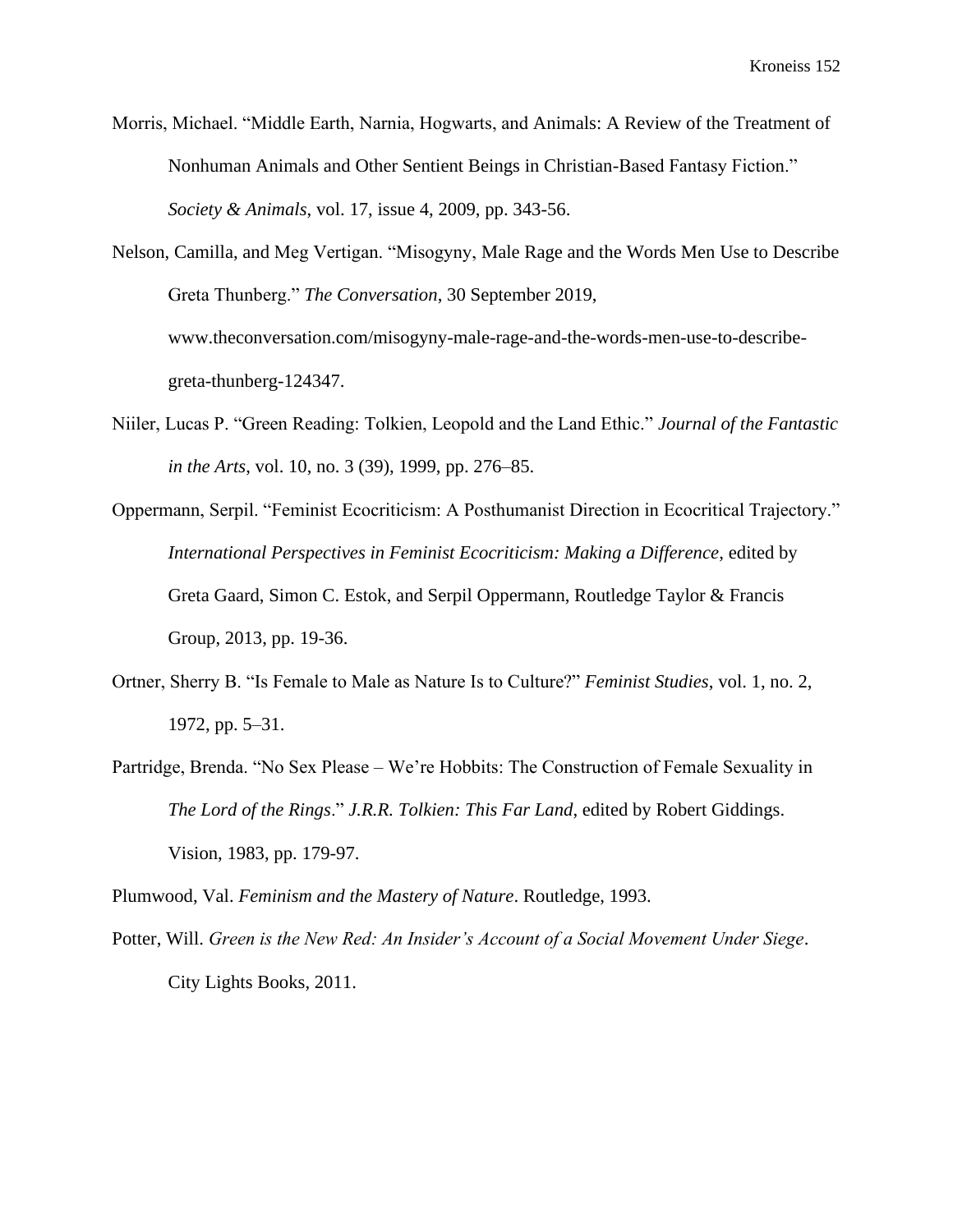- Morris, Michael. "Middle Earth, Narnia, Hogwarts, and Animals: A Review of the Treatment of Nonhuman Animals and Other Sentient Beings in Christian-Based Fantasy Fiction." *Society & Animals*, vol. 17, issue 4, 2009, pp. 343-56.
- Nelson, Camilla, and Meg Vertigan. "Misogyny, Male Rage and the Words Men Use to Describe Greta Thunberg." *The Conversation*, 30 September 2019, [www.theconversation.com/misogyny-male-rage-and-the-words-men-use-to-describe](http://www.theconversation.com/misogyny-male-rage-and-the-words-men-use-to-describe-greta-thunberg-124347)[greta-thunberg-124347.](http://www.theconversation.com/misogyny-male-rage-and-the-words-men-use-to-describe-greta-thunberg-124347)
- Niiler, Lucas P. "Green Reading: Tolkien, Leopold and the Land Ethic." *Journal of the Fantastic in the Arts*, vol. 10, no. 3 (39), 1999, pp. 276–85.
- Oppermann, Serpil. "Feminist Ecocriticism: A Posthumanist Direction in Ecocritical Trajectory." *International Perspectives in Feminist Ecocriticism: Making a Difference*, edited by Greta Gaard, Simon C. Estok, and Serpil Oppermann, Routledge Taylor & Francis Group, 2013, pp. 19-36.
- Ortner, Sherry B. "Is Female to Male as Nature Is to Culture?" *Feminist Studies*, vol. 1, no. 2, 1972, pp. 5–31.
- Partridge, Brenda. "No Sex Please We're Hobbits: The Construction of Female Sexuality in *The Lord of the Rings*." *J.R.R. Tolkien: This Far Land*, edited by Robert Giddings. Vision, 1983, pp. 179-97.

Plumwood, Val. *Feminism and the Mastery of Nature*. Routledge, 1993.

Potter, Will. *Green is the New Red: An Insider's Account of a Social Movement Under Siege*. City Lights Books, 2011.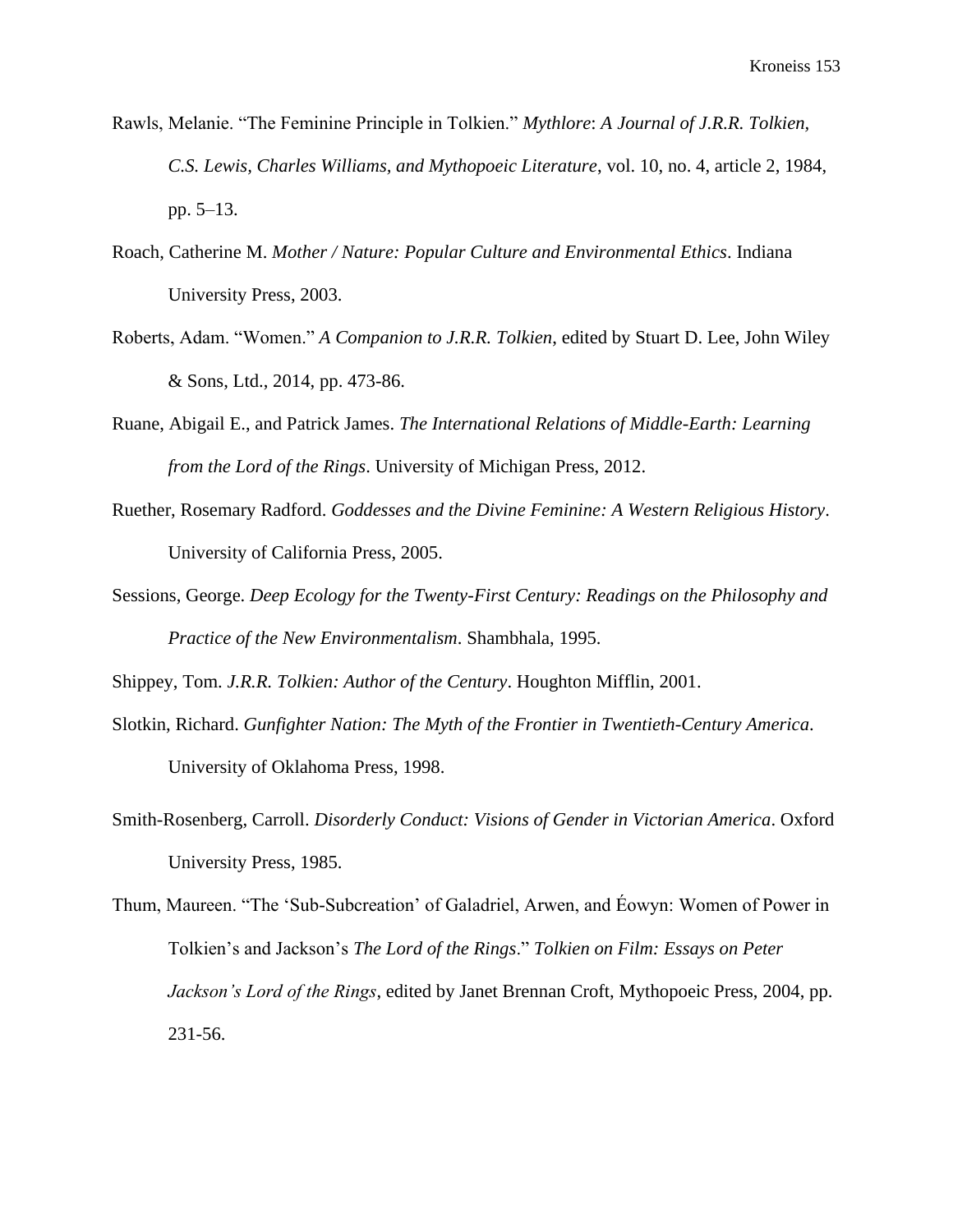- Rawls, Melanie. "The Feminine Principle in Tolkien." *Mythlore*: *A Journal of J.R.R. Tolkien, C.S. Lewis, Charles Williams, and Mythopoeic Literature*, vol. 10, no. 4, article 2, 1984, pp. 5–13.
- Roach, Catherine M. *Mother / Nature: Popular Culture and Environmental Ethics*. Indiana University Press, 2003.
- Roberts, Adam. "Women." *A Companion to J.R.R. Tolkien*, edited by Stuart D. Lee, John Wiley & Sons, Ltd., 2014, pp. 473-86.
- Ruane, Abigail E., and Patrick James. *The International Relations of Middle-Earth: Learning from the Lord of the Rings*. University of Michigan Press, 2012.
- Ruether, Rosemary Radford. *Goddesses and the Divine Feminine: A Western Religious History*. University of California Press, 2005.
- Sessions, George. *Deep Ecology for the Twenty-First Century: Readings on the Philosophy and Practice of the New Environmentalism*. Shambhala, 1995.

Shippey, Tom. *J.R.R. Tolkien: Author of the Century*. Houghton Mifflin, 2001.

- Slotkin, Richard. *Gunfighter Nation: The Myth of the Frontier in Twentieth-Century America*. University of Oklahoma Press, 1998.
- Smith-Rosenberg, Carroll. *Disorderly Conduct: Visions of Gender in Victorian America*. Oxford University Press, 1985.

Thum, Maureen. "The 'Sub-Subcreation' of Galadriel, Arwen, and Éowyn: Women of Power in Tolkien's and Jackson's *The Lord of the Rings*." *Tolkien on Film: Essays on Peter Jackson's Lord of the Rings*, edited by Janet Brennan Croft, Mythopoeic Press, 2004, pp. 231-56.